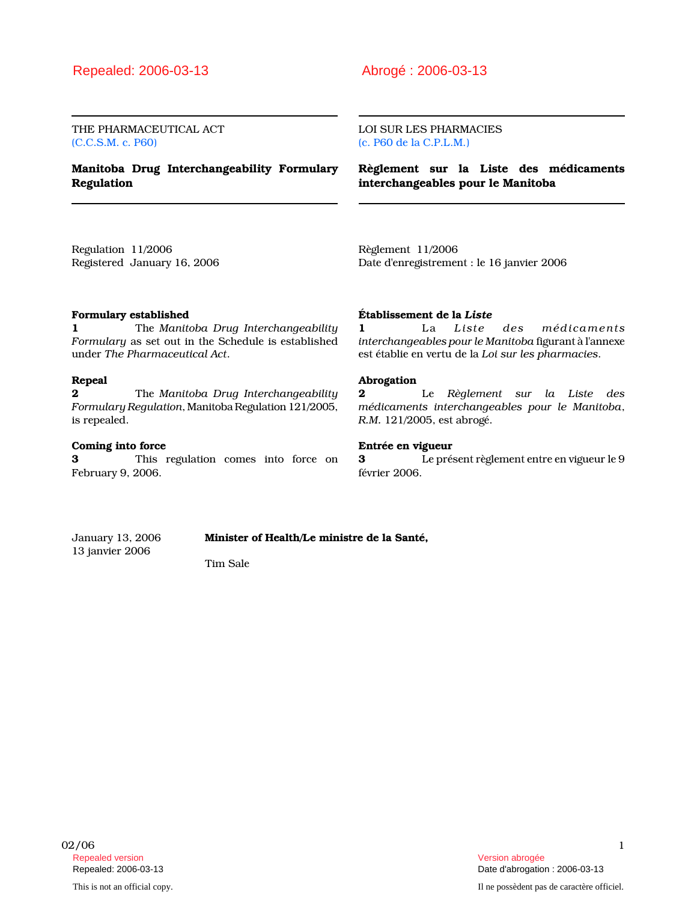THE PHARMACEUTICAL ACT (C.C.S.M. c. P60)

Manitoba Drug Interchangeability Formulary Regulation

LOI SUR LES PHARMACIES (c. P60 de la C.P.L.M.)

Règlement sur la Liste des médicaments interchangeables pour le Manitoba

Regulation 11/2006 Registered January 16, 2006 Règlement 11/2006 Date d'enregistrement : le 16 janvier 2006

# Formulary established

1 The Manitoba Drug Interchangeability Formulary as set out in the Schedule is established under The Pharmaceutical Act.

#### Repeal

**2** The Manitoba Drug Interchangeability Formulary Regulation, Manitoba Regulation 121/2005, is repealed.

### Coming into force

3 This regulation comes into force on February 9, 2006.

### Établissement de la Liste

1 La Liste des médicaments interchangeables pour le Manitoba figurant à l'annexe est établie en vertu de la Loi sur les pharmacies.

### Abrogation

2 Le Règlement sur la Liste des médicaments interchangeables pour le Manitoba, R.M. 121/2005, est abrogé.

# Entrée en vigueur

3 Le présent règlement entre en vigueur le 9 février 2006.

January 13, 2006 Minister of Health/Le ministre de la Santé, 13 janvier 2006

Tim Sale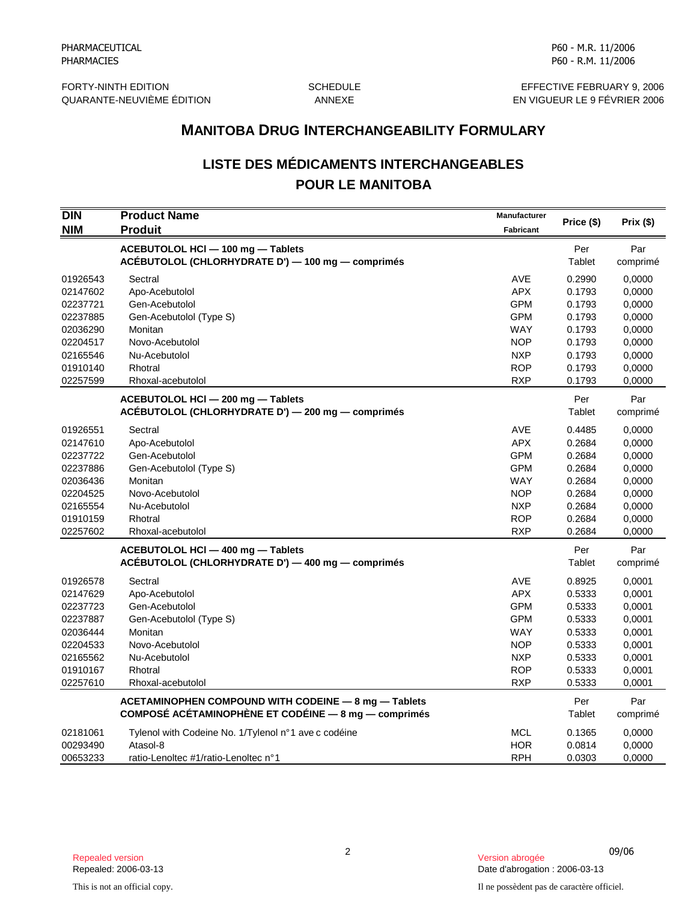FORTY-NINTH EDITION SCHEDULE SCHEDULE EFFECTIVE FEBRUARY 9, 2006

QUARANTE-NEUVIÈME ÉDITION ANNEXE EN VIGUEUR LE 9 FÉVRIER 2006

# **LISTE DES MÉDICAMENTS INTERCHANGEABLES POUR LE MANITOBA**

|                                                                                                          | <b>MANITOBA DRUG INTERCHANGEABILITY FORMULARY</b>                                                                                                     |                                                                                                                     |                                                                                        |                                                                                        |  |
|----------------------------------------------------------------------------------------------------------|-------------------------------------------------------------------------------------------------------------------------------------------------------|---------------------------------------------------------------------------------------------------------------------|----------------------------------------------------------------------------------------|----------------------------------------------------------------------------------------|--|
|                                                                                                          | <b>LISTE DES MÉDICAMENTS INTERCHANGEABLES</b><br><b>POUR LE MANITOBA</b>                                                                              |                                                                                                                     |                                                                                        |                                                                                        |  |
| DIN<br><b>NIM</b>                                                                                        | <b>Product Name</b><br><b>Produit</b>                                                                                                                 | Manufacturer<br><b>Fabricant</b>                                                                                    | Price (\$)                                                                             | Prix(\$)                                                                               |  |
|                                                                                                          | ACEBUTOLOL HCI - 100 mg - Tablets<br>ACÉBUTOLOL (CHLORHYDRATE D') — 100 mg — comprimés                                                                |                                                                                                                     | Per<br>Tablet                                                                          | Par<br>comprimé                                                                        |  |
| 01926543<br>02147602<br>02237721                                                                         | Sectral<br>Apo-Acebutolol<br>Gen-Acebutolol                                                                                                           | <b>AVE</b><br><b>APX</b><br><b>GPM</b>                                                                              | 0.2990<br>0.1793<br>0.1793                                                             | 0,0000<br>0,0000<br>0,0000                                                             |  |
| 02237885<br>02036290<br>02204517                                                                         | Gen-Acebutolol (Type S)<br>Monitan<br>Novo-Acebutolol                                                                                                 | <b>GPM</b><br><b>WAY</b><br><b>NOP</b>                                                                              | 0.1793<br>0.1793<br>0.1793                                                             | 0,0000<br>0,0000<br>0,0000                                                             |  |
| 02165546<br>01910140<br>02257599                                                                         | Nu-Acebutolol<br>Rhotral<br>Rhoxal-acebutolol                                                                                                         | <b>NXP</b><br><b>ROP</b><br><b>RXP</b>                                                                              | 0.1793<br>0.1793<br>0.1793                                                             | 0,0000<br>0.0000<br>0,0000                                                             |  |
|                                                                                                          | ACEBUTOLOL HCI - 200 mg - Tablets<br>ACÉBUTOLOL (CHLORHYDRATE D') — 200 mg — comprimés                                                                |                                                                                                                     | Per<br>Tablet                                                                          | Par<br>comprimé                                                                        |  |
| 01926551<br>02147610<br>02237722<br>02237886<br>02036436<br>02204525<br>02165554<br>01910159<br>02257602 | Sectral<br>Apo-Acebutolol<br>Gen-Acebutolol<br>Gen-Acebutolol (Type S)<br>Monitan<br>Novo-Acebutolol<br>Nu-Acebutolol<br>Rhotral<br>Rhoxal-acebutolol | AVE<br><b>APX</b><br><b>GPM</b><br><b>GPM</b><br>WAY<br><b>NOP</b><br><b>NXP</b><br><b>ROP</b><br><b>RXP</b>        | 0.4485<br>0.2684<br>0.2684<br>0.2684<br>0.2684<br>0.2684<br>0.2684<br>0.2684<br>0.2684 | 0,0000<br>0,0000<br>0,0000<br>0,0000<br>0,0000<br>0,0000<br>0,0000<br>0,0000<br>0,0000 |  |
|                                                                                                          | ACEBUTOLOL HCI - 400 mg - Tablets<br>ACÉBUTOLOL (CHLORHYDRATE D') — 400 mg — comprimés                                                                |                                                                                                                     | Per<br>Tablet                                                                          | Par<br>comprimé                                                                        |  |
| 01926578<br>02147629<br>02237723<br>02237887<br>02036444<br>02204533<br>02165562<br>01910167<br>02257610 | Sectral<br>Apo-Acebutolol<br>Gen-Acebutolol<br>Gen-Acebutolol (Type S)<br>Monitan<br>Novo-Acebutolol<br>Nu-Acebutolol<br>Rhotral<br>Rhoxal-acebutolol | <b>AVE</b><br><b>APX</b><br><b>GPM</b><br><b>GPM</b><br>WAY<br><b>NOP</b><br><b>NXP</b><br><b>ROP</b><br><b>RXP</b> | 0.8925<br>0.5333<br>0.5333<br>0.5333<br>0.5333<br>0.5333<br>0.5333<br>0.5333<br>0.5333 | 0,0001<br>0,0001<br>0,0001<br>0,0001<br>0,0001<br>0,0001<br>0,0001<br>0,0001<br>0,0001 |  |
|                                                                                                          | ACETAMINOPHEN COMPOUND WITH CODEINE - 8 mg - Tablets<br>COMPOSÉ ACÉTAMINOPHÈNE ET CODÉINE - 8 mg - comprimés                                          |                                                                                                                     | Per<br>Tablet                                                                          | Par<br>comprimé                                                                        |  |
| 02181061<br>00293490<br>00653233                                                                         | Tylenol with Codeine No. 1/Tylenol n°1 ave c codéine<br>Atasol-8<br>ratio-Lenoltec #1/ratio-Lenoltec n°1                                              | <b>MCL</b><br><b>HOR</b><br><b>RPH</b>                                                                              | 0.1365<br>0.0814<br>0.0303                                                             | 0,0000<br>0,0000<br>0,0000                                                             |  |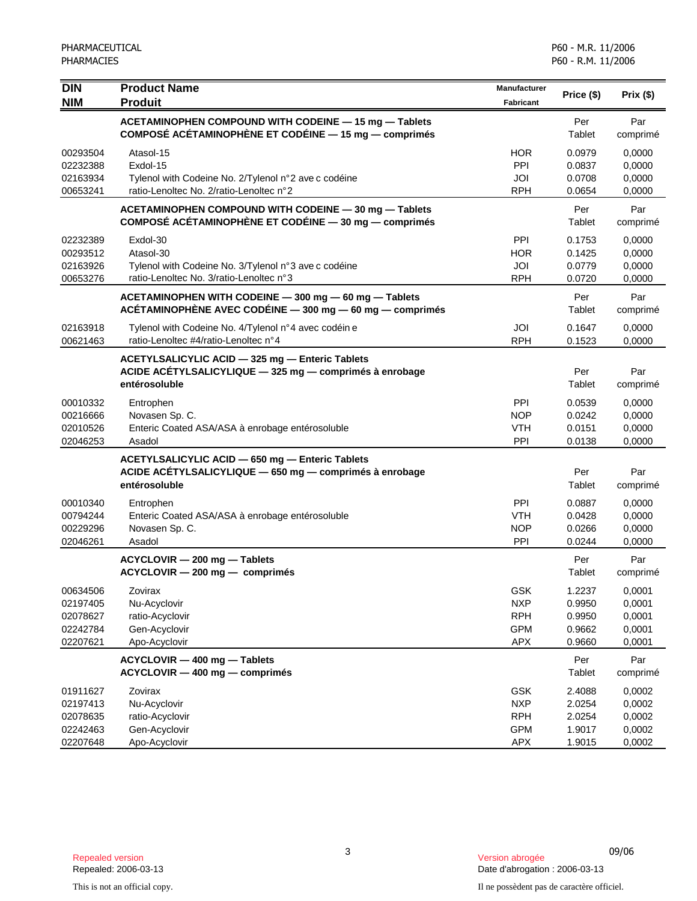| <b>DIN</b><br><b>NIM</b> | <b>Product Name</b><br><b>Produit</b>                                                                                   | Manufacturer<br><b>Fabricant</b> | Price (\$)       | Prix(\$)         |
|--------------------------|-------------------------------------------------------------------------------------------------------------------------|----------------------------------|------------------|------------------|
|                          | ACETAMINOPHEN COMPOUND WITH CODEINE - 15 mg - Tablets                                                                   |                                  | Per              | Par              |
|                          | COMPOSÉ ACÉTAMINOPHÈNE ET CODÉINE - 15 mg - comprimés                                                                   |                                  | Tablet           | comprimé         |
| 00293504                 | Atasol-15                                                                                                               | <b>HOR</b>                       | 0.0979           | 0,0000           |
| 02232388                 | Exdol-15                                                                                                                | PPI                              | 0.0837           | 0,0000           |
| 02163934                 | Tylenol with Codeine No. 2/Tylenol n°2 ave c codéine                                                                    | JOI                              | 0.0708           | 0,0000           |
| 00653241                 | ratio-Lenoltec No. 2/ratio-Lenoltec n°2                                                                                 | <b>RPH</b>                       | 0.0654           | 0,0000           |
|                          | ACETAMINOPHEN COMPOUND WITH CODEINE - 30 mg - Tablets<br>COMPOSÉ ACÉTAMINOPHÈNE ET CODÉINE — 30 mg — comprimés          |                                  | Per<br>Tablet    | Par<br>comprimé  |
| 02232389                 | Exdol-30                                                                                                                | <b>PPI</b>                       | 0.1753           | 0.0000           |
| 00293512                 | Atasol-30                                                                                                               | <b>HOR</b>                       | 0.1425           | 0,0000           |
| 02163926                 | Tylenol with Codeine No. 3/Tylenol n°3 ave c codéine                                                                    | JOI                              | 0.0779           | 0,0000           |
| 00653276                 | ratio-Lenoltec No. 3/ratio-Lenoltec n°3                                                                                 | <b>RPH</b>                       | 0.0720           | 0,0000           |
|                          | ACETAMINOPHEN WITH CODEINE - 300 mg - 60 mg - Tablets<br>ACÉTAMINOPHÈNE AVEC CODÉINE $-$ 300 mg $-$ 60 mg $-$ comprimés |                                  | Per<br>Tablet    | Par<br>comprimé  |
| 02163918                 | Tylenol with Codeine No. 4/Tylenol n°4 avec codéin e                                                                    | JOI                              | 0.1647           | 0,0000           |
| 00621463                 | ratio-Lenoltec #4/ratio-Lenoltec n°4                                                                                    | <b>RPH</b>                       | 0.1523           | 0,0000           |
|                          | ACETYLSALICYLIC ACID - 325 mg - Enteric Tablets                                                                         |                                  |                  |                  |
|                          | ACIDE ACÉTYLSALICYLIQUE - 325 mg - comprimés à enrobage<br>entérosoluble                                                |                                  | Per<br>Tablet    | Par<br>comprimé  |
| 00010332                 | Entrophen                                                                                                               | <b>PPI</b>                       | 0.0539           | 0,0000           |
| 00216666                 | Novasen Sp. C.                                                                                                          | <b>NOP</b>                       | 0.0242           | 0,0000           |
| 02010526                 | Enteric Coated ASA/ASA à enrobage entérosoluble                                                                         | <b>VTH</b>                       | 0.0151           | 0,0000           |
| 02046253                 | Asadol                                                                                                                  | PPI                              | 0.0138           | 0,0000           |
|                          | ACETYLSALICYLIC ACID - 650 mg - Enteric Tablets                                                                         |                                  |                  |                  |
|                          | ACIDE ACÉTYLSALICYLIQUE - 650 mg - comprimés à enrobage                                                                 |                                  | Per              | Par              |
|                          | entérosoluble                                                                                                           |                                  | Tablet           | comprimé         |
| 00010340                 | Entrophen                                                                                                               | <b>PPI</b>                       | 0.0887           | 0,0000           |
| 00794244                 | Enteric Coated ASA/ASA à enrobage entérosoluble                                                                         | <b>VTH</b>                       | 0.0428           | 0,0000           |
| 00229296<br>02046261     | Novasen Sp. C.<br>Asadol                                                                                                | <b>NOP</b><br>PPI                | 0.0266<br>0.0244 | 0,0000<br>0,0000 |
|                          |                                                                                                                         |                                  |                  |                  |
|                          | ACYCLOVIR - 200 mg - Tablets<br>ACYCLOVIR - 200 mg - comprimés                                                          |                                  | Per<br>Tablet    | Par<br>comprimé  |
| 00634506                 | Zovirax                                                                                                                 | <b>GSK</b>                       | 1.2237           | 0,0001           |
| 02197405                 | Nu-Acyclovir                                                                                                            | <b>NXP</b>                       | 0.9950           | 0,0001           |
| 02078627                 | ratio-Acyclovir                                                                                                         | <b>RPH</b>                       | 0.9950           | 0,0001           |
| 02242784<br>02207621     | Gen-Acyclovir<br>Apo-Acyclovir                                                                                          | <b>GPM</b><br><b>APX</b>         | 0.9662<br>0.9660 | 0,0001<br>0,0001 |
|                          |                                                                                                                         |                                  |                  |                  |
|                          | ACYCLOVIR - 400 mg - Tablets<br>ACYCLOVIR - 400 mg - comprimés                                                          |                                  | Per<br>Tablet    | Par<br>comprimé  |
| 01911627                 | Zovirax                                                                                                                 | <b>GSK</b>                       | 2.4088           | 0,0002           |
| 02197413                 | Nu-Acyclovir                                                                                                            | <b>NXP</b>                       | 2.0254           | 0,0002           |
| 02078635                 | ratio-Acyclovir                                                                                                         | <b>RPH</b>                       | 2.0254           | 0,0002           |
| 02242463                 | Gen-Acyclovir                                                                                                           | <b>GPM</b>                       | 1.9017           | 0,0002           |
| 02207648                 | Apo-Acyclovir                                                                                                           | <b>APX</b>                       | 1.9015           | 0,0002           |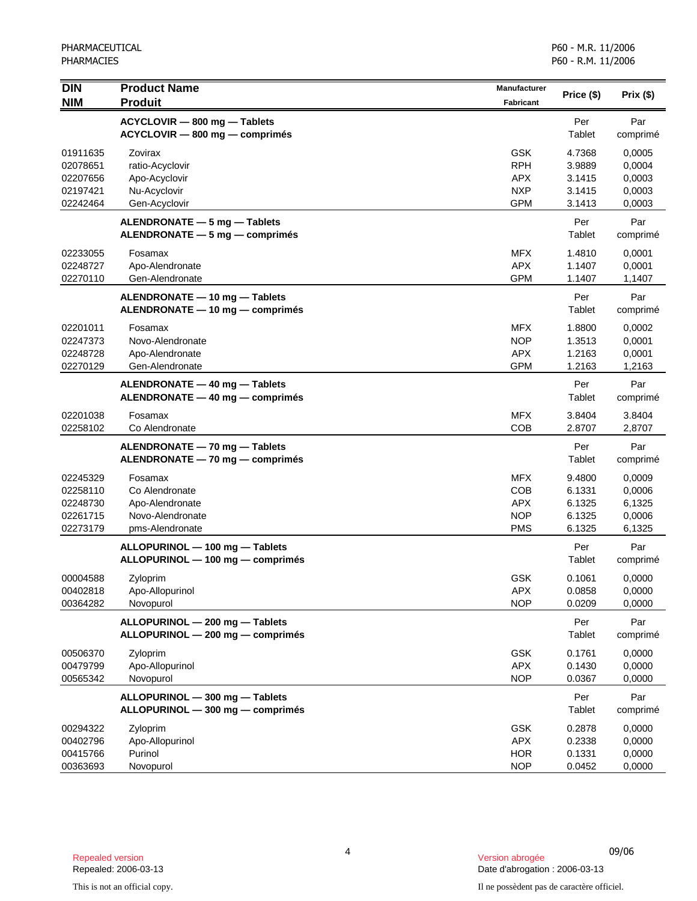| $\overline{D}$<br><b>NIM</b>                             | <b>Product Name</b><br><b>Produit</b>                                               | Manufacturer<br><b>Fabricant</b>                                   | Price (\$)                                     | Prix (\$)                                      |
|----------------------------------------------------------|-------------------------------------------------------------------------------------|--------------------------------------------------------------------|------------------------------------------------|------------------------------------------------|
|                                                          | ACYCLOVIR - 800 mg - Tablets<br>ACYCLOVIR - 800 mg - comprimés                      |                                                                    | Per<br>Tablet                                  | Par<br>comprimé                                |
| 01911635<br>02078651<br>02207656<br>02197421<br>02242464 | Zovirax<br>ratio-Acyclovir<br>Apo-Acyclovir<br>Nu-Acyclovir<br>Gen-Acyclovir        | <b>GSK</b><br><b>RPH</b><br><b>APX</b><br><b>NXP</b><br><b>GPM</b> | 4.7368<br>3.9889<br>3.1415<br>3.1415<br>3.1413 | 0,0005<br>0,0004<br>0,0003<br>0,0003<br>0,0003 |
|                                                          | ALENDRONATE - 5 mg - Tablets<br>ALENDRONATE - 5 mg - comprimés                      |                                                                    | Per<br>Tablet                                  | Par<br>comprimé                                |
| 02233055<br>02248727<br>02270110                         | Fosamax<br>Apo-Alendronate<br>Gen-Alendronate                                       | <b>MFX</b><br><b>APX</b><br><b>GPM</b>                             | 1.4810<br>1.1407<br>1.1407                     | 0,0001<br>0,0001<br>1,1407                     |
|                                                          | ALENDRONATE - 10 mg - Tablets<br>ALENDRONATE - 10 mg - comprimés                    |                                                                    | Per<br>Tablet                                  | Par<br>comprimé                                |
| 02201011<br>02247373<br>02248728<br>02270129             | Fosamax<br>Novo-Alendronate<br>Apo-Alendronate<br>Gen-Alendronate                   | <b>MFX</b><br><b>NOP</b><br><b>APX</b><br><b>GPM</b>               | 1.8800<br>1.3513<br>1.2163<br>1.2163           | 0,0002<br>0,0001<br>0,0001<br>1,2163           |
|                                                          | ALENDRONATE - 40 mg - Tablets<br>ALENDRONATE - 40 mg - comprimés                    |                                                                    | Per<br>Tablet                                  | Par<br>comprimé                                |
| 02201038<br>02258102                                     | Fosamax<br>Co Alendronate                                                           | <b>MFX</b><br><b>COB</b>                                           | 3.8404<br>2.8707                               | 3.8404<br>2,8707                               |
|                                                          | ALENDRONATE - 70 mg - Tablets<br>ALENDRONATE - 70 mg - comprimés                    |                                                                    | Per<br>Tablet                                  | Par<br>comprimé                                |
| 02245329<br>02258110<br>02248730<br>02261715<br>02273179 | Fosamax<br>Co Alendronate<br>Apo-Alendronate<br>Novo-Alendronate<br>pms-Alendronate | <b>MFX</b><br><b>COB</b><br><b>APX</b><br><b>NOP</b><br><b>PMS</b> | 9.4800<br>6.1331<br>6.1325<br>6.1325<br>6.1325 | 0,0009<br>0,0006<br>6,1325<br>0,0006<br>6,1325 |
|                                                          | ALLOPURINOL - 100 mg - Tablets<br>ALLOPURINOL - 100 mg - comprimés                  |                                                                    | Per<br>Tablet                                  | Par<br>comprimé                                |
| 00004588<br>00402818<br>00364282                         | Zyloprim<br>Apo-Allopurinol<br>Novopurol                                            | <b>GSK</b><br>APX<br><b>NOP</b>                                    | 0.1061<br>0.0858<br>0.0209                     | 0,0000<br>0,0000<br>0,0000                     |
|                                                          | ALLOPURINOL - 200 mg - Tablets<br>ALLOPURINOL - 200 mg - comprimés                  |                                                                    | Per<br>Tablet                                  | Par<br>comprimé                                |
| 00506370<br>00479799<br>00565342                         | Zyloprim<br>Apo-Allopurinol<br>Novopurol                                            | <b>GSK</b><br><b>APX</b><br><b>NOP</b>                             | 0.1761<br>0.1430<br>0.0367                     | 0,0000<br>0,0000<br>0,0000                     |
|                                                          | ALLOPURINOL - 300 mg - Tablets<br>ALLOPURINOL - 300 mg - comprimés                  |                                                                    | Per<br>Tablet                                  | Par<br>comprimé                                |
| 00294322<br>00402796<br>00415766<br>00363693             | Zyloprim<br>Apo-Allopurinol<br>Purinol<br>Novopurol                                 | <b>GSK</b><br><b>APX</b><br><b>HOR</b><br><b>NOP</b>               | 0.2878<br>0.2338<br>0.1331<br>0.0452           | 0,0000<br>0,0000<br>0,0000<br>0,0000           |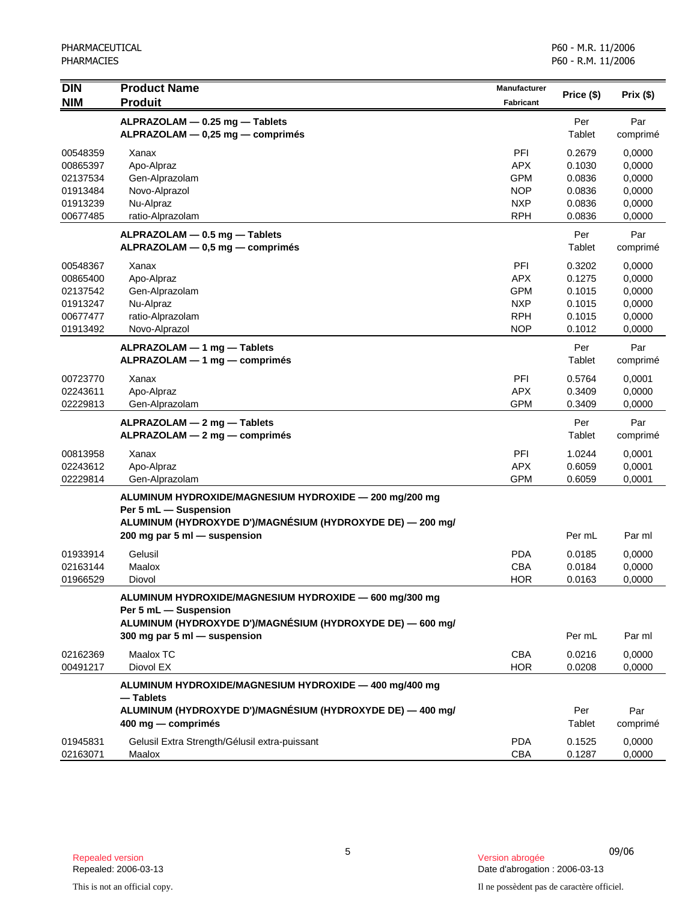| <b>DIN</b><br><b>NIM</b>                                             | <b>Product Name</b><br><b>Produit</b>                                                                                                                                         | <b>Manufacturer</b><br><b>Fabricant</b>                                          | Price (\$)                                               | Prix(\$)                                                 |
|----------------------------------------------------------------------|-------------------------------------------------------------------------------------------------------------------------------------------------------------------------------|----------------------------------------------------------------------------------|----------------------------------------------------------|----------------------------------------------------------|
|                                                                      | ALPRAZOLAM - 0.25 mg - Tablets<br>ALPRAZOLAM - 0,25 mg - comprimés                                                                                                            |                                                                                  | Per<br>Tablet                                            | Par<br>comprimé                                          |
| 00548359<br>00865397<br>02137534<br>01913484<br>01913239<br>00677485 | Xanax<br>Apo-Alpraz<br>Gen-Alprazolam<br>Novo-Alprazol<br>Nu-Alpraz<br>ratio-Alprazolam                                                                                       | <b>PFI</b><br><b>APX</b><br><b>GPM</b><br><b>NOP</b><br><b>NXP</b><br><b>RPH</b> | 0.2679<br>0.1030<br>0.0836<br>0.0836<br>0.0836<br>0.0836 | 0,0000<br>0,0000<br>0,0000<br>0,0000<br>0,0000<br>0,0000 |
|                                                                      | ALPRAZOLAM - 0.5 mg - Tablets<br>ALPRAZOLAM - 0,5 mg - comprimés                                                                                                              |                                                                                  | Per<br>Tablet                                            | Par<br>comprimé                                          |
| 00548367<br>00865400<br>02137542<br>01913247<br>00677477<br>01913492 | Xanax<br>Apo-Alpraz<br>Gen-Alprazolam<br>Nu-Alpraz<br>ratio-Alprazolam<br>Novo-Alprazol                                                                                       | PFI<br><b>APX</b><br><b>GPM</b><br><b>NXP</b><br><b>RPH</b><br><b>NOP</b>        | 0.3202<br>0.1275<br>0.1015<br>0.1015<br>0.1015<br>0.1012 | 0,0000<br>0,0000<br>0,0000<br>0,0000<br>0,0000<br>0,0000 |
|                                                                      | ALPRAZOLAM - 1 mg - Tablets<br>ALPRAZOLAM - 1 mg - comprimés                                                                                                                  |                                                                                  | Per<br>Tablet                                            | Par<br>comprimé                                          |
| 00723770<br>02243611<br>02229813                                     | Xanax<br>Apo-Alpraz<br>Gen-Alprazolam                                                                                                                                         | PFI<br><b>APX</b><br><b>GPM</b>                                                  | 0.5764<br>0.3409<br>0.3409                               | 0,0001<br>0,0000<br>0,0000                               |
|                                                                      | ALPRAZOLAM - 2 mg - Tablets<br>ALPRAZOLAM - 2 mg - comprimés                                                                                                                  |                                                                                  | Per<br>Tablet                                            | Par<br>comprimé                                          |
| 00813958<br>02243612<br>02229814                                     | Xanax<br>Apo-Alpraz<br>Gen-Alprazolam                                                                                                                                         | PFI<br><b>APX</b><br><b>GPM</b>                                                  | 1.0244<br>0.6059<br>0.6059                               | 0,0001<br>0,0001<br>0,0001                               |
|                                                                      | ALUMINUM HYDROXIDE/MAGNESIUM HYDROXIDE - 200 mg/200 mg<br>Per 5 mL - Suspension<br>ALUMINUM (HYDROXYDE D')/MAGNÉSIUM (HYDROXYDE DE) - 200 mg/<br>200 mg par 5 ml - suspension |                                                                                  | Per mL                                                   | Par ml                                                   |
| 01933914<br>02163144<br>01966529                                     | Gelusil<br>Maalox<br>Diovol                                                                                                                                                   | <b>PDA</b><br><b>CBA</b><br><b>HOR</b>                                           | 0.0185<br>0.0184<br>0.0163                               | 0,0000<br>0,0000<br>0,0000                               |
|                                                                      | ALUMINUM HYDROXIDE/MAGNESIUM HYDROXIDE - 600 mg/300 mg<br>Per 5 mL - Suspension<br>ALUMINUM (HYDROXYDE D')/MAGNÉSIUM (HYDROXYDE DE) — 600 mg/<br>300 mg par 5 ml - suspension |                                                                                  | Per mL                                                   | Par ml                                                   |
| 02162369<br>00491217                                                 | Maalox TC<br>Diovol EX                                                                                                                                                        | <b>CBA</b><br><b>HOR</b>                                                         | 0.0216<br>0.0208                                         | 0.0000<br>0,0000                                         |
|                                                                      | ALUMINUM HYDROXIDE/MAGNESIUM HYDROXIDE - 400 mg/400 mg<br>- Tablets<br>ALUMINUM (HYDROXYDE D')/MAGNÉSIUM (HYDROXYDE DE) - 400 mg/<br>400 mg — comprimés                       |                                                                                  | Per<br>Tablet                                            | Par<br>comprimé                                          |
| 01945831<br>02163071                                                 | Gelusil Extra Strength/Gélusil extra-puissant<br>Maalox                                                                                                                       | <b>PDA</b><br><b>CBA</b>                                                         | 0.1525<br>0.1287                                         | 0,0000<br>0,0000                                         |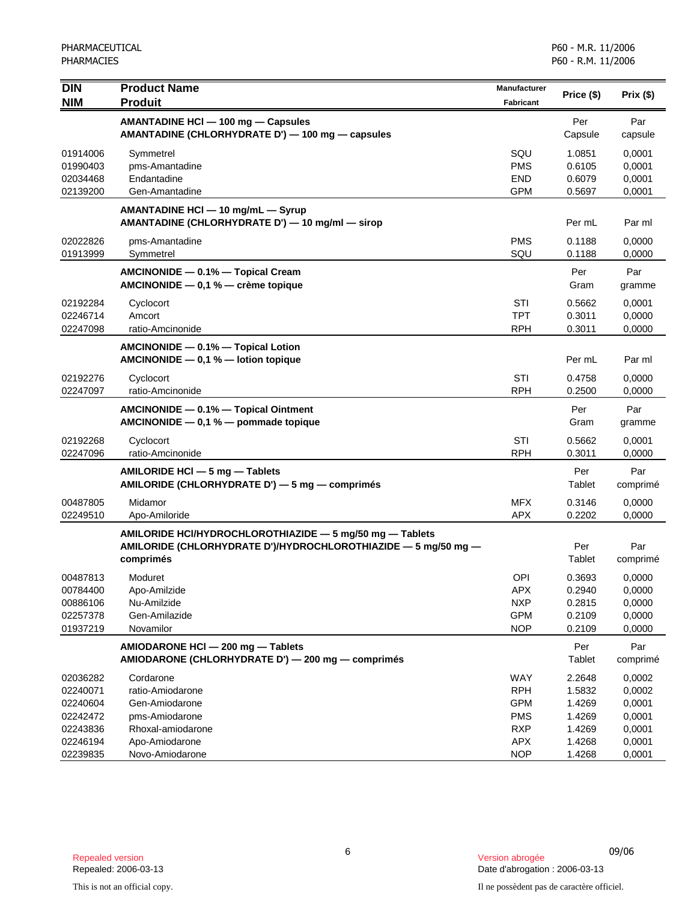| <b>DIN</b>                                                           | <b>Product Name</b>                                                                                                                     | <b>Manufacturer</b>                                                       |                                                          |                                                          |
|----------------------------------------------------------------------|-----------------------------------------------------------------------------------------------------------------------------------------|---------------------------------------------------------------------------|----------------------------------------------------------|----------------------------------------------------------|
| <b>NIM</b>                                                           | <b>Produit</b>                                                                                                                          | Fabricant                                                                 | Price (\$)                                               | Prix(\$)                                                 |
|                                                                      | AMANTADINE HCI - 100 mg - Capsules<br>AMANTADINE (CHLORHYDRATE D') - 100 mg - capsules                                                  |                                                                           | Per<br>Capsule                                           | Par<br>capsule                                           |
| 01914006<br>01990403<br>02034468<br>02139200                         | Symmetrel<br>pms-Amantadine<br>Endantadine<br>Gen-Amantadine                                                                            | SQU<br><b>PMS</b><br><b>END</b><br><b>GPM</b>                             | 1.0851<br>0.6105<br>0.6079<br>0.5697                     | 0,0001<br>0,0001<br>0,0001<br>0,0001                     |
|                                                                      | AMANTADINE HCI - 10 mg/mL - Syrup<br>AMANTADINE (CHLORHYDRATE D') - 10 mg/ml - sirop                                                    |                                                                           | Per mL                                                   | Par ml                                                   |
| 02022826<br>01913999                                                 | pms-Amantadine<br>Symmetrel                                                                                                             | <b>PMS</b><br>SQU                                                         | 0.1188<br>0.1188                                         | 0,0000<br>0,0000                                         |
|                                                                      | AMCINONIDE - 0.1% - Topical Cream<br>AMCINONIDE - 0,1 % - crème topique                                                                 |                                                                           | Per<br>Gram                                              | Par<br>gramme                                            |
| 02192284<br>02246714<br>02247098                                     | Cyclocort<br>Amcort<br>ratio-Amcinonide                                                                                                 | STI<br><b>TPT</b><br><b>RPH</b>                                           | 0.5662<br>0.3011<br>0.3011                               | 0,0001<br>0,0000<br>0,0000                               |
|                                                                      | AMCINONIDE - 0.1% - Topical Lotion<br>AMCINONIDE $-$ 0,1 % $-$ lotion topique                                                           |                                                                           | Per mL                                                   | Par ml                                                   |
| 02192276<br>02247097                                                 | Cyclocort<br>ratio-Amcinonide                                                                                                           | STI<br><b>RPH</b>                                                         | 0.4758<br>0.2500                                         | 0,0000<br>0,0000                                         |
|                                                                      | AMCINONIDE - 0.1% - Topical Ointment<br>AMCINONIDE $-$ 0,1 % $-$ pommade topique                                                        |                                                                           | Per<br>Gram                                              | Par<br>gramme                                            |
| 02192268<br>02247096                                                 | Cyclocort<br>ratio-Amcinonide                                                                                                           | STI<br><b>RPH</b>                                                         | 0.5662<br>0.3011                                         | 0,0001<br>0,0000                                         |
|                                                                      | AMILORIDE HCI - 5 mg - Tablets<br>AMILORIDE (CHLORHYDRATE D') - 5 mg - comprimés                                                        |                                                                           | Per<br>Tablet                                            | Par<br>comprimé                                          |
| 00487805<br>02249510                                                 | Midamor<br>Apo-Amiloride                                                                                                                | <b>MFX</b><br><b>APX</b>                                                  | 0.3146<br>0.2202                                         | 0,0000<br>0,0000                                         |
|                                                                      | AMILORIDE HCI/HYDROCHLOROTHIAZIDE - 5 mg/50 mg - Tablets<br>AMILORIDE (CHLORHYDRATE D')/HYDROCHLOROTHIAZIDE - 5 mg/50 mg -<br>comprimés |                                                                           | Per<br>Tablet                                            | Par<br>comprimé                                          |
| 00487813<br>00784400<br>00886106<br>02257378<br>01937219             | Moduret<br>Apo-Amilzide<br>Nu-Amilzide<br>Gen-Amilazide<br>Novamilor                                                                    | <b>OPI</b><br>APX<br><b>NXP</b><br><b>GPM</b><br><b>NOP</b>               | 0.3693<br>0.2940<br>0.2815<br>0.2109<br>0.2109           | 0,0000<br>0,0000<br>0,0000<br>0,0000<br>0,0000           |
|                                                                      | AMIODARONE HCI - 200 mg - Tablets<br>AMIODARONE (CHLORHYDRATE D') - 200 mg - comprimés                                                  |                                                                           | Per<br>Tablet                                            | Par<br>comprimé                                          |
| 02036282<br>02240071<br>02240604<br>02242472<br>02243836<br>02246194 | Cordarone<br>ratio-Amiodarone<br>Gen-Amiodarone<br>pms-Amiodarone<br>Rhoxal-amiodarone<br>Apo-Amiodarone                                | WAY<br><b>RPH</b><br><b>GPM</b><br><b>PMS</b><br><b>RXP</b><br><b>APX</b> | 2.2648<br>1.5832<br>1.4269<br>1.4269<br>1.4269<br>1.4268 | 0,0002<br>0,0002<br>0,0001<br>0,0001<br>0,0001<br>0,0001 |
| 02239835                                                             | Novo-Amiodarone                                                                                                                         | <b>NOP</b>                                                                | 1.4268                                                   | 0,0001                                                   |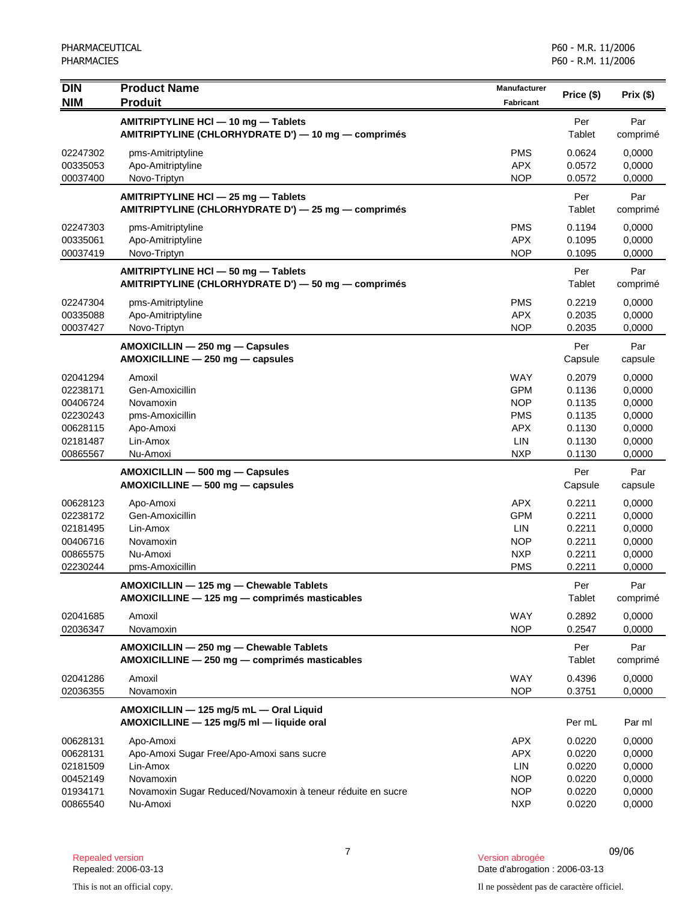| <b>DIN</b><br><b>NIM</b>                                                         | <b>Product Name</b><br><b>Produit</b>                                                                                                                      | <b>Manufacturer</b><br><b>Fabricant</b>                                                 | Price (\$)                                                         | Prix(\$)                                                           |
|----------------------------------------------------------------------------------|------------------------------------------------------------------------------------------------------------------------------------------------------------|-----------------------------------------------------------------------------------------|--------------------------------------------------------------------|--------------------------------------------------------------------|
|                                                                                  | AMITRIPTYLINE HCI - 10 mg - Tablets<br>AMITRIPTYLINE (CHLORHYDRATE D') - 10 mg - comprimés                                                                 |                                                                                         | Per<br>Tablet                                                      | Par<br>comprimé                                                    |
| 02247302<br>00335053<br>00037400                                                 | pms-Amitriptyline<br>Apo-Amitriptyline<br>Novo-Triptyn                                                                                                     | <b>PMS</b><br><b>APX</b><br><b>NOP</b>                                                  | 0.0624<br>0.0572<br>0.0572                                         | 0,0000<br>0,0000<br>0,0000                                         |
|                                                                                  | AMITRIPTYLINE HCI - 25 mg - Tablets<br>AMITRIPTYLINE (CHLORHYDRATE D') - 25 mg - comprimés                                                                 |                                                                                         | Per<br>Tablet                                                      | Par<br>comprimé                                                    |
| 02247303<br>00335061<br>00037419                                                 | pms-Amitriptyline<br>Apo-Amitriptyline<br>Novo-Triptyn                                                                                                     | <b>PMS</b><br><b>APX</b><br><b>NOP</b>                                                  | 0.1194<br>0.1095<br>0.1095                                         | 0,0000<br>0,0000<br>0,0000                                         |
|                                                                                  | AMITRIPTYLINE HCI - 50 mg - Tablets<br>AMITRIPTYLINE (CHLORHYDRATE D') - 50 mg - comprimés                                                                 |                                                                                         | Per<br>Tablet                                                      | Par<br>comprimé                                                    |
| 02247304<br>00335088<br>00037427                                                 | pms-Amitriptyline<br>Apo-Amitriptyline<br>Novo-Triptyn                                                                                                     | <b>PMS</b><br><b>APX</b><br><b>NOP</b>                                                  | 0.2219<br>0.2035<br>0.2035                                         | 0,0000<br>0,0000<br>0,0000                                         |
|                                                                                  | AMOXICILLIN - 250 mg - Capsules<br>AMOXICILLINE - 250 mg - capsules                                                                                        |                                                                                         | Per<br>Capsule                                                     | Par<br>capsule                                                     |
| 02041294<br>02238171<br>00406724<br>02230243<br>00628115<br>02181487<br>00865567 | Amoxil<br>Gen-Amoxicillin<br>Novamoxin<br>pms-Amoxicillin<br>Apo-Amoxi<br>Lin-Amox<br>Nu-Amoxi                                                             | <b>WAY</b><br><b>GPM</b><br><b>NOP</b><br><b>PMS</b><br><b>APX</b><br>LIN<br><b>NXP</b> | 0.2079<br>0.1136<br>0.1135<br>0.1135<br>0.1130<br>0.1130<br>0.1130 | 0,0000<br>0,0000<br>0,0000<br>0,0000<br>0,0000<br>0,0000<br>0,0000 |
|                                                                                  | AMOXICILLIN - 500 mg - Capsules<br>$AMOXICILLINE - 500 mg - capsules$                                                                                      |                                                                                         | Per<br>Capsule                                                     | Par<br>capsule                                                     |
| 00628123<br>02238172<br>02181495<br>00406716<br>00865575<br>02230244             | Apo-Amoxi<br>Gen-Amoxicillin<br>Lin-Amox<br>Novamoxin<br>Nu-Amoxi<br>pms-Amoxicillin                                                                       | <b>APX</b><br><b>GPM</b><br>LIN<br><b>NOP</b><br><b>NXP</b><br><b>PMS</b>               | 0.2211<br>0.2211<br>0.2211<br>0.2211<br>0.2211<br>0.2211           | 0,0000<br>0,0000<br>0,0000<br>0,0000<br>0,0000<br>0,0000           |
|                                                                                  | AMOXICILLIN - 125 mg - Chewable Tablets<br>AMOXICILLINE - 125 mg - comprimés masticables                                                                   |                                                                                         | Per<br>Tablet                                                      | Par<br>comprimé                                                    |
| 02041685<br>02036347                                                             | Amoxil<br>Novamoxin                                                                                                                                        | <b>WAY</b><br><b>NOP</b>                                                                | 0.2892<br>0.2547                                                   | 0,0000<br>0,0000                                                   |
|                                                                                  | AMOXICILLIN - 250 mg - Chewable Tablets<br>AMOXICILLINE - 250 mg - comprimés masticables                                                                   |                                                                                         | Per<br>Tablet                                                      | Par<br>comprimé                                                    |
| 02041286<br>02036355                                                             | Amoxil<br>Novamoxin                                                                                                                                        | WAY<br><b>NOP</b>                                                                       | 0.4396<br>0.3751                                                   | 0,0000<br>0,0000                                                   |
|                                                                                  | AMOXICILLIN - 125 mg/5 mL - Oral Liquid<br>AMOXICILLINE - 125 mg/5 ml - liquide oral                                                                       |                                                                                         | Per mL                                                             | Par ml                                                             |
| 00628131<br>00628131<br>02181509<br>00452149<br>01934171<br>00865540             | Apo-Amoxi<br>Apo-Amoxi Sugar Free/Apo-Amoxi sans sucre<br>Lin-Amox<br>Novamoxin<br>Novamoxin Sugar Reduced/Novamoxin à teneur réduite en sucre<br>Nu-Amoxi | <b>APX</b><br><b>APX</b><br><b>LIN</b><br><b>NOP</b><br><b>NOP</b><br><b>NXP</b>        | 0.0220<br>0.0220<br>0.0220<br>0.0220<br>0.0220<br>0.0220           | 0,0000<br>0,0000<br>0,0000<br>0,0000<br>0,0000<br>0,0000           |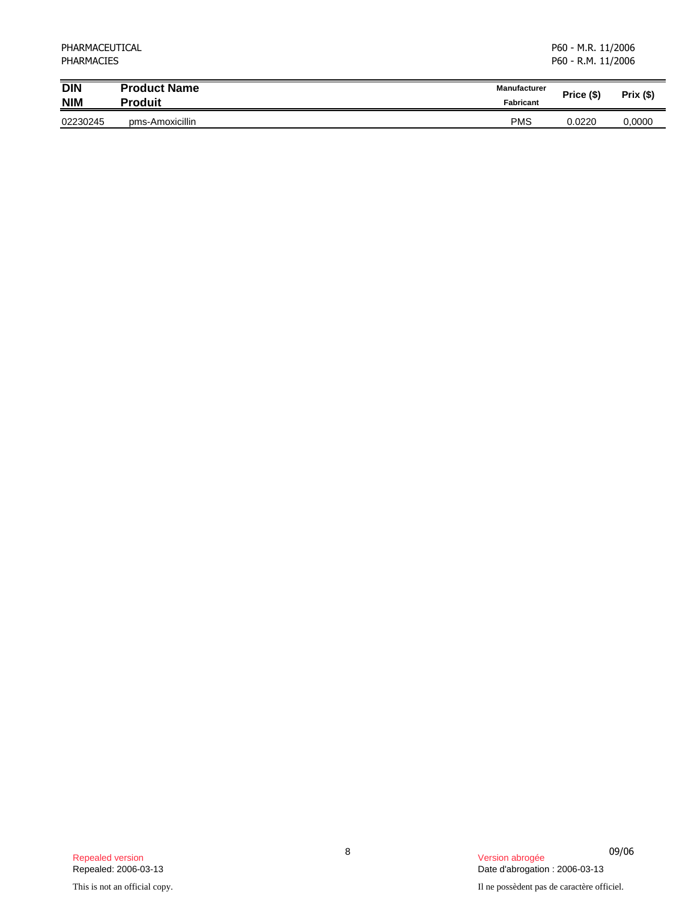| PHARMACEUTICAL<br><b>PHARMACIES</b> |                     |                     | P60 - M.R. 11/2006<br>P60 - R.M. 11/2006 |             |  |
|-------------------------------------|---------------------|---------------------|------------------------------------------|-------------|--|
| <b>DIN</b>                          | <b>Product Name</b> | <b>Manufacturer</b> | Price (\$)                               | $Prix($ \$) |  |
| <b>NIM</b>                          | <b>Produit</b>      | <b>Fabricant</b>    |                                          |             |  |
| 02230245                            | pms-Amoxicillin     | <b>PMS</b>          | 0.0220                                   | 0,0000      |  |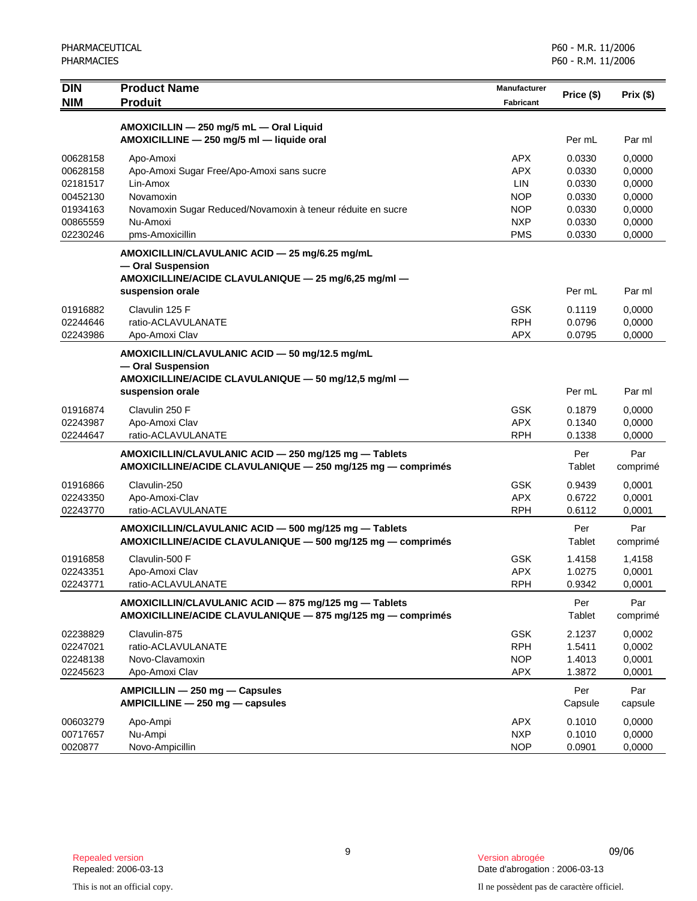| <b>DIN</b>           | <b>Product Name</b>                                                                  | Manufacturer             | Price (\$)       | Prix(\$)         |
|----------------------|--------------------------------------------------------------------------------------|--------------------------|------------------|------------------|
| <b>NIM</b>           | <b>Produit</b>                                                                       | <b>Fabricant</b>         |                  |                  |
|                      |                                                                                      |                          |                  |                  |
|                      | AMOXICILLIN - 250 mg/5 mL - Oral Liquid<br>AMOXICILLINE - 250 mg/5 ml - liquide oral |                          | Per mL           | Par ml           |
|                      |                                                                                      |                          |                  |                  |
| 00628158<br>00628158 | Apo-Amoxi<br>Apo-Amoxi Sugar Free/Apo-Amoxi sans sucre                               | <b>APX</b><br><b>APX</b> | 0.0330<br>0.0330 | 0,0000<br>0,0000 |
| 02181517             | Lin-Amox                                                                             | LIN                      | 0.0330           | 0,0000           |
| 00452130             | Novamoxin                                                                            | <b>NOP</b>               | 0.0330           | 0,0000           |
| 01934163             | Novamoxin Sugar Reduced/Novamoxin à teneur réduite en sucre                          | <b>NOP</b>               | 0.0330           | 0,0000           |
| 00865559             | Nu-Amoxi                                                                             | <b>NXP</b>               | 0.0330           | 0,0000           |
| 02230246             | pms-Amoxicillin                                                                      | <b>PMS</b>               | 0.0330           | 0,0000           |
|                      | AMOXICILLIN/CLAVULANIC ACID - 25 mg/6.25 mg/mL                                       |                          |                  |                  |
|                      | - Oral Suspension                                                                    |                          |                  |                  |
|                      | AMOXICILLINE/ACIDE CLAVULANIQUE - 25 mg/6,25 mg/ml -                                 |                          |                  |                  |
|                      | suspension orale                                                                     |                          | Per mL           | Par ml           |
| 01916882             | Clavulin 125 F                                                                       | GSK                      | 0.1119           | 0,0000           |
| 02244646             | ratio-ACLAVULANATE                                                                   | <b>RPH</b>               | 0.0796           | 0,0000           |
| 02243986             | Apo-Amoxi Clav                                                                       | <b>APX</b>               | 0.0795           | 0,0000           |
|                      | AMOXICILLIN/CLAVULANIC ACID - 50 mg/12.5 mg/mL                                       |                          |                  |                  |
|                      | - Oral Suspension                                                                    |                          |                  |                  |
|                      | AMOXICILLINE/ACIDE CLAVULANIQUE - 50 mg/12,5 mg/ml -                                 |                          |                  |                  |
|                      | suspension orale                                                                     |                          | Per mL           | Par ml           |
| 01916874             | Clavulin 250 F                                                                       | <b>GSK</b>               | 0.1879           | 0,0000           |
| 02243987             | Apo-Amoxi Clav                                                                       | <b>APX</b>               | 0.1340           | 0,0000           |
| 02244647             | ratio-ACLAVULANATE                                                                   | <b>RPH</b>               | 0.1338           | 0,0000           |
|                      | AMOXICILLIN/CLAVULANIC ACID - 250 mg/125 mg - Tablets                                |                          | Per              | Par              |
|                      | AMOXICILLINE/ACIDE CLAVULANIQUE - 250 mg/125 mg - comprimés                          |                          | Tablet           | comprimé         |
| 01916866             | Clavulin-250                                                                         | <b>GSK</b>               | 0.9439           | 0,0001           |
| 02243350             | Apo-Amoxi-Clav                                                                       | <b>APX</b>               | 0.6722           | 0,0001           |
| 02243770             | ratio-ACLAVULANATE                                                                   | <b>RPH</b>               | 0.6112           | 0,0001           |
|                      | AMOXICILLIN/CLAVULANIC ACID - 500 mg/125 mg - Tablets                                |                          | Per              | Par              |
|                      | AMOXICILLINE/ACIDE CLAVULANIQUE - 500 mg/125 mg - comprimés                          |                          | Tablet           | comprimé         |
| 01916858             | Clavulin-500 F                                                                       | <b>GSK</b>               | 1.4158           | 1,4158           |
| 02243351             | Apo-Amoxi Clav                                                                       | <b>APX</b>               | 1.0275           | 0,0001           |
| 02243771             | ratio-ACLAVULANATE                                                                   | <b>RPH</b>               | 0.9342           | 0,0001           |
|                      | AMOXICILLIN/CLAVULANIC ACID - 875 mg/125 mg - Tablets                                |                          | Per              | Par              |
|                      | AMOXICILLINE/ACIDE CLAVULANIQUE - 875 mg/125 mg - comprimés                          |                          | Tablet           | comprimé         |
| 02238829             | Clavulin-875                                                                         | <b>GSK</b>               | 2.1237           | 0,0002           |
| 02247021             | ratio-ACLAVULANATE                                                                   | <b>RPH</b>               | 1.5411           | 0,0002           |
| 02248138             | Novo-Clavamoxin                                                                      | <b>NOP</b>               | 1.4013           | 0,0001           |
| 02245623             | Apo-Amoxi Clav                                                                       | <b>APX</b>               | 1.3872           | 0,0001           |
|                      | AMPICILLIN - 250 mg - Capsules                                                       |                          | Per              | Par              |
|                      | AMPICILLINE - 250 mg - capsules                                                      |                          | Capsule          | capsule          |
| 00603279             | Apo-Ampi                                                                             | <b>APX</b>               | 0.1010           | 0,0000           |
| 00717657             | Nu-Ampi                                                                              | <b>NXP</b>               | 0.1010           | 0,0000           |
| 0020877              | Novo-Ampicillin                                                                      | <b>NOP</b>               | 0.0901           | 0,0000           |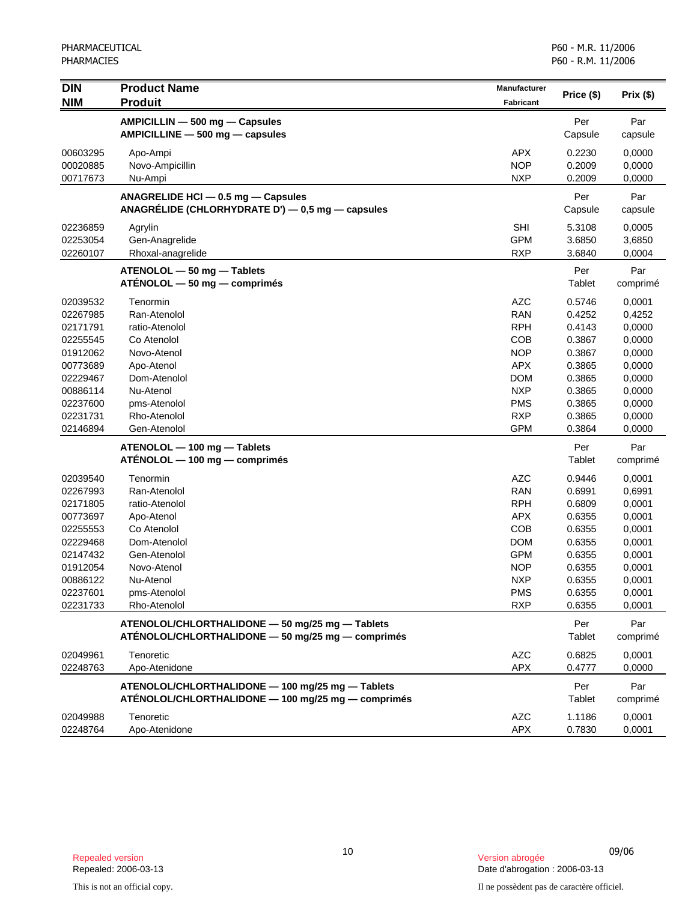| $\overline{DIN}$<br><b>NIM</b> | <b>Product Name</b><br><b>Produit</b>                                                                  | Manufacturer<br><b>Fabricant</b> | Price (\$)       | Prix (\$)        |
|--------------------------------|--------------------------------------------------------------------------------------------------------|----------------------------------|------------------|------------------|
|                                | AMPICILLIN - 500 mg - Capsules<br>AMPICILLINE - 500 mg - capsules                                      |                                  | Per<br>Capsule   | Par<br>capsule   |
| 00603295<br>00020885           | Apo-Ampi<br>Novo-Ampicillin                                                                            | <b>APX</b><br><b>NOP</b>         | 0.2230<br>0.2009 | 0,0000<br>0,0000 |
| 00717673                       | Nu-Ampi                                                                                                | <b>NXP</b>                       | 0.2009           | 0,0000           |
|                                | ANAGRELIDE HCI - 0.5 mg - Capsules<br>ANAGRÉLIDE (CHLORHYDRATE D') $-$ 0,5 mg $-$ capsules             |                                  | Per<br>Capsule   | Par<br>capsule   |
| 02236859<br>02253054           | Agrylin<br>Gen-Anagrelide                                                                              | <b>SHI</b><br><b>GPM</b>         | 5.3108<br>3.6850 | 0,0005<br>3,6850 |
| 02260107                       | Rhoxal-anagrelide                                                                                      | <b>RXP</b>                       | 3.6840           | 0,0004           |
|                                | $ATENOLOL - 50 mg - Tables$<br>$ATÉNOLOL - 50 mg - comprimés$                                          |                                  | Per<br>Tablet    | Par<br>comprimé  |
| 02039532                       | Tenormin                                                                                               | <b>AZC</b>                       | 0.5746           | 0,0001           |
| 02267985                       | Ran-Atenolol                                                                                           | <b>RAN</b>                       | 0.4252           | 0,4252           |
| 02171791                       | ratio-Atenolol                                                                                         | <b>RPH</b>                       | 0.4143           | 0,0000           |
| 02255545                       | Co Atenolol                                                                                            | <b>COB</b>                       | 0.3867           | 0,0000           |
| 01912062                       | Novo-Atenol                                                                                            | <b>NOP</b>                       | 0.3867           | 0,0000           |
| 00773689                       | Apo-Atenol                                                                                             | <b>APX</b>                       | 0.3865           | 0,0000           |
| 02229467                       | Dom-Atenolol                                                                                           | <b>DOM</b>                       | 0.3865           | 0,0000           |
| 00886114<br>02237600           | Nu-Atenol<br>pms-Atenolol                                                                              | <b>NXP</b><br><b>PMS</b>         | 0.3865<br>0.3865 | 0,0000<br>0,0000 |
| 02231731                       | Rho-Atenolol                                                                                           | <b>RXP</b>                       | 0.3865           | 0,0000           |
| 02146894                       | Gen-Atenolol                                                                                           | <b>GPM</b>                       | 0.3864           | 0,0000           |
|                                | ATENOLOL - 100 mg - Tablets<br>ATÉNOLOL — 100 mg — comprimés                                           |                                  | Per<br>Tablet    | Par<br>comprimé  |
| 02039540                       | Tenormin                                                                                               | <b>AZC</b>                       | 0.9446           | 0,0001           |
| 02267993                       | Ran-Atenolol                                                                                           | <b>RAN</b>                       | 0.6991           | 0,6991           |
| 02171805                       | ratio-Atenolol                                                                                         | <b>RPH</b>                       | 0.6809           | 0,0001           |
| 00773697                       | Apo-Atenol                                                                                             | <b>APX</b>                       | 0.6355           | 0,0001           |
| 02255553                       | Co Atenolol                                                                                            | <b>COB</b>                       | 0.6355           | 0,0001           |
| 02229468                       | Dom-Atenolol                                                                                           | <b>DOM</b>                       | 0.6355           | 0,0001           |
| 02147432                       | Gen-Atenolol                                                                                           | <b>GPM</b>                       | 0.6355           | 0,0001           |
| 01912054                       | Novo-Atenol                                                                                            | <b>NOP</b>                       | 0.6355           | 0,0001           |
| 00886122<br>02237601           | Nu-Atenol                                                                                              | <b>NXP</b><br><b>PMS</b>         | 0.6355<br>0.6355 | 0,0001           |
| 02231733                       | pms-Atenolol<br>Rho-Atenolol                                                                           | <b>RXP</b>                       | 0.6355           | 0,0001<br>0,0001 |
|                                | ATENOLOL/CHLORTHALIDONE - 50 mg/25 mg - Tablets<br>ATÉNOLOL/CHLORTHALIDONE - 50 mg/25 mg - comprimés   |                                  | Per<br>Tablet    | Par<br>comprimé  |
| 02049961                       | Tenoretic                                                                                              | <b>AZC</b>                       | 0.6825           | 0,0001           |
| 02248763                       | Apo-Atenidone                                                                                          | <b>APX</b>                       | 0.4777           | 0,0000           |
|                                | ATENOLOL/CHLORTHALIDONE - 100 mg/25 mg - Tablets<br>ATÉNOLOL/CHLORTHALIDONE - 100 mg/25 mg - comprimés |                                  | Per<br>Tablet    | Par<br>comprimé  |
| 02049988<br>02248764           | Tenoretic<br>Apo-Atenidone                                                                             | AZC<br><b>APX</b>                | 1.1186<br>0.7830 | 0,0001<br>0,0001 |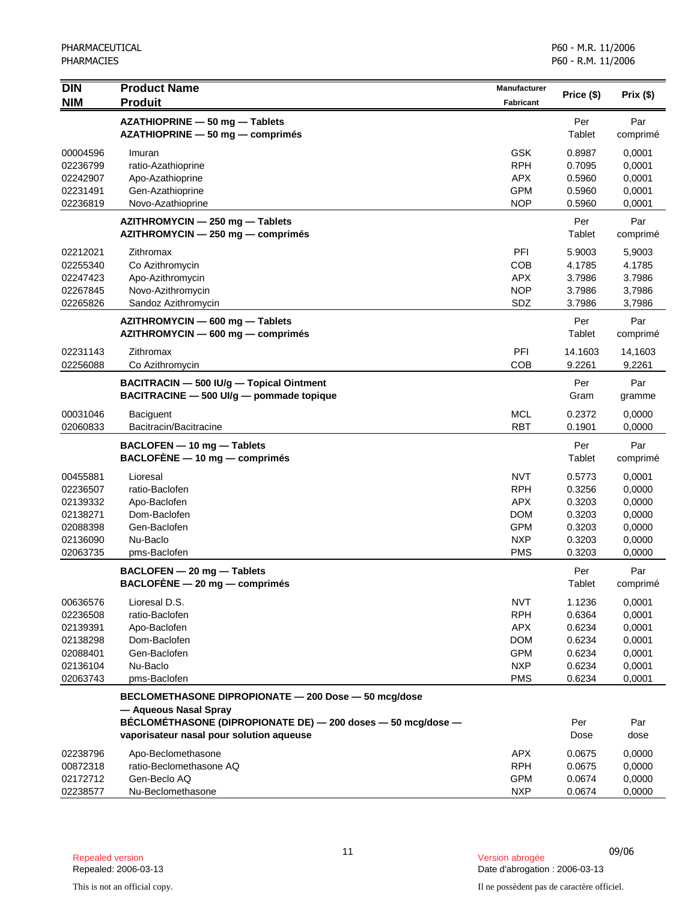| <b>DIN</b>           | <b>Product Name</b>                                                           | Manufacturer             | Price (\$)       | Prix(\$)         |
|----------------------|-------------------------------------------------------------------------------|--------------------------|------------------|------------------|
| <b>NIM</b>           | <b>Produit</b>                                                                | <b>Fabricant</b>         |                  |                  |
|                      | AZATHIOPRINE - 50 mg - Tablets                                                |                          | Per              | Par              |
|                      | AZATHIOPRINE - 50 mg - comprimés                                              |                          | Tablet           | comprimé         |
| 00004596             | Imuran                                                                        | <b>GSK</b>               | 0.8987           | 0,0001           |
| 02236799             | ratio-Azathioprine                                                            | <b>RPH</b>               | 0.7095           | 0,0001           |
| 02242907             | Apo-Azathioprine                                                              | <b>APX</b>               | 0.5960           | 0,0001           |
| 02231491             | Gen-Azathioprine                                                              | <b>GPM</b>               | 0.5960           | 0,0001           |
| 02236819             | Novo-Azathioprine                                                             | <b>NOP</b>               | 0.5960           | 0,0001           |
|                      | AZITHROMYCIN - 250 mg - Tablets                                               |                          | Per              | Par              |
|                      | AZITHROMYCIN - 250 mg - comprimés                                             |                          | Tablet           | comprimé         |
| 02212021             | Zithromax                                                                     | PFI                      | 5.9003           | 5,9003           |
| 02255340             | Co Azithromycin                                                               | <b>COB</b>               | 4.1785           | 4.1785           |
| 02247423             | Apo-Azithromycin                                                              | <b>APX</b>               | 3.7986           | 3.7986           |
| 02267845             | Novo-Azithromycin                                                             | <b>NOP</b>               | 3.7986           | 3,7986           |
| 02265826             | Sandoz Azithromycin                                                           | SDZ                      | 3.7986           | 3,7986           |
|                      | AZITHROMYCIN - 600 mg - Tablets                                               |                          | Per              | Par              |
|                      | AZITHROMYCIN - 600 mg - comprimés                                             |                          | Tablet           | comprimé         |
| 02231143             | Zithromax                                                                     | PFI                      | 14.1603          | 14,1603          |
| 02256088             | Co Azithromycin                                                               | COB                      | 9.2261           | 9,2261           |
|                      | BACITRACIN - 500 IU/q - Topical Ointment                                      |                          | Per              | Par              |
|                      | BACITRACINE - 500 UI/g - pommade topique                                      |                          | Gram             | gramme           |
| 00031046             | <b>Baciguent</b>                                                              | <b>MCL</b>               | 0.2372           | 0,0000           |
| 02060833             | Bacitracin/Bacitracine                                                        | <b>RBT</b>               | 0.1901           | 0,0000           |
|                      |                                                                               |                          |                  |                  |
|                      | BACLOFEN - 10 mg - Tablets<br>$BACLOFENE - 10 mg - comprimés$                 |                          | Per<br>Tablet    | Par<br>comprimé  |
|                      |                                                                               |                          |                  |                  |
| 00455881             | Lioresal                                                                      | <b>NVT</b>               | 0.5773           | 0,0001           |
| 02236507             | ratio-Baclofen                                                                | <b>RPH</b>               | 0.3256           | 0,0000           |
| 02139332             | Apo-Baclofen                                                                  | <b>APX</b>               | 0.3203           | 0,0000           |
| 02138271<br>02088398 | Dom-Baclofen<br>Gen-Baclofen                                                  | <b>DOM</b><br><b>GPM</b> | 0.3203<br>0.3203 | 0,0000<br>0,0000 |
| 02136090             | Nu-Baclo                                                                      | <b>NXP</b>               | 0.3203           | 0,0000           |
| 02063735             | pms-Baclofen                                                                  | <b>PMS</b>               | 0.3203           | 0,0000           |
|                      |                                                                               |                          |                  |                  |
|                      | BACLOFEN - 20 mg - Tablets<br>$BACLOFÈNE - 20 mg - comprimés$                 |                          | Per<br>Tablet    | Par<br>comprimé  |
|                      |                                                                               |                          |                  |                  |
| 00636576             | Lioresal D.S.                                                                 | <b>NVT</b>               | 1.1236           | 0,0001           |
| 02236508             | ratio-Baclofen                                                                | <b>RPH</b>               | 0.6364           | 0,0001           |
| 02139391             | Apo-Baclofen<br>Dom-Baclofen                                                  | <b>APX</b><br><b>DOM</b> | 0.6234           | 0,0001           |
| 02138298<br>02088401 | Gen-Baclofen                                                                  | <b>GPM</b>               | 0.6234<br>0.6234 | 0,0001<br>0,0001 |
| 02136104             | Nu-Baclo                                                                      | <b>NXP</b>               | 0.6234           | 0,0001           |
| 02063743             | pms-Baclofen                                                                  | <b>PMS</b>               | 0.6234           | 0,0001           |
|                      |                                                                               |                          |                  |                  |
|                      | BECLOMETHASONE DIPROPIONATE - 200 Dose - 50 mcg/dose<br>- Aqueous Nasal Spray |                          |                  |                  |
|                      | BÉCLOMÉTHASONE (DIPROPIONATE DE) - 200 doses - 50 mcg/dose -                  |                          | Per              | Par              |
|                      | vaporisateur nasal pour solution aqueuse                                      |                          | Dose             | dose             |
| 02238796             | Apo-Beclomethasone                                                            | <b>APX</b>               | 0.0675           | 0,0000           |
| 00872318             | ratio-Beclomethasone AQ                                                       | <b>RPH</b>               | 0.0675           | 0,0000           |
| 02172712             | Gen-Beclo AQ                                                                  | <b>GPM</b>               | 0.0674           | 0,0000           |
| 02238577             | Nu-Beclomethasone                                                             | <b>NXP</b>               | 0.0674           | 0,0000           |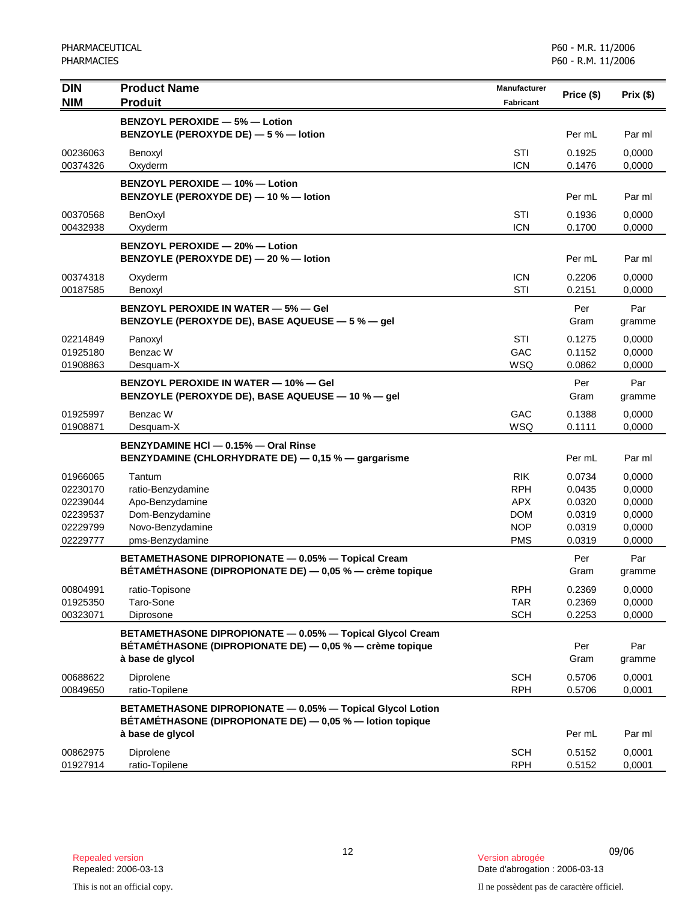| <b>DIN</b> | <b>Product Name</b>                                                              | <b>Manufacturer</b> |            |          |
|------------|----------------------------------------------------------------------------------|---------------------|------------|----------|
| <b>NIM</b> | <b>Produit</b>                                                                   | <b>Fabricant</b>    | Price (\$) | Prix(\$) |
|            | <b>BENZOYL PEROXIDE - 5% - Lotion</b>                                            |                     |            |          |
|            | BENZOYLE (PEROXYDE DE) - 5 % - lotion                                            |                     | Per mL     | Par ml   |
| 00236063   | Benoxyl                                                                          | STI                 | 0.1925     | 0,0000   |
| 00374326   | Oxyderm                                                                          | <b>ICN</b>          | 0.1476     | 0,0000   |
|            |                                                                                  |                     |            |          |
|            | <b>BENZOYL PEROXIDE - 10% - Lotion</b><br>BENZOYLE (PEROXYDE DE) - 10 % - lotion |                     | Per mL     | Par ml   |
|            |                                                                                  |                     |            |          |
| 00370568   | BenOxyl                                                                          | <b>STI</b>          | 0.1936     | 0,0000   |
| 00432938   | Oxyderm                                                                          | <b>ICN</b>          | 0.1700     | 0,0000   |
|            | BENZOYL PEROXIDE - 20% - Lotion                                                  |                     |            |          |
|            | BENZOYLE (PEROXYDE DE) - 20 % - lotion                                           |                     | Per mL     | Par ml   |
| 00374318   | Oxyderm                                                                          | <b>ICN</b>          | 0.2206     | 0,0000   |
| 00187585   | Benoxyl                                                                          | STI                 | 0.2151     | 0,0000   |
|            | <b>BENZOYL PEROXIDE IN WATER - 5% - Gel</b>                                      |                     | Per        | Par      |
|            | BENZOYLE (PEROXYDE DE), BASE AQUEUSE - 5 % - gel                                 |                     | Gram       | gramme   |
| 02214849   | Panoxyl                                                                          | STI                 | 0.1275     | 0,0000   |
| 01925180   | Benzac W                                                                         | GAC                 | 0.1152     | 0,0000   |
| 01908863   | Desquam-X                                                                        | <b>WSQ</b>          | 0.0862     | 0,0000   |
|            | <b>BENZOYL PEROXIDE IN WATER - 10% - Gel</b>                                     |                     | Per        | Par      |
|            | BENZOYLE (PEROXYDE DE), BASE AQUEUSE - 10 % - gel                                |                     | Gram       | gramme   |
| 01925997   | Benzac W                                                                         | GAC                 | 0.1388     | 0,0000   |
| 01908871   | Desquam-X                                                                        | <b>WSQ</b>          | 0.1111     | 0,0000   |
|            | BENZYDAMINE HCI - 0.15% - Oral Rinse                                             |                     |            |          |
|            | BENZYDAMINE (CHLORHYDRATE DE) - 0,15 % - gargarisme                              |                     | Per mL     | Par ml   |
| 01966065   | Tantum                                                                           | <b>RIK</b>          | 0.0734     | 0,0000   |
| 02230170   | ratio-Benzydamine                                                                | <b>RPH</b>          | 0.0435     | 0,0000   |
| 02239044   | Apo-Benzydamine                                                                  | <b>APX</b>          | 0.0320     | 0,0000   |
| 02239537   | Dom-Benzydamine                                                                  | <b>DOM</b>          | 0.0319     | 0,0000   |
| 02229799   | Novo-Benzydamine                                                                 | <b>NOP</b>          | 0.0319     | 0,0000   |
| 02229777   | pms-Benzydamine                                                                  | <b>PMS</b>          | 0.0319     | 0,0000   |
|            | BETAMETHASONE DIPROPIONATE - 0.05% - Topical Cream                               |                     | Per        | Par      |
|            | BÉTAMÉTHASONE (DIPROPIONATE DE) — 0,05 % — crème topique                         |                     | Gram       | gramme   |
| 00804991   | ratio-Topisone                                                                   | <b>RPH</b>          | 0.2369     | 0,0000   |
| 01925350   | Taro-Sone                                                                        | TAR                 | 0.2369     | 0,0000   |
| 00323071   | Diprosone                                                                        | <b>SCH</b>          | 0.2253     | 0,0000   |
|            | BETAMETHASONE DIPROPIONATE - 0.05% - Topical Glycol Cream                        |                     |            |          |
|            | BÉTAMÉTHASONE (DIPROPIONATE DE) — 0,05 % — crème topique                         |                     | Per        | Par      |
|            | à base de glycol                                                                 |                     | Gram       | gramme   |
| 00688622   | Diprolene                                                                        | <b>SCH</b>          | 0.5706     | 0,0001   |
| 00849650   | ratio-Topilene                                                                   | <b>RPH</b>          | 0.5706     | 0,0001   |
|            | BETAMETHASONE DIPROPIONATE - 0.05% - Topical Glycol Lotion                       |                     |            |          |
|            | BETAMETHASONE (DIPROPIONATE DE) - 0,05 % - lotion topique                        |                     |            |          |
|            | à base de glycol                                                                 |                     | Per mL     | Par ml   |
| 00862975   | Diprolene                                                                        | <b>SCH</b>          | 0.5152     | 0,0001   |
| 01927914   | ratio-Topilene                                                                   | <b>RPH</b>          | 0.5152     | 0,0001   |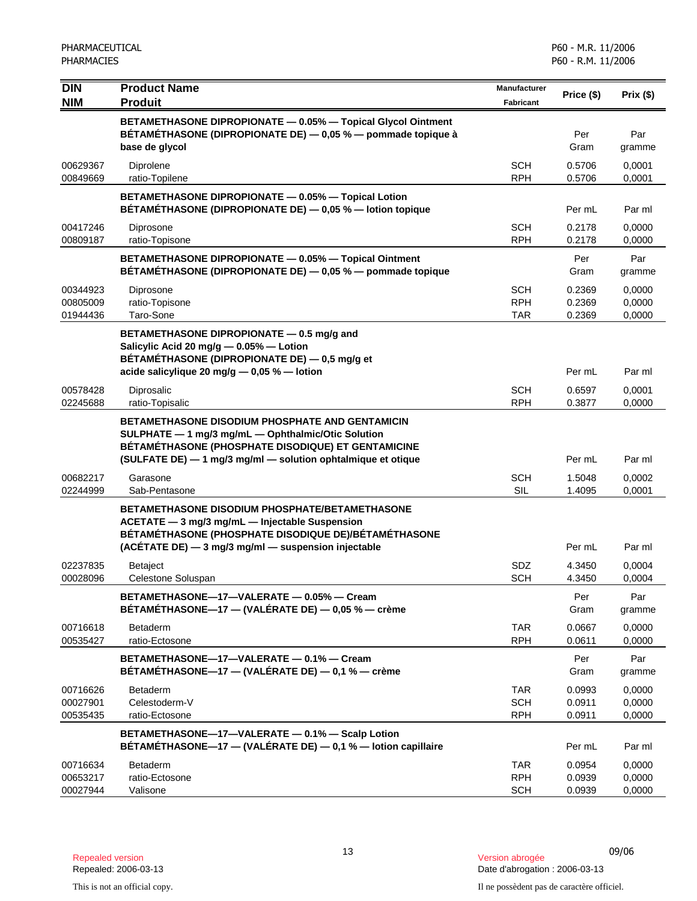| <b>DIN</b><br><b>NIM</b>         | <b>Product Name</b><br><b>Produit</b>                                                                                                                                                                                       | <b>Manufacturer</b><br><b>Fabricant</b> | Price (\$)                 | Prix(\$)                   |
|----------------------------------|-----------------------------------------------------------------------------------------------------------------------------------------------------------------------------------------------------------------------------|-----------------------------------------|----------------------------|----------------------------|
|                                  | BETAMETHASONE DIPROPIONATE - 0.05% - Topical Glycol Ointment<br>BÉTAMÉTHASONE (DIPROPIONATE DE) — 0,05 % — pommade topique à<br>base de glycol                                                                              |                                         | Per<br>Gram                | Par<br>gramme              |
| 00629367<br>00849669             | Diprolene<br>ratio-Topilene                                                                                                                                                                                                 | <b>SCH</b><br><b>RPH</b>                | 0.5706<br>0.5706           | 0,0001<br>0,0001           |
|                                  | BETAMETHASONE DIPROPIONATE - 0.05% - Topical Lotion<br>BÉTAMÉTHASONE (DIPROPIONATE DE) - 0,05 % - lotion topique                                                                                                            |                                         | Per mL                     | Par ml                     |
| 00417246<br>00809187             | Diprosone<br>ratio-Topisone                                                                                                                                                                                                 | <b>SCH</b><br><b>RPH</b>                | 0.2178<br>0.2178           | 0,0000<br>0,0000           |
|                                  | BETAMETHASONE DIPROPIONATE - 0.05% - Topical Ointment<br>BETAMETHASONE (DIPROPIONATE DE) - 0,05 % - pommade topique                                                                                                         |                                         | Per<br>Gram                | Par<br>gramme              |
| 00344923<br>00805009<br>01944436 | Diprosone<br>ratio-Topisone<br>Taro-Sone                                                                                                                                                                                    | <b>SCH</b><br><b>RPH</b><br><b>TAR</b>  | 0.2369<br>0.2369<br>0.2369 | 0,0000<br>0,0000<br>0,0000 |
|                                  | BETAMETHASONE DIPROPIONATE - 0.5 mg/g and<br>Salicylic Acid 20 mg/g - 0.05% - Lotion<br>BÉTAMÉTHASONE (DIPROPIONATE DE) — 0,5 mg/g et<br>acide salicylique 20 mg/g - 0,05 % - lotion                                        |                                         | Per mL                     | Par ml                     |
| 00578428<br>02245688             | Diprosalic<br>ratio-Topisalic                                                                                                                                                                                               | <b>SCH</b><br><b>RPH</b>                | 0.6597<br>0.3877           | 0,0001<br>0,0000           |
|                                  | BETAMETHASONE DISODIUM PHOSPHATE AND GENTAMICIN<br>SULPHATE - 1 mg/3 mg/mL - Ophthalmic/Otic Solution<br>BÉTAMÉTHASONE (PHOSPHATE DISODIQUE) ET GENTAMICINE<br>(SULFATE DE) - 1 mg/3 mg/ml - solution ophtalmique et otique |                                         | Per mL                     | Par ml                     |
| 00682217<br>02244999             | Garasone<br>Sab-Pentasone                                                                                                                                                                                                   | <b>SCH</b><br><b>SIL</b>                | 1.5048<br>1.4095           | 0,0002<br>0,0001           |
|                                  | <b>BETAMETHASONE DISODIUM PHOSPHATE/BETAMETHASONE</b><br>ACETATE - 3 mg/3 mg/mL - Injectable Suspension<br>BÉTAMÉTHASONE (PHOSPHATE DISODIQUE DE)/BÉTAMÉTHASONE<br>(ACÉTATE DE) - 3 mg/3 mg/ml - suspension injectable      |                                         | Per mL                     | Par ml                     |
| 02237835<br>00028096             | <b>Betaject</b><br>Celestone Soluspan                                                                                                                                                                                       | SDZ<br><b>SCH</b>                       | 4.3450<br>4.3450           | 0.0004<br>0,0004           |
|                                  | BETAMETHASONE-17-VALERATE - 0.05% - Cream<br>BÉTAMÉTHASONE-17 - (VALÉRATE DE) - 0,05 % - crème                                                                                                                              |                                         | Per<br>Gram                | Par<br>gramme              |
| 00716618<br>00535427             | Betaderm<br>ratio-Ectosone                                                                                                                                                                                                  | <b>TAR</b><br><b>RPH</b>                | 0.0667<br>0.0611           | 0,0000<br>0,0000           |
|                                  | BETAMETHASONE-17-VALERATE - 0.1% - Cream<br>BÉTAMÉTHASONE—17 — (VALÉRATE DE) — 0,1 % — crème                                                                                                                                |                                         | Per<br>Gram                | Par<br>gramme              |
| 00716626<br>00027901<br>00535435 | <b>Betaderm</b><br>Celestoderm-V<br>ratio-Ectosone                                                                                                                                                                          | <b>TAR</b><br><b>SCH</b><br><b>RPH</b>  | 0.0993<br>0.0911<br>0.0911 | 0,0000<br>0,0000<br>0,0000 |
|                                  | BETAMETHASONE-17-VALERATE - 0.1% - Scalp Lotion<br>BÉTAMÉTHASONE-17 - (VALÉRATE DE) - 0,1 % - lotion capillaire                                                                                                             |                                         | Per mL                     | Par ml                     |
| 00716634<br>00653217<br>00027944 | Betaderm<br>ratio-Ectosone<br>Valisone                                                                                                                                                                                      | <b>TAR</b><br><b>RPH</b><br><b>SCH</b>  | 0.0954<br>0.0939<br>0.0939 | 0,0000<br>0,0000<br>0,0000 |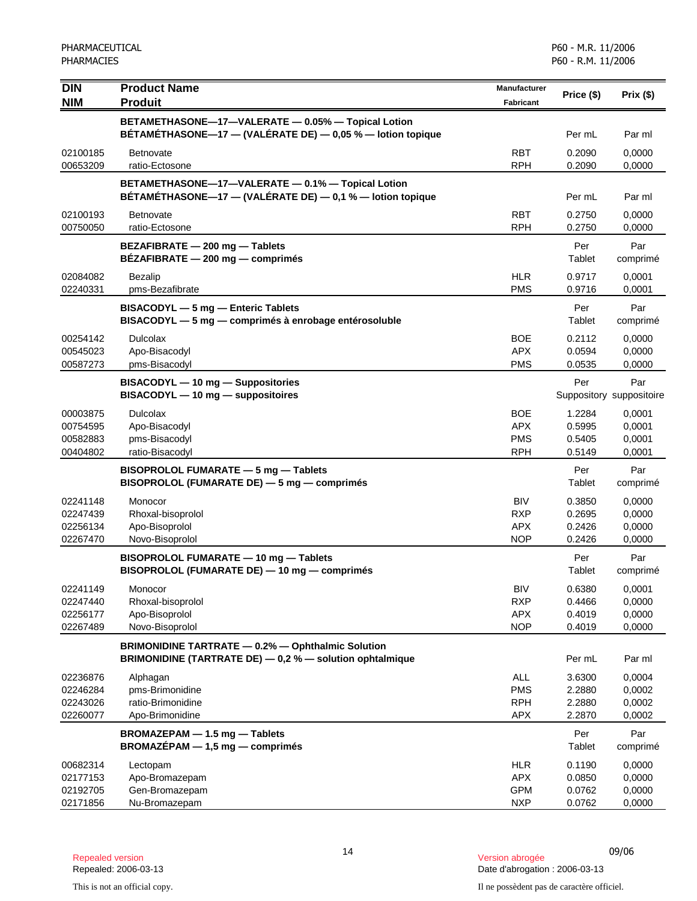| <b>DIN</b>                                   | <b>Product Name</b>                                                                                                  | <b>Manufacturer</b>                                  | Price (\$)                           | Prix(\$)                             |
|----------------------------------------------|----------------------------------------------------------------------------------------------------------------------|------------------------------------------------------|--------------------------------------|--------------------------------------|
| <b>NIM</b>                                   | <b>Produit</b>                                                                                                       | <b>Fabricant</b>                                     |                                      |                                      |
|                                              | BETAMETHASONE-17-VALERATE - 0.05% - Topical Lotion<br>BÉTAMÉTHASONE-17 - (VALÉRATE DE) - 0,05 % - lotion topique     |                                                      | Per mL                               | Par ml                               |
| 02100185<br>00653209                         | <b>Betnovate</b><br>ratio-Ectosone                                                                                   | <b>RBT</b><br><b>RPH</b>                             | 0.2090<br>0.2090                     | 0,0000<br>0,0000                     |
|                                              | BETAMETHASONE-17-VALERATE - 0.1% - Topical Lotion<br>BÉTAMÉTHASONE-17 - (VALÉRATE DE) - 0,1 % - lotion topique       |                                                      | Per mL                               | Par ml                               |
| 02100193<br>00750050                         | <b>Betnovate</b><br>ratio-Ectosone                                                                                   | <b>RBT</b><br><b>RPH</b>                             | 0.2750<br>0.2750                     | 0,0000<br>0,0000                     |
|                                              | BEZAFIBRATE - 200 mg - Tablets<br>BEZAFIBRATE - 200 mg - comprimés                                                   |                                                      | Per<br>Tablet                        | Par<br>comprimé                      |
| 02084082<br>02240331                         | <b>Bezalip</b><br>pms-Bezafibrate                                                                                    | <b>HLR</b><br><b>PMS</b>                             | 0.9717<br>0.9716                     | 0,0001<br>0,0001                     |
|                                              | BISACODYL - 5 mg - Enteric Tablets<br>BISACODYL - 5 mg - comprimés à enrobage entérosoluble                          |                                                      | Per<br>Tablet                        | Par<br>comprimé                      |
| 00254142<br>00545023<br>00587273             | <b>Dulcolax</b><br>Apo-Bisacodyl<br>pms-Bisacodyl                                                                    | <b>BOE</b><br><b>APX</b><br><b>PMS</b>               | 0.2112<br>0.0594<br>0.0535           | 0,0000<br>0,0000<br>0,0000           |
|                                              | BISACODYL - 10 mg - Suppositories<br>BISACODYL - 10 mg - suppositoires                                               |                                                      | Per                                  | Par<br>Suppository suppositoire      |
| 00003875<br>00754595<br>00582883<br>00404802 | <b>Dulcolax</b><br>Apo-Bisacodyl<br>pms-Bisacodyl<br>ratio-Bisacodyl                                                 | <b>BOE</b><br><b>APX</b><br><b>PMS</b><br><b>RPH</b> | 1.2284<br>0.5995<br>0.5405<br>0.5149 | 0,0001<br>0,0001<br>0,0001<br>0,0001 |
|                                              | BISOPROLOL FUMARATE - 5 mg - Tablets<br>BISOPROLOL (FUMARATE DE) - 5 mg - comprimés                                  |                                                      | Per<br>Tablet                        | Par<br>comprimé                      |
| 02241148<br>02247439<br>02256134<br>02267470 | Monocor<br>Rhoxal-bisoprolol<br>Apo-Bisoprolol<br>Novo-Bisoprolol                                                    | <b>BIV</b><br><b>RXP</b><br><b>APX</b><br><b>NOP</b> | 0.3850<br>0.2695<br>0.2426<br>0.2426 | 0,0000<br>0,0000<br>0,0000<br>0,0000 |
|                                              | BISOPROLOL FUMARATE - 10 mg - Tablets<br>BISOPROLOL (FUMARATE DE) - 10 mg - comprimés                                |                                                      | Per<br>Tablet                        | Par<br>comprimé                      |
| 02241149<br>02247440<br>02256177<br>02267489 | Monocor<br>Rhoxal-bisoprolol<br>Apo-Bisoprolol<br>Novo-Bisoprolol                                                    | <b>BIV</b><br><b>RXP</b><br><b>APX</b><br><b>NOP</b> | 0.6380<br>0.4466<br>0.4019<br>0.4019 | 0,0001<br>0,0000<br>0,0000<br>0,0000 |
|                                              | <b>BRIMONIDINE TARTRATE - 0.2% - Ophthalmic Solution</b><br>BRIMONIDINE (TARTRATE DE) - 0,2 % - solution ophtalmique |                                                      | Per mL                               | Par ml                               |
| 02236876<br>02246284<br>02243026<br>02260077 | Alphagan<br>pms-Brimonidine<br>ratio-Brimonidine<br>Apo-Brimonidine                                                  | <b>ALL</b><br><b>PMS</b><br><b>RPH</b><br><b>APX</b> | 3.6300<br>2.2880<br>2.2880<br>2.2870 | 0,0004<br>0,0002<br>0,0002<br>0,0002 |
|                                              | BROMAZEPAM - 1.5 mg - Tablets<br>BROMAZÉPAM - 1,5 mg - comprimés                                                     |                                                      | Per<br>Tablet                        | Par<br>comprimé                      |
| 00682314<br>02177153<br>02192705<br>02171856 | Lectopam<br>Apo-Bromazepam<br>Gen-Bromazepam<br>Nu-Bromazepam                                                        | <b>HLR</b><br><b>APX</b><br><b>GPM</b><br><b>NXP</b> | 0.1190<br>0.0850<br>0.0762<br>0.0762 | 0,0000<br>0,0000<br>0,0000<br>0,0000 |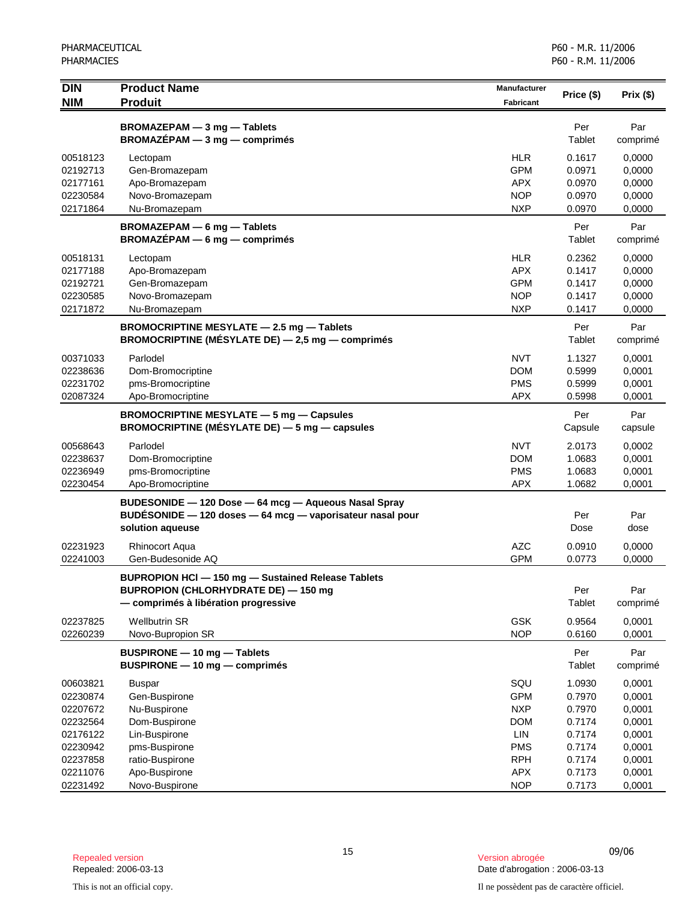| <b>DIN</b><br><b>NIM</b> | <b>Product Name</b><br><b>Produit</b>                                                                                                            | <b>Manufacturer</b><br><b>Fabricant</b> | Price (\$)     | Prix (\$)       |
|--------------------------|--------------------------------------------------------------------------------------------------------------------------------------------------|-----------------------------------------|----------------|-----------------|
|                          | BROMAZEPAM - 3 mg - Tablets<br>$BROMAZÉPAM - 3 mg - comprimés$                                                                                   |                                         | Per<br>Tablet  | Par<br>comprimé |
| 00518123                 | Lectopam                                                                                                                                         | <b>HLR</b>                              | 0.1617         | 0,0000          |
| 02192713                 | Gen-Bromazepam                                                                                                                                   | <b>GPM</b>                              | 0.0971         | 0,0000          |
| 02177161                 | Apo-Bromazepam                                                                                                                                   | <b>APX</b>                              | 0.0970         | 0,0000          |
| 02230584                 | Novo-Bromazepam                                                                                                                                  | <b>NOP</b>                              | 0.0970         | 0,0000          |
| 02171864                 | Nu-Bromazepam                                                                                                                                    | <b>NXP</b>                              | 0.0970         | 0,0000          |
|                          | BROMAZEPAM - 6 mg - Tablets<br>$BROMAZÉPAM - 6 mg - comprimés$                                                                                   |                                         | Per<br>Tablet  | Par<br>comprimé |
| 00518131                 | Lectopam                                                                                                                                         | <b>HLR</b>                              | 0.2362         | 0,0000          |
| 02177188                 | Apo-Bromazepam                                                                                                                                   | <b>APX</b>                              | 0.1417         | 0,0000          |
| 02192721                 | Gen-Bromazepam                                                                                                                                   | <b>GPM</b>                              | 0.1417         | 0,0000          |
| 02230585                 | Novo-Bromazepam                                                                                                                                  | <b>NOP</b>                              | 0.1417         | 0,0000          |
| 02171872                 | Nu-Bromazepam                                                                                                                                    | <b>NXP</b>                              | 0.1417         | 0,0000          |
|                          | BROMOCRIPTINE MESYLATE - 2.5 mg - Tablets<br><b>BROMOCRIPTINE (MÉSYLATE DE)</b> $-$ 2,5 mg $-$ comprimés                                         |                                         | Per<br>Tablet  | Par<br>comprimé |
| 00371033                 | Parlodel                                                                                                                                         | <b>NVT</b>                              | 1.1327         | 0,0001          |
| 02238636                 | Dom-Bromocriptine                                                                                                                                | <b>DOM</b>                              | 0.5999         | 0,0001          |
| 02231702                 | pms-Bromocriptine                                                                                                                                | <b>PMS</b>                              | 0.5999         | 0,0001          |
| 02087324                 | Apo-Bromocriptine                                                                                                                                | <b>APX</b>                              | 0.5998         | 0,0001          |
|                          | <b>BROMOCRIPTINE MESYLATE - 5 mg - Capsules</b><br>BROMOCRIPTINE (MÉSYLATE DE) - 5 mg - capsules                                                 |                                         | Per<br>Capsule | Par<br>capsule  |
| 00568643                 | Parlodel                                                                                                                                         | <b>NVT</b>                              | 2.0173         | 0,0002          |
| 02238637                 | Dom-Bromocriptine                                                                                                                                | <b>DOM</b>                              | 1.0683         | 0,0001          |
| 02236949                 | pms-Bromocriptine                                                                                                                                | <b>PMS</b>                              | 1.0683         | 0,0001          |
| 02230454                 | Apo-Bromocriptine                                                                                                                                | <b>APX</b>                              | 1.0682         | 0,0001          |
|                          | BUDESONIDE - 120 Dose - 64 mcg - Aqueous Nasal Spray<br>BUDESONIDE - 120 doses - 64 mcg - vaporisateur nasal pour<br>solution aqueuse            |                                         | Per<br>Dose    | Par<br>dose     |
| 02231923                 | <b>Rhinocort Aqua</b>                                                                                                                            | <b>AZC</b>                              | 0.0910         | 0,0000          |
| 02241003                 | Gen-Budesonide AQ                                                                                                                                | <b>GPM</b>                              | 0.0773         | 0,0000          |
|                          | <b>BUPROPION HCI - 150 mg - Sustained Release Tablets</b><br><b>BUPROPION (CHLORHYDRATE DE) - 150 mg</b><br>- comprimés à libération progressive |                                         | Per<br>Tablet  | Par<br>comprimé |
| 02237825                 | <b>Wellbutrin SR</b>                                                                                                                             | GSK                                     | 0.9564         | 0,0001          |
| 02260239                 | Novo-Bupropion SR                                                                                                                                | <b>NOP</b>                              | 0.6160         | 0,0001          |
|                          | BUSPIRONE - 10 mg - Tablets<br>$BUSPIRONE - 10 mg - comprimés$                                                                                   |                                         | Per<br>Tablet  | Par<br>comprimé |
| 00603821                 | <b>Buspar</b>                                                                                                                                    | SQU                                     | 1.0930         | 0,0001          |
| 02230874                 | Gen-Buspirone                                                                                                                                    | <b>GPM</b>                              | 0.7970         | 0,0001          |
| 02207672                 | Nu-Buspirone                                                                                                                                     | <b>NXP</b>                              | 0.7970         | 0,0001          |
| 02232564                 | Dom-Buspirone                                                                                                                                    | <b>DOM</b>                              | 0.7174         | 0,0001          |
| 02176122                 | Lin-Buspirone                                                                                                                                    | <b>LIN</b>                              | 0.7174         | 0,0001          |
| 02230942                 | pms-Buspirone                                                                                                                                    | <b>PMS</b>                              | 0.7174         | 0,0001          |
| 02237858                 | ratio-Buspirone                                                                                                                                  | <b>RPH</b>                              | 0.7174         | 0,0001          |
| 02211076                 | Apo-Buspirone                                                                                                                                    | APX                                     | 0.7173         | 0,0001          |
| 02231492                 | Novo-Buspirone                                                                                                                                   | <b>NOP</b>                              | 0.7173         | 0,0001          |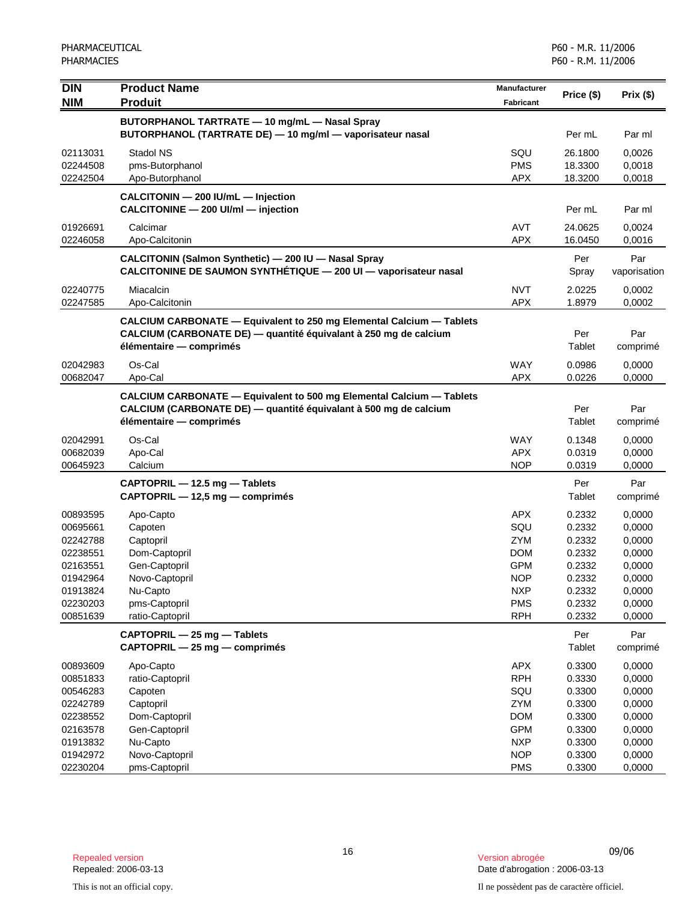| <b>DIN</b> | <b>Product Name</b>                                                         | Manufacturer |            |              |
|------------|-----------------------------------------------------------------------------|--------------|------------|--------------|
| <b>NIM</b> | <b>Produit</b>                                                              | Fabricant    | Price (\$) | Prix(\$)     |
|            | BUTORPHANOL TARTRATE - 10 mg/mL - Nasal Spray                               |              |            |              |
|            | BUTORPHANOL (TARTRATE DE) - 10 mg/ml - vaporisateur nasal                   |              | Per mL     | Par ml       |
| 02113031   | Stadol NS                                                                   | SQU          | 26.1800    | 0,0026       |
| 02244508   | pms-Butorphanol                                                             | <b>PMS</b>   | 18.3300    | 0,0018       |
| 02242504   | Apo-Butorphanol                                                             | <b>APX</b>   | 18.3200    | 0,0018       |
|            | CALCITONIN - 200 IU/mL - Injection                                          |              |            |              |
|            | CALCITONINE - 200 UI/ml - injection                                         |              | Per mL     | Par ml       |
| 01926691   | Calcimar                                                                    | <b>AVT</b>   | 24.0625    | 0,0024       |
| 02246058   | Apo-Calcitonin                                                              | <b>APX</b>   | 16.0450    | 0,0016       |
|            | CALCITONIN (Salmon Synthetic) - 200 IU - Nasal Spray                        |              | Per        | Par          |
|            | CALCITONINE DE SAUMON SYNTHÉTIQUE - 200 UI - vaporisateur nasal             |              | Spray      | vaporisation |
| 02240775   | Miacalcin                                                                   | <b>NVT</b>   | 2.0225     | 0,0002       |
| 02247585   | Apo-Calcitonin                                                              | <b>APX</b>   | 1.8979     | 0,0002       |
|            | CALCIUM CARBONATE - Equivalent to 250 mg Elemental Calcium - Tablets        |              |            |              |
|            | CALCIUM (CARBONATE DE) — quantité équivalant à 250 mg de calcium            |              | Per        | Par          |
|            | élémentaire — comprimés                                                     |              | Tablet     | comprimé     |
| 02042983   | Os-Cal                                                                      | <b>WAY</b>   | 0.0986     | 0,0000       |
| 00682047   | Apo-Cal                                                                     | <b>APX</b>   | 0.0226     | 0,0000       |
|            | <b>CALCIUM CARBONATE - Equivalent to 500 mg Elemental Calcium - Tablets</b> |              |            |              |
|            | CALCIUM (CARBONATE DE) - quantité équivalant à 500 mg de calcium            |              | Per        | Par          |
|            | élémentaire - comprimés                                                     |              | Tablet     | comprimé     |
| 02042991   | Os-Cal                                                                      | <b>WAY</b>   | 0.1348     | 0,0000       |
| 00682039   | Apo-Cal                                                                     | <b>APX</b>   | 0.0319     | 0,0000       |
| 00645923   | Calcium                                                                     | <b>NOP</b>   | 0.0319     | 0,0000       |
|            | CAPTOPRIL - 12.5 mg - Tablets                                               |              | Per        | Par          |
|            | CAPTOPRIL - 12,5 mg - comprimés                                             |              | Tablet     | comprimé     |
| 00893595   | Apo-Capto                                                                   | <b>APX</b>   | 0.2332     | 0,0000       |
| 00695661   | Capoten                                                                     | SQU          | 0.2332     | 0,0000       |
| 02242788   | Captopril                                                                   | <b>ZYM</b>   | 0.2332     | 0,0000       |
| 02238551   | Dom-Captopril                                                               | <b>DOM</b>   | 0.2332     | 0,0000       |
| 02163551   | Gen-Captopril                                                               | <b>GPM</b>   | 0.2332     | 0,0000       |
| 01942964   | Novo-Captopril                                                              | <b>NOP</b>   | 0.2332     | 0,0000       |
| 01913824   | Nu-Capto                                                                    | <b>NXP</b>   | 0.2332     | 0,0000       |
| 02230203   | pms-Captopril                                                               | <b>PMS</b>   | 0.2332     | 0,0000       |
| 00851639   | ratio-Captopril                                                             | <b>RPH</b>   | 0.2332     | 0,0000       |
|            | CAPTOPRIL - 25 mg - Tablets                                                 |              | Per        | Par          |
|            | CAPTOPRIL - 25 mg - comprimés                                               |              | Tablet     | comprimé     |
| 00893609   | Apo-Capto                                                                   | APX          | 0.3300     | 0,0000       |
| 00851833   | ratio-Captopril                                                             | <b>RPH</b>   | 0.3330     | 0,0000       |
| 00546283   | Capoten                                                                     | SQU          | 0.3300     | 0,0000       |
| 02242789   | Captopril                                                                   | ZYM          | 0.3300     | 0,0000       |
| 02238552   | Dom-Captopril                                                               | <b>DOM</b>   | 0.3300     | 0,0000       |
| 02163578   | Gen-Captopril                                                               | <b>GPM</b>   | 0.3300     | 0,0000       |
| 01913832   | Nu-Capto                                                                    | <b>NXP</b>   | 0.3300     | 0,0000       |
| 01942972   | Novo-Captopril                                                              | <b>NOP</b>   | 0.3300     | 0,0000       |
| 02230204   | pms-Captopril                                                               | <b>PMS</b>   | 0.3300     | 0,0000       |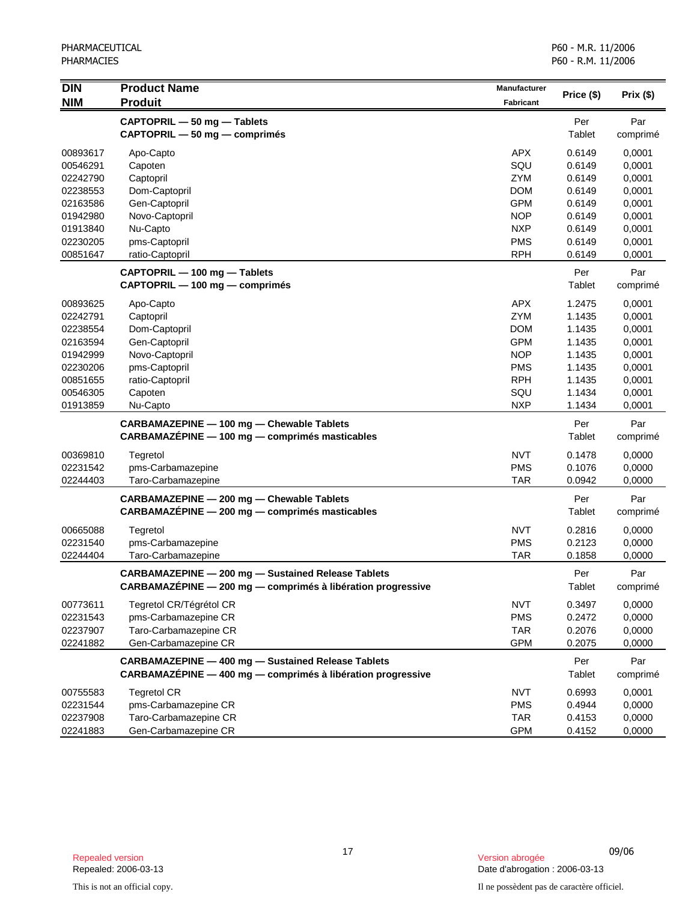| <b>DIN</b> | <b>Product Name</b>                                         | <b>Manufacturer</b> | Price (\$) | Prix(\$) |
|------------|-------------------------------------------------------------|---------------------|------------|----------|
| <b>NIM</b> | <b>Produit</b>                                              | <b>Fabricant</b>    |            |          |
|            | CAPTOPRIL - 50 mg - Tablets                                 |                     | Per        | Par      |
|            | CAPTOPRIL - 50 mg - comprimés                               |                     | Tablet     | comprimé |
| 00893617   | Apo-Capto                                                   | <b>APX</b>          | 0.6149     | 0,0001   |
| 00546291   | Capoten                                                     | SQU                 | 0.6149     | 0,0001   |
| 02242790   | Captopril                                                   | <b>ZYM</b>          | 0.6149     | 0,0001   |
| 02238553   | Dom-Captopril                                               | <b>DOM</b>          | 0.6149     | 0,0001   |
| 02163586   | Gen-Captopril                                               | <b>GPM</b>          | 0.6149     | 0,0001   |
| 01942980   | Novo-Captopril                                              | <b>NOP</b>          | 0.6149     | 0,0001   |
| 01913840   | Nu-Capto                                                    | <b>NXP</b>          | 0.6149     | 0,0001   |
| 02230205   | pms-Captopril                                               | <b>PMS</b>          | 0.6149     | 0,0001   |
| 00851647   | ratio-Captopril                                             | <b>RPH</b>          | 0.6149     | 0,0001   |
|            | CAPTOPRIL - 100 mg - Tablets                                |                     | Per        | Par      |
|            | CAPTOPRIL - 100 mg - comprimés                              |                     | Tablet     | comprimé |
| 00893625   | Apo-Capto                                                   | <b>APX</b>          | 1.2475     | 0,0001   |
| 02242791   | Captopril                                                   | ZYM                 | 1.1435     | 0,0001   |
| 02238554   | Dom-Captopril                                               | <b>DOM</b>          | 1.1435     | 0,0001   |
| 02163594   | Gen-Captopril                                               | <b>GPM</b>          | 1.1435     | 0,0001   |
| 01942999   | Novo-Captopril                                              | <b>NOP</b>          | 1.1435     | 0,0001   |
| 02230206   | pms-Captopril                                               | <b>PMS</b>          | 1.1435     | 0,0001   |
| 00851655   | ratio-Captopril                                             | <b>RPH</b>          | 1.1435     | 0,0001   |
| 00546305   | Capoten                                                     | SQU                 | 1.1434     | 0,0001   |
| 01913859   | Nu-Capto                                                    | <b>NXP</b>          | 1.1434     | 0,0001   |
|            | CARBAMAZEPINE - 100 mg - Chewable Tablets                   |                     | Per        | Par      |
|            | CARBAMAZÉPINE - 100 mg - comprimés masticables              |                     | Tablet     | comprimé |
| 00369810   | Tegretol                                                    | <b>NVT</b>          | 0.1478     | 0,0000   |
| 02231542   | pms-Carbamazepine                                           | <b>PMS</b>          | 0.1076     | 0,0000   |
| 02244403   | Taro-Carbamazepine                                          | <b>TAR</b>          | 0.0942     | 0,0000   |
|            | CARBAMAZEPINE - 200 mg - Chewable Tablets                   |                     | Per        | Par      |
|            | CARBAMAZÉPINE - 200 mg - comprimés masticables              |                     | Tablet     | comprimé |
| 00665088   | Tegretol                                                    | <b>NVT</b>          | 0.2816     | 0,0000   |
| 02231540   | pms-Carbamazepine                                           | <b>PMS</b>          | 0.2123     | 0,0000   |
| 02244404   | Taro-Carbamazepine                                          | <b>TAR</b>          | 0.1858     | 0,0000   |
|            | <b>CARBAMAZEPINE - 200 mg - Sustained Release Tablets</b>   |                     | Per        | Par      |
|            | CARBAMAZÉPINE - 200 mg - comprimés à libération progressive |                     | Tablet     | comprimé |
| 00773611   | Tegretol CR/Tégrétol CR                                     | <b>NVT</b>          | 0.3497     | 0,0000   |
| 02231543   | pms-Carbamazepine CR                                        | <b>PMS</b>          | 0.2472     | 0,0000   |
| 02237907   | Taro-Carbamazepine CR                                       | <b>TAR</b>          | 0.2076     | 0,0000   |
| 02241882   | Gen-Carbamazepine CR                                        | <b>GPM</b>          | 0.2075     | 0,0000   |
|            | <b>CARBAMAZEPINE - 400 mg - Sustained Release Tablets</b>   |                     | Per        | Par      |
|            | CARBAMAZEPINE - 400 mg - comprimés à libération progressive |                     | Tablet     | comprimé |
| 00755583   | <b>Tegretol CR</b>                                          | <b>NVT</b>          | 0.6993     | 0,0001   |
| 02231544   | pms-Carbamazepine CR                                        | <b>PMS</b>          | 0.4944     | 0,0000   |
| 02237908   | Taro-Carbamazepine CR                                       | <b>TAR</b>          | 0.4153     | 0,0000   |
| 02241883   | Gen-Carbamazepine CR                                        | <b>GPM</b>          | 0.4152     | 0,0000   |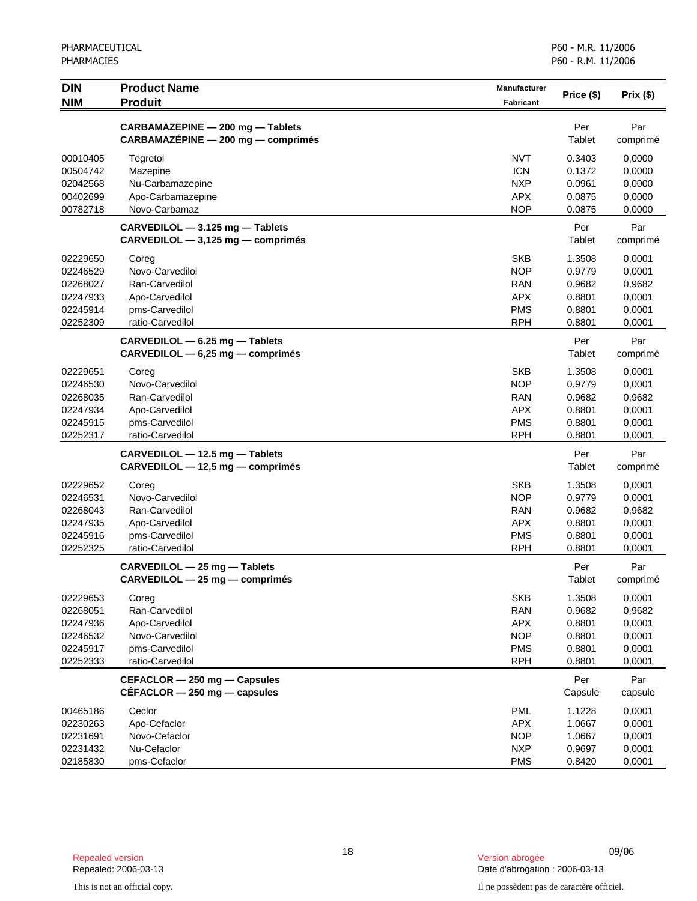| <b>DIN</b> | <b>Product Name</b><br><b>Produit</b> | <b>Manufacturer</b> | Price (\$) | Prix(\$) |
|------------|---------------------------------------|---------------------|------------|----------|
| <b>NIM</b> |                                       | <b>Fabricant</b>    |            |          |
|            | CARBAMAZEPINE - 200 mg - Tablets      |                     | Per        | Par      |
|            | CARBAMAZÉPINE - 200 mg - comprimés    |                     | Tablet     | comprimé |
| 00010405   | Tegretol                              | <b>NVT</b>          | 0.3403     | 0,0000   |
| 00504742   | Mazepine                              | <b>ICN</b>          | 0.1372     | 0,0000   |
| 02042568   | Nu-Carbamazepine                      | <b>NXP</b>          | 0.0961     | 0,0000   |
| 00402699   | Apo-Carbamazepine                     | <b>APX</b>          | 0.0875     | 0,0000   |
| 00782718   | Novo-Carbamaz                         | <b>NOP</b>          | 0.0875     | 0,0000   |
|            | CARVEDILOL - 3.125 mg - Tablets       |                     | Per        | Par      |
|            | $CARVEDILOL - 3,125 mg - comprimés$   |                     | Tablet     | comprimé |
| 02229650   | Coreg                                 | <b>SKB</b>          | 1.3508     | 0,0001   |
| 02246529   | Novo-Carvedilol                       | <b>NOP</b>          | 0.9779     | 0,0001   |
| 02268027   | Ran-Carvedilol                        | <b>RAN</b>          | 0.9682     | 0,9682   |
| 02247933   | Apo-Carvedilol                        | <b>APX</b>          | 0.8801     | 0,0001   |
| 02245914   | pms-Carvedilol                        | <b>PMS</b>          | 0.8801     | 0,0001   |
| 02252309   | ratio-Carvedilol                      | <b>RPH</b>          | 0.8801     | 0,0001   |
|            | CARVEDILOL - 6.25 mg - Tablets        |                     | Per        | Par      |
|            | $CARVEDILOL - 6,25 mg - comprimés$    |                     | Tablet     | comprimé |
| 02229651   | Coreg                                 | <b>SKB</b>          | 1.3508     | 0,0001   |
| 02246530   | Novo-Carvedilol                       | <b>NOP</b>          | 0.9779     | 0,0001   |
| 02268035   | Ran-Carvedilol                        | <b>RAN</b>          | 0.9682     | 0,9682   |
| 02247934   | Apo-Carvedilol                        | <b>APX</b>          | 0.8801     | 0,0001   |
| 02245915   | pms-Carvedilol                        | <b>PMS</b>          | 0.8801     | 0,0001   |
| 02252317   | ratio-Carvedilol                      | <b>RPH</b>          | 0.8801     | 0,0001   |
|            | CARVEDILOL - 12.5 mg - Tablets        |                     | Per        | Par      |
|            | CARVEDILOL - 12,5 mg - comprimés      |                     | Tablet     | comprimé |
| 02229652   | Coreg                                 | <b>SKB</b>          | 1.3508     | 0,0001   |
| 02246531   | Novo-Carvedilol                       | <b>NOP</b>          | 0.9779     | 0,0001   |
| 02268043   | Ran-Carvedilol                        | <b>RAN</b>          | 0.9682     | 0,9682   |
| 02247935   | Apo-Carvedilol                        | <b>APX</b>          | 0.8801     | 0,0001   |
| 02245916   | pms-Carvedilol                        | <b>PMS</b>          | 0.8801     | 0,0001   |
| 02252325   | ratio-Carvedilol                      | <b>RPH</b>          | 0.8801     | 0,0001   |
|            | CARVEDILOL - 25 mg - Tablets          |                     | Per        | Par      |
|            | CARVEDILOL - 25 mg - comprimés        |                     | Tablet     | comprimé |
| 02229653   | Coreg                                 | <b>SKB</b>          | 1.3508     | 0,0001   |
| 02268051   | Ran-Carvedilol                        | <b>RAN</b>          | 0.9682     | 0,9682   |
| 02247936   | Apo-Carvedilol                        | <b>APX</b>          | 0.8801     | 0,0001   |
| 02246532   | Novo-Carvedilol                       | <b>NOP</b>          | 0.8801     | 0,0001   |
| 02245917   | pms-Carvedilol                        | <b>PMS</b>          | 0.8801     | 0,0001   |
| 02252333   | ratio-Carvedilol                      | <b>RPH</b>          | 0.8801     | 0,0001   |
|            | CEFACLOR - 250 mg - Capsules          |                     | Per        | Par      |
|            | $CÉFACLOR - 250$ mg $-$ capsules      |                     | Capsule    | capsule  |
| 00465186   | Ceclor                                | <b>PML</b>          | 1.1228     | 0,0001   |
| 02230263   | Apo-Cefaclor                          | APX                 | 1.0667     | 0,0001   |
| 02231691   | Novo-Cefaclor                         | <b>NOP</b>          | 1.0667     | 0,0001   |
| 02231432   | Nu-Cefaclor                           | <b>NXP</b>          | 0.9697     | 0,0001   |
| 02185830   | pms-Cefaclor                          | <b>PMS</b>          | 0.8420     | 0,0001   |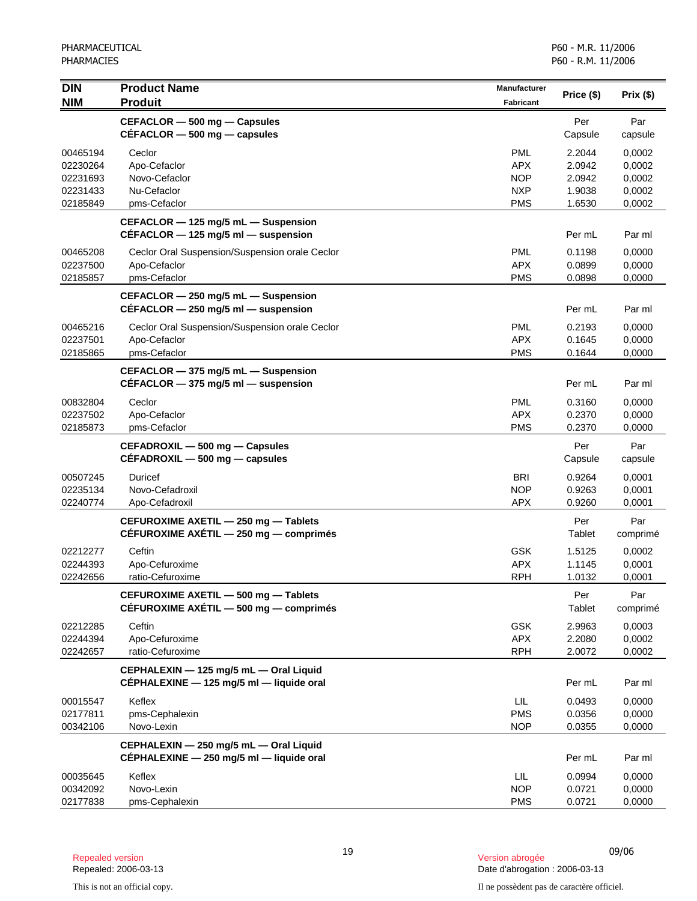| <b>DIN</b><br><b>NIM</b>                                 | <b>Product Name</b><br><b>Produit</b>                                              | <b>Manufacturer</b><br><b>Fabricant</b>                            | Price (\$)                                     | Prix(\$)                                       |
|----------------------------------------------------------|------------------------------------------------------------------------------------|--------------------------------------------------------------------|------------------------------------------------|------------------------------------------------|
|                                                          | CEFACLOR - 500 mg - Capsules<br>$CEFACLOR - 500$ mg $-$ capsules                   |                                                                    | Per<br>Capsule                                 | Par<br>capsule                                 |
| 00465194<br>02230264<br>02231693<br>02231433<br>02185849 | Ceclor<br>Apo-Cefaclor<br>Novo-Cefaclor<br>Nu-Cefaclor<br>pms-Cefaclor             | <b>PML</b><br><b>APX</b><br><b>NOP</b><br><b>NXP</b><br><b>PMS</b> | 2.2044<br>2.0942<br>2.0942<br>1.9038<br>1.6530 | 0,0002<br>0,0002<br>0,0002<br>0,0002<br>0,0002 |
|                                                          | CEFACLOR - 125 mg/5 mL - Suspension<br>$CEFACLOR - 125$ mg/5 ml - suspension       |                                                                    | Per mL                                         | Par ml                                         |
| 00465208<br>02237500<br>02185857                         | Ceclor Oral Suspension/Suspension orale Ceclor<br>Apo-Cefaclor<br>pms-Cefaclor     | <b>PML</b><br><b>APX</b><br><b>PMS</b>                             | 0.1198<br>0.0899<br>0.0898                     | 0,0000<br>0,0000<br>0,0000                     |
|                                                          | CEFACLOR - 250 mg/5 mL - Suspension<br>$CEFACLOR - 250$ mg/5 ml $-$ suspension     |                                                                    | Per mL                                         | Par ml                                         |
| 00465216<br>02237501<br>02185865                         | Ceclor Oral Suspension/Suspension orale Ceclor<br>Apo-Cefaclor<br>pms-Cefaclor     | <b>PML</b><br><b>APX</b><br><b>PMS</b>                             | 0.2193<br>0.1645<br>0.1644                     | 0,0000<br>0,0000<br>0,0000                     |
|                                                          | CEFACLOR - 375 mg/5 mL - Suspension<br>$CEFACLOR$ - 375 mg/5 ml - suspension       |                                                                    | Per mL                                         | Par ml                                         |
| 00832804<br>02237502<br>02185873                         | Ceclor<br>Apo-Cefaclor<br>pms-Cefaclor                                             | <b>PML</b><br><b>APX</b><br><b>PMS</b>                             | 0.3160<br>0.2370<br>0.2370                     | 0,0000<br>0,0000<br>0,0000                     |
|                                                          | CEFADROXIL - 500 mg - Capsules<br>$CEFADROXIL - 500 mg - capsules$                 |                                                                    | Per<br>Capsule                                 | Par<br>capsule                                 |
| 00507245<br>02235134<br>02240774                         | Duricef<br>Novo-Cefadroxil<br>Apo-Cefadroxil                                       | <b>BRI</b><br><b>NOP</b><br><b>APX</b>                             | 0.9264<br>0.9263<br>0.9260                     | 0,0001<br>0,0001<br>0,0001                     |
|                                                          | CEFUROXIME AXETIL - 250 mg - Tablets<br>CÉFUROXIME AXÉTIL - 250 mg - comprimés     |                                                                    | Per<br>Tablet                                  | Par<br>comprimé                                |
| 02212277<br>02244393<br>02242656                         | Ceftin<br>Apo-Cefuroxime<br>ratio-Cefuroxime                                       | <b>GSK</b><br><b>APX</b><br><b>RPH</b>                             | 1.5125<br>1.1145<br>1.0132                     | 0,0002<br>0,0001<br>0,0001                     |
|                                                          | CEFUROXIME AXETIL - 500 mg - Tablets<br>CÉFUROXIME AXÉTIL - 500 mg - comprimés     |                                                                    | Per<br>Tablet                                  | Par<br>comprimé                                |
| 02212285<br>02244394<br>02242657                         | Ceftin<br>Apo-Cefuroxime<br>ratio-Cefuroxime                                       | <b>GSK</b><br><b>APX</b><br><b>RPH</b>                             | 2.9963<br>2.2080<br>2.0072                     | 0,0003<br>0,0002<br>0,0002                     |
|                                                          | CEPHALEXIN - 125 mg/5 mL - Oral Liquid<br>CÉPHALEXINE - 125 mg/5 ml - liquide oral |                                                                    | Per mL                                         | Par ml                                         |
| 00015547<br>02177811<br>00342106                         | Keflex<br>pms-Cephalexin<br>Novo-Lexin                                             | LIL<br><b>PMS</b><br><b>NOP</b>                                    | 0.0493<br>0.0356<br>0.0355                     | 0,0000<br>0,0000<br>0,0000                     |
|                                                          | CEPHALEXIN - 250 mg/5 mL - Oral Liquid<br>CÉPHALEXINE - 250 mg/5 ml - liquide oral |                                                                    | Per mL                                         | Par ml                                         |
| 00035645<br>00342092<br>02177838                         | Keflex<br>Novo-Lexin<br>pms-Cephalexin                                             | LIL<br><b>NOP</b><br><b>PMS</b>                                    | 0.0994<br>0.0721<br>0.0721                     | 0,0000<br>0,0000<br>0,0000                     |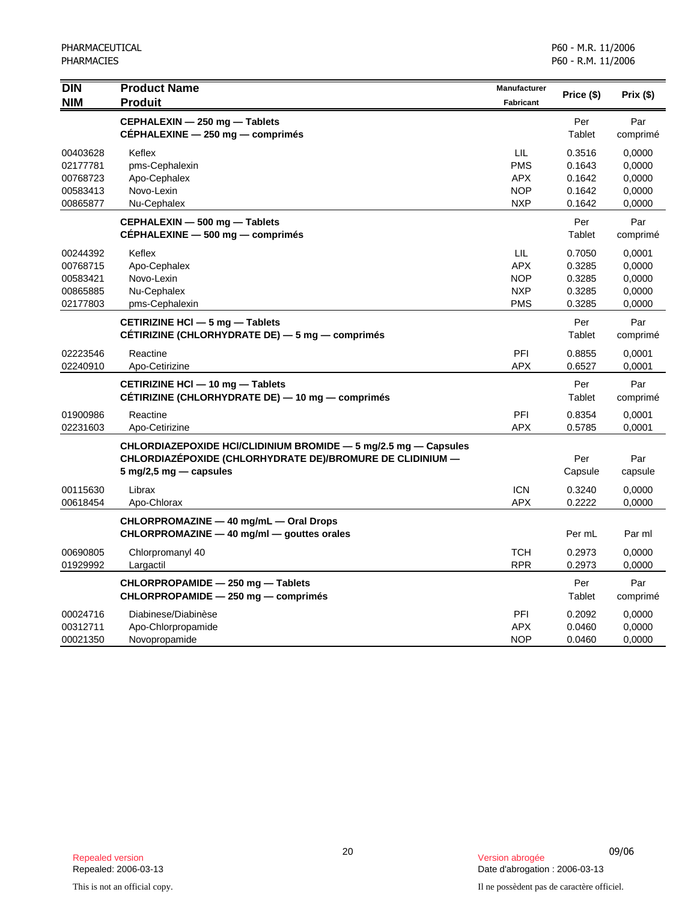| <b>DIN</b><br><b>NIM</b>                                 | <b>Product Name</b><br><b>Produit</b>                                                                                                                  | <b>Manufacturer</b><br><b>Fabricant</b>                     | Price (\$)                                     | Prix(\$)                                       |
|----------------------------------------------------------|--------------------------------------------------------------------------------------------------------------------------------------------------------|-------------------------------------------------------------|------------------------------------------------|------------------------------------------------|
|                                                          | CEPHALEXIN - 250 mg - Tablets<br>CÉPHALEXINE - 250 mg - comprimés                                                                                      |                                                             | Per<br>Tablet                                  | Par<br>comprimé                                |
| 00403628<br>02177781<br>00768723<br>00583413<br>00865877 | Keflex<br>pms-Cephalexin<br>Apo-Cephalex<br>Novo-Lexin<br>Nu-Cephalex                                                                                  | LIL<br><b>PMS</b><br><b>APX</b><br><b>NOP</b><br><b>NXP</b> | 0.3516<br>0.1643<br>0.1642<br>0.1642<br>0.1642 | 0,0000<br>0,0000<br>0,0000<br>0,0000<br>0,0000 |
|                                                          | CEPHALEXIN - 500 mg - Tablets<br>CÉPHALEXINE - 500 mg - comprimés                                                                                      |                                                             | Per<br>Tablet                                  | Par<br>comprimé                                |
| 00244392<br>00768715<br>00583421<br>00865885<br>02177803 | Keflex<br>Apo-Cephalex<br>Novo-Lexin<br>Nu-Cephalex<br>pms-Cephalexin                                                                                  | LIL<br><b>APX</b><br><b>NOP</b><br><b>NXP</b><br><b>PMS</b> | 0.7050<br>0.3285<br>0.3285<br>0.3285<br>0.3285 | 0,0001<br>0,0000<br>0,0000<br>0,0000<br>0,0000 |
|                                                          | CETIRIZINE HCI - 5 mg - Tablets<br>CÉTIRIZINE (CHLORHYDRATE DE) - 5 mg - comprimés                                                                     |                                                             | Per<br>Tablet                                  | Par<br>comprimé                                |
| 02223546<br>02240910                                     | Reactine<br>Apo-Cetirizine                                                                                                                             | PFI<br><b>APX</b>                                           | 0.8855<br>0.6527                               | 0,0001<br>0,0001                               |
|                                                          | CETIRIZINE HCI - 10 mg - Tablets<br>CÉTIRIZINE (CHLORHYDRATE DE) — 10 mg — comprimés                                                                   |                                                             | Per<br>Tablet                                  | Par<br>comprimé                                |
| 01900986<br>02231603                                     | Reactine<br>Apo-Cetirizine                                                                                                                             | PFI<br><b>APX</b>                                           | 0.8354<br>0.5785                               | 0,0001<br>0,0001                               |
|                                                          | CHLORDIAZEPOXIDE HCI/CLIDINIUM BROMIDE - 5 mg/2.5 mg - Capsules<br>CHLORDIAZÉPOXIDE (CHLORHYDRATE DE)/BROMURE DE CLIDINIUM -<br>5 mg/2,5 mg — capsules |                                                             | Per<br>Capsule                                 | Par<br>capsule                                 |
| 00115630<br>00618454                                     | Librax<br>Apo-Chlorax                                                                                                                                  | <b>ICN</b><br><b>APX</b>                                    | 0.3240<br>0.2222                               | 0,0000<br>0,0000                               |
|                                                          | CHLORPROMAZINE - 40 mg/mL - Oral Drops<br>CHLORPROMAZINE - 40 mg/ml - gouttes orales                                                                   |                                                             | Per mL                                         | Par ml                                         |
| 00690805<br>01929992                                     | Chlorpromanyl 40<br>Largactil                                                                                                                          | <b>TCH</b><br><b>RPR</b>                                    | 0.2973<br>0.2973                               | 0,0000<br>0,0000                               |
|                                                          | CHLORPROPAMIDE - 250 mg - Tablets<br>CHLORPROPAMIDE - 250 mg - comprimés                                                                               |                                                             | Per<br>Tablet                                  | Par<br>comprimé                                |
| 00024716<br>00312711<br>00021350                         | Diabinese/Diabinèse<br>Apo-Chlorpropamide<br>Novopropamide                                                                                             | PFI<br><b>APX</b><br><b>NOP</b>                             | 0.2092<br>0.0460<br>0.0460                     | 0,0000<br>0,0000<br>0,0000                     |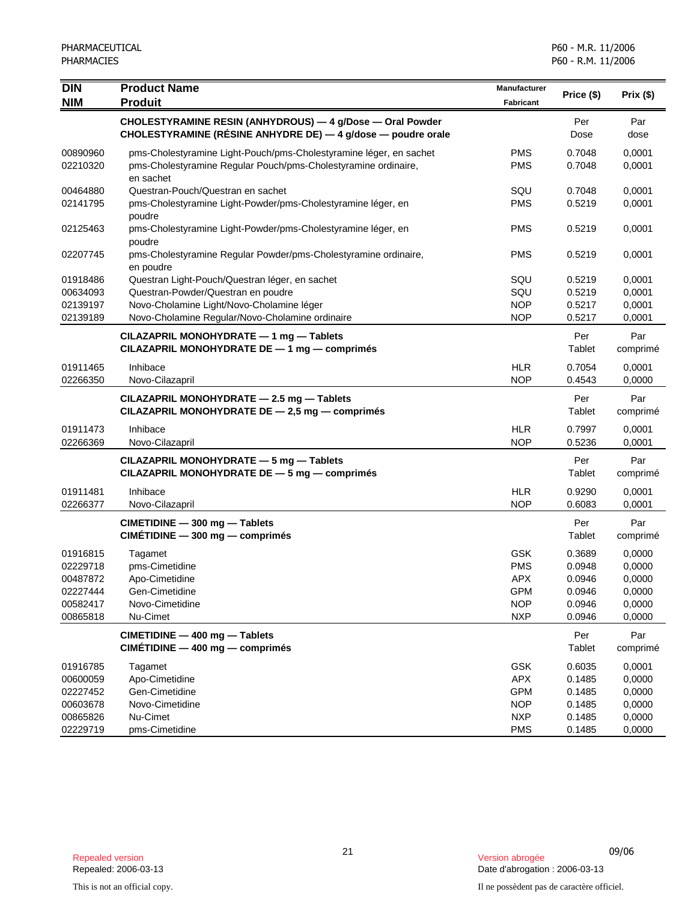| <b>DIN</b>                                                           | <b>Product Name</b>                                                                                                                                                                  | Manufacturer                                                                     | Price (\$)                                               | Prix(\$)                                                 |
|----------------------------------------------------------------------|--------------------------------------------------------------------------------------------------------------------------------------------------------------------------------------|----------------------------------------------------------------------------------|----------------------------------------------------------|----------------------------------------------------------|
| <b>NIM</b>                                                           | <b>Produit</b>                                                                                                                                                                       | Fabricant                                                                        |                                                          |                                                          |
|                                                                      | CHOLESTYRAMINE RESIN (ANHYDROUS) - 4 g/Dose - Oral Powder<br>CHOLESTYRAMINE (RÉSINE ANHYDRE DE) — 4 g/dose — poudre orale                                                            |                                                                                  | Per<br>Dose                                              | Par<br>dose                                              |
| 00890960<br>02210320                                                 | pms-Cholestyramine Light-Pouch/pms-Cholestyramine léger, en sachet<br>pms-Cholestyramine Regular Pouch/pms-Cholestyramine ordinaire,<br>en sachet                                    | <b>PMS</b><br><b>PMS</b>                                                         | 0.7048<br>0.7048                                         | 0,0001<br>0,0001                                         |
| 00464880<br>02141795                                                 | Questran-Pouch/Questran en sachet<br>pms-Cholestyramine Light-Powder/pms-Cholestyramine léger, en<br>poudre                                                                          | SQU<br><b>PMS</b>                                                                | 0.7048<br>0.5219                                         | 0,0001<br>0,0001                                         |
| 02125463                                                             | pms-Cholestyramine Light-Powder/pms-Cholestyramine léger, en<br>poudre                                                                                                               | <b>PMS</b>                                                                       | 0.5219                                                   | 0,0001                                                   |
| 02207745                                                             | pms-Cholestyramine Regular Powder/pms-Cholestyramine ordinaire,<br>en poudre                                                                                                         | <b>PMS</b>                                                                       | 0.5219                                                   | 0,0001                                                   |
| 01918486<br>00634093<br>02139197<br>02139189                         | Questran Light-Pouch/Questran léger, en sachet<br>Questran-Powder/Questran en poudre<br>Novo-Cholamine Light/Novo-Cholamine léger<br>Novo-Cholamine Regular/Novo-Cholamine ordinaire | SQU<br>SQU<br><b>NOP</b><br><b>NOP</b>                                           | 0.5219<br>0.5219<br>0.5217<br>0.5217                     | 0,0001<br>0,0001<br>0,0001<br>0,0001                     |
|                                                                      | CILAZAPRIL MONOHYDRATE - 1 mg - Tablets<br>CILAZAPRIL MONOHYDRATE DE - 1 mg - comprimés                                                                                              |                                                                                  | Per<br>Tablet                                            | Par<br>comprimé                                          |
| 01911465<br>02266350                                                 | Inhibace<br>Novo-Cilazapril                                                                                                                                                          | <b>HLR</b><br><b>NOP</b>                                                         | 0.7054<br>0.4543                                         | 0,0001<br>0,0000                                         |
|                                                                      | CILAZAPRIL MONOHYDRATE - 2.5 mg - Tablets<br>CILAZAPRIL MONOHYDRATE DE - 2,5 mg - comprimés                                                                                          |                                                                                  | Per<br>Tablet                                            | Par<br>comprimé                                          |
| 01911473<br>02266369                                                 | Inhibace<br>Novo-Cilazapril                                                                                                                                                          | <b>HLR</b><br><b>NOP</b>                                                         | 0.7997<br>0.5236                                         | 0,0001<br>0,0001                                         |
|                                                                      | CILAZAPRIL MONOHYDRATE - 5 mg - Tablets<br>CILAZAPRIL MONOHYDRATE DE - 5 mg - comprimés                                                                                              |                                                                                  | Per<br>Tablet                                            | Par<br>comprimé                                          |
| 01911481<br>02266377                                                 | Inhibace<br>Novo-Cilazapril                                                                                                                                                          | <b>HLR</b><br><b>NOP</b>                                                         | 0.9290<br>0.6083                                         | 0,0001<br>0,0001                                         |
|                                                                      | CIMETIDINE - 300 mg - Tablets<br>$CIMÉTIDINE - 300 mg - comprimés$                                                                                                                   |                                                                                  | Per<br>Tablet                                            | Par<br>comprimé                                          |
| 01916815<br>02229718<br>00487872<br>02227444<br>00582417<br>00865818 | Tagamet<br>pms-Cimetidine<br>Apo-Cimetidine<br>Gen-Cimetidine<br>Novo-Cimetidine<br>Nu-Cimet                                                                                         | <b>GSK</b><br><b>PMS</b><br><b>APX</b><br><b>GPM</b><br><b>NOP</b><br><b>NXP</b> | 0.3689<br>0.0948<br>0.0946<br>0.0946<br>0.0946<br>0.0946 | 0,0000<br>0,0000<br>0,0000<br>0,0000<br>0,0000<br>0,0000 |
|                                                                      | CIMETIDINE - 400 mg - Tablets<br>$CIMETIDINE - 400 mg - comprimés$                                                                                                                   |                                                                                  | Per<br>Tablet                                            | Par<br>comprimé                                          |
| 01916785<br>00600059<br>02227452<br>00603678<br>00865826<br>02229719 | Tagamet<br>Apo-Cimetidine<br>Gen-Cimetidine<br>Novo-Cimetidine<br>Nu-Cimet<br>pms-Cimetidine                                                                                         | GSK<br><b>APX</b><br>GPM<br><b>NOP</b><br><b>NXP</b><br><b>PMS</b>               | 0.6035<br>0.1485<br>0.1485<br>0.1485<br>0.1485<br>0.1485 | 0,0001<br>0,0000<br>0,0000<br>0,0000<br>0,0000<br>0,0000 |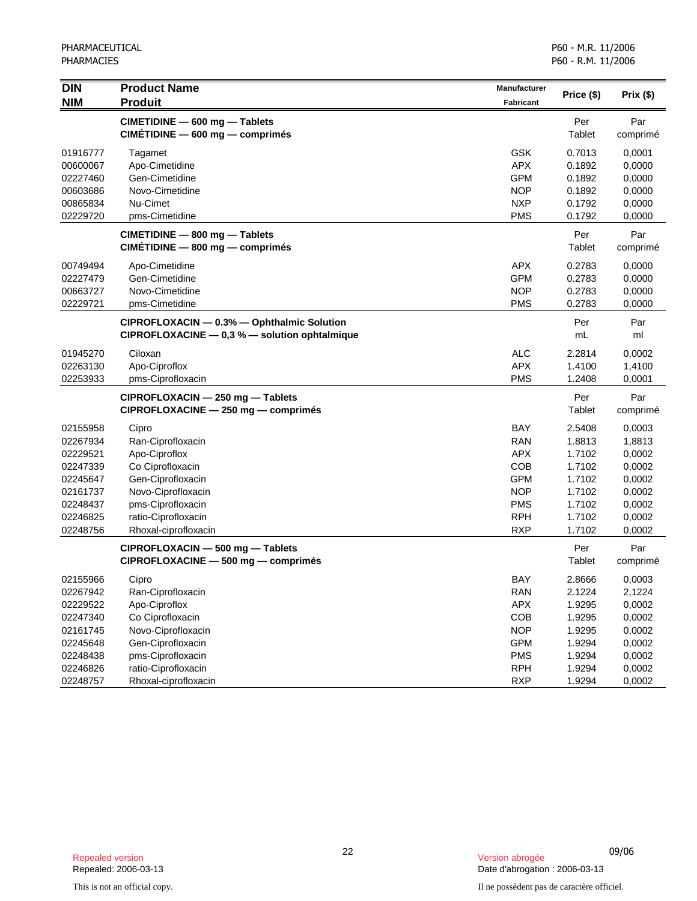| <b>DIN</b><br><b>NIM</b> | <b>Product Name</b><br><b>Produit</b>                                                         | Manufacturer<br>Fabricant | Price (\$)    | Prix (\$)       |
|--------------------------|-----------------------------------------------------------------------------------------------|---------------------------|---------------|-----------------|
|                          | CIMETIDINE - 600 mg - Tablets<br>CIMETIDINE - 600 mg - comprimés                              |                           | Per<br>Tablet | Par<br>comprimé |
| 01916777                 | Tagamet                                                                                       | <b>GSK</b>                | 0.7013        | 0,0001          |
| 00600067                 | Apo-Cimetidine                                                                                | <b>APX</b>                | 0.1892        | 0,0000          |
| 02227460                 | Gen-Cimetidine                                                                                | <b>GPM</b>                | 0.1892        | 0,0000          |
| 00603686                 | Novo-Cimetidine                                                                               | <b>NOP</b>                | 0.1892        | 0,0000          |
| 00865834                 | Nu-Cimet                                                                                      | <b>NXP</b>                | 0.1792        | 0,0000          |
| 02229720                 | pms-Cimetidine                                                                                | <b>PMS</b>                | 0.1792        | 0,0000          |
|                          | CIMETIDINE - 800 mg - Tablets<br>CIMETIDINE - 800 mg - comprimés                              |                           | Per<br>Tablet | Par<br>comprimé |
| 00749494                 | Apo-Cimetidine                                                                                | <b>APX</b>                | 0.2783        | 0,0000          |
| 02227479                 | Gen-Cimetidine                                                                                | <b>GPM</b>                | 0.2783        | 0,0000          |
| 00663727                 | Novo-Cimetidine                                                                               | <b>NOP</b>                | 0.2783        | 0,0000          |
| 02229721                 | pms-Cimetidine                                                                                | <b>PMS</b>                | 0.2783        | 0,0000          |
|                          | CIPROFLOXACIN - 0.3% - Ophthalmic Solution<br>$CIPROFLOXACINE - 0.3 % - solution ophtalmique$ |                           | Per<br>mL     | Par<br>ml       |
| 01945270                 | Ciloxan                                                                                       | <b>ALC</b>                | 2.2814        | 0,0002          |
| 02263130                 | Apo-Ciproflox                                                                                 | <b>APX</b>                | 1.4100        | 1,4100          |
| 02253933                 | pms-Ciprofloxacin                                                                             | <b>PMS</b>                | 1.2408        | 0,0001          |
|                          | CIPROFLOXACIN - 250 mg - Tablets<br>CIPROFLOXACINE - 250 mg - comprimés                       |                           | Per<br>Tablet | Par<br>comprimé |
| 02155958                 | Cipro                                                                                         | <b>BAY</b>                | 2.5408        | 0,0003          |
| 02267934                 | Ran-Ciprofloxacin                                                                             | <b>RAN</b>                | 1.8813        | 1,8813          |
| 02229521                 | Apo-Ciproflox                                                                                 | <b>APX</b>                | 1.7102        | 0,0002          |
| 02247339                 | Co Ciprofloxacin                                                                              | COB                       | 1.7102        | 0,0002          |
| 02245647                 | Gen-Ciprofloxacin                                                                             | <b>GPM</b>                | 1.7102        | 0,0002          |
| 02161737                 | Novo-Ciprofloxacin                                                                            | <b>NOP</b>                | 1.7102        | 0,0002          |
| 02248437                 | pms-Ciprofloxacin                                                                             | <b>PMS</b>                | 1.7102        | 0,0002          |
| 02246825                 | ratio-Ciprofloxacin                                                                           | <b>RPH</b>                | 1.7102        | 0,0002          |
| 02248756                 | Rhoxal-ciprofloxacin                                                                          | <b>RXP</b>                | 1.7102        | 0,0002          |
|                          | CIPROFLOXACIN - 500 mg - Tablets<br>CIPROFLOXACINE - 500 mg - comprimés                       |                           | Per<br>Tablet | Par<br>comprimé |
| 02155966                 | Cipro                                                                                         | <b>BAY</b>                | 2.8666        | 0,0003          |
| 02267942                 | Ran-Ciprofloxacin                                                                             | <b>RAN</b>                | 2.1224        | 2,1224          |
| 02229522                 | Apo-Ciproflox                                                                                 | <b>APX</b>                | 1.9295        | 0,0002          |
| 02247340                 | Co Ciprofloxacin                                                                              | COB                       | 1.9295        | 0,0002          |
| 02161745                 | Novo-Ciprofloxacin                                                                            | <b>NOP</b>                | 1.9295        | 0,0002          |
| 02245648                 | Gen-Ciprofloxacin                                                                             | <b>GPM</b>                | 1.9294        | 0,0002          |
| 02248438                 | pms-Ciprofloxacin                                                                             | <b>PMS</b>                | 1.9294        | 0,0002          |
| 02246826                 | ratio-Ciprofloxacin                                                                           | <b>RPH</b>                | 1.9294        | 0,0002          |
| 02248757                 | Rhoxal-ciprofloxacin                                                                          | <b>RXP</b>                | 1.9294        | 0,0002          |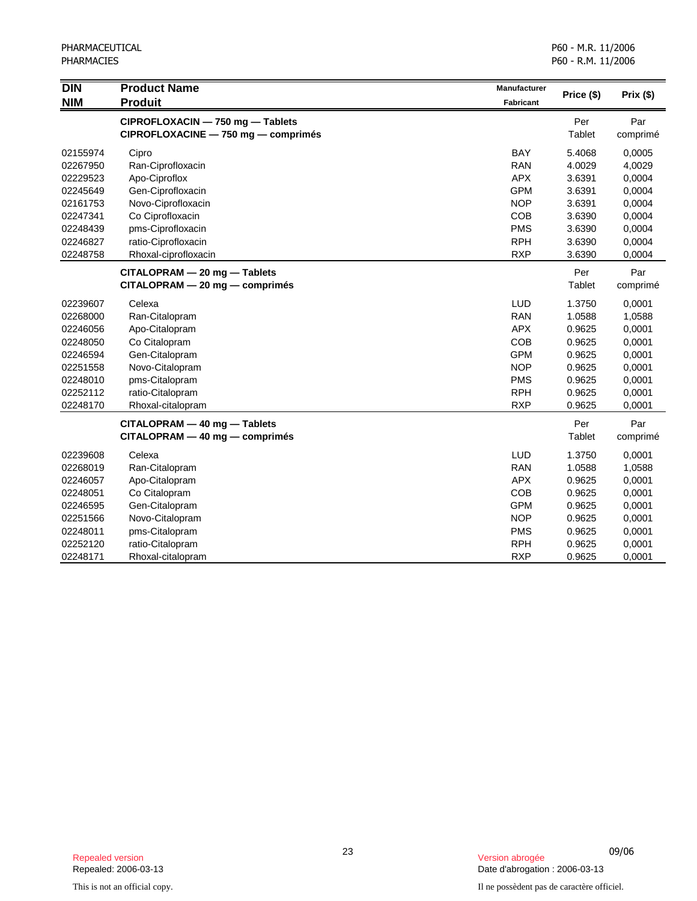| <b>DIN</b><br><b>NIM</b> | <b>Product Name</b><br><b>Produit</b> | Manufacturer<br><b>Fabricant</b> | Price (\$) | Prix (\$) |
|--------------------------|---------------------------------------|----------------------------------|------------|-----------|
|                          | CIPROFLOXACIN - 750 mg - Tablets      |                                  | Per        | Par       |
|                          | CIPROFLOXACINE - 750 mg - comprimés   |                                  | Tablet     | comprimé  |
| 02155974                 | Cipro                                 | <b>BAY</b>                       | 5.4068     | 0,0005    |
| 02267950                 | Ran-Ciprofloxacin                     | <b>RAN</b>                       | 4.0029     | 4,0029    |
| 02229523                 | Apo-Ciproflox                         | <b>APX</b>                       | 3.6391     | 0,0004    |
| 02245649                 | Gen-Ciprofloxacin                     | <b>GPM</b>                       | 3.6391     | 0,0004    |
| 02161753                 | Novo-Ciprofloxacin                    | <b>NOP</b>                       | 3.6391     | 0,0004    |
| 02247341                 | Co Ciprofloxacin                      | <b>COB</b>                       | 3.6390     | 0,0004    |
| 02248439                 | pms-Ciprofloxacin                     | <b>PMS</b>                       | 3.6390     | 0,0004    |
| 02246827                 | ratio-Ciprofloxacin                   | <b>RPH</b>                       | 3.6390     | 0,0004    |
| 02248758                 | Rhoxal-ciprofloxacin                  | <b>RXP</b>                       | 3.6390     | 0,0004    |
|                          | CITALOPRAM - 20 mg - Tablets          |                                  | Per        | Par       |
|                          | $CITALOPRAM - 20 mg - comprimés$      |                                  | Tablet     | comprimé  |
| 02239607                 | Celexa                                | LUD                              | 1.3750     | 0,0001    |
| 02268000                 | Ran-Citalopram                        | <b>RAN</b>                       | 1.0588     | 1,0588    |
| 02246056                 | Apo-Citalopram                        | <b>APX</b>                       | 0.9625     | 0,0001    |
| 02248050                 | Co Citalopram                         | COB                              | 0.9625     | 0,0001    |
| 02246594                 | Gen-Citalopram                        | <b>GPM</b>                       | 0.9625     | 0,0001    |
| 02251558                 | Novo-Citalopram                       | <b>NOP</b>                       | 0.9625     | 0,0001    |
| 02248010                 | pms-Citalopram                        | <b>PMS</b>                       | 0.9625     | 0,0001    |
| 02252112                 | ratio-Citalopram                      | <b>RPH</b>                       | 0.9625     | 0,0001    |
| 02248170                 | Rhoxal-citalopram                     | <b>RXP</b>                       | 0.9625     | 0,0001    |
|                          | CITALOPRAM - 40 mg - Tablets          |                                  | Per        | Par       |
|                          | $CITALOPRAM - 40 mg - comprimés$      |                                  | Tablet     | comprimé  |
| 02239608                 | Celexa                                | LUD                              | 1.3750     | 0,0001    |
| 02268019                 | Ran-Citalopram                        | <b>RAN</b>                       | 1.0588     | 1,0588    |
| 02246057                 | Apo-Citalopram                        | <b>APX</b>                       | 0.9625     | 0,0001    |
| 02248051                 | Co Citalopram                         | COB                              | 0.9625     | 0,0001    |
| 02246595                 | Gen-Citalopram                        | <b>GPM</b>                       | 0.9625     | 0,0001    |
| 02251566                 | Novo-Citalopram                       | <b>NOP</b>                       | 0.9625     | 0,0001    |
| 02248011                 | pms-Citalopram                        | <b>PMS</b>                       | 0.9625     | 0,0001    |
| 02252120                 | ratio-Citalopram                      | <b>RPH</b>                       | 0.9625     | 0,0001    |
| 02248171                 | Rhoxal-citalopram                     | <b>RXP</b>                       | 0.9625     | 0,0001    |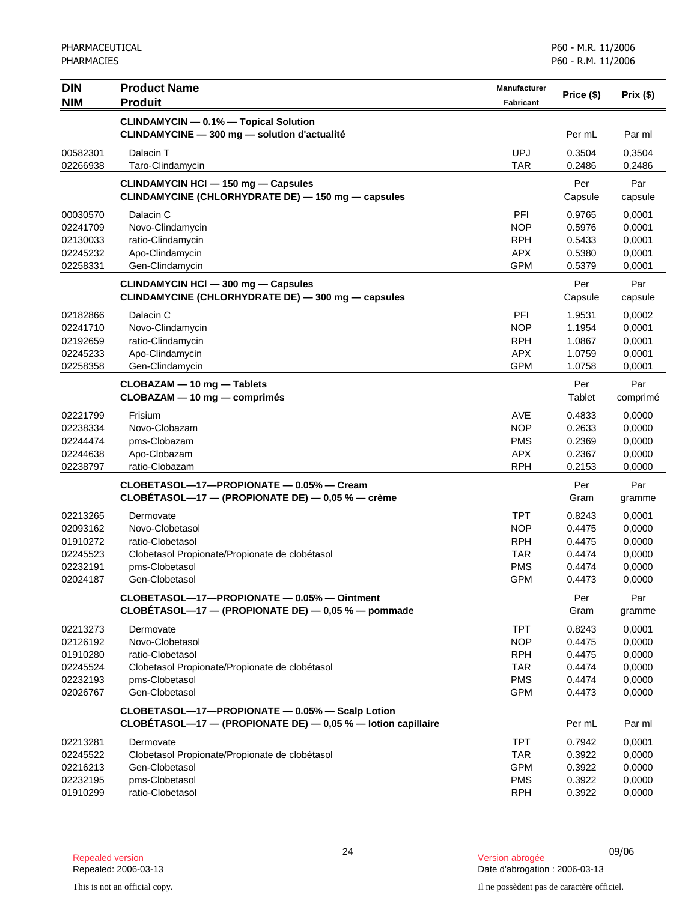| DIN                  | <b>Product Name</b>                                                                                             | <b>Manufacturer</b>      |                  |                  |
|----------------------|-----------------------------------------------------------------------------------------------------------------|--------------------------|------------------|------------------|
| <b>NIM</b>           | <b>Produit</b>                                                                                                  | <b>Fabricant</b>         | Price (\$)       | Prix(\$)         |
|                      | <b>CLINDAMYCIN - 0.1% - Topical Solution</b>                                                                    |                          |                  |                  |
|                      | CLINDAMYCINE - 300 mg - solution d'actualité                                                                    |                          | Per mL           | Par ml           |
| 00582301             | Dalacin T                                                                                                       | <b>UPJ</b>               | 0.3504           | 0,3504           |
| 02266938             | Taro-Clindamycin                                                                                                | <b>TAR</b>               | 0.2486           | 0,2486           |
|                      | <b>CLINDAMYCIN HCI - 150 mg - Capsules</b>                                                                      |                          | Per              | Par              |
|                      | CLINDAMYCINE (CHLORHYDRATE DE) - 150 mg - capsules                                                              |                          | Capsule          | capsule          |
| 00030570             | Dalacin C                                                                                                       | <b>PFI</b>               | 0.9765           | 0,0001           |
| 02241709             | Novo-Clindamycin                                                                                                | <b>NOP</b>               | 0.5976           | 0,0001           |
| 02130033             | ratio-Clindamycin                                                                                               | <b>RPH</b>               | 0.5433           | 0,0001           |
| 02245232             | Apo-Clindamycin                                                                                                 | <b>APX</b>               | 0.5380           | 0,0001           |
| 02258331             | Gen-Clindamycin                                                                                                 | <b>GPM</b>               | 0.5379           | 0,0001           |
|                      | <b>CLINDAMYCIN HCI - 300 mg - Capsules</b>                                                                      |                          | Per              | Par              |
|                      | CLINDAMYCINE (CHLORHYDRATE DE) - 300 mg - capsules                                                              |                          | Capsule          | capsule          |
| 02182866             | Dalacin C                                                                                                       | PFI                      | 1.9531           | 0,0002           |
| 02241710             | Novo-Clindamycin                                                                                                | <b>NOP</b>               | 1.1954           | 0,0001           |
| 02192659             | ratio-Clindamycin                                                                                               | <b>RPH</b>               | 1.0867           | 0,0001           |
| 02245233<br>02258358 | Apo-Clindamycin                                                                                                 | <b>APX</b><br><b>GPM</b> | 1.0759<br>1.0758 | 0,0001<br>0,0001 |
|                      | Gen-Clindamycin                                                                                                 |                          |                  |                  |
|                      | CLOBAZAM - 10 mg - Tablets                                                                                      |                          | Per              | Par              |
|                      | CLOBAZAM - 10 mg - comprimés                                                                                    |                          | Tablet           | comprimé         |
| 02221799             | Frisium                                                                                                         | AVE                      | 0.4833           | 0,0000           |
| 02238334             | Novo-Clobazam                                                                                                   | <b>NOP</b>               | 0.2633           | 0,0000           |
| 02244474             | pms-Clobazam                                                                                                    | <b>PMS</b>               | 0.2369           | 0,0000           |
| 02244638             | Apo-Clobazam                                                                                                    | <b>APX</b>               | 0.2367           | 0,0000           |
| 02238797             | ratio-Clobazam                                                                                                  | <b>RPH</b>               | 0.2153           | 0,0000           |
|                      | CLOBETASOL-17-PROPIONATE - 0.05% - Cream                                                                        |                          | Per              | Par              |
|                      | CLOBETASOL—17 — (PROPIONATE DE) — $0.05$ % — crème                                                              |                          | Gram             | gramme           |
| 02213265             | Dermovate                                                                                                       | TPT                      | 0.8243           | 0,0001           |
| 02093162             | Novo-Clobetasol                                                                                                 | <b>NOP</b>               | 0.4475           | 0,0000           |
| 01910272             | ratio-Clobetasol                                                                                                | <b>RPH</b>               | 0.4475           | 0,0000           |
| 02245523             | Clobetasol Propionate/Propionate de clobétasol                                                                  | <b>TAR</b><br><b>PMS</b> | 0.4474           | 0,0000           |
| 02232191<br>02024187 | pms-Clobetasol<br>Gen-Clobetasol                                                                                | <b>GPM</b>               | 0.4474<br>0.4473 | 0,0000<br>0,0000 |
|                      |                                                                                                                 |                          |                  |                  |
|                      | CLOBETASOL-17-PROPIONATE - 0.05% - Ointment<br>CLOBÉTASOL-17 - (PROPIONATE DE) - 0,05 % - pommade               |                          | Per<br>Gram      | Par<br>gramme    |
| 02213273             | Dermovate                                                                                                       | <b>TPT</b>               | 0.8243           | 0,0001           |
| 02126192             | Novo-Clobetasol                                                                                                 | <b>NOP</b>               | 0.4475           | 0,0000           |
| 01910280             | ratio-Clobetasol                                                                                                | <b>RPH</b>               | 0.4475           | 0,0000           |
| 02245524             | Clobetasol Propionate/Propionate de clobétasol                                                                  | <b>TAR</b>               | 0.4474           | 0,0000           |
| 02232193             | pms-Clobetasol                                                                                                  | <b>PMS</b>               | 0.4474           | 0,0000           |
| 02026767             | Gen-Clobetasol                                                                                                  | <b>GPM</b>               | 0.4473           | 0,0000           |
|                      | CLOBETASOL-17-PROPIONATE - 0.05% - Scalp Lotion<br>CLOBETASOL-17 - (PROPIONATE DE) - 0,05 % - lotion capillaire |                          | Per mL           | Par ml           |
|                      |                                                                                                                 |                          |                  |                  |
| 02213281             | Dermovate                                                                                                       | <b>TPT</b>               | 0.7942           | 0,0001           |
| 02245522             | Clobetasol Propionate/Propionate de clobétasol                                                                  | <b>TAR</b>               | 0.3922           | 0,0000           |
| 02216213<br>02232195 | Gen-Clobetasol<br>pms-Clobetasol                                                                                | <b>GPM</b><br><b>PMS</b> | 0.3922<br>0.3922 | 0,0000<br>0,0000 |
| 01910299             | ratio-Clobetasol                                                                                                | <b>RPH</b>               | 0.3922           | 0,0000           |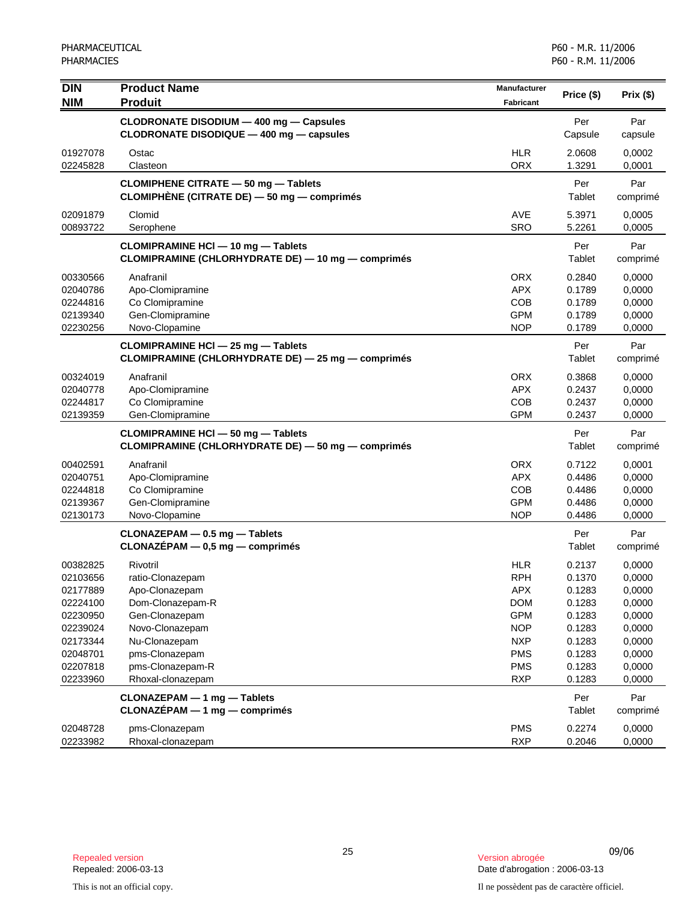| <b>DIN</b> | <b>Product Name</b>                                | Manufacturer             | Price (\$) | Prix(\$) |
|------------|----------------------------------------------------|--------------------------|------------|----------|
| <b>NIM</b> | <b>Produit</b>                                     | <b>Fabricant</b>         |            |          |
|            | CLODRONATE DISODIUM - 400 mg - Capsules            |                          | Per        | Par      |
|            | CLODRONATE DISODIQUE - 400 mg - capsules           |                          | Capsule    | capsule  |
| 01927078   | Ostac                                              | <b>HLR</b>               | 2.0608     | 0,0002   |
| 02245828   | Clasteon                                           | <b>ORX</b>               | 1.3291     | 0,0001   |
|            | <b>CLOMIPHENE CITRATE - 50 mg - Tablets</b>        |                          | Per        | Par      |
|            | CLOMIPHÈNE (CITRATE DE) - 50 mg - comprimés        |                          | Tablet     | comprimé |
| 02091879   | Clomid                                             | <b>AVE</b>               | 5.3971     | 0,0005   |
| 00893722   | Serophene                                          | <b>SRO</b>               | 5.2261     | 0,0005   |
|            | <b>CLOMIPRAMINE HCI - 10 mg - Tablets</b>          |                          | Per        | Par      |
|            | CLOMIPRAMINE (CHLORHYDRATE DE) - 10 mg - comprimés |                          | Tablet     | comprimé |
| 00330566   | Anafranil                                          | <b>ORX</b>               | 0.2840     | 0,0000   |
| 02040786   | Apo-Clomipramine                                   | <b>APX</b>               | 0.1789     | 0,0000   |
| 02244816   | Co Clomipramine                                    | COB                      | 0.1789     | 0,0000   |
| 02139340   | Gen-Clomipramine                                   | <b>GPM</b>               | 0.1789     | 0,0000   |
| 02230256   | Novo-Clopamine                                     | <b>NOP</b>               | 0.1789     | 0,0000   |
|            | CLOMIPRAMINE HCI - 25 mg - Tablets                 |                          | Per        | Par      |
|            | CLOMIPRAMINE (CHLORHYDRATE DE) - 25 mg - comprimés |                          | Tablet     | comprimé |
| 00324019   | Anafranil                                          | <b>ORX</b>               | 0.3868     | 0,0000   |
| 02040778   | Apo-Clomipramine                                   | <b>APX</b>               | 0.2437     | 0,0000   |
| 02244817   | Co Clomipramine                                    | COB                      | 0.2437     | 0,0000   |
| 02139359   | Gen-Clomipramine                                   | <b>GPM</b>               | 0.2437     | 0,0000   |
|            | CLOMIPRAMINE HCI - 50 mg - Tablets                 |                          | Per        | Par      |
|            | CLOMIPRAMINE (CHLORHYDRATE DE) — 50 mg — comprimés |                          | Tablet     | comprimé |
| 00402591   | Anafranil                                          | <b>ORX</b>               | 0.7122     | 0,0001   |
| 02040751   | Apo-Clomipramine                                   | <b>APX</b>               | 0.4486     | 0,0000   |
| 02244818   | Co Clomipramine                                    | <b>COB</b>               | 0.4486     | 0,0000   |
| 02139367   | Gen-Clomipramine                                   | <b>GPM</b>               | 0.4486     | 0,0000   |
| 02130173   | Novo-Clopamine                                     | <b>NOP</b>               | 0.4486     | 0,0000   |
|            | CLONAZEPAM - 0.5 mg - Tablets                      |                          | Per        | Par      |
|            | $CLONAZÉPAM - 0,5 mg - comprimés$                  |                          | Tablet     | comprimé |
| 00382825   | Rivotril                                           | <b>HLR</b>               | 0.2137     | 0,0000   |
| 02103656   | ratio-Clonazepam                                   | <b>RPH</b>               | 0.1370     | 0,0000   |
| 02177889   | Apo-Clonazepam                                     | APX                      | 0.1283     | 0,0000   |
| 02224100   | Dom-Clonazepam-R                                   | <b>DOM</b>               | 0.1283     | 0,0000   |
| 02230950   | Gen-Clonazepam                                     | <b>GPM</b>               | 0.1283     | 0,0000   |
| 02239024   | Novo-Clonazepam                                    | <b>NOP</b>               | 0.1283     | 0,0000   |
| 02173344   | Nu-Clonazepam                                      | <b>NXP</b>               | 0.1283     | 0,0000   |
| 02048701   | pms-Clonazepam                                     | <b>PMS</b>               | 0.1283     | 0,0000   |
| 02207818   | pms-Clonazepam-R                                   | <b>PMS</b><br><b>RXP</b> | 0.1283     | 0,0000   |
| 02233960   | Rhoxal-clonazepam                                  |                          | 0.1283     | 0,0000   |
|            | CLONAZEPAM - 1 mg - Tablets                        |                          | Per        | Par      |
|            | $CLONAZÉPAM - 1 mg - comprimés$                    |                          | Tablet     | comprimé |
| 02048728   | pms-Clonazepam                                     | <b>PMS</b>               | 0.2274     | 0,0000   |
| 02233982   | Rhoxal-clonazepam                                  | <b>RXP</b>               | 0.2046     | 0,0000   |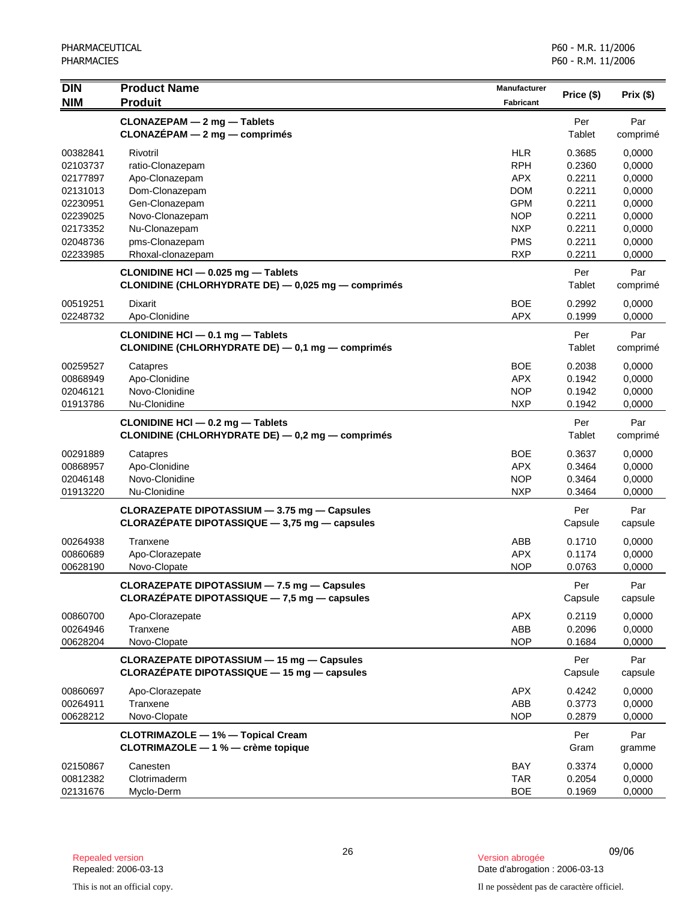| <b>DIN</b><br><b>NIM</b>                                                                     | <b>Product Name</b><br><b>Produit</b>                                                                                                    | <b>Manufacturer</b><br><b>Fabricant</b>                                                                      | Price (\$)                                                                   | Prix (\$)                                                                    |
|----------------------------------------------------------------------------------------------|------------------------------------------------------------------------------------------------------------------------------------------|--------------------------------------------------------------------------------------------------------------|------------------------------------------------------------------------------|------------------------------------------------------------------------------|
|                                                                                              | CLONAZEPAM - 2 mg - Tablets<br>$CLONAZÉPAM - 2 mg - comprimés$                                                                           |                                                                                                              | Per<br>Tablet                                                                | Par<br>comprimé                                                              |
| 00382841<br>02103737<br>02177897<br>02131013<br>02230951<br>02239025<br>02173352<br>02048736 | Rivotril<br>ratio-Clonazepam<br>Apo-Clonazepam<br>Dom-Clonazepam<br>Gen-Clonazepam<br>Novo-Clonazepam<br>Nu-Clonazepam<br>pms-Clonazepam | <b>HLR</b><br><b>RPH</b><br><b>APX</b><br><b>DOM</b><br><b>GPM</b><br><b>NOP</b><br><b>NXP</b><br><b>PMS</b> | 0.3685<br>0.2360<br>0.2211<br>0.2211<br>0.2211<br>0.2211<br>0.2211<br>0.2211 | 0,0000<br>0,0000<br>0,0000<br>0,0000<br>0,0000<br>0,0000<br>0,0000<br>0,0000 |
| 02233985                                                                                     | Rhoxal-clonazepam<br>CLONIDINE HCI - 0.025 mg - Tablets<br>CLONIDINE (CHLORHYDRATE DE) - 0,025 mg - comprimés                            | <b>RXP</b>                                                                                                   | 0.2211<br>Per<br>Tablet                                                      | 0,0000<br>Par<br>comprimé                                                    |
| 00519251<br>02248732                                                                         | Dixarit<br>Apo-Clonidine                                                                                                                 | <b>BOE</b><br><b>APX</b>                                                                                     | 0.2992<br>0.1999                                                             | 0,0000<br>0,0000                                                             |
|                                                                                              | CLONIDINE HCI - 0.1 mg - Tablets<br>CLONIDINE (CHLORHYDRATE DE) - 0,1 mg - comprimés                                                     |                                                                                                              | Per<br>Tablet                                                                | Par<br>comprimé                                                              |
| 00259527<br>00868949<br>02046121<br>01913786                                                 | Catapres<br>Apo-Clonidine<br>Novo-Clonidine<br>Nu-Clonidine                                                                              | <b>BOE</b><br><b>APX</b><br><b>NOP</b><br><b>NXP</b>                                                         | 0.2038<br>0.1942<br>0.1942<br>0.1942                                         | 0,0000<br>0,0000<br>0,0000<br>0,0000                                         |
|                                                                                              | CLONIDINE HCI - 0.2 mg - Tablets<br>CLONIDINE (CHLORHYDRATE DE) - 0,2 mg - comprimés                                                     |                                                                                                              | Per<br>Tablet                                                                | Par<br>comprimé                                                              |
| 00291889<br>00868957<br>02046148<br>01913220                                                 | Catapres<br>Apo-Clonidine<br>Novo-Clonidine<br>Nu-Clonidine                                                                              | <b>BOE</b><br><b>APX</b><br><b>NOP</b><br><b>NXP</b>                                                         | 0.3637<br>0.3464<br>0.3464<br>0.3464                                         | 0,0000<br>0,0000<br>0,0000<br>0,0000                                         |
|                                                                                              | CLORAZEPATE DIPOTASSIUM - 3.75 mg - Capsules<br>CLORAZEPATE DIPOTASSIQUE $-$ 3,75 mg $-$ capsules                                        |                                                                                                              | Per<br>Capsule                                                               | Par<br>capsule                                                               |
| 00264938<br>00860689<br>00628190                                                             | Tranxene<br>Apo-Clorazepate<br>Novo-Clopate                                                                                              | ABB<br><b>APX</b><br><b>NOP</b>                                                                              | 0.1710<br>0.1174<br>0.0763                                                   | 0,0000<br>0,0000<br>0,0000                                                   |
|                                                                                              | CLORAZEPATE DIPOTASSIUM - 7.5 mg - Capsules<br>CLORAZÉPATE DIPOTASSIQUE $-7.5$ mg $-$ capsules                                           |                                                                                                              | Per<br>Capsule                                                               | Par<br>capsule                                                               |
| 00860700<br>00264946<br>00628204                                                             | Apo-Clorazepate<br>Tranxene<br>Novo-Clopate                                                                                              | <b>APX</b><br>ABB<br><b>NOP</b>                                                                              | 0.2119<br>0.2096<br>0.1684                                                   | 0,0000<br>0,0000<br>0,0000                                                   |
|                                                                                              | CLORAZEPATE DIPOTASSIUM - 15 mg - Capsules<br>CLORAZEPATE DIPOTASSIQUE - 15 mg - capsules                                                |                                                                                                              | Per<br>Capsule                                                               | Par<br>capsule                                                               |
| 00860697<br>00264911<br>00628212                                                             | Apo-Clorazepate<br>Tranxene<br>Novo-Clopate                                                                                              | <b>APX</b><br>ABB<br><b>NOP</b>                                                                              | 0.4242<br>0.3773<br>0.2879                                                   | 0,0000<br>0,0000<br>0,0000                                                   |
|                                                                                              | <b>CLOTRIMAZOLE - 1% - Topical Cream</b><br>CLOTRIMAZOLE - 1 % - crème topique                                                           |                                                                                                              | Per<br>Gram                                                                  | Par<br>gramme                                                                |
| 02150867<br>00812382<br>02131676                                                             | Canesten<br>Clotrimaderm<br>Myclo-Derm                                                                                                   | BAY<br><b>TAR</b><br><b>BOE</b>                                                                              | 0.3374<br>0.2054<br>0.1969                                                   | 0,0000<br>0,0000<br>0,0000                                                   |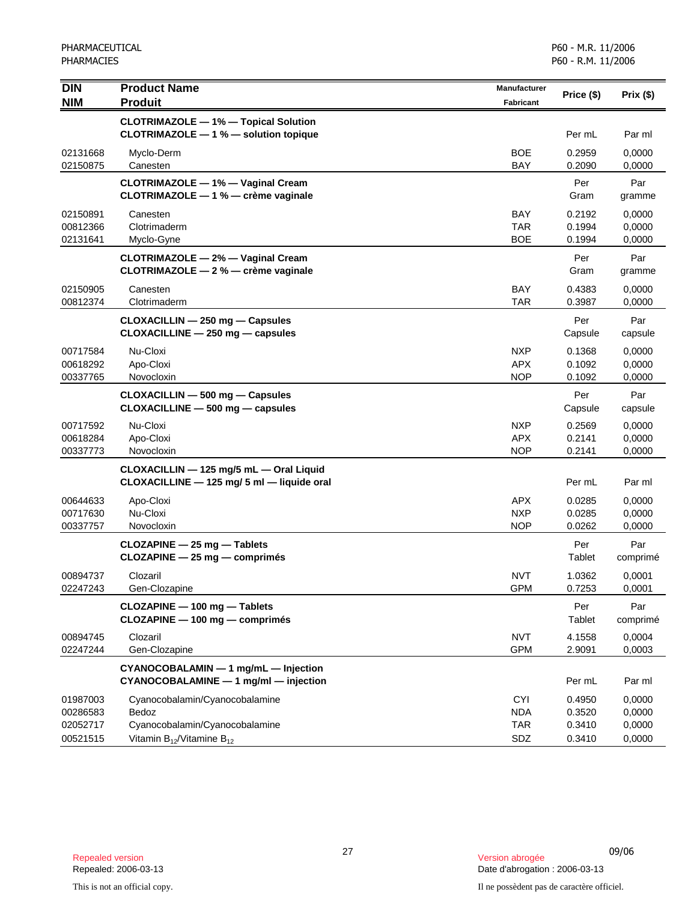| <b>DIN</b>                                   | <b>Product Name</b>                                                                                              | <b>Manufacturer</b>                           | Price (\$)                           | Prix(\$)                             |
|----------------------------------------------|------------------------------------------------------------------------------------------------------------------|-----------------------------------------------|--------------------------------------|--------------------------------------|
| <b>NIM</b>                                   | <b>Produit</b>                                                                                                   | <b>Fabricant</b>                              |                                      |                                      |
|                                              | <b>CLOTRIMAZOLE - 1% - Topical Solution</b><br>CLOTRIMAZOLE - 1 % - solution topique                             |                                               | Per mL                               | Par ml                               |
| 02131668<br>02150875                         | Myclo-Derm<br>Canesten                                                                                           | <b>BOE</b><br><b>BAY</b>                      | 0.2959<br>0.2090                     | 0,0000<br>0,0000                     |
|                                              | CLOTRIMAZOLE - 1% - Vaginal Cream<br>CLOTRIMAZOLE - 1 % - crème vaginale                                         |                                               | Per<br>Gram                          | Par<br>gramme                        |
| 02150891<br>00812366<br>02131641             | Canesten<br>Clotrimaderm<br>Myclo-Gyne                                                                           | <b>BAY</b><br><b>TAR</b><br><b>BOE</b>        | 0.2192<br>0.1994<br>0.1994           | 0,0000<br>0,0000<br>0,0000           |
|                                              | CLOTRIMAZOLE - 2% - Vaginal Cream<br>CLOTRIMAZOLE - 2 % - crème vaginale                                         |                                               | Per<br>Gram                          | Par<br>gramme                        |
| 02150905<br>00812374                         | Canesten<br>Clotrimaderm                                                                                         | <b>BAY</b><br><b>TAR</b>                      | 0.4383<br>0.3987                     | 0,0000<br>0,0000                     |
|                                              | CLOXACILLIN - 250 mg - Capsules<br>$CLOXACILLINE - 250 mg - capsules$                                            |                                               | Per<br>Capsule                       | Par<br>capsule                       |
| 00717584<br>00618292<br>00337765             | Nu-Cloxi<br>Apo-Cloxi<br>Novocloxin                                                                              | <b>NXP</b><br><b>APX</b><br><b>NOP</b>        | 0.1368<br>0.1092<br>0.1092           | 0,0000<br>0,0000<br>0,0000           |
|                                              | CLOXACILLIN - 500 mg - Capsules<br>$CLOXACILLINE - 500 mg - capsules$                                            |                                               | Per<br>Capsule                       | Par<br>capsule                       |
| 00717592<br>00618284<br>00337773             | Nu-Cloxi<br>Apo-Cloxi<br>Novocloxin                                                                              | <b>NXP</b><br><b>APX</b><br><b>NOP</b>        | 0.2569<br>0.2141<br>0.2141           | 0,0000<br>0,0000<br>0,0000           |
|                                              | CLOXACILLIN - 125 mg/5 mL - Oral Liquid<br>CLOXACILLINE - 125 mg/ 5 ml - liquide oral                            |                                               | Per mL                               | Par ml                               |
| 00644633<br>00717630<br>00337757             | Apo-Cloxi<br>Nu-Cloxi<br>Novocloxin                                                                              | <b>APX</b><br><b>NXP</b><br><b>NOP</b>        | 0.0285<br>0.0285<br>0.0262           | 0,0000<br>0,0000<br>0,0000           |
|                                              | CLOZAPINE - 25 mg - Tablets<br>CLOZAPINE - 25 mg - comprimés                                                     |                                               | Per<br>Tablet                        | Par<br>comprimé                      |
| 00894737<br>02247243                         | Clozaril<br>Gen-Clozapine                                                                                        | <b>NVT</b><br><b>GPM</b>                      | 1.0362<br>0.7253                     | 0,0001<br>0,0001                     |
|                                              | CLOZAPINE - 100 mg - Tablets<br>CLOZAPINE - 100 mg - comprimés                                                   |                                               | Per<br>Tablet                        | Par<br>comprimé                      |
| 00894745<br>02247244                         | Clozaril<br>Gen-Clozapine                                                                                        | <b>NVT</b><br><b>GPM</b>                      | 4.1558<br>2.9091                     | 0,0004<br>0,0003                     |
|                                              | CYANOCOBALAMIN - 1 mg/mL - Injection<br>CYANOCOBALAMINE - 1 mg/ml - injection                                    |                                               | Per mL                               | Par ml                               |
| 01987003<br>00286583<br>02052717<br>00521515 | Cyanocobalamin/Cyanocobalamine<br>Bedoz<br>Cyanocobalamin/Cyanocobalamine<br>Vitamin $B_{12}$ /Vitamine $B_{12}$ | <b>CYI</b><br><b>NDA</b><br><b>TAR</b><br>SDZ | 0.4950<br>0.3520<br>0.3410<br>0.3410 | 0.0000<br>0,0000<br>0,0000<br>0,0000 |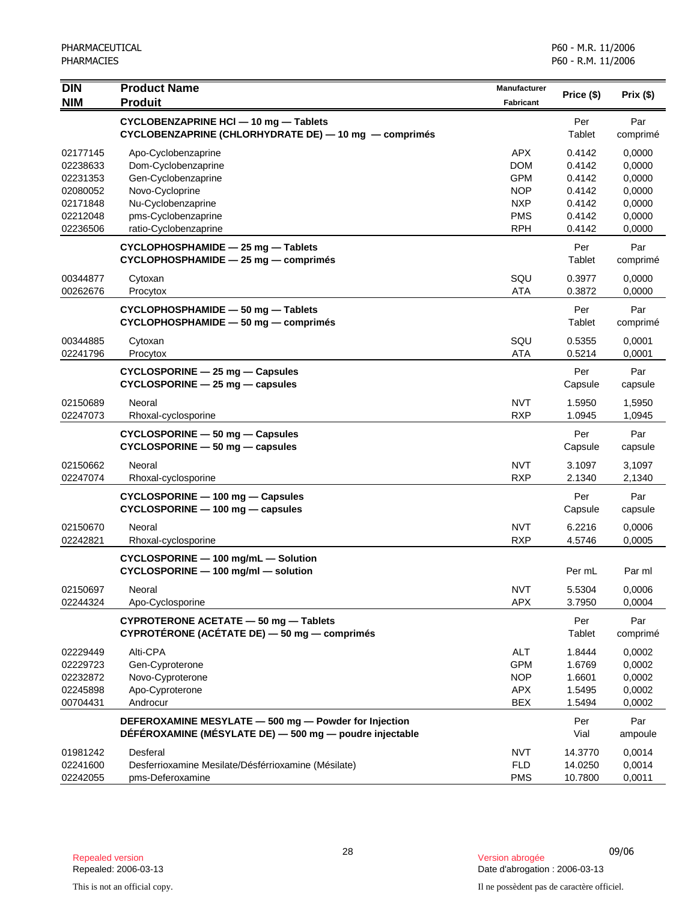| <b>DIN</b><br><b>NIM</b> | <b>Product Name</b><br><b>Produit</b>                                                                            | <b>Manufacturer</b><br><b>Fabricant</b> | Price (\$)       | Prix(\$)         |
|--------------------------|------------------------------------------------------------------------------------------------------------------|-----------------------------------------|------------------|------------------|
|                          | CYCLOBENZAPRINE HCI - 10 mg - Tablets<br>CYCLOBENZAPRINE (CHLORHYDRATE DE) - 10 mg - comprimés                   |                                         | Per<br>Tablet    | Par<br>comprimé  |
| 02177145<br>02238633     | Apo-Cyclobenzaprine<br>Dom-Cyclobenzaprine                                                                       | <b>APX</b><br><b>DOM</b>                | 0.4142<br>0.4142 | 0,0000<br>0,0000 |
| 02231353                 | Gen-Cyclobenzaprine                                                                                              | <b>GPM</b>                              | 0.4142           | 0,0000           |
| 02080052                 | Novo-Cycloprine                                                                                                  | <b>NOP</b>                              | 0.4142           | 0,0000           |
| 02171848                 | Nu-Cyclobenzaprine                                                                                               | <b>NXP</b>                              | 0.4142           | 0,0000           |
| 02212048                 | pms-Cyclobenzaprine                                                                                              | <b>PMS</b>                              | 0.4142           | 0,0000           |
| 02236506                 | ratio-Cyclobenzaprine                                                                                            | <b>RPH</b>                              | 0.4142           | 0,0000           |
|                          | CYCLOPHOSPHAMIDE - 25 mg - Tablets<br>CYCLOPHOSPHAMIDE - 25 mg - comprimés                                       |                                         | Per<br>Tablet    | Par<br>comprimé  |
| 00344877                 | Cytoxan                                                                                                          | SQU                                     | 0.3977           | 0,0000           |
| 00262676                 | Procytox                                                                                                         | <b>ATA</b>                              | 0.3872           | 0,0000           |
|                          | CYCLOPHOSPHAMIDE - 50 mg - Tablets<br>CYCLOPHOSPHAMIDE - 50 mg - comprimés                                       |                                         | Per<br>Tablet    | Par<br>comprimé  |
| 00344885<br>02241796     | Cytoxan<br>Procytox                                                                                              | SQU<br><b>ATA</b>                       | 0.5355<br>0.5214 | 0,0001<br>0,0001 |
|                          | $CYCLOSPORINE - 25 mg - Capsules$<br>CYCLOSPORINE - 25 mg - capsules                                             |                                         | Per<br>Capsule   | Par<br>capsule   |
| 02150689<br>02247073     | Neoral<br>Rhoxal-cyclosporine                                                                                    | <b>NVT</b><br><b>RXP</b>                | 1.5950<br>1.0945 | 1,5950<br>1,0945 |
|                          | CYCLOSPORINE - 50 mg - Capsules<br>$CYCLOSPORINE - 50 mg - capsules$                                             |                                         | Per<br>Capsule   | Par<br>capsule   |
| 02150662<br>02247074     | Neoral<br>Rhoxal-cyclosporine                                                                                    | <b>NVT</b><br><b>RXP</b>                | 3.1097<br>2.1340 | 3,1097<br>2,1340 |
|                          | CYCLOSPORINE - 100 mg - Capsules<br>CYCLOSPORINE - 100 mg - capsules                                             |                                         | Per<br>Capsule   | Par<br>capsule   |
| 02150670<br>02242821     | Neoral<br>Rhoxal-cyclosporine                                                                                    | <b>NVT</b><br><b>RXP</b>                | 6.2216<br>4.5746 | 0,0006<br>0,0005 |
|                          | CYCLOSPORINE - 100 mg/mL - Solution<br>CYCLOSPORINE - 100 mg/ml - solution                                       |                                         | Per mL           | Par ml           |
| 02150697<br>02244324     | Neoral<br>Apo-Cyclosporine                                                                                       | <b>NVT</b><br><b>APX</b>                | 5.5304<br>3.7950 | 0,0006<br>0,0004 |
|                          | CYPROTERONE ACETATE - 50 mg - Tablets<br>CYPROTÉRONE (ACÉTATE DE) - 50 mg - comprimés                            |                                         | Per<br>Tablet    | Par<br>comprimé  |
| 02229449                 | Alti-CPA                                                                                                         | <b>ALT</b>                              | 1.8444           | 0,0002           |
| 02229723                 | Gen-Cyproterone                                                                                                  | <b>GPM</b>                              | 1.6769           | 0,0002           |
| 02232872                 | Novo-Cyproterone                                                                                                 | <b>NOP</b>                              | 1.6601           | 0,0002           |
| 02245898                 | Apo-Cyproterone                                                                                                  | <b>APX</b>                              | 1.5495           | 0,0002           |
| 00704431                 | Androcur                                                                                                         | <b>BEX</b>                              | 1.5494           | 0,0002           |
|                          | DEFEROXAMINE MESYLATE - 500 mg - Powder for Injection<br>DÉFÉROXAMINE (MÉSYLATE DE) - 500 mg - poudre injectable |                                         | Per<br>Vial      | Par<br>ampoule   |
| 01981242                 | Desferal                                                                                                         | <b>NVT</b>                              | 14.3770          | 0,0014           |
| 02241600                 | Desferrioxamine Mesilate/Désférrioxamine (Mésilate)                                                              | <b>FLD</b>                              | 14.0250          | 0,0014           |
| 02242055                 | pms-Deferoxamine                                                                                                 | <b>PMS</b>                              | 10.7800          | 0,0011           |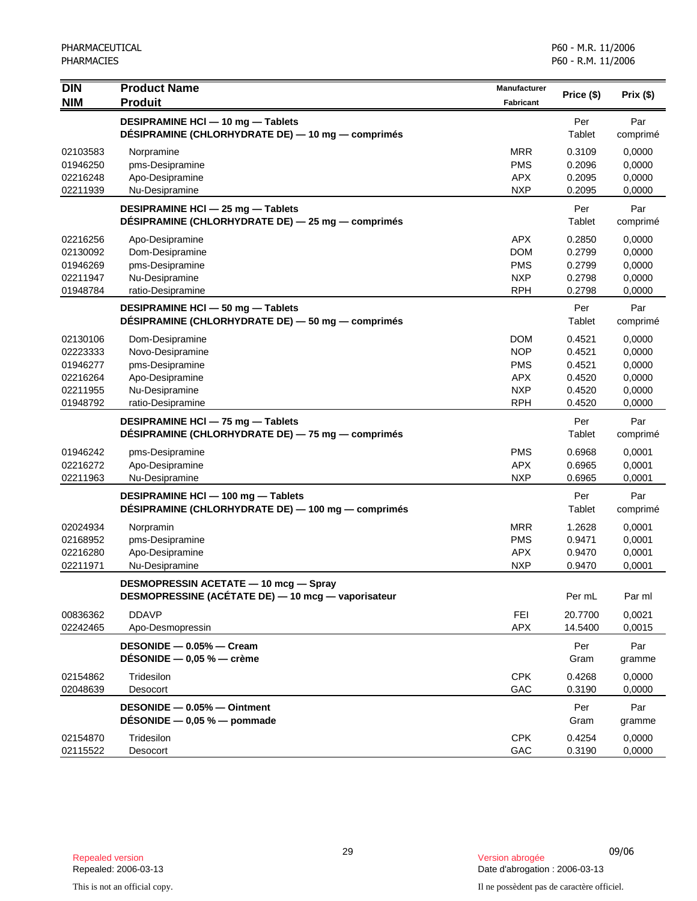| <b>DIN</b>                                                           | <b>Product Name</b>                                                                                              | Manufacturer                                                                     |                                                          |                                                          |
|----------------------------------------------------------------------|------------------------------------------------------------------------------------------------------------------|----------------------------------------------------------------------------------|----------------------------------------------------------|----------------------------------------------------------|
| <b>NIM</b>                                                           | <b>Produit</b>                                                                                                   | <b>Fabricant</b>                                                                 | Price (\$)                                               | Prix(\$)                                                 |
|                                                                      | DESIPRAMINE HCI - 10 mg - Tablets<br>DÉSIPRAMINE (CHLORHYDRATE DE) — 10 mg — comprimés                           |                                                                                  | Per<br>Tablet                                            | Par<br>comprimé                                          |
| 02103583<br>01946250<br>02216248<br>02211939                         | Norpramine<br>pms-Desipramine<br>Apo-Desipramine<br>Nu-Desipramine                                               | <b>MRR</b><br><b>PMS</b><br><b>APX</b><br><b>NXP</b>                             | 0.3109<br>0.2096<br>0.2095<br>0.2095                     | 0,0000<br>0,0000<br>0,0000<br>0,0000                     |
|                                                                      | DESIPRAMINE HCI - 25 mg - Tablets<br>DÉSIPRAMINE (CHLORHYDRATE DE) - 25 mg - comprimés                           |                                                                                  | Per<br>Tablet                                            | Par<br>comprimé                                          |
| 02216256<br>02130092<br>01946269<br>02211947<br>01948784             | Apo-Desipramine<br>Dom-Desipramine<br>pms-Desipramine<br>Nu-Desipramine<br>ratio-Desipramine                     | <b>APX</b><br><b>DOM</b><br><b>PMS</b><br><b>NXP</b><br><b>RPH</b>               | 0.2850<br>0.2799<br>0.2799<br>0.2798<br>0.2798           | 0,0000<br>0,0000<br>0,0000<br>0,0000<br>0,0000           |
|                                                                      | DESIPRAMINE HCI - 50 mg - Tablets<br>DÉSIPRAMINE (CHLORHYDRATE DE) — 50 mg — comprimés                           |                                                                                  | Per<br>Tablet                                            | Par<br>comprimé                                          |
| 02130106<br>02223333<br>01946277<br>02216264<br>02211955<br>01948792 | Dom-Desipramine<br>Novo-Desipramine<br>pms-Desipramine<br>Apo-Desipramine<br>Nu-Desipramine<br>ratio-Desipramine | <b>DOM</b><br><b>NOP</b><br><b>PMS</b><br><b>APX</b><br><b>NXP</b><br><b>RPH</b> | 0.4521<br>0.4521<br>0.4521<br>0.4520<br>0.4520<br>0.4520 | 0,0000<br>0,0000<br>0,0000<br>0,0000<br>0,0000<br>0,0000 |
|                                                                      | DESIPRAMINE HCI - 75 mg - Tablets<br>DÉSIPRAMINE (CHLORHYDRATE DE) — 75 mg — comprimés                           |                                                                                  | Per<br>Tablet                                            | Par<br>comprimé                                          |
| 01946242<br>02216272<br>02211963                                     | pms-Desipramine<br>Apo-Desipramine<br>Nu-Desipramine                                                             | <b>PMS</b><br><b>APX</b><br><b>NXP</b>                                           | 0.6968<br>0.6965<br>0.6965                               | 0,0001<br>0,0001<br>0,0001                               |
|                                                                      | DESIPRAMINE HCI - 100 mg - Tablets<br>DÉSIPRAMINE (CHLORHYDRATE DE) — 100 mg — comprimés                         |                                                                                  | Per<br>Tablet                                            | Par<br>comprimé                                          |
| 02024934<br>02168952<br>02216280<br>02211971                         | Norpramin<br>pms-Desipramine<br>Apo-Desipramine<br>Nu-Desipramine                                                | <b>MRR</b><br><b>PMS</b><br><b>APX</b><br><b>NXP</b>                             | 1.2628<br>0.9471<br>0.9470<br>0.9470                     | 0,0001<br>0,0001<br>0,0001<br>0,0001                     |
|                                                                      | <b>DESMOPRESSIN ACETATE - 10 mcg - Spray</b><br>DESMOPRESSINE (ACETATE DE) - 10 mcg - vaporisateur               |                                                                                  | Per mL                                                   | Par ml                                                   |
| 00836362<br>02242465                                                 | <b>DDAVP</b><br>Apo-Desmopressin                                                                                 | <b>FEI</b><br><b>APX</b>                                                         | 20.7700<br>14.5400                                       | 0,0021<br>0,0015                                         |
|                                                                      | DESONIDE - 0.05% - Cream<br>DESONIDE $-$ 0,05 % $-$ crème                                                        |                                                                                  | Per<br>Gram                                              | Par<br>gramme                                            |
| 02154862<br>02048639                                                 | Tridesilon<br>Desocort                                                                                           | <b>CPK</b><br>GAC                                                                | 0.4268<br>0.3190                                         | 0,0000<br>0,0000                                         |
|                                                                      | DESONIDE - 0.05% - Ointment<br>DÉSONIDE $-$ 0,05 % $-$ pommade                                                   |                                                                                  | Per<br>Gram                                              | Par<br>gramme                                            |
| 02154870<br>02115522                                                 | Tridesilon<br>Desocort                                                                                           | <b>CPK</b><br>GAC                                                                | 0.4254<br>0.3190                                         | 0,0000<br>0,0000                                         |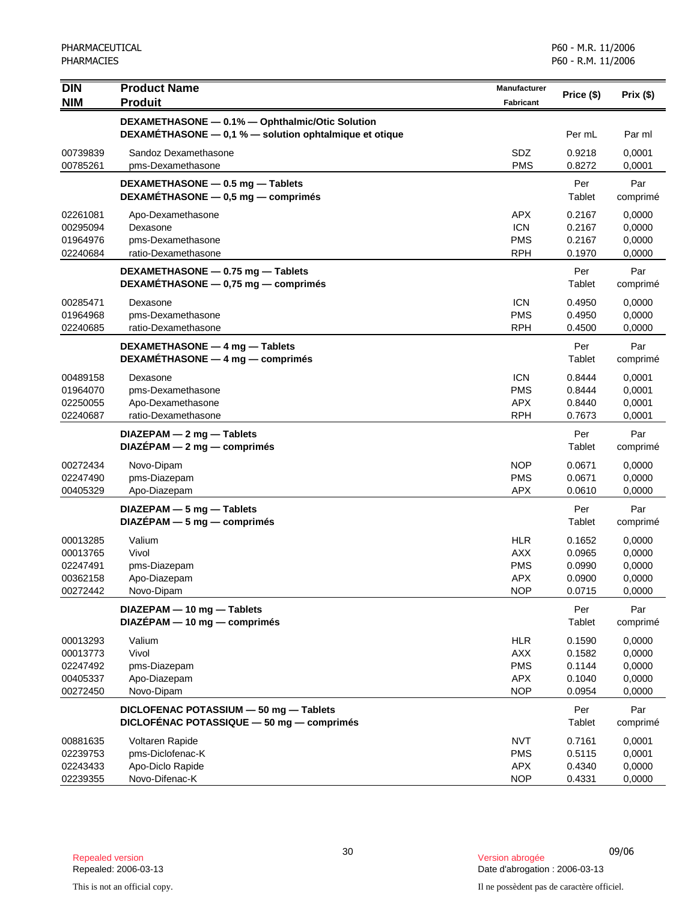| <b>DIN</b>           | <b>Product Name</b>                                    | Manufacturer             | Price (\$)       | Prix(\$)         |
|----------------------|--------------------------------------------------------|--------------------------|------------------|------------------|
| <b>NIM</b>           | <b>Produit</b>                                         | Fabricant                |                  |                  |
|                      | DEXAMETHASONE - 0.1% - Ophthalmic/Otic Solution        |                          |                  |                  |
|                      | DEXAMETHASONE - 0,1 % - solution ophtalmique et otique |                          | Per mL           | Par ml           |
| 00739839             | Sandoz Dexamethasone                                   | SDZ                      | 0.9218           | 0,0001           |
| 00785261             | pms-Dexamethasone                                      | <b>PMS</b>               | 0.8272           | 0,0001           |
|                      | DEXAMETHASONE - 0.5 mg - Tablets                       |                          | Per              | Par              |
|                      | DEXAMÉTHASONE - 0,5 mg - comprimés                     |                          | Tablet           | comprimé         |
| 02261081             | Apo-Dexamethasone                                      | <b>APX</b>               | 0.2167           | 0,0000           |
| 00295094             | Dexasone                                               | <b>ICN</b>               | 0.2167           | 0,0000           |
| 01964976             | pms-Dexamethasone                                      | <b>PMS</b>               | 0.2167           | 0,0000           |
| 02240684             | ratio-Dexamethasone                                    | <b>RPH</b>               | 0.1970           | 0,0000           |
|                      | DEXAMETHASONE - 0.75 mg - Tablets                      |                          | Per              | Par              |
|                      | DEXAMETHASONE - 0,75 mg - comprimés                    |                          | Tablet           | comprimé         |
| 00285471             | Dexasone                                               | <b>ICN</b>               | 0.4950           | 0,0000           |
| 01964968             | pms-Dexamethasone                                      | <b>PMS</b>               | 0.4950           | 0,0000           |
| 02240685             | ratio-Dexamethasone                                    | <b>RPH</b>               | 0.4500           | 0,0000           |
|                      | DEXAMETHASONE - 4 mg - Tablets                         |                          | Per              | Par              |
|                      | DEXAMETHASONE - 4 mg - comprimés                       |                          | Tablet           | comprimé         |
| 00489158             | Dexasone                                               | <b>ICN</b>               | 0.8444           | 0,0001           |
| 01964070             | pms-Dexamethasone                                      | <b>PMS</b>               | 0.8444           | 0,0001           |
| 02250055             | Apo-Dexamethasone                                      | <b>APX</b>               | 0.8440           | 0,0001           |
| 02240687             | ratio-Dexamethasone                                    | <b>RPH</b>               | 0.7673           | 0,0001           |
|                      | $DIAZEPAM - 2 mg - Tables$                             |                          | Per              | Par              |
|                      | $DIAZEPAM - 2 mg - comprimés$                          |                          | Tablet           | comprimé         |
| 00272434             | Novo-Dipam                                             | <b>NOP</b>               | 0.0671           | 0,0000           |
| 02247490<br>00405329 | pms-Diazepam<br>Apo-Diazepam                           | <b>PMS</b><br><b>APX</b> | 0.0671<br>0.0610 | 0,0000<br>0,0000 |
|                      |                                                        |                          |                  |                  |
|                      | DIAZEPAM - 5 mg - Tablets                              |                          | Per<br>Tablet    | Par              |
|                      | $DIAZÉPAM - 5 mg - comprimés$                          |                          |                  | comprimé         |
| 00013285             | Valium                                                 | <b>HLR</b>               | 0.1652           | 0,0000           |
| 00013765<br>02247491 | Vivol<br>pms-Diazepam                                  | <b>AXX</b><br><b>PMS</b> | 0.0965<br>0.0990 | 0,0000<br>0,0000 |
| 00362158             | Apo-Diazepam                                           | <b>APX</b>               | 0.0900           | 0,0000           |
| 00272442             | Novo-Dipam                                             | <b>NOP</b>               | 0.0715           | 0,0000           |
|                      | DIAZEPAM - 10 mg - Tablets                             |                          | Per              | Par              |
|                      | DIAZÉPAM - 10 mg - comprimés                           |                          | Tablet           | comprimé         |
| 00013293             | Valium                                                 | <b>HLR</b>               | 0.1590           | 0,0000           |
| 00013773             | Vivol                                                  | <b>AXX</b>               | 0.1582           | 0,0000           |
| 02247492             | pms-Diazepam                                           | <b>PMS</b>               | 0.1144           | 0,0000           |
| 00405337             | Apo-Diazepam                                           | APX                      | 0.1040           | 0,0000           |
| 00272450             | Novo-Dipam                                             | <b>NOP</b>               | 0.0954           | 0,0000           |
|                      | DICLOFENAC POTASSIUM - 50 mg - Tablets                 |                          | Per              | Par              |
|                      | DICLOFÉNAC POTASSIQUE - 50 mg - comprimés              |                          | Tablet           | comprimé         |
| 00881635             | Voltaren Rapide                                        | <b>NVT</b>               | 0.7161           | 0,0001           |
| 02239753             | pms-Diclofenac-K                                       | <b>PMS</b>               | 0.5115           | 0,0001           |
| 02243433             | Apo-Diclo Rapide                                       | <b>APX</b>               | 0.4340           | 0,0000           |
| 02239355             | Novo-Difenac-K                                         | <b>NOP</b>               | 0.4331           | 0,0000           |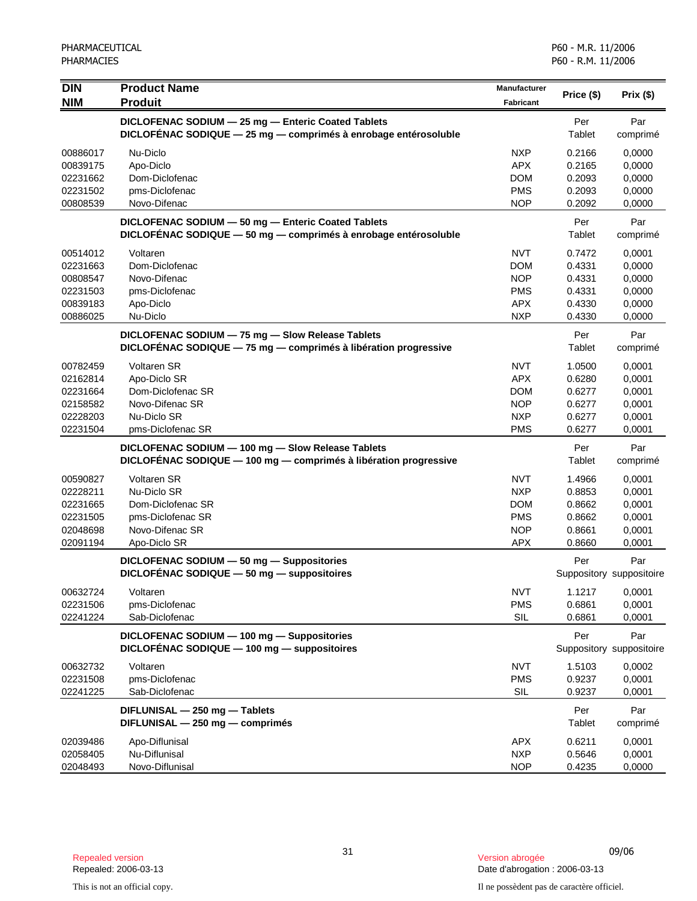| <b>DIN</b><br><b>NIM</b>                                             | <b>Product Name</b><br><b>Produit</b>                                                                                 | <b>Manufacturer</b><br>Fabricant                                                 | Price (\$)                                               | Prix(\$)                                                 |
|----------------------------------------------------------------------|-----------------------------------------------------------------------------------------------------------------------|----------------------------------------------------------------------------------|----------------------------------------------------------|----------------------------------------------------------|
|                                                                      | DICLOFENAC SODIUM - 25 mg - Enteric Coated Tablets<br>DICLOFENAC SODIQUE - 25 mg - comprimés à enrobage entérosoluble |                                                                                  | Per<br>Tablet                                            | Par<br>comprimé                                          |
| 00886017<br>00839175<br>02231662<br>02231502<br>00808539             | Nu-Diclo<br>Apo-Diclo<br>Dom-Diclofenac<br>pms-Diclofenac<br>Novo-Difenac                                             | <b>NXP</b><br><b>APX</b><br><b>DOM</b><br><b>PMS</b><br><b>NOP</b>               | 0.2166<br>0.2165<br>0.2093<br>0.2093<br>0.2092           | 0,0000<br>0,0000<br>0,0000<br>0,0000<br>0,0000           |
|                                                                      | DICLOFENAC SODIUM - 50 mg - Enteric Coated Tablets<br>DICLOFÉNAC SODIQUE - 50 mg - comprimés à enrobage entérosoluble |                                                                                  | Per<br>Tablet                                            | Par<br>comprimé                                          |
| 00514012<br>02231663<br>00808547<br>02231503<br>00839183<br>00886025 | Voltaren<br>Dom-Diclofenac<br>Novo-Difenac<br>pms-Diclofenac<br>Apo-Diclo<br>Nu-Diclo                                 | <b>NVT</b><br><b>DOM</b><br><b>NOP</b><br><b>PMS</b><br><b>APX</b><br><b>NXP</b> | 0.7472<br>0.4331<br>0.4331<br>0.4331<br>0.4330<br>0.4330 | 0,0001<br>0,0000<br>0,0000<br>0,0000<br>0,0000<br>0,0000 |
|                                                                      | DICLOFENAC SODIUM - 75 mg - Slow Release Tablets<br>DICLOFÉNAC SODIQUE - 75 mg - comprimés à libération progressive   |                                                                                  | Per<br>Tablet                                            | Par<br>comprimé                                          |
| 00782459<br>02162814<br>02231664<br>02158582<br>02228203<br>02231504 | <b>Voltaren SR</b><br>Apo-Diclo SR<br>Dom-Diclofenac SR<br>Novo-Difenac SR<br>Nu-Diclo SR<br>pms-Diclofenac SR        | <b>NVT</b><br><b>APX</b><br><b>DOM</b><br><b>NOP</b><br><b>NXP</b><br><b>PMS</b> | 1.0500<br>0.6280<br>0.6277<br>0.6277<br>0.6277<br>0.6277 | 0,0001<br>0,0001<br>0,0001<br>0,0001<br>0,0001<br>0,0001 |
|                                                                      | DICLOFENAC SODIUM - 100 mg - Slow Release Tablets<br>DICLOFÉNAC SODIQUE - 100 mg - comprimés à libération progressive |                                                                                  | Per<br>Tablet                                            | Par<br>comprimé                                          |
| 00590827<br>02228211<br>02231665<br>02231505<br>02048698<br>02091194 | Voltaren SR<br>Nu-Diclo SR<br>Dom-Diclofenac SR<br>pms-Diclofenac SR<br>Novo-Difenac SR<br>Apo-Diclo SR               | <b>NVT</b><br><b>NXP</b><br><b>DOM</b><br><b>PMS</b><br><b>NOP</b><br><b>APX</b> | 1.4966<br>0.8853<br>0.8662<br>0.8662<br>0.8661<br>0.8660 | 0,0001<br>0,0001<br>0,0001<br>0,0001<br>0,0001<br>0,0001 |
|                                                                      | DICLOFENAC SODIUM - 50 mg - Suppositories<br>DICLOFENAC SODIQUE $-50$ mg $-$ suppositoires                            |                                                                                  | Per                                                      | Par<br>Suppository suppositoire                          |
| 00632724<br>02231506<br>02241224                                     | Voltaren<br>pms-Diclofenac<br>Sab-Diclofenac                                                                          | <b>NVT</b><br><b>PMS</b><br>SIL                                                  | 1.1217<br>0.6861<br>0.6861                               | 0,0001<br>0,0001<br>0,0001                               |
|                                                                      | DICLOFENAC SODIUM - 100 mg - Suppositories<br>DICLOFENAC SODIQUE - 100 mg - suppositoires                             |                                                                                  | Per                                                      | Par<br>Suppository suppositoire                          |
| 00632732<br>02231508<br>02241225                                     | Voltaren<br>pms-Diclofenac<br>Sab-Diclofenac                                                                          | <b>NVT</b><br><b>PMS</b><br>SIL                                                  | 1.5103<br>0.9237<br>0.9237                               | 0,0002<br>0,0001<br>0,0001                               |
|                                                                      | DIFLUNISAL - 250 mg - Tablets<br>DIFLUNISAL - 250 mg - comprimés                                                      |                                                                                  | Per<br>Tablet                                            | Par<br>comprimé                                          |
| 02039486<br>02058405<br>02048493                                     | Apo-Diflunisal<br>Nu-Diflunisal<br>Novo-Diflunisal                                                                    | <b>APX</b><br><b>NXP</b><br><b>NOP</b>                                           | 0.6211<br>0.5646<br>0.4235                               | 0,0001<br>0,0001<br>0,0000                               |

<sup>31</sup> 09/06 Repealed version Version abrogée Date d'abrogation : 2006-03-13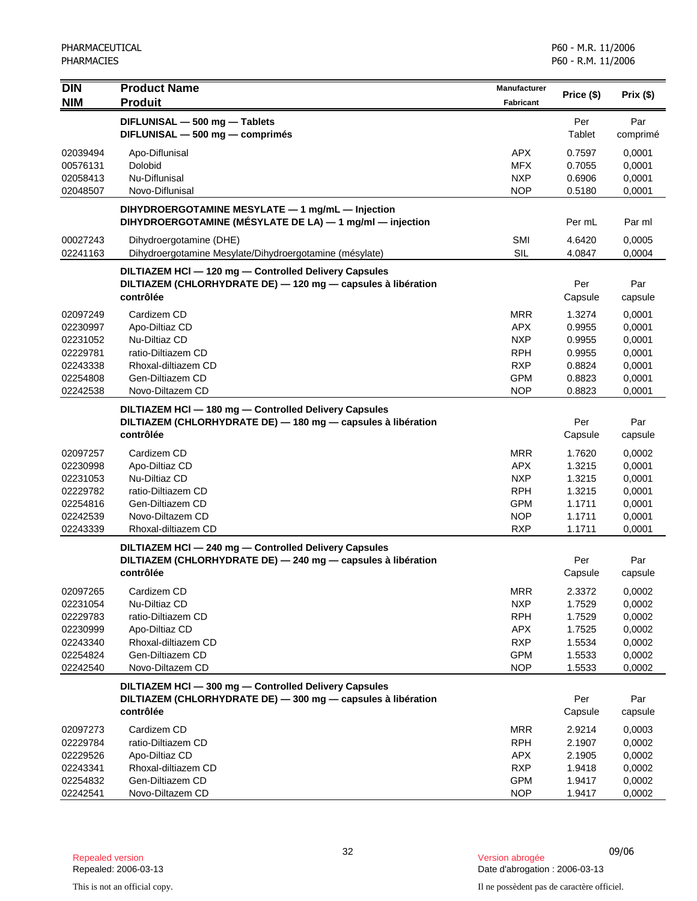| <b>DIN</b>           | <b>Product Name</b>                                                                                          | Manufacturer             | Price (\$)       | Prix(\$)         |
|----------------------|--------------------------------------------------------------------------------------------------------------|--------------------------|------------------|------------------|
| <b>NIM</b>           | <b>Produit</b>                                                                                               | Fabricant                |                  |                  |
|                      | DIFLUNISAL - 500 mg - Tablets                                                                                |                          | Per              | Par              |
|                      | DIFLUNISAL - 500 mg - comprimés                                                                              |                          | Tablet           | comprimé         |
| 02039494             | Apo-Diflunisal                                                                                               | <b>APX</b>               | 0.7597           | 0,0001           |
| 00576131             | Dolobid                                                                                                      | <b>MFX</b>               | 0.7055           | 0,0001           |
| 02058413             | Nu-Diflunisal                                                                                                | <b>NXP</b>               | 0.6906           | 0,0001           |
| 02048507             | Novo-Diflunisal                                                                                              | <b>NOP</b>               | 0.5180           | 0,0001           |
|                      | DIHYDROERGOTAMINE MESYLATE - 1 mg/mL - Injection<br>DIHYDROERGOTAMINE (MÉSYLATE DE LA) - 1 mg/ml - injection |                          | Per mL           | Par ml           |
| 00027243<br>02241163 | Dihydroergotamine (DHE)<br>Dihydroergotamine Mesylate/Dihydroergotamine (mésylate)                           | SMI<br><b>SIL</b>        | 4.6420<br>4.0847 | 0,0005<br>0,0004 |
|                      | DILTIAZEM HCI - 120 mg - Controlled Delivery Capsules                                                        |                          |                  |                  |
|                      | DILTIAZEM (CHLORHYDRATE DE) - 120 mg - capsules à libération                                                 |                          | Per              | Par              |
|                      | contrôlée                                                                                                    |                          | Capsule          | capsule          |
| 02097249             | Cardizem CD                                                                                                  | <b>MRR</b>               | 1.3274           | 0,0001           |
| 02230997             | Apo-Diltiaz CD                                                                                               | <b>APX</b>               | 0.9955           | 0,0001           |
| 02231052             | Nu-Diltiaz CD                                                                                                | <b>NXP</b>               | 0.9955           | 0,0001           |
| 02229781             | ratio-Diltiazem CD                                                                                           | <b>RPH</b>               | 0.9955           | 0,0001           |
| 02243338             | Rhoxal-diltiazem CD                                                                                          | <b>RXP</b>               | 0.8824           | 0,0001           |
| 02254808             | Gen-Diltiazem CD                                                                                             | <b>GPM</b>               | 0.8823           | 0,0001           |
| 02242538             | Novo-Diltazem CD                                                                                             | <b>NOP</b>               | 0.8823           | 0,0001           |
|                      | DILTIAZEM HCI - 180 mg - Controlled Delivery Capsules                                                        |                          |                  |                  |
|                      | DILTIAZEM (CHLORHYDRATE DE) - 180 mg - capsules à libération<br>contrôlée                                    |                          | Per              | Par              |
|                      |                                                                                                              |                          | Capsule          | capsule          |
| 02097257             | Cardizem CD                                                                                                  | <b>MRR</b>               | 1.7620           | 0,0002           |
| 02230998             | Apo-Diltiaz CD                                                                                               | <b>APX</b>               | 1.3215           | 0,0001           |
| 02231053<br>02229782 | Nu-Diltiaz CD<br>ratio-Diltiazem CD                                                                          | <b>NXP</b><br><b>RPH</b> | 1.3215<br>1.3215 | 0,0001<br>0,0001 |
| 02254816             | Gen-Diltiazem CD                                                                                             | <b>GPM</b>               | 1.1711           | 0,0001           |
| 02242539             | Novo-Diltazem CD                                                                                             | <b>NOP</b>               | 1.1711           | 0,0001           |
| 02243339             | Rhoxal-diltiazem CD                                                                                          | <b>RXP</b>               | 1.1711           | 0,0001           |
|                      | DILTIAZEM HCI-240 mg-Controlled Delivery Capsules                                                            |                          |                  |                  |
|                      | DILTIAZEM (CHLORHYDRATE DE) - 240 mg - capsules à libération                                                 |                          | Per              | Par              |
|                      | contrôlée                                                                                                    |                          | Capsule          | capsule          |
| 02097265             | Cardizem CD                                                                                                  | <b>MRR</b>               | 2.3372           | 0,0002           |
| 02231054             | Nu-Diltiaz CD                                                                                                | <b>NXP</b>               | 1.7529           | 0,0002           |
| 02229783             | ratio-Diltiazem CD                                                                                           | <b>RPH</b>               | 1.7529           | 0,0002           |
| 02230999             | Apo-Diltiaz CD                                                                                               | <b>APX</b>               | 1.7525           | 0,0002           |
| 02243340             | Rhoxal-diltiazem CD                                                                                          | <b>RXP</b>               | 1.5534           | 0,0002           |
| 02254824             | Gen-Diltiazem CD                                                                                             | <b>GPM</b>               | 1.5533           | 0,0002           |
| 02242540             | Novo-Diltazem CD                                                                                             | <b>NOP</b>               | 1.5533           | 0,0002           |
|                      | DILTIAZEM HCI - 300 mg - Controlled Delivery Capsules                                                        |                          |                  |                  |
|                      | DILTIAZEM (CHLORHYDRATE DE) - 300 mg - capsules à libération                                                 |                          | Per              | Par              |
|                      | contrôlée                                                                                                    |                          | Capsule          | capsule          |
| 02097273             | Cardizem CD                                                                                                  | <b>MRR</b>               | 2.9214           | 0,0003           |
| 02229784             | ratio-Diltiazem CD                                                                                           | <b>RPH</b>               | 2.1907           | 0,0002           |
| 02229526             | Apo-Diltiaz CD                                                                                               | <b>APX</b>               | 2.1905           | 0,0002           |
| 02243341             | Rhoxal-diltiazem CD                                                                                          | <b>RXP</b>               | 1.9418           | 0,0002           |
| 02254832             | Gen-Diltiazem CD                                                                                             | <b>GPM</b>               | 1.9417           | 0,0002           |
| 02242541             | Novo-Diltazem CD                                                                                             | <b>NOP</b>               | 1.9417           | 0,0002           |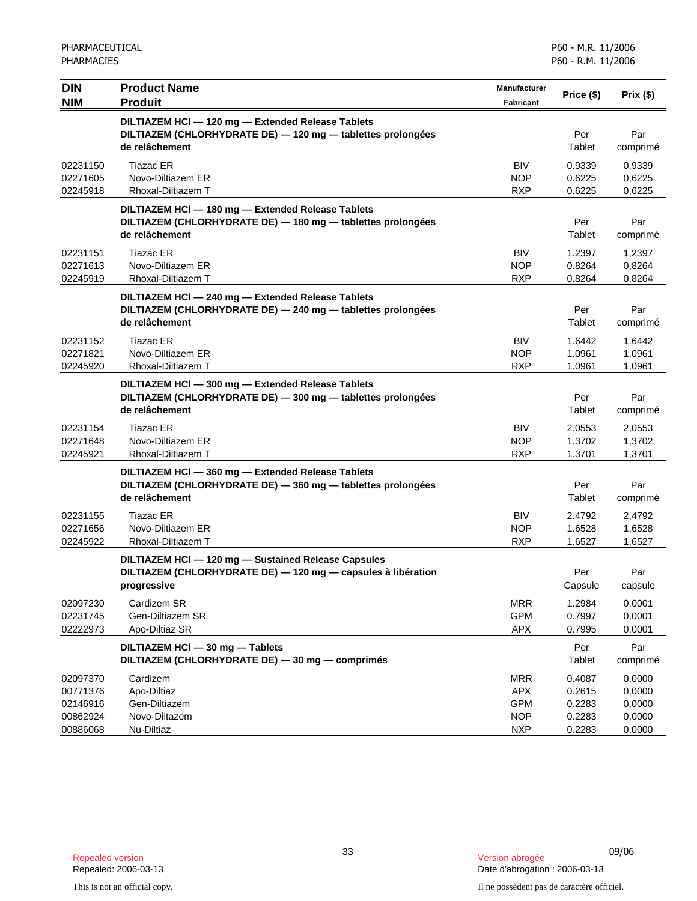| <b>DIN</b><br><b>NIM</b>                                 | <b>Product Name</b><br><b>Produit</b>                                                                                              | Manufacturer<br>Fabricant                                          | Price (\$)                                     | Prix(\$)                                       |
|----------------------------------------------------------|------------------------------------------------------------------------------------------------------------------------------------|--------------------------------------------------------------------|------------------------------------------------|------------------------------------------------|
|                                                          | DILTIAZEM HCI - 120 mg - Extended Release Tablets<br>DILTIAZEM (CHLORHYDRATE DE) - 120 mg - tablettes prolongées<br>de relâchement |                                                                    | Per<br>Tablet                                  | Par<br>comprimé                                |
| 02231150<br>02271605<br>02245918                         | Tiazac ER<br>Novo-Diltiazem ER<br>Rhoxal-Diltiazem T                                                                               | <b>BIV</b><br><b>NOP</b><br><b>RXP</b>                             | 0.9339<br>0.6225<br>0.6225                     | 0,9339<br>0,6225<br>0,6225                     |
|                                                          | DILTIAZEM HCI - 180 mg - Extended Release Tablets<br>DILTIAZEM (CHLORHYDRATE DE) - 180 mg - tablettes prolongées<br>de relâchement |                                                                    | Per<br>Tablet                                  | Par<br>comprimé                                |
| 02231151<br>02271613<br>02245919                         | <b>Tiazac ER</b><br>Novo-Diltiazem ER<br>Rhoxal-Diltiazem T                                                                        | <b>BIV</b><br><b>NOP</b><br><b>RXP</b>                             | 1.2397<br>0.8264<br>0.8264                     | 1,2397<br>0,8264<br>0,8264                     |
|                                                          | DILTIAZEM HCI - 240 mg - Extended Release Tablets<br>DILTIAZEM (CHLORHYDRATE DE) - 240 mg - tablettes prolongées<br>de relâchement |                                                                    | Per<br>Tablet                                  | Par<br>comprimé                                |
| 02231152<br>02271821<br>02245920                         | Tiazac ER<br>Novo-Diltiazem ER<br>Rhoxal-Diltiazem T                                                                               | <b>BIV</b><br><b>NOP</b><br><b>RXP</b>                             | 1.6442<br>1.0961<br>1.0961                     | 1.6442<br>1,0961<br>1,0961                     |
|                                                          | DILTIAZEM HCI - 300 mg - Extended Release Tablets<br>DILTIAZEM (CHLORHYDRATE DE) - 300 mg - tablettes prolongées<br>de relâchement |                                                                    | Per<br>Tablet                                  | Par<br>comprimé                                |
| 02231154<br>02271648<br>02245921                         | Tiazac ER<br>Novo-Diltiazem ER<br>Rhoxal-Diltiazem T                                                                               | <b>BIV</b><br><b>NOP</b><br><b>RXP</b>                             | 2.0553<br>1.3702<br>1.3701                     | 2,0553<br>1,3702<br>1,3701                     |
|                                                          | DILTIAZEM HCI-360 mg - Extended Release Tablets<br>DILTIAZEM (CHLORHYDRATE DE) - 360 mg - tablettes prolongées<br>de relâchement   |                                                                    | Per<br>Tablet                                  | Par<br>comprimé                                |
| 02231155<br>02271656<br>02245922                         | Tiazac ER<br>Novo-Diltiazem ER<br>Rhoxal-Diltiazem T                                                                               | <b>BIV</b><br><b>NOP</b><br><b>RXP</b>                             | 2.4792<br>1.6528<br>1.6527                     | 2,4792<br>1,6528<br>1,6527                     |
|                                                          | DILTIAZEM HCI - 120 mg - Sustained Release Capsules<br>DILTIAZEM (CHLORHYDRATE DE) - 120 mg - capsules à libération<br>progressive |                                                                    | Per<br>Capsule                                 | Par<br>capsule                                 |
| 02097230<br>02231745<br>02222973                         | Cardizem SR<br>Gen-Diltiazem SR<br>Apo-Diltiaz SR                                                                                  | <b>MRR</b><br><b>GPM</b><br><b>APX</b>                             | 1.2984<br>0.7997<br>0.7995                     | 0,0001<br>0,0001<br>0,0001                     |
|                                                          | DILTIAZEM HCI - 30 mg - Tablets<br>DILTIAZEM (CHLORHYDRATE DE) - 30 mg - comprimés                                                 |                                                                    | Per<br>Tablet                                  | Par<br>comprimé                                |
| 02097370<br>00771376<br>02146916<br>00862924<br>00886068 | Cardizem<br>Apo-Diltiaz<br>Gen-Diltiazem<br>Novo-Diltazem<br>Nu-Diltiaz                                                            | <b>MRR</b><br><b>APX</b><br><b>GPM</b><br><b>NOP</b><br><b>NXP</b> | 0.4087<br>0.2615<br>0.2283<br>0.2283<br>0.2283 | 0,0000<br>0,0000<br>0,0000<br>0,0000<br>0,0000 |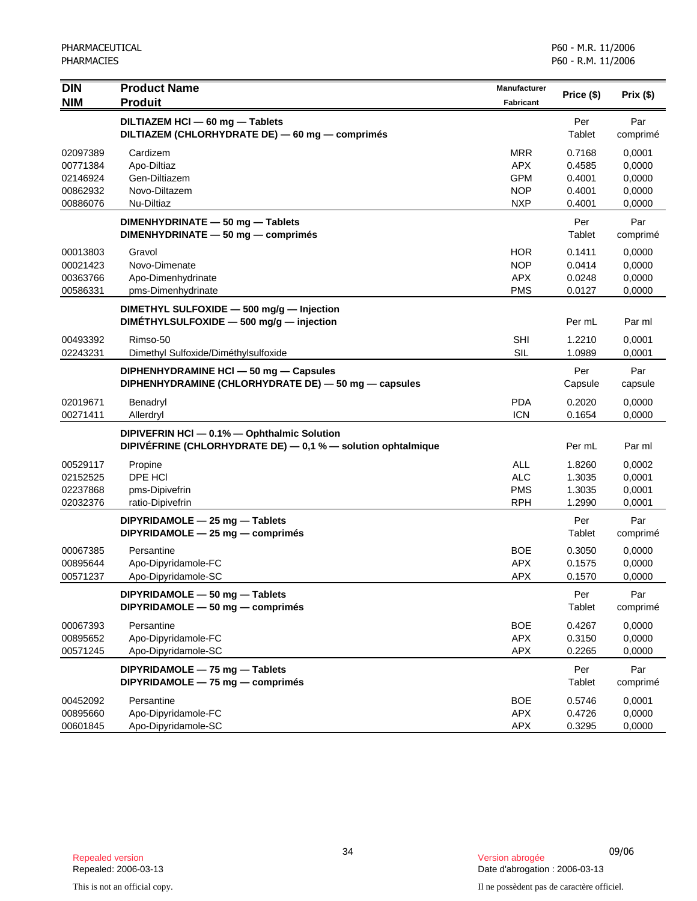| Per<br>DILTIAZEM HCI - 60 mg - Tablets<br>Par<br>DILTIAZEM (CHLORHYDRATE DE) - 60 mg - comprimés<br>Tablet<br>comprimé<br>Cardizem<br><b>MRR</b><br>02097389<br>0.7168<br>0.0001<br><b>APX</b><br>Apo-Diltiaz<br>0,0000<br>00771384<br>0.4585<br><b>GPM</b><br>Gen-Diltiazem<br>0.4001<br>0,0000<br>02146924<br>00862932<br>Novo-Diltazem<br><b>NOP</b><br>0.4001<br>0,0000<br>00886076<br>Nu-Diltiaz<br><b>NXP</b><br>0.4001<br>0,0000<br>Per<br>Par<br>DIMENHYDRINATE - 50 mg - Tablets<br>DIMENHYDRINATE - 50 mg - comprimés<br>Tablet<br>comprimé<br>00013803<br><b>HOR</b><br>0.1411<br>0,0000<br>Gravol<br><b>NOP</b><br>00021423<br>Novo-Dimenate<br>0.0414<br>0,0000<br>00363766<br>Apo-Dimenhydrinate<br><b>APX</b><br>0.0248<br>0,0000<br><b>PMS</b><br>00586331<br>pms-Dimenhydrinate<br>0.0127<br>0,0000<br>DIMETHYL SULFOXIDE - 500 mg/g - Injection<br>DIMETHYLSULFOXIDE - 500 mg/g - injection<br>Per mL<br>Par ml<br>00493392<br><b>SHI</b><br>1.2210<br>0,0001<br>Rimso-50<br>SIL<br>02243231<br>Dimethyl Sulfoxide/Diméthylsulfoxide<br>1.0989<br>0,0001<br>Par<br>Per<br>DIPHENHYDRAMINE HCI - 50 mg - Capsules<br>DIPHENHYDRAMINE (CHLORHYDRATE DE) - 50 mg - capsules<br>Capsule<br>capsule<br>02019671<br><b>PDA</b><br>0.2020<br>Benadryl<br>0,0000<br>00271411<br><b>ICN</b><br>0.1654<br>0,0000<br>Allerdryl<br>DIPIVEFRIN HCI - 0.1% - Ophthalmic Solution<br>DIPIVEFRINE (CHLORHYDRATE DE) - 0,1 % - solution ophtalmique<br>Per mL<br>Par ml<br><b>ALL</b><br>00529117<br>1.8260<br>Propine<br>0,0002<br>DPE HCI<br>02152525<br><b>ALC</b><br>1.3035<br>0,0001<br><b>PMS</b><br>02237868<br>pms-Dipivefrin<br>1.3035<br>0,0001<br><b>RPH</b><br>02032376<br>ratio-Dipivefrin<br>1.2990<br>0,0001<br>Per<br>Par<br>DIPYRIDAMOLE - 25 mg - Tablets<br>DIPYRIDAMOLE - 25 mg - comprimés<br>Tablet<br>comprimé<br><b>BOE</b><br>0.3050<br>00067385<br>Persantine<br>0,0000<br>Apo-Dipyridamole-FC<br><b>APX</b><br>00895644<br>0.1575<br>0,0000<br><b>APX</b><br>00571237<br>Apo-Dipyridamole-SC<br>0.1570<br>0,0000<br>DIPYRIDAMOLE - 50 mg - Tablets<br>Per<br>Par<br>DIPYRIDAMOLE - 50 mg - comprimés<br>Tablet<br>comprimé<br>00067393<br>Persantine<br><b>BOE</b><br>0.4267<br>0,0000<br>Apo-Dipyridamole-FC<br><b>APX</b><br>0.3150<br>0,0000<br>00895652<br><b>APX</b><br>Apo-Dipyridamole-SC<br>00571245<br>0.2265<br>0,0000<br>DIPYRIDAMOLE - 75 mg - Tablets<br>Per<br>Par<br>DIPYRIDAMOLE - 75 mg - comprimés<br>Tablet<br>comprimé<br>Persantine<br><b>BOE</b><br>0.5746<br>0,0001<br>00452092<br>00895660<br>Apo-Dipyridamole-FC<br><b>APX</b><br>0.4726<br>0,0000 | DIN        | <b>Product Name</b> | Manufacturer     | Price (\$) | Prix(\$) |
|---------------------------------------------------------------------------------------------------------------------------------------------------------------------------------------------------------------------------------------------------------------------------------------------------------------------------------------------------------------------------------------------------------------------------------------------------------------------------------------------------------------------------------------------------------------------------------------------------------------------------------------------------------------------------------------------------------------------------------------------------------------------------------------------------------------------------------------------------------------------------------------------------------------------------------------------------------------------------------------------------------------------------------------------------------------------------------------------------------------------------------------------------------------------------------------------------------------------------------------------------------------------------------------------------------------------------------------------------------------------------------------------------------------------------------------------------------------------------------------------------------------------------------------------------------------------------------------------------------------------------------------------------------------------------------------------------------------------------------------------------------------------------------------------------------------------------------------------------------------------------------------------------------------------------------------------------------------------------------------------------------------------------------------------------------------------------------------------------------------------------------------------------------------------------------------------------------------------------------------------------------------------------------------------------------------------------------------------------------------------------------------------------------------------------------------------------------------------------------------------------------------------------------------------------------------------------------------------------------|------------|---------------------|------------------|------------|----------|
|                                                                                                                                                                                                                                                                                                                                                                                                                                                                                                                                                                                                                                                                                                                                                                                                                                                                                                                                                                                                                                                                                                                                                                                                                                                                                                                                                                                                                                                                                                                                                                                                                                                                                                                                                                                                                                                                                                                                                                                                                                                                                                                                                                                                                                                                                                                                                                                                                                                                                                                                                                                                         | <b>NIM</b> | <b>Produit</b>      | <b>Fabricant</b> |            |          |
|                                                                                                                                                                                                                                                                                                                                                                                                                                                                                                                                                                                                                                                                                                                                                                                                                                                                                                                                                                                                                                                                                                                                                                                                                                                                                                                                                                                                                                                                                                                                                                                                                                                                                                                                                                                                                                                                                                                                                                                                                                                                                                                                                                                                                                                                                                                                                                                                                                                                                                                                                                                                         |            |                     |                  |            |          |
|                                                                                                                                                                                                                                                                                                                                                                                                                                                                                                                                                                                                                                                                                                                                                                                                                                                                                                                                                                                                                                                                                                                                                                                                                                                                                                                                                                                                                                                                                                                                                                                                                                                                                                                                                                                                                                                                                                                                                                                                                                                                                                                                                                                                                                                                                                                                                                                                                                                                                                                                                                                                         |            |                     |                  |            |          |
|                                                                                                                                                                                                                                                                                                                                                                                                                                                                                                                                                                                                                                                                                                                                                                                                                                                                                                                                                                                                                                                                                                                                                                                                                                                                                                                                                                                                                                                                                                                                                                                                                                                                                                                                                                                                                                                                                                                                                                                                                                                                                                                                                                                                                                                                                                                                                                                                                                                                                                                                                                                                         |            |                     |                  |            |          |
|                                                                                                                                                                                                                                                                                                                                                                                                                                                                                                                                                                                                                                                                                                                                                                                                                                                                                                                                                                                                                                                                                                                                                                                                                                                                                                                                                                                                                                                                                                                                                                                                                                                                                                                                                                                                                                                                                                                                                                                                                                                                                                                                                                                                                                                                                                                                                                                                                                                                                                                                                                                                         |            |                     |                  |            |          |
|                                                                                                                                                                                                                                                                                                                                                                                                                                                                                                                                                                                                                                                                                                                                                                                                                                                                                                                                                                                                                                                                                                                                                                                                                                                                                                                                                                                                                                                                                                                                                                                                                                                                                                                                                                                                                                                                                                                                                                                                                                                                                                                                                                                                                                                                                                                                                                                                                                                                                                                                                                                                         |            |                     |                  |            |          |
|                                                                                                                                                                                                                                                                                                                                                                                                                                                                                                                                                                                                                                                                                                                                                                                                                                                                                                                                                                                                                                                                                                                                                                                                                                                                                                                                                                                                                                                                                                                                                                                                                                                                                                                                                                                                                                                                                                                                                                                                                                                                                                                                                                                                                                                                                                                                                                                                                                                                                                                                                                                                         |            |                     |                  |            |          |
|                                                                                                                                                                                                                                                                                                                                                                                                                                                                                                                                                                                                                                                                                                                                                                                                                                                                                                                                                                                                                                                                                                                                                                                                                                                                                                                                                                                                                                                                                                                                                                                                                                                                                                                                                                                                                                                                                                                                                                                                                                                                                                                                                                                                                                                                                                                                                                                                                                                                                                                                                                                                         |            |                     |                  |            |          |
|                                                                                                                                                                                                                                                                                                                                                                                                                                                                                                                                                                                                                                                                                                                                                                                                                                                                                                                                                                                                                                                                                                                                                                                                                                                                                                                                                                                                                                                                                                                                                                                                                                                                                                                                                                                                                                                                                                                                                                                                                                                                                                                                                                                                                                                                                                                                                                                                                                                                                                                                                                                                         |            |                     |                  |            |          |
|                                                                                                                                                                                                                                                                                                                                                                                                                                                                                                                                                                                                                                                                                                                                                                                                                                                                                                                                                                                                                                                                                                                                                                                                                                                                                                                                                                                                                                                                                                                                                                                                                                                                                                                                                                                                                                                                                                                                                                                                                                                                                                                                                                                                                                                                                                                                                                                                                                                                                                                                                                                                         |            |                     |                  |            |          |
|                                                                                                                                                                                                                                                                                                                                                                                                                                                                                                                                                                                                                                                                                                                                                                                                                                                                                                                                                                                                                                                                                                                                                                                                                                                                                                                                                                                                                                                                                                                                                                                                                                                                                                                                                                                                                                                                                                                                                                                                                                                                                                                                                                                                                                                                                                                                                                                                                                                                                                                                                                                                         |            |                     |                  |            |          |
|                                                                                                                                                                                                                                                                                                                                                                                                                                                                                                                                                                                                                                                                                                                                                                                                                                                                                                                                                                                                                                                                                                                                                                                                                                                                                                                                                                                                                                                                                                                                                                                                                                                                                                                                                                                                                                                                                                                                                                                                                                                                                                                                                                                                                                                                                                                                                                                                                                                                                                                                                                                                         |            |                     |                  |            |          |
|                                                                                                                                                                                                                                                                                                                                                                                                                                                                                                                                                                                                                                                                                                                                                                                                                                                                                                                                                                                                                                                                                                                                                                                                                                                                                                                                                                                                                                                                                                                                                                                                                                                                                                                                                                                                                                                                                                                                                                                                                                                                                                                                                                                                                                                                                                                                                                                                                                                                                                                                                                                                         |            |                     |                  |            |          |
|                                                                                                                                                                                                                                                                                                                                                                                                                                                                                                                                                                                                                                                                                                                                                                                                                                                                                                                                                                                                                                                                                                                                                                                                                                                                                                                                                                                                                                                                                                                                                                                                                                                                                                                                                                                                                                                                                                                                                                                                                                                                                                                                                                                                                                                                                                                                                                                                                                                                                                                                                                                                         |            |                     |                  |            |          |
|                                                                                                                                                                                                                                                                                                                                                                                                                                                                                                                                                                                                                                                                                                                                                                                                                                                                                                                                                                                                                                                                                                                                                                                                                                                                                                                                                                                                                                                                                                                                                                                                                                                                                                                                                                                                                                                                                                                                                                                                                                                                                                                                                                                                                                                                                                                                                                                                                                                                                                                                                                                                         |            |                     |                  |            |          |
|                                                                                                                                                                                                                                                                                                                                                                                                                                                                                                                                                                                                                                                                                                                                                                                                                                                                                                                                                                                                                                                                                                                                                                                                                                                                                                                                                                                                                                                                                                                                                                                                                                                                                                                                                                                                                                                                                                                                                                                                                                                                                                                                                                                                                                                                                                                                                                                                                                                                                                                                                                                                         |            |                     |                  |            |          |
|                                                                                                                                                                                                                                                                                                                                                                                                                                                                                                                                                                                                                                                                                                                                                                                                                                                                                                                                                                                                                                                                                                                                                                                                                                                                                                                                                                                                                                                                                                                                                                                                                                                                                                                                                                                                                                                                                                                                                                                                                                                                                                                                                                                                                                                                                                                                                                                                                                                                                                                                                                                                         |            |                     |                  |            |          |
|                                                                                                                                                                                                                                                                                                                                                                                                                                                                                                                                                                                                                                                                                                                                                                                                                                                                                                                                                                                                                                                                                                                                                                                                                                                                                                                                                                                                                                                                                                                                                                                                                                                                                                                                                                                                                                                                                                                                                                                                                                                                                                                                                                                                                                                                                                                                                                                                                                                                                                                                                                                                         |            |                     |                  |            |          |
|                                                                                                                                                                                                                                                                                                                                                                                                                                                                                                                                                                                                                                                                                                                                                                                                                                                                                                                                                                                                                                                                                                                                                                                                                                                                                                                                                                                                                                                                                                                                                                                                                                                                                                                                                                                                                                                                                                                                                                                                                                                                                                                                                                                                                                                                                                                                                                                                                                                                                                                                                                                                         |            |                     |                  |            |          |
|                                                                                                                                                                                                                                                                                                                                                                                                                                                                                                                                                                                                                                                                                                                                                                                                                                                                                                                                                                                                                                                                                                                                                                                                                                                                                                                                                                                                                                                                                                                                                                                                                                                                                                                                                                                                                                                                                                                                                                                                                                                                                                                                                                                                                                                                                                                                                                                                                                                                                                                                                                                                         |            |                     |                  |            |          |
|                                                                                                                                                                                                                                                                                                                                                                                                                                                                                                                                                                                                                                                                                                                                                                                                                                                                                                                                                                                                                                                                                                                                                                                                                                                                                                                                                                                                                                                                                                                                                                                                                                                                                                                                                                                                                                                                                                                                                                                                                                                                                                                                                                                                                                                                                                                                                                                                                                                                                                                                                                                                         |            |                     |                  |            |          |
|                                                                                                                                                                                                                                                                                                                                                                                                                                                                                                                                                                                                                                                                                                                                                                                                                                                                                                                                                                                                                                                                                                                                                                                                                                                                                                                                                                                                                                                                                                                                                                                                                                                                                                                                                                                                                                                                                                                                                                                                                                                                                                                                                                                                                                                                                                                                                                                                                                                                                                                                                                                                         |            |                     |                  |            |          |
|                                                                                                                                                                                                                                                                                                                                                                                                                                                                                                                                                                                                                                                                                                                                                                                                                                                                                                                                                                                                                                                                                                                                                                                                                                                                                                                                                                                                                                                                                                                                                                                                                                                                                                                                                                                                                                                                                                                                                                                                                                                                                                                                                                                                                                                                                                                                                                                                                                                                                                                                                                                                         |            |                     |                  |            |          |
|                                                                                                                                                                                                                                                                                                                                                                                                                                                                                                                                                                                                                                                                                                                                                                                                                                                                                                                                                                                                                                                                                                                                                                                                                                                                                                                                                                                                                                                                                                                                                                                                                                                                                                                                                                                                                                                                                                                                                                                                                                                                                                                                                                                                                                                                                                                                                                                                                                                                                                                                                                                                         |            |                     |                  |            |          |
|                                                                                                                                                                                                                                                                                                                                                                                                                                                                                                                                                                                                                                                                                                                                                                                                                                                                                                                                                                                                                                                                                                                                                                                                                                                                                                                                                                                                                                                                                                                                                                                                                                                                                                                                                                                                                                                                                                                                                                                                                                                                                                                                                                                                                                                                                                                                                                                                                                                                                                                                                                                                         |            |                     |                  |            |          |
|                                                                                                                                                                                                                                                                                                                                                                                                                                                                                                                                                                                                                                                                                                                                                                                                                                                                                                                                                                                                                                                                                                                                                                                                                                                                                                                                                                                                                                                                                                                                                                                                                                                                                                                                                                                                                                                                                                                                                                                                                                                                                                                                                                                                                                                                                                                                                                                                                                                                                                                                                                                                         |            |                     |                  |            |          |
|                                                                                                                                                                                                                                                                                                                                                                                                                                                                                                                                                                                                                                                                                                                                                                                                                                                                                                                                                                                                                                                                                                                                                                                                                                                                                                                                                                                                                                                                                                                                                                                                                                                                                                                                                                                                                                                                                                                                                                                                                                                                                                                                                                                                                                                                                                                                                                                                                                                                                                                                                                                                         |            |                     |                  |            |          |
|                                                                                                                                                                                                                                                                                                                                                                                                                                                                                                                                                                                                                                                                                                                                                                                                                                                                                                                                                                                                                                                                                                                                                                                                                                                                                                                                                                                                                                                                                                                                                                                                                                                                                                                                                                                                                                                                                                                                                                                                                                                                                                                                                                                                                                                                                                                                                                                                                                                                                                                                                                                                         |            |                     |                  |            |          |
|                                                                                                                                                                                                                                                                                                                                                                                                                                                                                                                                                                                                                                                                                                                                                                                                                                                                                                                                                                                                                                                                                                                                                                                                                                                                                                                                                                                                                                                                                                                                                                                                                                                                                                                                                                                                                                                                                                                                                                                                                                                                                                                                                                                                                                                                                                                                                                                                                                                                                                                                                                                                         |            |                     |                  |            |          |
|                                                                                                                                                                                                                                                                                                                                                                                                                                                                                                                                                                                                                                                                                                                                                                                                                                                                                                                                                                                                                                                                                                                                                                                                                                                                                                                                                                                                                                                                                                                                                                                                                                                                                                                                                                                                                                                                                                                                                                                                                                                                                                                                                                                                                                                                                                                                                                                                                                                                                                                                                                                                         |            |                     |                  |            |          |
|                                                                                                                                                                                                                                                                                                                                                                                                                                                                                                                                                                                                                                                                                                                                                                                                                                                                                                                                                                                                                                                                                                                                                                                                                                                                                                                                                                                                                                                                                                                                                                                                                                                                                                                                                                                                                                                                                                                                                                                                                                                                                                                                                                                                                                                                                                                                                                                                                                                                                                                                                                                                         |            |                     |                  |            |          |
|                                                                                                                                                                                                                                                                                                                                                                                                                                                                                                                                                                                                                                                                                                                                                                                                                                                                                                                                                                                                                                                                                                                                                                                                                                                                                                                                                                                                                                                                                                                                                                                                                                                                                                                                                                                                                                                                                                                                                                                                                                                                                                                                                                                                                                                                                                                                                                                                                                                                                                                                                                                                         |            |                     |                  |            |          |
|                                                                                                                                                                                                                                                                                                                                                                                                                                                                                                                                                                                                                                                                                                                                                                                                                                                                                                                                                                                                                                                                                                                                                                                                                                                                                                                                                                                                                                                                                                                                                                                                                                                                                                                                                                                                                                                                                                                                                                                                                                                                                                                                                                                                                                                                                                                                                                                                                                                                                                                                                                                                         | 00601845   | Apo-Dipyridamole-SC | <b>APX</b>       | 0.3295     | 0,0000   |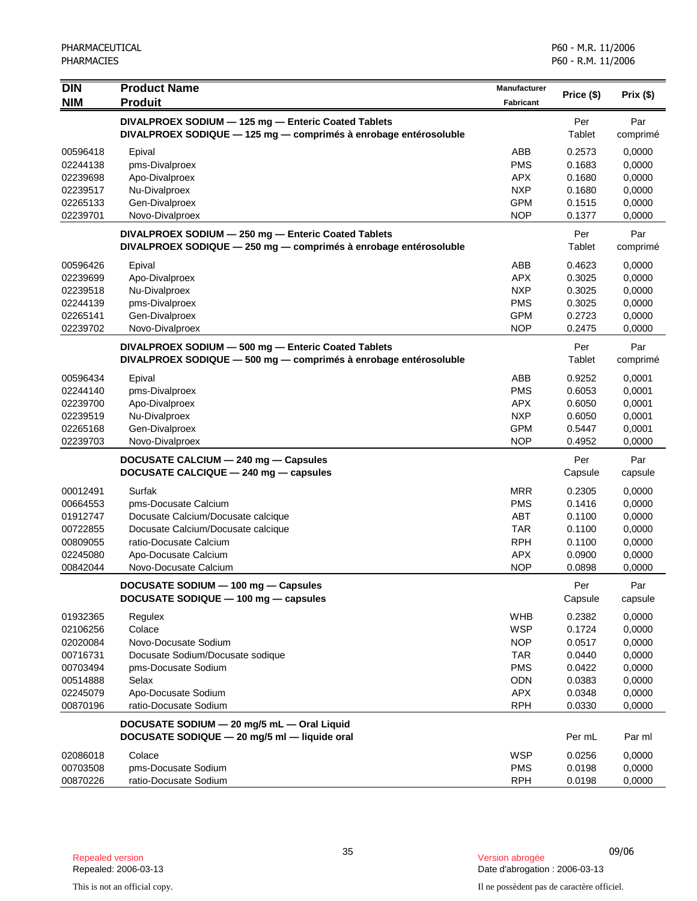| <b>DIN</b>           | <b>Product Name</b>                                                                                                     | <b>Manufacturer</b>      | Price (\$)       | Prix(\$)         |
|----------------------|-------------------------------------------------------------------------------------------------------------------------|--------------------------|------------------|------------------|
| <b>NIM</b>           | <b>Produit</b>                                                                                                          | <b>Fabricant</b>         |                  |                  |
|                      | DIVALPROEX SODIUM - 125 mg - Enteric Coated Tablets                                                                     |                          | Per              | Par              |
|                      | DIVALPROEX SODIQUE - 125 mg - comprimés à enrobage entérosoluble                                                        |                          | Tablet           | comprimé         |
| 00596418             | Epival                                                                                                                  | ABB                      | 0.2573           | 0,0000           |
| 02244138             | pms-Divalproex                                                                                                          | <b>PMS</b>               | 0.1683           | 0,0000           |
| 02239698             | Apo-Divalproex                                                                                                          | APX.                     | 0.1680           | 0,0000           |
| 02239517             | Nu-Divalproex                                                                                                           | <b>NXP</b>               | 0.1680           | 0,0000           |
| 02265133<br>02239701 | Gen-Divalproex                                                                                                          | <b>GPM</b><br><b>NOP</b> | 0.1515<br>0.1377 | 0,0000           |
|                      | Novo-Divalproex                                                                                                         |                          |                  | 0,0000           |
|                      | DIVALPROEX SODIUM - 250 mg - Enteric Coated Tablets<br>DIVALPROEX SODIQUE - 250 mg - comprimés à enrobage entérosoluble |                          | Per<br>Tablet    | Par              |
|                      |                                                                                                                         |                          |                  | comprimé         |
| 00596426             | Epival                                                                                                                  | ABB                      | 0.4623           | 0,0000           |
| 02239699             | Apo-Divalproex                                                                                                          | <b>APX</b>               | 0.3025           | 0,0000           |
| 02239518             | Nu-Divalproex                                                                                                           | <b>NXP</b><br><b>PMS</b> | 0.3025<br>0.3025 | 0,0000           |
| 02244139<br>02265141 | pms-Divalproex<br>Gen-Divalproex                                                                                        | <b>GPM</b>               | 0.2723           | 0,0000<br>0,0000 |
| 02239702             | Novo-Divalproex                                                                                                         | <b>NOP</b>               | 0.2475           | 0,0000           |
|                      |                                                                                                                         |                          | Per              | Par              |
|                      | DIVALPROEX SODIUM - 500 mg - Enteric Coated Tablets<br>DIVALPROEX SODIQUE - 500 mg - comprimés à enrobage entérosoluble |                          | Tablet           | comprimé         |
|                      |                                                                                                                         |                          |                  |                  |
| 00596434             | Epival                                                                                                                  | ABB                      | 0.9252           | 0,0001           |
| 02244140<br>02239700 | pms-Divalproex<br>Apo-Divalproex                                                                                        | <b>PMS</b><br><b>APX</b> | 0.6053<br>0.6050 | 0,0001<br>0,0001 |
| 02239519             | Nu-Divalproex                                                                                                           | <b>NXP</b>               | 0.6050           | 0,0001           |
| 02265168             | Gen-Divalproex                                                                                                          | <b>GPM</b>               | 0.5447           | 0,0001           |
| 02239703             | Novo-Divalproex                                                                                                         | <b>NOP</b>               | 0.4952           | 0,0000           |
|                      | DOCUSATE CALCIUM - 240 mg - Capsules                                                                                    |                          | Per              | Par              |
|                      | DOCUSATE CALCIQUE - 240 mg - capsules                                                                                   |                          | Capsule          | capsule          |
| 00012491             | Surfak                                                                                                                  | <b>MRR</b>               | 0.2305           | 0,0000           |
| 00664553             | pms-Docusate Calcium                                                                                                    | <b>PMS</b>               | 0.1416           | 0,0000           |
| 01912747             | Docusate Calcium/Docusate calcique                                                                                      | <b>ABT</b>               | 0.1100           | 0,0000           |
| 00722855             | Docusate Calcium/Docusate calcique                                                                                      | <b>TAR</b>               | 0.1100           | 0,0000           |
| 00809055             | ratio-Docusate Calcium                                                                                                  | <b>RPH</b>               | 0.1100           | 0,0000           |
| 02245080             | Apo-Docusate Calcium                                                                                                    | <b>APX</b>               | 0.0900           | 0,0000           |
| 00842044             | Novo-Docusate Calcium                                                                                                   | <b>NOP</b>               | 0.0898           | 0,0000           |
|                      | DOCUSATE SODIUM - 100 mg - Capsules                                                                                     |                          | Per              | Par              |
|                      | DOCUSATE SODIQUE - 100 mg - capsules                                                                                    |                          | Capsule          | capsule          |
| 01932365             | Regulex                                                                                                                 | <b>WHB</b>               | 0.2382           | 0,0000           |
| 02106256             | Colace                                                                                                                  | <b>WSP</b>               | 0.1724           | 0,0000           |
| 02020084             | Novo-Docusate Sodium                                                                                                    | <b>NOP</b>               | 0.0517           | 0,0000           |
| 00716731             | Docusate Sodium/Docusate sodique                                                                                        | <b>TAR</b>               | 0.0440           | 0,0000           |
| 00703494             | pms-Docusate Sodium                                                                                                     | <b>PMS</b>               | 0.0422           | 0,0000           |
| 00514888             | Selax                                                                                                                   | ODN                      | 0.0383           | 0,0000           |
| 02245079<br>00870196 | Apo-Docusate Sodium<br>ratio-Docusate Sodium                                                                            | APX<br><b>RPH</b>        | 0.0348<br>0.0330 | 0,0000<br>0,0000 |
|                      |                                                                                                                         |                          |                  |                  |
|                      | DOCUSATE SODIUM - 20 mg/5 mL - Oral Liquid<br>DOCUSATE SODIQUE - 20 mg/5 ml - liquide oral                              |                          | Per mL           | Par ml           |
| 02086018             | Colace                                                                                                                  | <b>WSP</b>               | 0.0256           | 0,0000           |
| 00703508             | pms-Docusate Sodium                                                                                                     | <b>PMS</b>               | 0.0198           | 0,0000           |
| 00870226             | ratio-Docusate Sodium                                                                                                   | <b>RPH</b>               | 0.0198           | 0,0000           |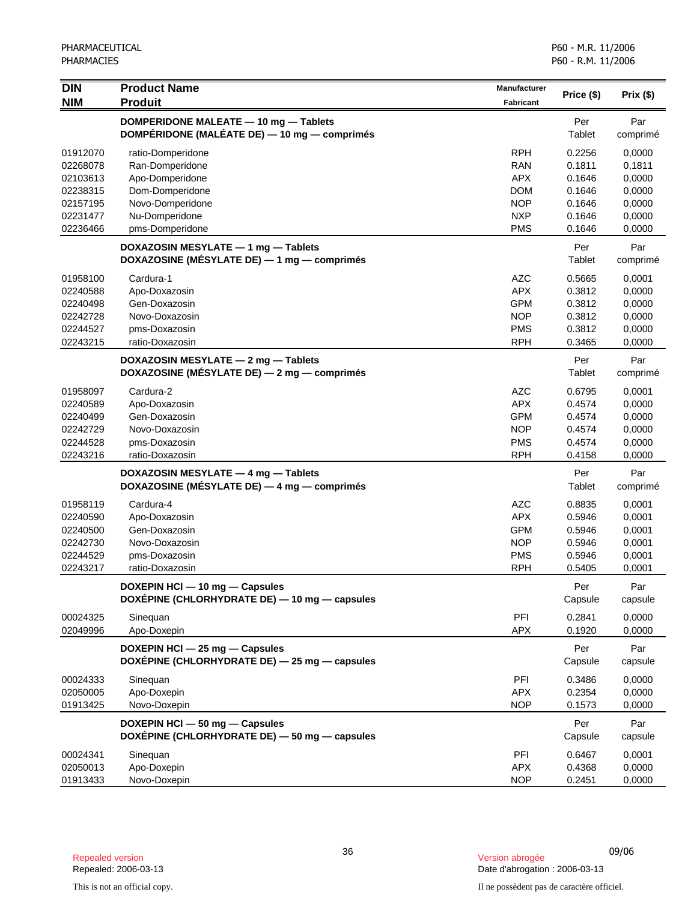| <b>DIN</b> | <b>Product Name</b>                           | <b>Manufacturer</b> | Price (\$) | Prix(\$) |
|------------|-----------------------------------------------|---------------------|------------|----------|
| <b>NIM</b> | <b>Produit</b>                                | <b>Fabricant</b>    |            |          |
|            | DOMPERIDONE MALEATE - 10 mg - Tablets         |                     | Per        | Par      |
|            | DOMPÉRIDONE (MALÉATE DE) — 10 mg — comprimés  |                     | Tablet     | comprimé |
| 01912070   | ratio-Domperidone                             | <b>RPH</b>          | 0.2256     | 0,0000   |
| 02268078   | Ran-Domperidone                               | <b>RAN</b>          | 0.1811     | 0,1811   |
| 02103613   | Apo-Domperidone                               | <b>APX</b>          | 0.1646     | 0,0000   |
| 02238315   | Dom-Domperidone                               | <b>DOM</b>          | 0.1646     | 0,0000   |
| 02157195   | Novo-Domperidone                              | <b>NOP</b>          | 0.1646     | 0,0000   |
| 02231477   | Nu-Domperidone                                | <b>NXP</b>          | 0.1646     | 0,0000   |
| 02236466   | pms-Domperidone                               | <b>PMS</b>          | 0.1646     | 0,0000   |
|            | DOXAZOSIN MESYLATE - 1 mg - Tablets           |                     | Per        | Par      |
|            | DOXAZOSINE (MÉSYLATE DE) - 1 mg - comprimés   |                     | Tablet     | comprimé |
| 01958100   | Cardura-1                                     | <b>AZC</b>          | 0.5665     | 0,0001   |
| 02240588   | Apo-Doxazosin                                 | <b>APX</b>          | 0.3812     | 0,0000   |
| 02240498   | Gen-Doxazosin                                 | <b>GPM</b>          | 0.3812     | 0,0000   |
| 02242728   | Novo-Doxazosin                                | <b>NOP</b>          | 0.3812     | 0,0000   |
| 02244527   | pms-Doxazosin                                 | <b>PMS</b>          | 0.3812     | 0,0000   |
| 02243215   | ratio-Doxazosin                               | <b>RPH</b>          | 0.3465     | 0,0000   |
|            | DOXAZOSIN MESYLATE - 2 mg - Tablets           |                     | Per        | Par      |
|            | DOXAZOSINE (MÉSYLATE DE) - 2 mg - comprimés   |                     | Tablet     | comprimé |
| 01958097   | Cardura-2                                     | <b>AZC</b>          | 0.6795     | 0,0001   |
| 02240589   | Apo-Doxazosin                                 | <b>APX</b>          | 0.4574     | 0,0000   |
| 02240499   | Gen-Doxazosin                                 | <b>GPM</b>          | 0.4574     | 0,0000   |
| 02242729   | Novo-Doxazosin                                | <b>NOP</b>          | 0.4574     | 0,0000   |
| 02244528   | pms-Doxazosin                                 | <b>PMS</b>          | 0.4574     | 0,0000   |
| 02243216   | ratio-Doxazosin                               | <b>RPH</b>          | 0.4158     | 0,0000   |
|            | DOXAZOSIN MESYLATE - 4 mg - Tablets           |                     | Per        | Par      |
|            | DOXAZOSINE (MÉSYLATE DE) - 4 mg - comprimés   |                     | Tablet     | comprimé |
| 01958119   | Cardura-4                                     | <b>AZC</b>          | 0.8835     | 0,0001   |
| 02240590   | Apo-Doxazosin                                 | <b>APX</b>          | 0.5946     | 0,0001   |
| 02240500   | Gen-Doxazosin                                 | <b>GPM</b>          | 0.5946     | 0,0001   |
| 02242730   | Novo-Doxazosin                                | <b>NOP</b>          | 0.5946     | 0,0001   |
| 02244529   | pms-Doxazosin                                 | <b>PMS</b>          | 0.5946     | 0,0001   |
| 02243217   | ratio-Doxazosin                               | <b>RPH</b>          | 0.5405     | 0,0001   |
|            | DOXEPIN HCI - 10 mg - Capsules                |                     | Per        | Par      |
|            | DOXEPINE (CHLORHYDRATE DE) - 10 mg - capsules |                     | Capsule    | capsule  |
| 00024325   | Sinequan                                      | PFI                 | 0.2841     | 0,0000   |
| 02049996   | Apo-Doxepin                                   | <b>APX</b>          | 0.1920     | 0,0000   |
|            | DOXEPIN HCI - 25 mg - Capsules                |                     | Per        | Par      |
|            | DOXEPINE (CHLORHYDRATE DE) - 25 mg - capsules |                     | Capsule    | capsule  |
| 00024333   | Sinequan                                      | PFI                 | 0.3486     | 0,0000   |
| 02050005   | Apo-Doxepin                                   | <b>APX</b>          | 0.2354     | 0,0000   |
| 01913425   | Novo-Doxepin                                  | NOP                 | 0.1573     | 0,0000   |
|            | DOXEPIN HCI - 50 mg - Capsules                |                     | Per        | Par      |
|            | DOXÉPINE (CHLORHYDRATE DE) - 50 mg - capsules |                     | Capsule    | capsule  |
| 00024341   | Sinequan                                      | PFI                 | 0.6467     | 0,0001   |
| 02050013   | Apo-Doxepin                                   | <b>APX</b>          | 0.4368     | 0,0000   |
| 01913433   | Novo-Doxepin                                  | <b>NOP</b>          | 0.2451     | 0,0000   |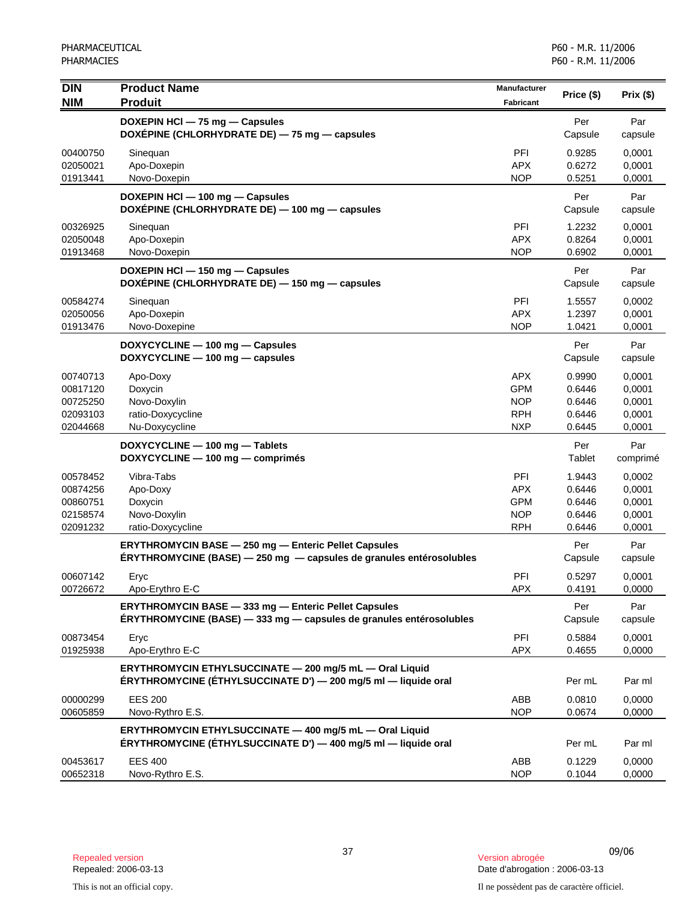| <b>DIN</b><br><b>NIM</b>                                 | <b>Product Name</b><br><b>Produit</b>                                                                                              | <b>Manufacturer</b><br><b>Fabricant</b>                            | Price (\$)                                     | Prix(\$)                                       |
|----------------------------------------------------------|------------------------------------------------------------------------------------------------------------------------------------|--------------------------------------------------------------------|------------------------------------------------|------------------------------------------------|
|                                                          | DOXEPIN HCl - 75 mg - Capsules<br>DOXEPINE (CHLORHYDRATE DE) - 75 mg - capsules                                                    |                                                                    | Per<br>Capsule                                 | Par<br>capsule                                 |
| 00400750<br>02050021<br>01913441                         | Sinequan<br>Apo-Doxepin<br>Novo-Doxepin                                                                                            | PFI<br><b>APX</b><br><b>NOP</b>                                    | 0.9285<br>0.6272<br>0.5251                     | 0,0001<br>0,0001<br>0,0001                     |
|                                                          | DOXEPIN HCI - 100 mg - Capsules<br>DOXÉPINE (CHLORHYDRATE DE) - 100 mg - capsules                                                  |                                                                    | Per<br>Capsule                                 | Par<br>capsule                                 |
| 00326925<br>02050048<br>01913468                         | Sineguan<br>Apo-Doxepin<br>Novo-Doxepin                                                                                            | PFI<br><b>APX</b><br><b>NOP</b>                                    | 1.2232<br>0.8264<br>0.6902                     | 0,0001<br>0,0001<br>0,0001                     |
|                                                          | DOXEPIN HCI - 150 mg - Capsules<br>DOXEPINE (CHLORHYDRATE DE) - 150 mg - capsules                                                  |                                                                    | Per<br>Capsule                                 | Par<br>capsule                                 |
| 00584274<br>02050056<br>01913476                         | Sinequan<br>Apo-Doxepin<br>Novo-Doxepine                                                                                           | PFI<br><b>APX</b><br><b>NOP</b>                                    | 1.5557<br>1.2397<br>1.0421                     | 0,0002<br>0,0001<br>0,0001                     |
|                                                          | DOXYCYCLINE - 100 mg - Capsules<br>DOXYCYCLINE - 100 mg - capsules                                                                 |                                                                    | Per<br>Capsule                                 | Par<br>capsule                                 |
| 00740713<br>00817120<br>00725250<br>02093103<br>02044668 | Apo-Doxy<br>Doxycin<br>Novo-Doxylin<br>ratio-Doxycycline<br>Nu-Doxycycline                                                         | <b>APX</b><br><b>GPM</b><br><b>NOP</b><br><b>RPH</b><br><b>NXP</b> | 0.9990<br>0.6446<br>0.6446<br>0.6446<br>0.6445 | 0,0001<br>0,0001<br>0,0001<br>0,0001<br>0,0001 |
|                                                          | DOXYCYCLINE - 100 mg - Tablets<br>DOXYCYCLINE - 100 mg - comprimés                                                                 |                                                                    | Per<br>Tablet                                  | Par<br>comprimé                                |
| 00578452<br>00874256<br>00860751<br>02158574<br>02091232 | Vibra-Tabs<br>Apo-Doxy<br>Doxycin<br>Novo-Doxylin<br>ratio-Doxycycline                                                             | PFI<br><b>APX</b><br><b>GPM</b><br><b>NOP</b><br><b>RPH</b>        | 1.9443<br>0.6446<br>0.6446<br>0.6446<br>0.6446 | 0,0002<br>0,0001<br>0,0001<br>0,0001<br>0,0001 |
|                                                          | <b>ERYTHROMYCIN BASE - 250 mg - Enteric Pellet Capsules</b><br>ÉRYTHROMYCINE (BASE) - 250 mg - capsules de granules entérosolubles |                                                                    | Per<br>Capsule                                 | Par<br>capsule                                 |
| 00607142<br>00726672                                     | Eryc<br>Apo-Erythro E-C                                                                                                            | PFI<br>APX                                                         | 0.5297<br>0.4191                               | 0,0001<br>0,0000                               |
|                                                          | ERYTHROMYCIN BASE - 333 mg - Enteric Pellet Capsules<br>ERYTHROMYCINE (BASE) - 333 mg - capsules de granules entérosolubles        |                                                                    | Per<br>Capsule                                 | Par<br>capsule                                 |
| 00873454<br>01925938                                     | Eryc<br>Apo-Erythro E-C                                                                                                            | PFI<br><b>APX</b>                                                  | 0.5884<br>0.4655                               | 0,0001<br>0,0000                               |
|                                                          | ERYTHROMYCIN ETHYLSUCCINATE - 200 mg/5 mL - Oral Liquid<br>ÉRYTHROMYCINE (ÉTHYLSUCCINATE D') — 200 mg/5 ml — liquide oral          |                                                                    | Per mL                                         | Par ml                                         |
| 00000299<br>00605859                                     | <b>EES 200</b><br>Novo-Rythro E.S.                                                                                                 | ABB<br><b>NOP</b>                                                  | 0.0810<br>0.0674                               | 0,0000<br>0,0000                               |
|                                                          | ERYTHROMYCIN ETHYLSUCCINATE - 400 mg/5 mL - Oral Liquid<br>ÉRYTHROMYCINE (ÉTHYLSUCCINATE D') — 400 mg/5 ml — liquide oral          |                                                                    | Per mL                                         | Par ml                                         |
| 00453617<br>00652318                                     | <b>EES 400</b><br>Novo-Rythro E.S.                                                                                                 | ABB<br><b>NOP</b>                                                  | 0.1229<br>0.1044                               | 0,0000<br>0,0000                               |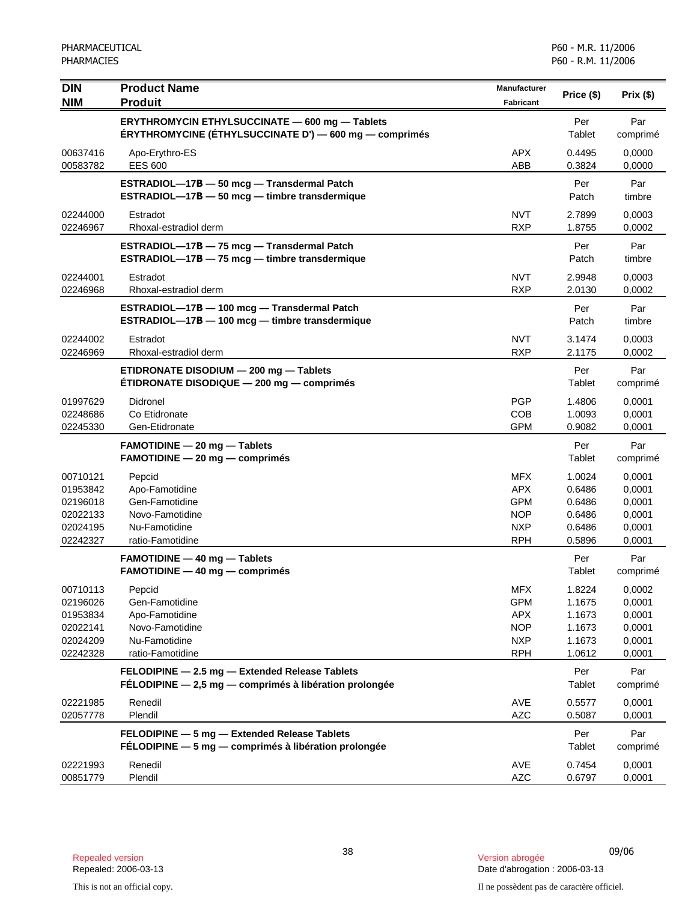| <b>DIN</b><br><b>NIM</b>                                             | <b>Product Name</b><br><b>Produit</b>                                                                    | <b>Manufacturer</b><br><b>Fabricant</b>                                          | Price (\$)                                               | Prix(\$)                                                 |
|----------------------------------------------------------------------|----------------------------------------------------------------------------------------------------------|----------------------------------------------------------------------------------|----------------------------------------------------------|----------------------------------------------------------|
|                                                                      | ERYTHROMYCIN ETHYLSUCCINATE - 600 mg - Tablets<br>ÉRYTHROMYCINE (ÉTHYLSUCCINATE D') — 600 mg — comprimés |                                                                                  | Per<br>Tablet                                            | Par<br>comprimé                                          |
| 00637416<br>00583782                                                 | Apo-Erythro-ES<br><b>EES 600</b>                                                                         | <b>APX</b><br>ABB                                                                | 0.4495<br>0.3824                                         | 0,0000<br>0,0000                                         |
|                                                                      | ESTRADIOL-17B - 50 mcg - Transdermal Patch<br>ESTRADIOL-17B - 50 mcg - timbre transdermique              |                                                                                  | Per<br>Patch                                             | Par<br>timbre                                            |
| 02244000<br>02246967                                                 | Estradot<br>Rhoxal-estradiol derm                                                                        | <b>NVT</b><br><b>RXP</b>                                                         | 2.7899<br>1.8755                                         | 0,0003<br>0,0002                                         |
|                                                                      | ESTRADIOL-17B - 75 mcg - Transdermal Patch<br>ESTRADIOL-17B - 75 mcg - timbre transdermique              |                                                                                  | Per<br>Patch                                             | Par<br>timbre                                            |
| 02244001<br>02246968                                                 | Estradot<br>Rhoxal-estradiol derm                                                                        | <b>NVT</b><br><b>RXP</b>                                                         | 2.9948<br>2.0130                                         | 0,0003<br>0,0002                                         |
|                                                                      | ESTRADIOL-17B - 100 mcg - Transdermal Patch<br>ESTRADIOL-17B - 100 mcg - timbre transdermique            |                                                                                  | Per<br>Patch                                             | Par<br>timbre                                            |
| 02244002<br>02246969                                                 | Estradot<br>Rhoxal-estradiol derm                                                                        | <b>NVT</b><br><b>RXP</b>                                                         | 3.1474<br>2.1175                                         | 0,0003<br>0,0002                                         |
|                                                                      | ETIDRONATE DISODIUM - 200 mg - Tablets<br>ÉTIDRONATE DISODIQUE — 200 mg — comprimés                      |                                                                                  | Per<br>Tablet                                            | Par<br>comprimé                                          |
| 01997629<br>02248686<br>02245330                                     | Didronel<br>Co Etidronate<br>Gen-Etidronate                                                              | <b>PGP</b><br>COB<br><b>GPM</b>                                                  | 1.4806<br>1.0093<br>0.9082                               | 0,0001<br>0,0001<br>0,0001                               |
|                                                                      | <b>FAMOTIDINE - 20 mg - Tablets</b><br>$FAMOTIDINE - 20 mg - comprimés$                                  |                                                                                  | Per<br>Tablet                                            | Par<br>comprimé                                          |
| 00710121<br>01953842<br>02196018<br>02022133<br>02024195<br>02242327 | Pepcid<br>Apo-Famotidine<br>Gen-Famotidine<br>Novo-Famotidine<br>Nu-Famotidine<br>ratio-Famotidine       | <b>MFX</b><br><b>APX</b><br><b>GPM</b><br><b>NOP</b><br><b>NXP</b><br><b>RPH</b> | 1.0024<br>0.6486<br>0.6486<br>0.6486<br>0.6486<br>0.5896 | 0,0001<br>0,0001<br>0,0001<br>0,0001<br>0,0001<br>0,0001 |
|                                                                      | <b>FAMOTIDINE - 40 mg - Tablets</b><br>$FAMOTIDINE - 40 mg - comprimés$                                  |                                                                                  | Per<br>Tablet                                            | Par<br>comprimé                                          |
| 00710113<br>02196026<br>01953834<br>02022141<br>02024209<br>02242328 | Pepcid<br>Gen-Famotidine<br>Apo-Famotidine<br>Novo-Famotidine<br>Nu-Famotidine<br>ratio-Famotidine       | <b>MFX</b><br><b>GPM</b><br><b>APX</b><br><b>NOP</b><br><b>NXP</b><br><b>RPH</b> | 1.8224<br>1.1675<br>1.1673<br>1.1673<br>1.1673<br>1.0612 | 0,0002<br>0,0001<br>0,0001<br>0,0001<br>0,0001<br>0,0001 |
|                                                                      | FELODIPINE - 2.5 mg - Extended Release Tablets<br>FÉLODIPINE - 2,5 mg - comprimés à libération prolongée |                                                                                  | Per<br>Tablet                                            | Par<br>comprimé                                          |
| 02221985<br>02057778                                                 | Renedil<br>Plendil                                                                                       | AVE<br><b>AZC</b>                                                                | 0.5577<br>0.5087                                         | 0,0001<br>0,0001                                         |
|                                                                      | FELODIPINE - 5 mg - Extended Release Tablets<br>FÉLODIPINE - 5 mg - comprimés à libération prolongée     |                                                                                  | Per<br>Tablet                                            | Par<br>comprimé                                          |
| 02221993<br>00851779                                                 | Renedil<br>Plendil                                                                                       | AVE<br><b>AZC</b>                                                                | 0.7454<br>0.6797                                         | 0,0001<br>0,0001                                         |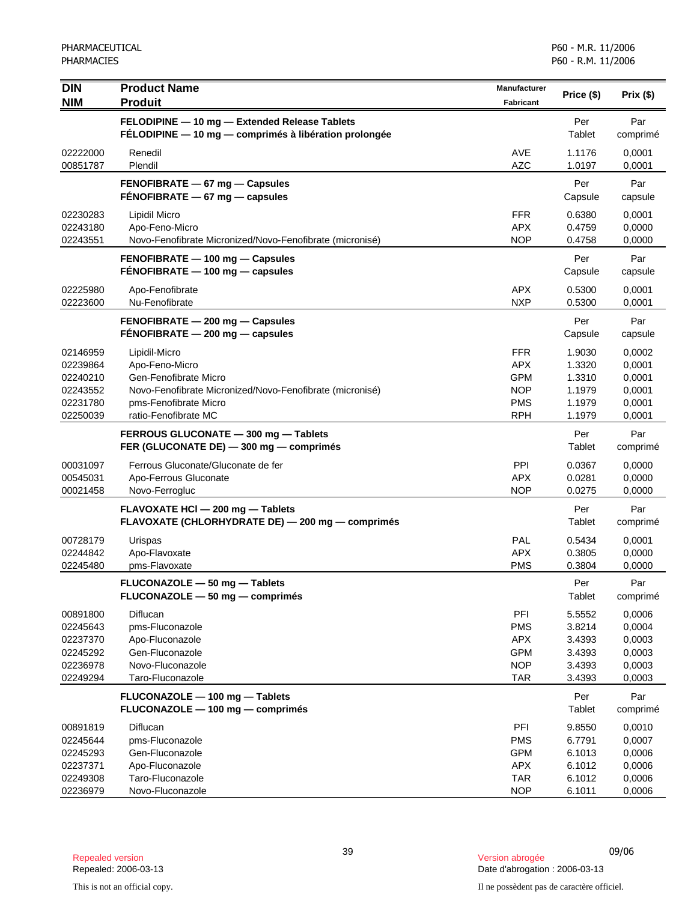| <b>DIN</b><br><b>NIM</b>                                             | <b>Product Name</b><br><b>Produit</b>                                                                                                                                 | Manufacturer<br>Fabricant                                                        | Price (\$)                                               | Prix(\$)                                                 |
|----------------------------------------------------------------------|-----------------------------------------------------------------------------------------------------------------------------------------------------------------------|----------------------------------------------------------------------------------|----------------------------------------------------------|----------------------------------------------------------|
|                                                                      |                                                                                                                                                                       |                                                                                  |                                                          |                                                          |
|                                                                      | FELODIPINE - 10 mg - Extended Release Tablets<br>FÉLODIPINE - 10 mg - comprimés à libération prolongée                                                                |                                                                                  | Per<br>Tablet                                            | Par<br>comprimé                                          |
| 02222000<br>00851787                                                 | Renedil<br>Plendil                                                                                                                                                    | <b>AVE</b><br><b>AZC</b>                                                         | 1.1176<br>1.0197                                         | 0,0001<br>0,0001                                         |
|                                                                      | FENOFIBRATE - 67 mg - Capsules<br>$FÉNOFIBRATE - 67 mg - capsules$                                                                                                    |                                                                                  | Per<br>Capsule                                           | Par<br>capsule                                           |
| 02230283<br>02243180<br>02243551                                     | Lipidil Micro<br>Apo-Feno-Micro<br>Novo-Fenofibrate Micronized/Novo-Fenofibrate (micronisé)                                                                           | <b>FFR</b><br><b>APX</b><br><b>NOP</b>                                           | 0.6380<br>0.4759<br>0.4758                               | 0,0001<br>0,0000<br>0,0000                               |
|                                                                      | FENOFIBRATE - 100 mg - Capsules<br>FÉNOFIBRATE - 100 mg - capsules                                                                                                    |                                                                                  | Per<br>Capsule                                           | Par<br>capsule                                           |
| 02225980<br>02223600                                                 | Apo-Fenofibrate<br>Nu-Fenofibrate                                                                                                                                     | <b>APX</b><br><b>NXP</b>                                                         | 0.5300<br>0.5300                                         | 0,0001<br>0,0001                                         |
|                                                                      | FENOFIBRATE - 200 mg - Capsules<br>FENOFIBRATE - 200 mg - capsules                                                                                                    |                                                                                  | Per<br>Capsule                                           | Par<br>capsule                                           |
| 02146959<br>02239864<br>02240210<br>02243552<br>02231780<br>02250039 | Lipidil-Micro<br>Apo-Feno-Micro<br>Gen-Fenofibrate Micro<br>Novo-Fenofibrate Micronized/Novo-Fenofibrate (micronisé)<br>pms-Fenofibrate Micro<br>ratio-Fenofibrate MC | <b>FFR</b><br><b>APX</b><br><b>GPM</b><br><b>NOP</b><br><b>PMS</b><br><b>RPH</b> | 1.9030<br>1.3320<br>1.3310<br>1.1979<br>1.1979<br>1.1979 | 0,0002<br>0,0001<br>0,0001<br>0,0001<br>0,0001<br>0,0001 |
|                                                                      | FERROUS GLUCONATE - 300 mg - Tablets<br>FER (GLUCONATE DE) - 300 mg - comprimés                                                                                       |                                                                                  | Per<br>Tablet                                            | Par<br>comprimé                                          |
| 00031097<br>00545031<br>00021458                                     | Ferrous Gluconate/Gluconate de fer<br>Apo-Ferrous Gluconate<br>Novo-Ferrogluc                                                                                         | PPI<br><b>APX</b><br><b>NOP</b>                                                  | 0.0367<br>0.0281<br>0.0275                               | 0,0000<br>0,0000<br>0,0000                               |
|                                                                      | FLAVOXATE HCI - 200 mg - Tablets<br>FLAVOXATE (CHLORHYDRATE DE) - 200 mg - comprimés                                                                                  |                                                                                  | Per<br>Tablet                                            | Par<br>comprimé                                          |
| 00728179<br>02244842<br>02245480                                     | Urispas<br>Apo-Flavoxate<br>pms-Flavoxate                                                                                                                             | PAL<br><b>APX</b><br><b>PMS</b>                                                  | 0.5434<br>0.3805<br>0.3804                               | 0,0001<br>0,0000<br>0,0000                               |
|                                                                      | FLUCONAZOLE - 50 mg - Tablets<br>FLUCONAZOLE - 50 mg - comprimés                                                                                                      |                                                                                  | Per<br>Tablet                                            | Par<br>comprimé                                          |
| 00891800<br>02245643<br>02237370<br>02245292<br>02236978<br>02249294 | Diflucan<br>pms-Fluconazole<br>Apo-Fluconazole<br>Gen-Fluconazole<br>Novo-Fluconazole<br>Taro-Fluconazole                                                             | PFI<br><b>PMS</b><br><b>APX</b><br><b>GPM</b><br><b>NOP</b><br><b>TAR</b>        | 5.5552<br>3.8214<br>3.4393<br>3.4393<br>3.4393<br>3.4393 | 0,0006<br>0,0004<br>0,0003<br>0,0003<br>0,0003<br>0,0003 |
|                                                                      | FLUCONAZOLE - 100 mg - Tablets<br>FLUCONAZOLE - 100 mg - comprimés                                                                                                    |                                                                                  | Per<br>Tablet                                            | Par<br>comprimé                                          |
| 00891819<br>02245644<br>02245293<br>02237371<br>02249308             | Diflucan<br>pms-Fluconazole<br>Gen-Fluconazole<br>Apo-Fluconazole<br>Taro-Fluconazole                                                                                 | PFI<br><b>PMS</b><br><b>GPM</b><br><b>APX</b><br><b>TAR</b>                      | 9.8550<br>6.7791<br>6.1013<br>6.1012<br>6.1012           | 0,0010<br>0,0007<br>0,0006<br>0,0006<br>0,0006           |
| 02236979                                                             | Novo-Fluconazole                                                                                                                                                      | <b>NOP</b>                                                                       | 6.1011                                                   | 0,0006                                                   |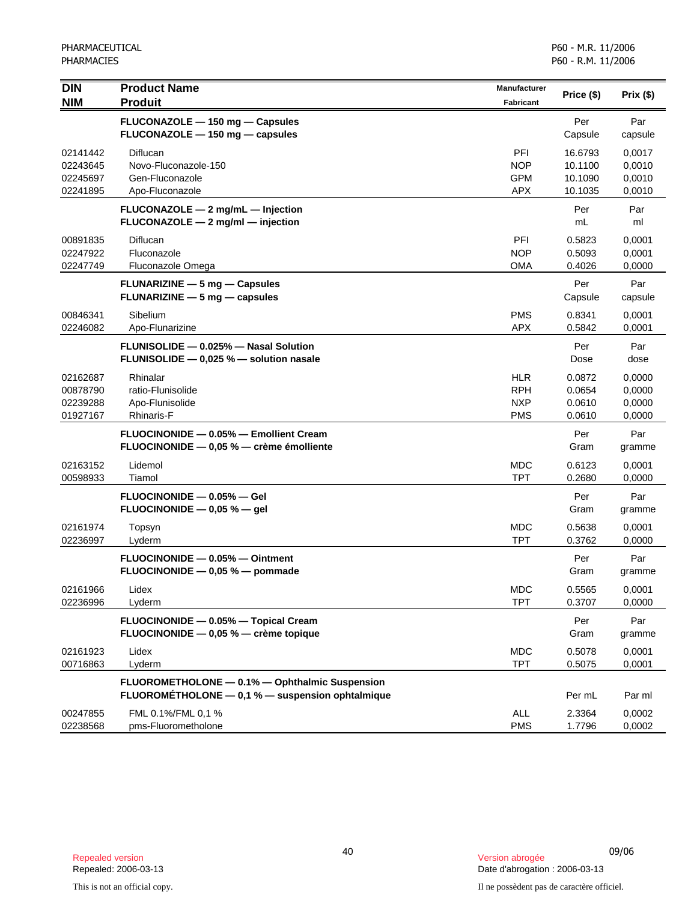| <b>DIN</b><br><b>NIM</b>                     | <b>Product Name</b><br><b>Produit</b>                                                              | <b>Manufacturer</b><br><b>Fabricant</b>              | Price (\$)                               | Prix(\$)                             |
|----------------------------------------------|----------------------------------------------------------------------------------------------------|------------------------------------------------------|------------------------------------------|--------------------------------------|
|                                              |                                                                                                    |                                                      |                                          |                                      |
|                                              | FLUCONAZOLE - 150 mg - Capsules<br>FLUCONAZOLE - 150 mg - capsules                                 |                                                      | Per<br>Capsule                           | Par<br>capsule                       |
| 02141442<br>02243645<br>02245697<br>02241895 | Diflucan<br>Novo-Fluconazole-150<br>Gen-Fluconazole<br>Apo-Fluconazole                             | PFI<br><b>NOP</b><br><b>GPM</b><br><b>APX</b>        | 16.6793<br>10.1100<br>10.1090<br>10.1035 | 0,0017<br>0,0010<br>0,0010<br>0,0010 |
|                                              | $FLUCONAZOLE-2 mg/mL-Injection$<br>$FLUCONAZOLE - 2 mg/ml - injection$                             |                                                      | Per<br>mL                                | Par<br>ml                            |
| 00891835<br>02247922<br>02247749             | Diflucan<br>Fluconazole<br>Fluconazole Omega                                                       | PFI<br><b>NOP</b><br>OMA                             | 0.5823<br>0.5093<br>0.4026               | 0,0001<br>0,0001<br>0,0000           |
|                                              | <b>FLUNARIZINE - 5 mg - Capsules</b><br><b>FLUNARIZINE</b> $-$ 5 mg $-$ capsules                   |                                                      | Per<br>Capsule                           | Par<br>capsule                       |
| 00846341<br>02246082                         | Sibelium<br>Apo-Flunarizine                                                                        | <b>PMS</b><br><b>APX</b>                             | 0.8341<br>0.5842                         | 0,0001<br>0,0001                     |
|                                              | FLUNISOLIDE - 0.025% - Nasal Solution<br>FLUNISOLIDE - 0,025 % - solution nasale                   |                                                      | Per<br>Dose                              | Par<br>dose                          |
| 02162687<br>00878790<br>02239288<br>01927167 | Rhinalar<br>ratio-Flunisolide<br>Apo-Flunisolide<br>Rhinaris-F                                     | <b>HLR</b><br><b>RPH</b><br><b>NXP</b><br><b>PMS</b> | 0.0872<br>0.0654<br>0.0610<br>0.0610     | 0,0000<br>0,0000<br>0,0000<br>0,0000 |
|                                              | FLUOCINONIDE - 0.05% - Emollient Cream<br>FLUOCINONIDE - 0,05 % - crème émolliente                 |                                                      | Per<br>Gram                              | Par<br>gramme                        |
| 02163152<br>00598933                         | Lidemol<br>Tiamol                                                                                  | <b>MDC</b><br><b>TPT</b>                             | 0.6123<br>0.2680                         | 0,0001<br>0,0000                     |
|                                              | FLUOCINONIDE - 0.05% - Gel<br>FLUOCINONIDE $-$ 0,05 % $-$ gel                                      |                                                      | Per<br>Gram                              | Par<br>gramme                        |
| 02161974<br>02236997                         | Topsyn<br>Lyderm                                                                                   | <b>MDC</b><br><b>TPT</b>                             | 0.5638<br>0.3762                         | 0,0001<br>0,0000                     |
|                                              | FLUOCINONIDE - 0.05% - Ointment<br>FLUOCINONIDE $-$ 0,05 % $-$ pommade                             |                                                      | Per<br>Gram                              | Par<br>gramme                        |
| 02161966<br>02236996                         | Lidex<br>Lyderm                                                                                    | <b>MDC</b><br><b>TPT</b>                             | 0.5565<br>0.3707                         | 0,0001<br>0,0000                     |
|                                              | FLUOCINONIDE - 0.05% - Topical Cream<br>FLUOCINONIDE $-$ 0,05 % $-$ crème topique                  |                                                      | Per<br>Gram                              | Par<br>gramme                        |
| 02161923<br>00716863                         | Lidex<br>Lyderm                                                                                    | <b>MDC</b><br><b>TPT</b>                             | 0.5078<br>0.5075                         | 0,0001<br>0,0001                     |
|                                              | FLUOROMETHOLONE - 0.1% - Ophthalmic Suspension<br>FLUOROMÉTHOLONE - 0,1 % - suspension ophtalmique |                                                      | Per mL                                   | Par ml                               |
| 00247855<br>02238568                         | FML 0.1%/FML 0,1 %<br>pms-Fluorometholone                                                          | ALL<br><b>PMS</b>                                    | 2.3364<br>1.7796                         | 0,0002<br>0,0002                     |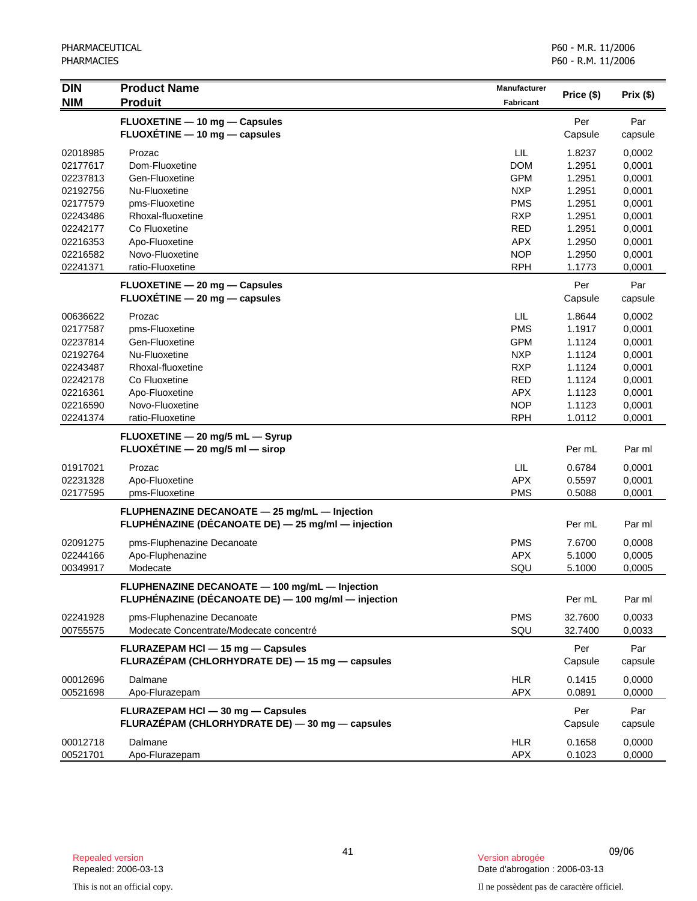| <b>DIN</b>           | <b>Product Name</b>                                 | Manufacturer             |                  |                  |
|----------------------|-----------------------------------------------------|--------------------------|------------------|------------------|
| <b>NIM</b>           | <b>Produit</b>                                      | <b>Fabricant</b>         | Price (\$)       | Prix(\$)         |
|                      | FLUOXETINE - 10 mg - Capsules                       |                          | Per              | Par              |
|                      | $FLUOXÉTIME - 10 mg - capsules$                     |                          | Capsule          | capsule          |
|                      |                                                     |                          |                  |                  |
| 02018985             | Prozac                                              | LIL                      | 1.8237           | 0,0002           |
| 02177617             | Dom-Fluoxetine                                      | <b>DOM</b>               | 1.2951           | 0,0001           |
| 02237813             | Gen-Fluoxetine<br>Nu-Fluoxetine                     | <b>GPM</b><br><b>NXP</b> | 1.2951           | 0,0001           |
| 02192756<br>02177579 |                                                     | <b>PMS</b>               | 1.2951           | 0,0001           |
|                      | pms-Fluoxetine<br>Rhoxal-fluoxetine                 | <b>RXP</b>               | 1.2951           | 0,0001           |
| 02243486<br>02242177 | Co Fluoxetine                                       | <b>RED</b>               | 1.2951<br>1.2951 | 0,0001           |
| 02216353             |                                                     | <b>APX</b>               | 1.2950           | 0,0001           |
| 02216582             | Apo-Fluoxetine<br>Novo-Fluoxetine                   | <b>NOP</b>               | 1.2950           | 0,0001<br>0,0001 |
| 02241371             | ratio-Fluoxetine                                    | <b>RPH</b>               | 1.1773           | 0,0001           |
|                      |                                                     |                          |                  |                  |
|                      | FLUOXETINE - 20 mg - Capsules                       |                          | Per              | Par              |
|                      | $FLUOXETINE - 20 mg - capsules$                     |                          | Capsule          | capsule          |
| 00636622             | Prozac                                              | LIL                      | 1.8644           | 0,0002           |
| 02177587             | pms-Fluoxetine                                      | <b>PMS</b>               | 1.1917           | 0,0001           |
| 02237814             | Gen-Fluoxetine                                      | <b>GPM</b>               | 1.1124           | 0,0001           |
| 02192764             | Nu-Fluoxetine                                       | <b>NXP</b>               | 1.1124           | 0,0001           |
| 02243487             | Rhoxal-fluoxetine                                   | <b>RXP</b>               | 1.1124           | 0,0001           |
| 02242178             | Co Fluoxetine                                       | <b>RED</b>               | 1.1124           | 0,0001           |
| 02216361             | Apo-Fluoxetine                                      | <b>APX</b>               | 1.1123           | 0,0001           |
| 02216590             | Novo-Fluoxetine                                     | <b>NOP</b>               | 1.1123           | 0,0001           |
| 02241374             | ratio-Fluoxetine                                    | <b>RPH</b>               | 1.0112           | 0,0001           |
|                      | FLUOXETINE - 20 mg/5 mL - Syrup                     |                          |                  |                  |
|                      | FLUOXÉTINE $-$ 20 mg/5 ml $-$ sirop                 |                          | Per mL           | Par ml           |
|                      |                                                     |                          |                  |                  |
| 01917021             | Prozac                                              | <b>LIL</b>               | 0.6784           | 0,0001           |
| 02231328             | Apo-Fluoxetine                                      | <b>APX</b>               | 0.5597           | 0,0001           |
| 02177595             | pms-Fluoxetine                                      | <b>PMS</b>               | 0.5088           | 0,0001           |
|                      | FLUPHENAZINE DECANOATE - 25 mg/mL - Injection       |                          |                  |                  |
|                      | FLUPHÉNAZINE (DÉCANOATE DE) - 25 mg/ml - injection  |                          | Per mL           | Par ml           |
| 02091275             | pms-Fluphenazine Decanoate                          | <b>PMS</b>               | 7.6700           | 0,0008           |
| 02244166             | Apo-Fluphenazine                                    | <b>APX</b>               | 5.1000           | 0,0005           |
| 00349917             | Modecate                                            | SQU                      | 5.1000           | 0,0005           |
|                      |                                                     |                          |                  |                  |
|                      | FLUPHENAZINE DECANOATE - 100 mg/mL - Injection      |                          |                  |                  |
|                      | FLUPHÉNAZINE (DÉCANOATE DE) - 100 mg/ml - injection |                          | Per mL           | Par ml           |
| 02241928             | pms-Fluphenazine Decanoate                          | <b>PMS</b>               | 32.7600          | 0,0033           |
| 00755575             | Modecate Concentrate/Modecate concentré             | SQU                      | 32.7400          | 0,0033           |
|                      | FLURAZEPAM HCI - 15 mg - Capsules                   |                          | Per              | Par              |
|                      | FLURAZEPAM (CHLORHYDRATE DE) - 15 mg - capsules     |                          | Capsule          | capsule          |
|                      |                                                     |                          |                  |                  |
| 00012696             | Dalmane                                             | <b>HLR</b>               | 0.1415           | 0,0000           |
| 00521698             | Apo-Flurazepam                                      | <b>APX</b>               | 0.0891           | 0,0000           |
|                      | FLURAZEPAM HCI - 30 mg - Capsules                   |                          | Per              | Par              |
|                      | FLURAZÉPAM (CHLORHYDRATE DE) - 30 mg - capsules     |                          | Capsule          | capsule          |
| 00012718             | Dalmane                                             | <b>HLR</b>               | 0.1658           | 0,0000           |
|                      |                                                     |                          |                  |                  |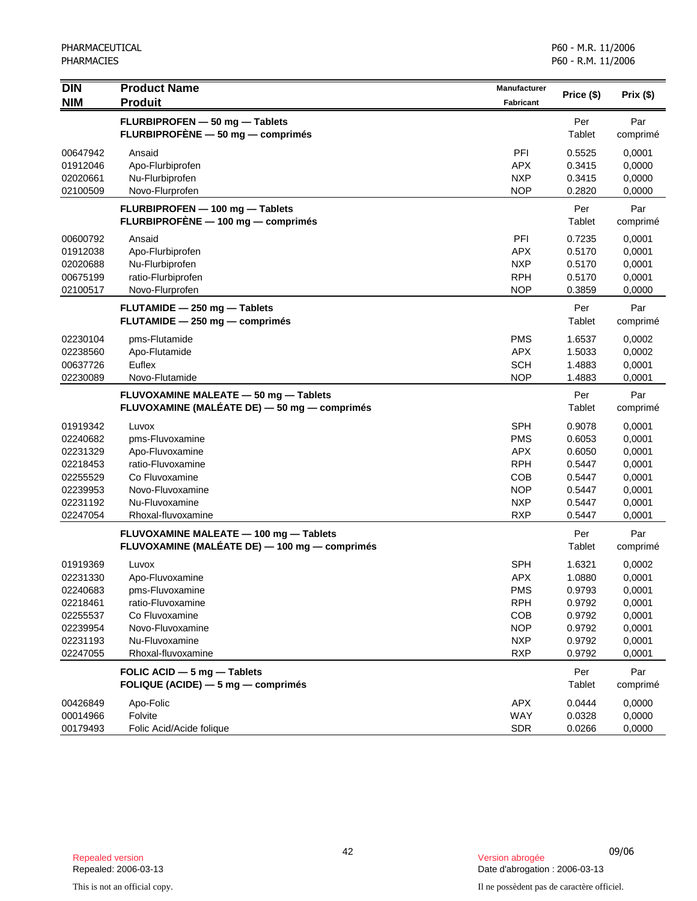| <b>DIN</b>           | <b>Product Name</b>                                               | <b>Manufacturer</b>      |                  |                  |
|----------------------|-------------------------------------------------------------------|--------------------------|------------------|------------------|
| <b>NIM</b>           | <b>Produit</b>                                                    | <b>Fabricant</b>         | Price (\$)       | Prix(\$)         |
|                      | FLURBIPROFEN - 50 mg - Tablets                                    |                          | Per              | Par              |
|                      | FLURBIPROFÈNE - 50 mg - comprimés                                 |                          | Tablet           | comprimé         |
| 00647942             | Ansaid                                                            | PFI                      | 0.5525           | 0.0001           |
| 01912046             | Apo-Flurbiprofen                                                  | <b>APX</b>               | 0.3415           | 0,0000           |
| 02020661             | Nu-Flurbiprofen                                                   | <b>NXP</b>               | 0.3415           | 0,0000           |
| 02100509             | Novo-Flurprofen                                                   | <b>NOP</b>               | 0.2820           | 0,0000           |
|                      | FLURBIPROFEN - 100 mg - Tablets                                   |                          | Per              | Par              |
|                      | FLURBIPROFÈNE - 100 mg - comprimés                                |                          | Tablet           | comprimé         |
| 00600792             | Ansaid                                                            | PFI                      | 0.7235           | 0,0001           |
| 01912038             | Apo-Flurbiprofen                                                  | <b>APX</b>               | 0.5170           | 0,0001           |
| 02020688             | Nu-Flurbiprofen                                                   | <b>NXP</b>               | 0.5170           | 0,0001           |
| 00675199             | ratio-Flurbiprofen                                                | <b>RPH</b>               | 0.5170           | 0,0001           |
| 02100517             | Novo-Flurprofen                                                   | <b>NOP</b>               | 0.3859           | 0,0000           |
|                      | FLUTAMIDE - 250 mg - Tablets                                      |                          | Per              | Par              |
|                      | FLUTAMIDE - 250 mg - comprimés                                    |                          | Tablet           | comprimé         |
| 02230104             | pms-Flutamide                                                     | <b>PMS</b>               | 1.6537           | 0,0002           |
| 02238560             | Apo-Flutamide                                                     | <b>APX</b>               | 1.5033           | 0,0002           |
| 00637726             | Euflex                                                            | <b>SCH</b>               | 1.4883           | 0,0001           |
| 02230089             | Novo-Flutamide                                                    | <b>NOP</b>               | 1.4883           | 0,0001           |
|                      | FLUVOXAMINE MALEATE - 50 mg - Tablets                             |                          | Per              | Par              |
|                      | FLUVOXAMINE (MALÉATE DE) - 50 mg - comprimés                      |                          | <b>Tablet</b>    | comprimé         |
| 01919342             | Luvox                                                             | <b>SPH</b>               | 0.9078           | 0,0001           |
| 02240682             | pms-Fluvoxamine                                                   | <b>PMS</b>               | 0.6053           | 0,0001           |
| 02231329             | Apo-Fluvoxamine                                                   | <b>APX</b>               | 0.6050           | 0,0001           |
| 02218453             | ratio-Fluvoxamine                                                 | <b>RPH</b>               | 0.5447           | 0,0001           |
| 02255529             | Co Fluvoxamine                                                    | <b>COB</b>               | 0.5447           | 0,0001           |
| 02239953             | Novo-Fluvoxamine                                                  | <b>NOP</b>               | 0.5447           | 0,0001           |
| 02231192             | Nu-Fluvoxamine                                                    | <b>NXP</b>               | 0.5447           | 0,0001           |
| 02247054             | Rhoxal-fluvoxamine                                                | <b>RXP</b>               | 0.5447           | 0,0001           |
|                      | FLUVOXAMINE MALEATE - 100 mg - Tablets                            |                          | Per              | Par              |
|                      | FLUVOXAMINE (MALÉATE DE) — 100 mg — comprimés                     |                          | Tablet           | comprimé         |
| 01919369             | Luvox                                                             | <b>SPH</b>               | 1.6321           | 0,0002           |
| 02231330             | Apo-Fluvoxamine                                                   | <b>APX</b>               | 1.0880           | 0,0001           |
| 02240683             | pms-Fluvoxamine                                                   | <b>PMS</b>               | 0.9793           | 0,0001           |
| 02218461             | ratio-Fluvoxamine                                                 | <b>RPH</b>               | 0.9792           | 0,0001           |
| 02255537             | Co Fluvoxamine                                                    | <b>COB</b>               | 0.9792           | 0,0001           |
| 02239954             | Novo-Fluvoxamine                                                  | <b>NOP</b>               | 0.9792           | 0,0001           |
| 02231193<br>02247055 | Nu-Fluvoxamine<br>Rhoxal-fluvoxamine                              | <b>NXP</b><br><b>RXP</b> | 0.9792<br>0.9792 | 0,0001<br>0,0001 |
|                      |                                                                   |                          |                  |                  |
|                      | FOLIC ACID - 5 mg - Tablets<br>FOLIQUE (ACIDE) - 5 mg - comprimés |                          | Per<br>Tablet    | Par<br>comprimé  |
| 00426849             | Apo-Folic                                                         | <b>APX</b>               | 0.0444           | 0,0000           |
| 00014966             | Folvite                                                           | WAY                      | 0.0328           | 0,0000           |
| 00179493             | Folic Acid/Acide folique                                          | <b>SDR</b>               | 0.0266           | 0,0000           |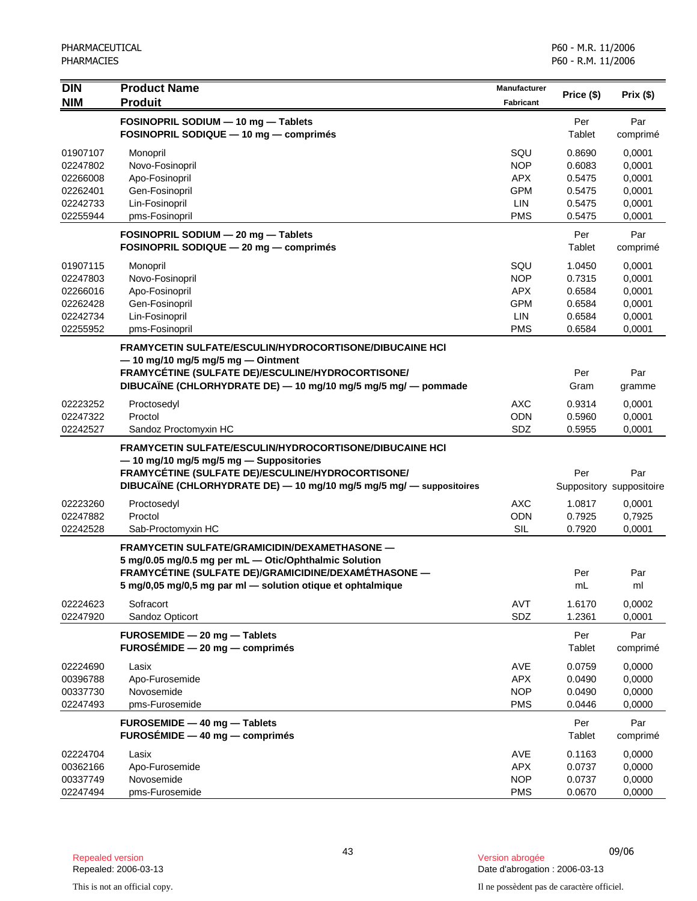| <b>DIN</b>           | <b>Product Name</b>                                                                         | <b>Manufacturer</b>      | Price (\$)       | Prix(\$)                 |
|----------------------|---------------------------------------------------------------------------------------------|--------------------------|------------------|--------------------------|
| <b>NIM</b>           | <b>Produit</b>                                                                              | <b>Fabricant</b>         |                  |                          |
|                      | FOSINOPRIL SODIUM - 10 mg - Tablets                                                         |                          | Per              | Par                      |
|                      | FOSINOPRIL SODIQUE - 10 mg - comprimés                                                      |                          | Tablet           | comprimé                 |
| 01907107             | Monopril                                                                                    | SQU                      | 0.8690           | 0,0001                   |
| 02247802             | Novo-Fosinopril                                                                             | <b>NOP</b>               | 0.6083           | 0,0001                   |
| 02266008             | Apo-Fosinopril                                                                              | <b>APX</b>               | 0.5475           | 0,0001                   |
| 02262401             | Gen-Fosinopril                                                                              | <b>GPM</b>               | 0.5475           | 0,0001                   |
| 02242733             | Lin-Fosinopril                                                                              | LIN                      | 0.5475           | 0,0001                   |
| 02255944             | pms-Fosinopril                                                                              | <b>PMS</b>               | 0.5475           | 0,0001                   |
|                      | FOSINOPRIL SODIUM - 20 mg - Tablets                                                         |                          | Per              | Par                      |
|                      | FOSINOPRIL SODIQUE - 20 mg - comprimés                                                      |                          | <b>Tablet</b>    | comprimé                 |
|                      |                                                                                             |                          |                  |                          |
| 01907115<br>02247803 | Monopril<br>Novo-Fosinopril                                                                 | SQU<br><b>NOP</b>        | 1.0450<br>0.7315 | 0,0001<br>0,0001         |
| 02266016             | Apo-Fosinopril                                                                              | <b>APX</b>               | 0.6584           | 0,0001                   |
| 02262428             | Gen-Fosinopril                                                                              | <b>GPM</b>               | 0.6584           | 0,0001                   |
| 02242734             | Lin-Fosinopril                                                                              | LIN                      | 0.6584           | 0,0001                   |
| 02255952             | pms-Fosinopril                                                                              | <b>PMS</b>               | 0.6584           | 0,0001                   |
|                      | <b>FRAMYCETIN SULFATE/ESCULIN/HYDROCORTISONE/DIBUCAINE HCI</b>                              |                          |                  |                          |
|                      | $-$ 10 mg/10 mg/5 mg/5 mg $-$ Ointment                                                      |                          |                  |                          |
|                      | FRAMYCÉTINE (SULFATE DE)/ESCULINE/HYDROCORTISONE/                                           |                          | Per              | Par                      |
|                      | DIBUCAÏNE (CHLORHYDRATE DE) - 10 mg/10 mg/5 mg/5 mg/ - pommade                              |                          | Gram             | gramme                   |
|                      |                                                                                             |                          |                  |                          |
| 02223252<br>02247322 | Proctosedyl<br>Proctol                                                                      | <b>AXC</b><br>ODN        | 0.9314<br>0.5960 | 0,0001<br>0,0001         |
| 02242527             | Sandoz Proctomyxin HC                                                                       | SDZ                      | 0.5955           | 0,0001                   |
|                      |                                                                                             |                          |                  |                          |
|                      | <b>FRAMYCETIN SULFATE/ESCULIN/HYDROCORTISONE/DIBUCAINE HCI</b>                              |                          |                  |                          |
|                      | -10 mg/10 mg/5 mg/5 mg - Suppositories<br>FRAMYCÉTINE (SULFATE DE)/ESCULINE/HYDROCORTISONE/ |                          | Per              | Par                      |
|                      | DIBUCAÏNE (CHLORHYDRATE DE) - 10 mg/10 mg/5 mg/5 mg/ - suppositoires                        |                          |                  | Suppository suppositoire |
|                      |                                                                                             |                          |                  |                          |
| 02223260             | Proctosedyl                                                                                 | <b>AXC</b>               | 1.0817           | 0,0001                   |
| 02247882<br>02242528 | Proctol<br>Sab-Proctomyxin HC                                                               | ODN<br>SIL               | 0.7925<br>0.7920 | 0,7925<br>0,0001         |
|                      |                                                                                             |                          |                  |                          |
|                      | FRAMYCETIN SULFATE/GRAMICIDIN/DEXAMETHASONE —                                               |                          |                  |                          |
|                      | 5 mg/0.05 mg/0.5 mg per mL - Otic/Ophthalmic Solution                                       |                          |                  |                          |
|                      | FRAMYCÉTINE (SULFATE DE)/GRAMICIDINE/DEXAMÉTHASONE -                                        |                          | Per              | Par                      |
|                      | 5 mg/0,05 mg/0,5 mg par ml - solution otique et ophtalmique                                 |                          | mL               | ml                       |
| 02224623             | Sofracort                                                                                   | AVT                      | 1.6170           | 0,0002                   |
| 02247920             | Sandoz Opticort                                                                             | SDZ                      | 1.2361           | 0,0001                   |
|                      | FUROSEMIDE - 20 mg - Tablets                                                                |                          | Per              | Par                      |
|                      | $FUROSÉMIDE - 20 mg - comprimés$                                                            |                          | Tablet           | comprimé                 |
| 02224690             | Lasix                                                                                       | <b>AVE</b>               | 0.0759           | 0,0000                   |
| 00396788             | Apo-Furosemide                                                                              | <b>APX</b>               | 0.0490           | 0,0000                   |
| 00337730             | Novosemide                                                                                  | <b>NOP</b>               | 0.0490           | 0,0000                   |
| 02247493             | pms-Furosemide                                                                              | <b>PMS</b>               | 0.0446           | 0,0000                   |
|                      | FUROSEMIDE - 40 mg - Tablets                                                                |                          | Per              | Par                      |
|                      | $FUROSÉMIDE - 40 mg - comprimés$                                                            |                          | Tablet           | comprimé                 |
|                      |                                                                                             |                          |                  |                          |
| 02224704<br>00362166 | Lasix<br>Apo-Furosemide                                                                     | <b>AVE</b><br><b>APX</b> | 0.1163<br>0.0737 | 0,0000<br>0,0000         |
| 00337749             | Novosemide                                                                                  | <b>NOP</b>               | 0.0737           | 0,0000                   |
| 02247494             | pms-Furosemide                                                                              | <b>PMS</b>               | 0.0670           | 0,0000                   |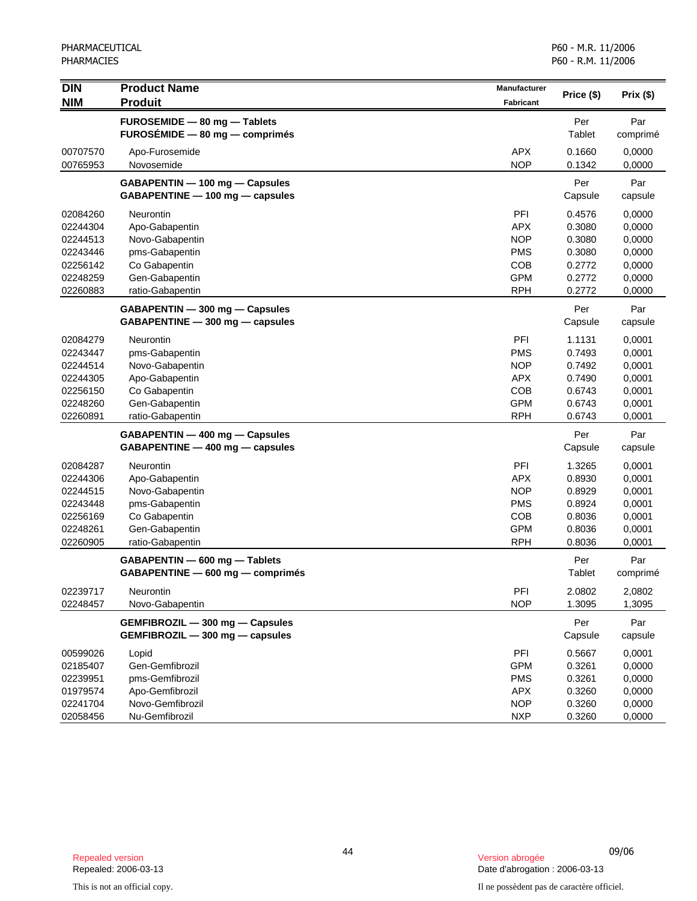| <b>DIN</b> | <b>Product Name</b>              | <b>Manufacturer</b> | Price (\$) | Prix(\$) |
|------------|----------------------------------|---------------------|------------|----------|
| <b>NIM</b> | <b>Produit</b>                   | <b>Fabricant</b>    |            |          |
|            | FUROSEMIDE - 80 mg - Tablets     |                     | Per        | Par      |
|            | FUROSÉMIDE - 80 mg - comprimés   |                     | Tablet     | comprimé |
| 00707570   | Apo-Furosemide                   | <b>APX</b>          | 0.1660     | 0,0000   |
| 00765953   | Novosemide                       | <b>NOP</b>          | 0.1342     | 0,0000   |
|            | GABAPENTIN - 100 mg - Capsules   |                     | Per        | Par      |
|            | GABAPENTINE - 100 mg - capsules  |                     | Capsule    | capsule  |
| 02084260   | Neurontin                        | PFI                 | 0.4576     | 0,0000   |
| 02244304   | Apo-Gabapentin                   | <b>APX</b>          | 0.3080     | 0,0000   |
| 02244513   | Novo-Gabapentin                  | <b>NOP</b>          | 0.3080     | 0,0000   |
| 02243446   | pms-Gabapentin                   | <b>PMS</b>          | 0.3080     | 0,0000   |
| 02256142   | Co Gabapentin                    | COB                 | 0.2772     | 0,0000   |
| 02248259   | Gen-Gabapentin                   | <b>GPM</b>          | 0.2772     | 0,0000   |
| 02260883   | ratio-Gabapentin                 | <b>RPH</b>          | 0.2772     | 0,0000   |
|            | GABAPENTIN - 300 mg - Capsules   |                     | Per        | Par      |
|            | GABAPENTINE - 300 mg - capsules  |                     | Capsule    | capsule  |
| 02084279   | Neurontin                        | PFI                 | 1.1131     | 0,0001   |
| 02243447   | pms-Gabapentin                   | <b>PMS</b>          | 0.7493     | 0,0001   |
| 02244514   | Novo-Gabapentin                  | <b>NOP</b>          | 0.7492     | 0,0001   |
| 02244305   | Apo-Gabapentin                   | <b>APX</b>          | 0.7490     | 0,0001   |
| 02256150   | Co Gabapentin                    | COB                 | 0.6743     | 0,0001   |
| 02248260   | Gen-Gabapentin                   | <b>GPM</b>          | 0.6743     | 0,0001   |
| 02260891   | ratio-Gabapentin                 | <b>RPH</b>          | 0.6743     | 0,0001   |
|            | GABAPENTIN - 400 mg - Capsules   |                     | Per        | Par      |
|            | GABAPENTINE - 400 mg - capsules  |                     | Capsule    | capsule  |
| 02084287   | <b>Neurontin</b>                 | PFI                 | 1.3265     | 0,0001   |
| 02244306   | Apo-Gabapentin                   | <b>APX</b>          | 0.8930     | 0,0001   |
| 02244515   | Novo-Gabapentin                  | <b>NOP</b>          | 0.8929     | 0,0001   |
| 02243448   | pms-Gabapentin                   | <b>PMS</b>          | 0.8924     | 0,0001   |
| 02256169   | Co Gabapentin                    | <b>COB</b>          | 0.8036     | 0,0001   |
| 02248261   | Gen-Gabapentin                   | <b>GPM</b>          | 0.8036     | 0,0001   |
| 02260905   | ratio-Gabapentin                 | <b>RPH</b>          | 0.8036     | 0,0001   |
|            | GABAPENTIN - 600 mg - Tablets    |                     | Per        | Par      |
|            | GABAPENTINE - 600 mg - comprimés |                     | Tablet     | comprimé |
| 02239717   | Neurontin                        | PFI                 | 2.0802     | 2,0802   |
| 02248457   | Novo-Gabapentin                  | <b>NOP</b>          | 1.3095     | 1,3095   |
|            | GEMFIBROZIL - 300 mg - Capsules  |                     | Per        | Par      |
|            | GEMFIBROZIL - 300 mg - capsules  |                     | Capsule    | capsule  |
| 00599026   | Lopid                            | PFI                 | 0.5667     | 0,0001   |
| 02185407   | Gen-Gemfibrozil                  | <b>GPM</b>          | 0.3261     | 0,0000   |
| 02239951   | pms-Gemfibrozil                  | <b>PMS</b>          | 0.3261     | 0,0000   |
| 01979574   | Apo-Gemfibrozil                  | APX                 | 0.3260     | 0,0000   |
| 02241704   | Novo-Gemfibrozil                 | <b>NOP</b>          | 0.3260     | 0,0000   |
| 02058456   | Nu-Gemfibrozil                   | <b>NXP</b>          | 0.3260     | 0,0000   |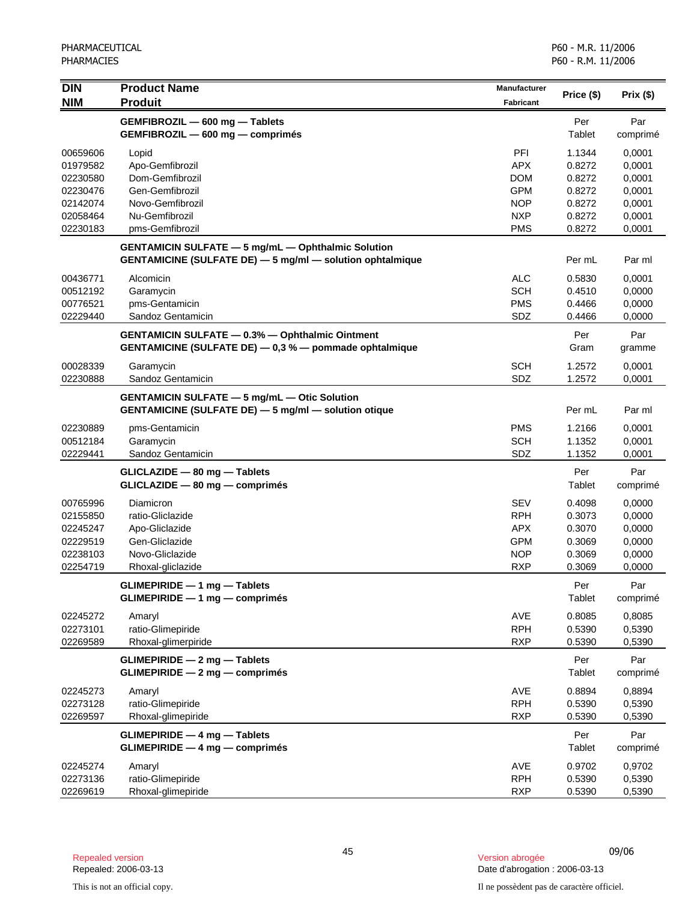| <b>DIN</b><br><b>NIM</b>                                                         | <b>Product Name</b><br><b>Produit</b>                                                                                         | <b>Manufacturer</b><br><b>Fabricant</b>                                                 | Price (\$)                                                         | Prix(\$)                                                           |
|----------------------------------------------------------------------------------|-------------------------------------------------------------------------------------------------------------------------------|-----------------------------------------------------------------------------------------|--------------------------------------------------------------------|--------------------------------------------------------------------|
|                                                                                  | GEMFIBROZIL - 600 mg - Tablets<br>GEMFIBROZIL - 600 mg - comprimés                                                            |                                                                                         | Per<br>Tablet                                                      | Par<br>comprimé                                                    |
| 00659606<br>01979582<br>02230580<br>02230476<br>02142074<br>02058464<br>02230183 | Lopid<br>Apo-Gemfibrozil<br>Dom-Gemfibrozil<br>Gen-Gemfibrozil<br>Novo-Gemfibrozil<br>Nu-Gemfibrozil<br>pms-Gemfibrozil       | PFI<br><b>APX</b><br><b>DOM</b><br><b>GPM</b><br><b>NOP</b><br><b>NXP</b><br><b>PMS</b> | 1.1344<br>0.8272<br>0.8272<br>0.8272<br>0.8272<br>0.8272<br>0.8272 | 0,0001<br>0,0001<br>0,0001<br>0,0001<br>0,0001<br>0,0001<br>0,0001 |
|                                                                                  | <b>GENTAMICIN SULFATE - 5 mg/mL - Ophthalmic Solution</b><br><b>GENTAMICINE (SULFATE DE) - 5 mg/ml - solution ophtalmique</b> |                                                                                         | Per mL                                                             | Par ml                                                             |
| 00436771<br>00512192<br>00776521<br>02229440                                     | Alcomicin<br>Garamycin<br>pms-Gentamicin<br>Sandoz Gentamicin                                                                 | <b>ALC</b><br><b>SCH</b><br><b>PMS</b><br>SDZ                                           | 0.5830<br>0.4510<br>0.4466<br>0.4466                               | 0,0001<br>0,0000<br>0,0000<br>0,0000                               |
|                                                                                  | <b>GENTAMICIN SULFATE - 0.3% - Ophthalmic Ointment</b><br>GENTAMICINE (SULFATE DE) - 0,3 % - pommade ophtalmique              |                                                                                         | Per<br>Gram                                                        | Par<br>gramme                                                      |
| 00028339<br>02230888                                                             | Garamycin<br>Sandoz Gentamicin                                                                                                | <b>SCH</b><br>SDZ                                                                       | 1.2572<br>1.2572                                                   | 0,0001<br>0,0001                                                   |
|                                                                                  | <b>GENTAMICIN SULFATE - 5 mg/mL - Otic Solution</b><br><b>GENTAMICINE (SULFATE DE) - 5 mg/ml - solution otique</b>            |                                                                                         | Per mL                                                             | Par ml                                                             |
| 02230889<br>00512184<br>02229441                                                 | pms-Gentamicin<br>Garamycin<br>Sandoz Gentamicin                                                                              | <b>PMS</b><br><b>SCH</b><br>SDZ                                                         | 1.2166<br>1.1352<br>1.1352                                         | 0,0001<br>0,0001<br>0,0001                                         |
|                                                                                  | GLICLAZIDE - 80 mg - Tablets<br>GLICLAZIDE - 80 mg - comprimés                                                                |                                                                                         | Per<br>Tablet                                                      | Par<br>comprimé                                                    |
| 00765996<br>02155850<br>02245247<br>02229519<br>02238103<br>02254719             | Diamicron<br>ratio-Gliclazide<br>Apo-Gliclazide<br>Gen-Gliclazide<br>Novo-Gliclazide<br>Rhoxal-gliclazide                     | <b>SEV</b><br><b>RPH</b><br><b>APX</b><br><b>GPM</b><br><b>NOP</b><br><b>RXP</b>        | 0.4098<br>0.3073<br>0.3070<br>0.3069<br>0.3069<br>0.3069           | 0,0000<br>0,0000<br>0,0000<br>0,0000<br>0,0000<br>0,0000           |
|                                                                                  | $GLIMEPIRIDE - 1 mg - Tables$<br>$GLIMEPIRIDE - 1 mg - comprimés$                                                             |                                                                                         | Per<br>Tablet                                                      | Par<br>comprimé                                                    |
| 02245272<br>02273101<br>02269589                                                 | Amaryl<br>ratio-Glimepiride<br>Rhoxal-glimerpiride                                                                            | AVE<br><b>RPH</b><br><b>RXP</b>                                                         | 0.8085<br>0.5390<br>0.5390                                         | 0,8085<br>0,5390<br>0,5390                                         |
|                                                                                  | <b>GLIMEPIRIDE - 2 mg - Tablets</b><br>GLIMEPIRIDE - 2 mg - comprimés                                                         |                                                                                         | Per<br>Tablet                                                      | Par<br>comprimé                                                    |
| 02245273<br>02273128<br>02269597                                                 | Amaryl<br>ratio-Glimepiride<br>Rhoxal-glimepiride                                                                             | AVE<br><b>RPH</b><br><b>RXP</b>                                                         | 0.8894<br>0.5390<br>0.5390                                         | 0,8894<br>0,5390<br>0,5390                                         |
|                                                                                  | <b>GLIMEPIRIDE - 4 mg - Tablets</b><br>GLIMEPIRIDE - 4 mg - comprimés                                                         |                                                                                         | Per<br>Tablet                                                      | Par<br>comprimé                                                    |
| 02245274<br>02273136<br>02269619                                                 | Amaryl<br>ratio-Glimepiride<br>Rhoxal-glimepiride                                                                             | AVE<br><b>RPH</b><br><b>RXP</b>                                                         | 0.9702<br>0.5390<br>0.5390                                         | 0,9702<br>0,5390<br>0,5390                                         |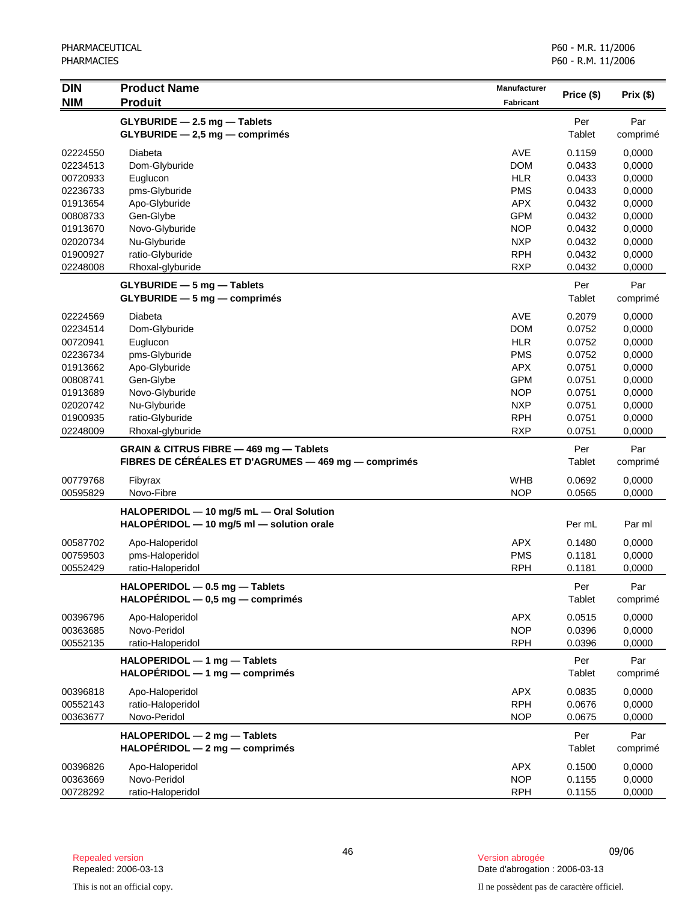| <b>DIN</b><br><b>NIM</b> | <b>Product Name</b><br><b>Produit</b>                                                           | <b>Manufacturer</b><br><b>Fabricant</b> | Price (\$)       | Prix(\$)         |
|--------------------------|-------------------------------------------------------------------------------------------------|-----------------------------------------|------------------|------------------|
|                          | GLYBURIDE - 2.5 mg - Tablets<br>GLYBURIDE - 2,5 mg - comprimés                                  |                                         | Per<br>Tablet    | Par<br>comprimé  |
| 02224550                 | Diabeta                                                                                         | <b>AVE</b>                              | 0.1159           | 0,0000           |
| 02234513                 | Dom-Glyburide                                                                                   | <b>DOM</b>                              | 0.0433           | 0,0000           |
| 00720933                 | Euglucon                                                                                        | <b>HLR</b>                              | 0.0433           | 0,0000           |
| 02236733                 | pms-Glyburide                                                                                   | <b>PMS</b>                              | 0.0433           | 0,0000           |
| 01913654                 | Apo-Glyburide                                                                                   | <b>APX</b>                              | 0.0432           | 0,0000           |
| 00808733                 | Gen-Glybe                                                                                       | <b>GPM</b>                              | 0.0432           | 0,0000           |
| 01913670                 | Novo-Glyburide                                                                                  | <b>NOP</b>                              | 0.0432           | 0,0000           |
| 02020734                 | Nu-Glyburide                                                                                    | <b>NXP</b>                              | 0.0432           | 0,0000           |
| 01900927                 | ratio-Glyburide                                                                                 | <b>RPH</b>                              | 0.0432           | 0,0000           |
| 02248008                 | Rhoxal-glyburide                                                                                | <b>RXP</b>                              | 0.0432           | 0,0000           |
|                          | GLYBURIDE - 5 mg - Tablets                                                                      |                                         | Per              | Par              |
|                          | $GLYBURIDE - 5 mg - comprimés$                                                                  |                                         | Tablet           | comprimé         |
| 02224569                 | Diabeta                                                                                         | <b>AVE</b>                              | 0.2079           | 0,0000           |
| 02234514                 | Dom-Glyburide                                                                                   | <b>DOM</b>                              | 0.0752           | 0,0000           |
| 00720941                 | Euglucon                                                                                        | <b>HLR</b>                              | 0.0752           | 0,0000           |
| 02236734                 | pms-Glyburide                                                                                   | <b>PMS</b>                              | 0.0752           | 0,0000           |
| 01913662                 | Apo-Glyburide                                                                                   | <b>APX</b>                              | 0.0751<br>0.0751 | 0,0000           |
| 00808741                 | Gen-Glybe                                                                                       | <b>GPM</b><br><b>NOP</b>                | 0.0751           | 0,0000           |
| 01913689<br>02020742     | Novo-Glyburide<br>Nu-Glyburide                                                                  | <b>NXP</b>                              | 0.0751           | 0,0000<br>0,0000 |
| 01900935                 | ratio-Glyburide                                                                                 | <b>RPH</b>                              | 0.0751           | 0,0000           |
| 02248009                 | Rhoxal-glyburide                                                                                | <b>RXP</b>                              | 0.0751           | 0,0000           |
|                          |                                                                                                 |                                         |                  |                  |
|                          | GRAIN & CITRUS FIBRE - 469 mg - Tablets<br>FIBRES DE CÉRÉALES ET D'AGRUMES — 469 mg — comprimés |                                         | Per<br>Tablet    | Par<br>comprimé  |
| 00779768                 | Fibyrax                                                                                         | <b>WHB</b>                              | 0.0692           | 0,0000           |
| 00595829                 | Novo-Fibre                                                                                      | <b>NOP</b>                              | 0.0565           | 0,0000           |
|                          | HALOPERIDOL - 10 mg/5 mL - Oral Solution<br>HALOPERIDOL - 10 mg/5 ml - solution orale           |                                         | Per mL           | Par ml           |
| 00587702                 | Apo-Haloperidol                                                                                 | <b>APX</b>                              | 0.1480           | 0,0000           |
| 00759503                 | pms-Haloperidol                                                                                 | <b>PMS</b>                              | 0.1181           | 0,0000           |
| 00552429                 | ratio-Haloperidol                                                                               | <b>RPH</b>                              | 0.1181           | 0,0000           |
|                          | HALOPERIDOL - 0.5 mg - Tablets<br>$HALOPERIDOL - 0,5 mg - comprimés$                            |                                         | Per<br>Tablet    | Par<br>comprimé  |
| 00396796                 | Apo-Haloperidol                                                                                 | <b>APX</b>                              | 0.0515           | 0,0000           |
| 00363685                 | Novo-Peridol                                                                                    | <b>NOP</b>                              | 0.0396           | 0,0000           |
| 00552135                 | ratio-Haloperidol                                                                               | <b>RPH</b>                              | 0.0396           | 0,0000           |
|                          | HALOPERIDOL - 1 mg - Tablets<br>$HALOPÉRIDOL - 1 mg - comprimés$                                |                                         | Per<br>Tablet    | Par<br>comprimé  |
| 00396818                 | Apo-Haloperidol                                                                                 | <b>APX</b>                              | 0.0835           | 0,0000           |
| 00552143                 | ratio-Haloperidol                                                                               | <b>RPH</b>                              | 0.0676           | 0,0000           |
| 00363677                 | Novo-Peridol                                                                                    | <b>NOP</b>                              | 0.0675           | 0,0000           |
|                          | HALOPERIDOL - 2 mg - Tablets<br>$HALOPÉRIDOL - 2 mg - comprimés$                                |                                         | Per<br>Tablet    | Par<br>comprimé  |
| 00396826                 | Apo-Haloperidol                                                                                 | <b>APX</b>                              | 0.1500           | 0,0000           |
| 00363669                 | Novo-Peridol                                                                                    | <b>NOP</b>                              | 0.1155           | 0,0000           |
| 00728292                 | ratio-Haloperidol                                                                               | <b>RPH</b>                              | 0.1155           | 0,0000           |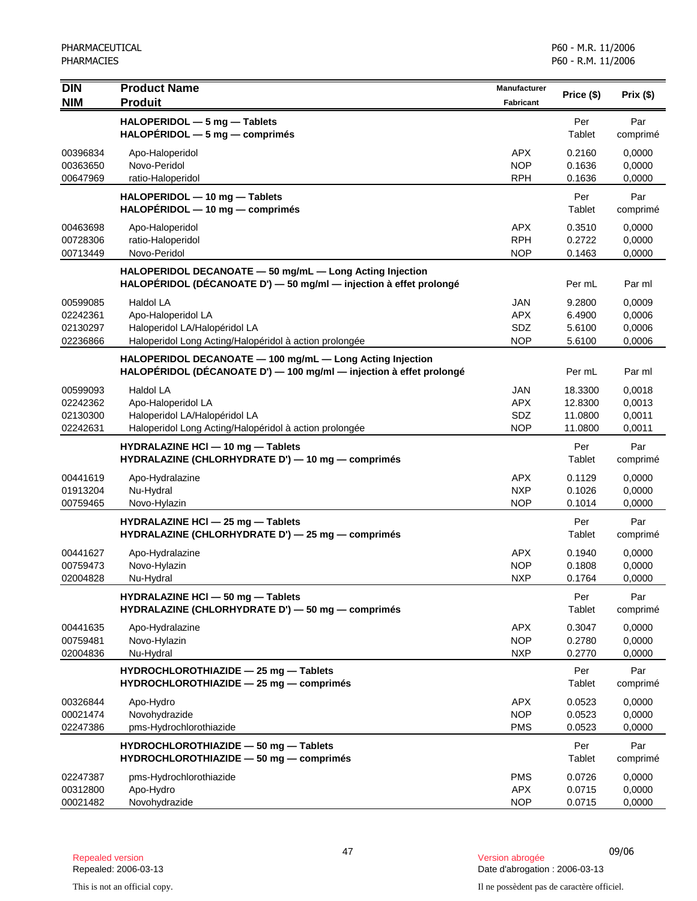| <b>DIN</b><br><b>NIM</b>                     | <b>Product Name</b><br><b>Produit</b>                                                                                            | <b>Manufacturer</b><br>Fabricant              | Price (\$)                               | Prix (\$)                            |
|----------------------------------------------|----------------------------------------------------------------------------------------------------------------------------------|-----------------------------------------------|------------------------------------------|--------------------------------------|
|                                              | HALOPERIDOL - 5 mg - Tablets<br>$HALOPÉRIDOL - 5 mg - comprimés$                                                                 |                                               | Per<br>Tablet                            | Par<br>comprimé                      |
| 00396834<br>00363650<br>00647969             | Apo-Haloperidol<br>Novo-Peridol<br>ratio-Haloperidol                                                                             | APX.<br><b>NOP</b><br><b>RPH</b>              | 0.2160<br>0.1636<br>0.1636               | 0,0000<br>0,0000<br>0,0000           |
|                                              | HALOPERIDOL - 10 mg - Tablets<br>$HALOPÉRIDOL - 10 mg - comprimés$                                                               |                                               | Per<br>Tablet                            | Par<br>comprimé                      |
| 00463698<br>00728306<br>00713449             | Apo-Haloperidol<br>ratio-Haloperidol<br>Novo-Peridol                                                                             | APX.<br><b>RPH</b><br><b>NOP</b>              | 0.3510<br>0.2722<br>0.1463               | 0,0000<br>0,0000<br>0,0000           |
|                                              | HALOPERIDOL DECANOATE - 50 mg/mL - Long Acting Injection<br>HALOPÉRIDOL (DÉCANOATE D') - 50 mg/ml - injection à effet prolongé   |                                               | Per mL                                   | Par ml                               |
| 00599085<br>02242361<br>02130297<br>02236866 | Haldol LA<br>Apo-Haloperidol LA<br>Haloperidol LA/Halopéridol LA<br>Haloperidol Long Acting/Halopéridol à action prolongée       | JAN<br><b>APX</b><br>SDZ<br><b>NOP</b>        | 9.2800<br>6.4900<br>5.6100<br>5.6100     | 0,0009<br>0,0006<br>0,0006<br>0,0006 |
|                                              | HALOPERIDOL DECANOATE - 100 mg/mL - Long Acting Injection<br>HALOPÉRIDOL (DÉCANOATE D') - 100 mg/ml - injection à effet prolongé |                                               | Per mL                                   | Par ml                               |
| 00599093<br>02242362<br>02130300<br>02242631 | Haldol LA<br>Apo-Haloperidol LA<br>Haloperidol LA/Halopéridol LA<br>Haloperidol Long Acting/Halopéridol à action prolongée       | <b>JAN</b><br><b>APX</b><br>SDZ<br><b>NOP</b> | 18.3300<br>12.8300<br>11.0800<br>11.0800 | 0.0018<br>0,0013<br>0,0011<br>0,0011 |
|                                              | HYDRALAZINE HCI - 10 mg - Tablets<br>HYDRALAZINE (CHLORHYDRATE D') - 10 mg - comprimés                                           |                                               | Per<br>Tablet                            | Par<br>comprimé                      |
| 00441619<br>01913204<br>00759465             | Apo-Hydralazine<br>Nu-Hydral<br>Novo-Hylazin                                                                                     | <b>APX</b><br><b>NXP</b><br><b>NOP</b>        | 0.1129<br>0.1026<br>0.1014               | 0,0000<br>0,0000<br>0,0000           |
|                                              | HYDRALAZINE HCI - 25 mg - Tablets<br>HYDRALAZINE (CHLORHYDRATE D') - 25 mg - comprimés                                           |                                               | Per<br>Tablet                            | Par<br>comprimé                      |
| 00441627<br>00759473<br>02004828             | Apo-Hydralazine<br>Novo-Hylazin<br>Nu-Hydral                                                                                     | <b>APX</b><br><b>NOP</b><br><b>NXP</b>        | 0.1940<br>0.1808<br>0.1764               | 0,0000<br>0,0000<br>0,0000           |
|                                              | HYDRALAZINE HCI - 50 mg - Tablets<br>HYDRALAZINE (CHLORHYDRATE D') - 50 mg - comprimés                                           |                                               | Per<br>Tablet                            | Par<br>comprimé                      |
| 00441635<br>00759481<br>02004836             | Apo-Hydralazine<br>Novo-Hylazin<br>Nu-Hydral                                                                                     | <b>APX</b><br><b>NOP</b><br><b>NXP</b>        | 0.3047<br>0.2780<br>0.2770               | 0,0000<br>0,0000<br>0,0000           |
|                                              | HYDROCHLOROTHIAZIDE - 25 mg - Tablets<br>HYDROCHLOROTHIAZIDE - 25 mg - comprimés                                                 |                                               | Per<br>Tablet                            | Par<br>comprimé                      |
| 00326844<br>00021474<br>02247386             | Apo-Hydro<br>Novohydrazide<br>pms-Hydrochlorothiazide                                                                            | <b>APX</b><br><b>NOP</b><br><b>PMS</b>        | 0.0523<br>0.0523<br>0.0523               | 0,0000<br>0,0000<br>0,0000           |
|                                              | HYDROCHLOROTHIAZIDE - 50 mg - Tablets<br>HYDROCHLOROTHIAZIDE - 50 mg - comprimés                                                 |                                               | Per<br>Tablet                            | Par<br>comprimé                      |
| 02247387<br>00312800<br>00021482             | pms-Hydrochlorothiazide<br>Apo-Hydro<br>Novohydrazide                                                                            | <b>PMS</b><br><b>APX</b><br><b>NOP</b>        | 0.0726<br>0.0715<br>0.0715               | 0,0000<br>0,0000<br>0,0000           |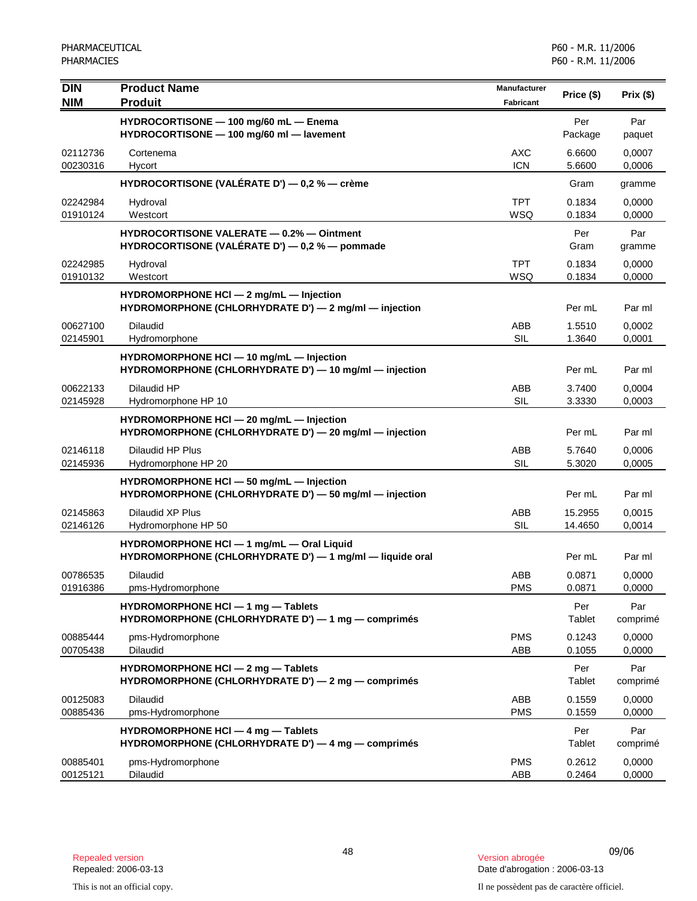| <b>DIN</b><br><b>NIM</b> | <b>Product Name</b><br><b>Produit</b>                                                                 | <b>Manufacturer</b><br><b>Fabricant</b> | Price (\$)         | Prix(\$)         |
|--------------------------|-------------------------------------------------------------------------------------------------------|-----------------------------------------|--------------------|------------------|
|                          | HYDROCORTISONE - 100 mg/60 mL - Enema<br>HYDROCORTISONE - 100 mg/60 ml - lavement                     |                                         | Per<br>Package     | Par<br>paquet    |
| 02112736<br>00230316     | Cortenema<br>Hycort                                                                                   | AXC<br><b>ICN</b>                       | 6.6600<br>5.6600   | 0,0007<br>0,0006 |
|                          | HYDROCORTISONE (VALÉRATE D') — 0,2 % — crème                                                          |                                         | Gram               | gramme           |
| 02242984<br>01910124     | Hydroval<br>Westcort                                                                                  | <b>TPT</b><br><b>WSQ</b>                | 0.1834<br>0.1834   | 0,0000<br>0,0000 |
|                          | <b>HYDROCORTISONE VALERATE - 0.2% - Ointment</b><br>HYDROCORTISONE (VALÉRATE D') — 0,2 % — pommade    |                                         | Per<br>Gram        | Par<br>gramme    |
| 02242985<br>01910132     | Hydroval<br>Westcort                                                                                  | <b>TPT</b><br>WSQ                       | 0.1834<br>0.1834   | 0,0000<br>0,0000 |
|                          | HYDROMORPHONE HCI - 2 mg/mL - Injection<br>HYDROMORPHONE (CHLORHYDRATE D') - 2 mg/ml - injection      |                                         | Per mL             | Par ml           |
| 00627100<br>02145901     | <b>Dilaudid</b><br>Hydromorphone                                                                      | ABB<br><b>SIL</b>                       | 1.5510<br>1.3640   | 0,0002<br>0,0001 |
|                          | HYDROMORPHONE HCI - 10 mg/mL - Injection<br>HYDROMORPHONE (CHLORHYDRATE D') - 10 mg/ml - injection    |                                         | Per mL             | Par ml           |
| 00622133<br>02145928     | Dilaudid HP<br>Hydromorphone HP 10                                                                    | ABB<br><b>SIL</b>                       | 3.7400<br>3.3330   | 0,0004<br>0,0003 |
|                          | HYDROMORPHONE HCI - 20 mg/mL - Injection<br>HYDROMORPHONE (CHLORHYDRATE D') - 20 mg/ml - injection    |                                         | Per mL             | Par ml           |
| 02146118<br>02145936     | Dilaudid HP Plus<br>Hydromorphone HP 20                                                               | ABB<br>SIL                              | 5.7640<br>5.3020   | 0,0006<br>0,0005 |
|                          | HYDROMORPHONE HCI - 50 mg/mL - Injection<br>HYDROMORPHONE (CHLORHYDRATE D') - 50 mg/ml - injection    |                                         | Per mL             | Par ml           |
| 02145863<br>02146126     | Dilaudid XP Plus<br>Hydromorphone HP 50                                                               | ABB<br>SIL                              | 15.2955<br>14.4650 | 0,0015<br>0,0014 |
|                          | HYDROMORPHONE HCI - 1 mg/mL - Oral Liquid<br>HYDROMORPHONE (CHLORHYDRATE D') - 1 mg/ml - liquide oral |                                         | Per mL             | Par ml           |
| 00786535<br>01916386     | <b>Dilaudid</b><br>pms-Hydromorphone                                                                  | ABB<br><b>PMS</b>                       | 0.0871<br>0.0871   | 0,0000<br>0,0000 |
|                          | HYDROMORPHONE HCI - 1 mg - Tablets<br>HYDROMORPHONE (CHLORHYDRATE D') - 1 mg - comprimés              |                                         | Per<br>Tablet      | Par<br>comprimé  |
| 00885444<br>00705438     | pms-Hydromorphone<br><b>Dilaudid</b>                                                                  | <b>PMS</b><br>ABB                       | 0.1243<br>0.1055   | 0,0000<br>0,0000 |
|                          | HYDROMORPHONE HCI - 2 mg - Tablets<br>HYDROMORPHONE (CHLORHYDRATE D') - 2 mg - comprimés              |                                         | Per<br>Tablet      | Par<br>comprimé  |
| 00125083<br>00885436     | Dilaudid<br>pms-Hydromorphone                                                                         | ABB<br><b>PMS</b>                       | 0.1559<br>0.1559   | 0,0000<br>0,0000 |
|                          | HYDROMORPHONE HCI - 4 mg - Tablets<br>HYDROMORPHONE (CHLORHYDRATE D') - 4 mg - comprimés              |                                         | Per<br>Tablet      | Par<br>comprimé  |
| 00885401<br>00125121     | pms-Hydromorphone<br>Dilaudid                                                                         | <b>PMS</b><br>ABB                       | 0.2612<br>0.2464   | 0,0000<br>0,0000 |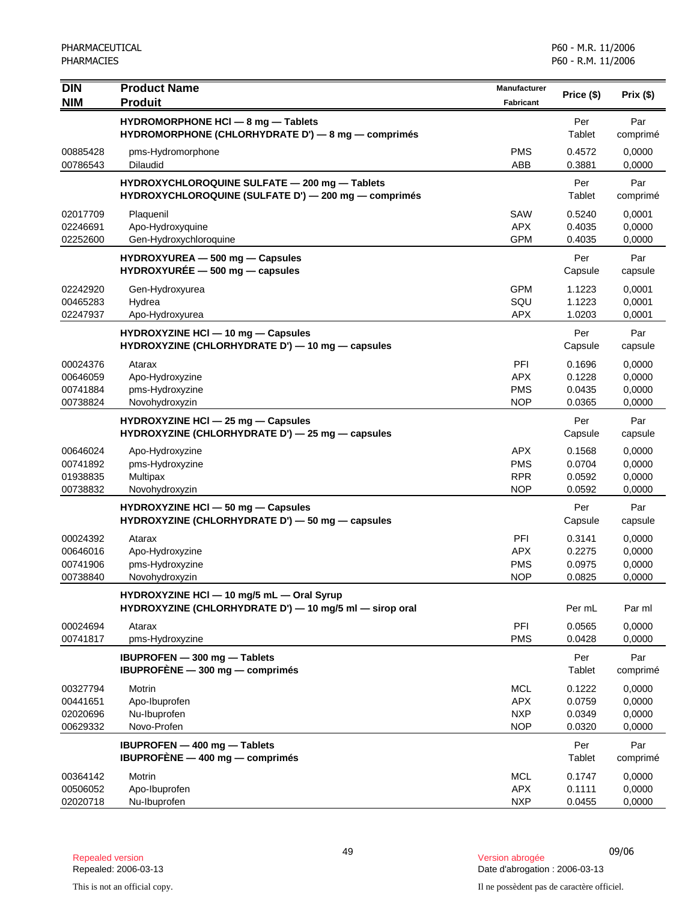| <b>DIN</b><br><b>NIM</b>                     | <b>Product Name</b><br><b>Produit</b>                                                                 | Manufacturer<br><b>Fabricant</b>                     | Price (\$)                           | Prix(\$)                             |
|----------------------------------------------|-------------------------------------------------------------------------------------------------------|------------------------------------------------------|--------------------------------------|--------------------------------------|
|                                              | HYDROMORPHONE HCI - 8 mg - Tablets<br>HYDROMORPHONE (CHLORHYDRATE D') - 8 mg - comprimés              |                                                      | Per<br>Tablet                        | Par<br>comprimé                      |
| 00885428<br>00786543                         | pms-Hydromorphone<br><b>Dilaudid</b>                                                                  | <b>PMS</b><br>ABB                                    | 0.4572<br>0.3881                     | 0,0000<br>0,0000                     |
|                                              | HYDROXYCHLOROQUINE SULFATE - 200 mg - Tablets<br>HYDROXYCHLOROQUINE (SULFATE D') - 200 mg - comprimés |                                                      | Per<br>Tablet                        | Par<br>comprimé                      |
| 02017709<br>02246691<br>02252600             | Plaquenil<br>Apo-Hydroxyquine<br>Gen-Hydroxychloroquine                                               | SAW<br><b>APX</b><br><b>GPM</b>                      | 0.5240<br>0.4035<br>0.4035           | 0,0001<br>0,0000<br>0,0000           |
|                                              | HYDROXYUREA - 500 mg - Capsules<br>$HYDROXYURÉE - 500 mg - capsules$                                  |                                                      | Per<br>Capsule                       | Par<br>capsule                       |
| 02242920<br>00465283<br>02247937             | Gen-Hydroxyurea<br>Hydrea<br>Apo-Hydroxyurea                                                          | <b>GPM</b><br>SQU<br><b>APX</b>                      | 1.1223<br>1.1223<br>1.0203           | 0,0001<br>0,0001<br>0,0001           |
|                                              | HYDROXYZINE HCI - 10 mg - Capsules<br>HYDROXYZINE (CHLORHYDRATE D') - 10 mg - capsules                |                                                      | Per<br>Capsule                       | Par<br>capsule                       |
| 00024376<br>00646059<br>00741884<br>00738824 | Atarax<br>Apo-Hydroxyzine<br>pms-Hydroxyzine<br>Novohydroxyzin                                        | PFI<br><b>APX</b><br><b>PMS</b><br><b>NOP</b>        | 0.1696<br>0.1228<br>0.0435<br>0.0365 | 0,0000<br>0,0000<br>0,0000<br>0,0000 |
|                                              | HYDROXYZINE HCI - 25 mg - Capsules<br>HYDROXYZINE (CHLORHYDRATE D') - 25 mg - capsules                |                                                      | Per<br>Capsule                       | Par<br>capsule                       |
| 00646024<br>00741892<br>01938835<br>00738832 | Apo-Hydroxyzine<br>pms-Hydroxyzine<br>Multipax<br>Novohydroxyzin                                      | <b>APX</b><br><b>PMS</b><br><b>RPR</b><br><b>NOP</b> | 0.1568<br>0.0704<br>0.0592<br>0.0592 | 0,0000<br>0,0000<br>0,0000<br>0,0000 |
|                                              | HYDROXYZINE HCI - 50 mg - Capsules<br>HYDROXYZINE (CHLORHYDRATE D') - 50 mg - capsules                |                                                      | Per<br>Capsule                       | Par<br>capsule                       |
| 00024392<br>00646016<br>00741906<br>00738840 | Atarax<br>Apo-Hydroxyzine<br>pms-Hydroxyzine<br>Novohydroxyzin                                        | PFI<br><b>APX</b><br><b>PMS</b><br><b>NOP</b>        | 0.3141<br>0.2275<br>0.0975<br>0.0825 | 0,0000<br>0,0000<br>0,0000<br>0,0000 |
|                                              | HYDROXYZINE HCI - 10 mg/5 mL - Oral Syrup<br>HYDROXYZINE (CHLORHYDRATE D') - 10 mg/5 ml - sirop oral  |                                                      | Per mL                               | Par ml                               |
| 00024694<br>00741817                         | Atarax<br>pms-Hydroxyzine                                                                             | PFI<br><b>PMS</b>                                    | 0.0565<br>0.0428                     | 0,0000<br>0,0000                     |
|                                              | <b>IBUPROFEN</b> - 300 mg - Tablets<br>IBUPROFENE - 300 mg - comprimés                                |                                                      | Per<br>Tablet                        | Par<br>comprimé                      |
| 00327794<br>00441651<br>02020696<br>00629332 | Motrin<br>Apo-Ibuprofen<br>Nu-Ibuprofen<br>Novo-Profen                                                | <b>MCL</b><br><b>APX</b><br><b>NXP</b><br><b>NOP</b> | 0.1222<br>0.0759<br>0.0349<br>0.0320 | 0,0000<br>0,0000<br>0,0000<br>0,0000 |
|                                              | <b>IBUPROFEN - 400 mg - Tablets</b><br>IBUPROFÈNE $-$ 400 mg $-$ comprimés                            |                                                      | Per<br>Tablet                        | Par<br>comprimé                      |
| 00364142<br>00506052<br>02020718             | Motrin<br>Apo-Ibuprofen<br>Nu-Ibuprofen                                                               | <b>MCL</b><br><b>APX</b><br><b>NXP</b>               | 0.1747<br>0.1111<br>0.0455           | 0,0000<br>0,0000<br>0,0000           |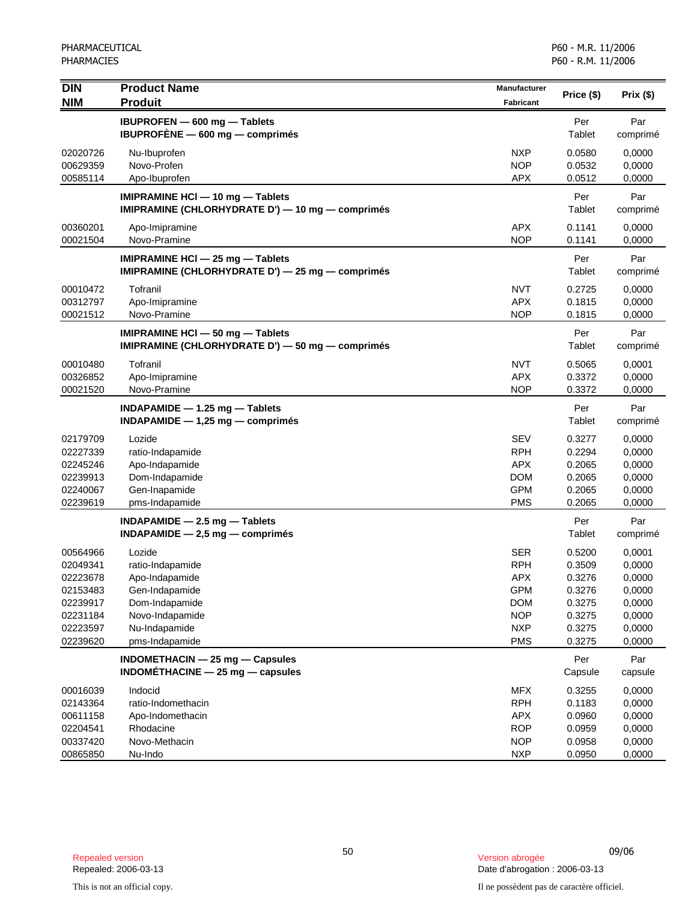| <b>DIN</b>           | <b>Product Name</b>                                                                      | <b>Manufacturer</b>      | Price (\$)           | Prix(\$)         |
|----------------------|------------------------------------------------------------------------------------------|--------------------------|----------------------|------------------|
| <b>NIM</b>           | <b>Produit</b>                                                                           | Fabricant                |                      |                  |
|                      | IBUPROFEN - 600 mg - Tablets<br>IBUPROFÈNE - 600 mg - comprimés                          |                          | Per<br>Tablet        | Par<br>comprimé  |
| 02020726<br>00629359 | Nu-Ibuprofen<br>Novo-Profen                                                              | <b>NXP</b><br><b>NOP</b> | 0.0580<br>0.0532     | 0,0000<br>0,0000 |
| 00585114             | Apo-Ibuprofen                                                                            | <b>APX</b>               | 0.0512               | 0,0000           |
|                      | IMIPRAMINE HCI - 10 mg - Tablets<br>IMIPRAMINE (CHLORHYDRATE D') - 10 mg - comprimés     |                          | Per<br><b>Tablet</b> | Par<br>comprimé  |
| 00360201<br>00021504 | Apo-Imipramine<br>Novo-Pramine                                                           | <b>APX</b><br><b>NOP</b> | 0.1141<br>0.1141     | 0,0000<br>0,0000 |
|                      | IMIPRAMINE HCI $-$ 25 mg $-$ Tablets<br>IMIPRAMINE (CHLORHYDRATE D') - 25 mg - comprimés |                          | Per<br>Tablet        | Par<br>comprimé  |
| 00010472             | Tofranil                                                                                 | <b>NVT</b>               | 0.2725               | 0,0000           |
| 00312797             | Apo-Imipramine                                                                           | <b>APX</b>               | 0.1815               | 0,0000           |
| 00021512             | Novo-Pramine                                                                             | <b>NOP</b>               | 0.1815               | 0,0000           |
|                      | IMIPRAMINE HCI - 50 mg - Tablets<br>IMIPRAMINE (CHLORHYDRATE D') - 50 mg - comprimés     |                          | Per<br>Tablet        | Par<br>comprimé  |
| 00010480             | Tofranil                                                                                 | <b>NVT</b>               | 0.5065               | 0,0001           |
| 00326852             | Apo-Imipramine                                                                           | <b>APX</b>               | 0.3372               | 0,0000           |
| 00021520             | Novo-Pramine                                                                             | <b>NOP</b>               | 0.3372               | 0,0000           |
|                      | INDAPAMIDE $-$ 1.25 mg $-$ Tablets<br>$INDAPAMIDE - 1,25 mg - comprimés$                 |                          | Per<br>Tablet        | Par<br>comprimé  |
| 02179709             | Lozide                                                                                   | <b>SEV</b>               | 0.3277               | 0,0000           |
| 02227339             | ratio-Indapamide                                                                         | <b>RPH</b>               | 0.2294               | 0,0000           |
| 02245246             | Apo-Indapamide                                                                           | <b>APX</b>               | 0.2065               | 0,0000           |
| 02239913<br>02240067 | Dom-Indapamide                                                                           | <b>DOM</b><br><b>GPM</b> | 0.2065               | 0,0000           |
| 02239619             | Gen-Inapamide<br>pms-Indapamide                                                          | <b>PMS</b>               | 0.2065<br>0.2065     | 0,0000<br>0,0000 |
|                      |                                                                                          |                          | Per                  | Par              |
|                      | $INDAPAMIDE - 2.5 mg - Tables$<br>$INDAPAMIDE - 2,5 mg - comprimés$                      |                          | Tablet               | comprimé         |
| 00564966             | Lozide                                                                                   | <b>SER</b>               | 0.5200               | 0,0001           |
| 02049341             | ratio-Indapamide                                                                         | <b>RPH</b>               | 0.3509               | 0,0000           |
| 02223678             | Apo-Indapamide                                                                           | <b>APX</b>               | 0.3276               | 0,0000           |
| 02153483             | Gen-Indapamide                                                                           | <b>GPM</b>               | 0.3276               | 0,0000           |
| 02239917             | Dom-Indapamide                                                                           | <b>DOM</b>               | 0.3275               | 0,0000           |
| 02231184             | Novo-Indapamide                                                                          | <b>NOP</b>               | 0.3275               | 0,0000           |
| 02223597             | Nu-Indapamide                                                                            | <b>NXP</b>               | 0.3275               | 0,0000           |
| 02239620             | pms-Indapamide                                                                           | <b>PMS</b>               | 0.3275               | 0,0000           |
|                      | INDOMETHACIN - 25 mg - Capsules<br>$INDOMÉTHACINE - 25 mg - capsules$                    |                          | Per<br>Capsule       | Par<br>capsule   |
| 00016039             | Indocid                                                                                  | <b>MFX</b>               | 0.3255               | 0,0000           |
| 02143364             | ratio-Indomethacin                                                                       | <b>RPH</b>               | 0.1183               | 0,0000           |
| 00611158             | Apo-Indomethacin                                                                         | <b>APX</b>               | 0.0960               | 0,0000           |
| 02204541             | Rhodacine                                                                                | <b>ROP</b>               | 0.0959               | 0,0000           |
| 00337420             | Novo-Methacin                                                                            | <b>NOP</b>               | 0.0958               | 0,0000           |
| 00865850             | Nu-Indo                                                                                  | <b>NXP</b>               | 0.0950               | 0,0000           |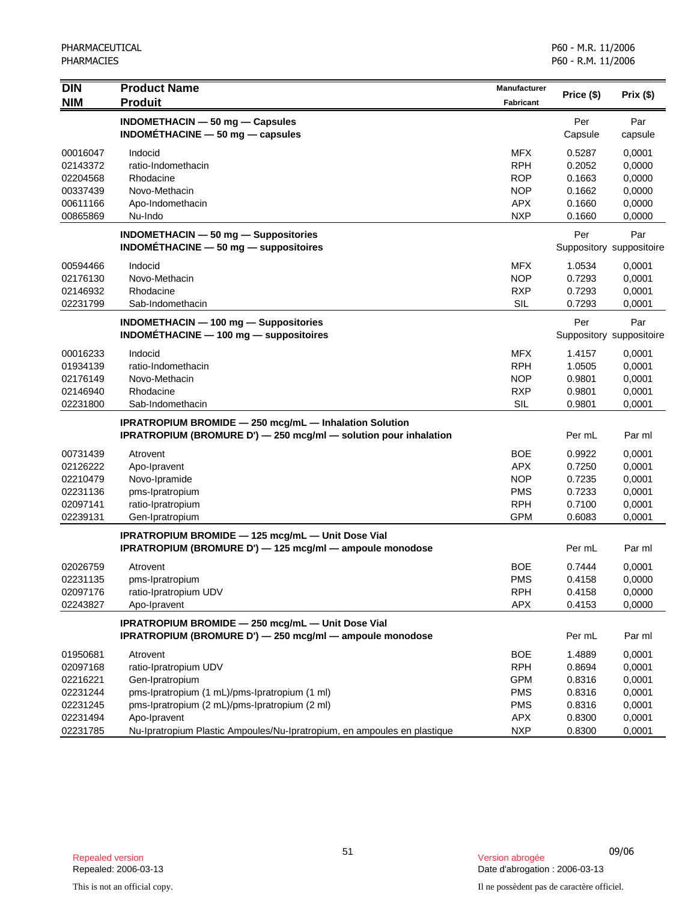| <b>DIN</b><br><b>NIM</b>                                             | <b>Product Name</b><br><b>Produit</b>                                                                                                                                  | <b>Manufacturer</b><br><b>Fabricant</b>                                          | Price (\$)                                               | Prix(\$)                                                 |
|----------------------------------------------------------------------|------------------------------------------------------------------------------------------------------------------------------------------------------------------------|----------------------------------------------------------------------------------|----------------------------------------------------------|----------------------------------------------------------|
|                                                                      | INDOMETHACIN $-$ 50 mg $-$ Capsules<br>INDOMETHACINE $-50$ mg $-$ capsules                                                                                             |                                                                                  | Per<br>Capsule                                           | Par<br>capsule                                           |
| 00016047<br>02143372<br>02204568<br>00337439                         | Indocid<br>ratio-Indomethacin<br>Rhodacine<br>Novo-Methacin                                                                                                            | <b>MFX</b><br><b>RPH</b><br><b>ROP</b><br><b>NOP</b>                             | 0.5287<br>0.2052<br>0.1663<br>0.1662                     | 0,0001<br>0,0000<br>0,0000<br>0,0000                     |
| 00611166<br>00865869                                                 | Apo-Indomethacin<br>Nu-Indo                                                                                                                                            | <b>APX</b><br><b>NXP</b>                                                         | 0.1660<br>0.1660                                         | 0,0000<br>0,0000                                         |
|                                                                      | <b>INDOMETHACIN - 50 mg - Suppositories</b><br>$INDOMETHACINE - 50 mg - $ suppositoires                                                                                |                                                                                  | Per                                                      | Par<br>Suppository suppositoire                          |
| 00594466<br>02176130<br>02146932<br>02231799                         | Indocid<br>Novo-Methacin<br>Rhodacine<br>Sab-Indomethacin                                                                                                              | <b>MFX</b><br><b>NOP</b><br><b>RXP</b><br>SIL                                    | 1.0534<br>0.7293<br>0.7293<br>0.7293                     | 0,0001<br>0,0001<br>0,0001<br>0,0001                     |
|                                                                      | INDOMETHACIN - 100 mg - Suppositories<br>$INDOMETHACINE - 100 mg - $ suppositoires                                                                                     |                                                                                  | Per                                                      | Par<br>Suppository suppositoire                          |
| 00016233<br>01934139<br>02176149<br>02146940<br>02231800             | Indocid<br>ratio-Indomethacin<br>Novo-Methacin<br>Rhodacine<br>Sab-Indomethacin                                                                                        | <b>MFX</b><br><b>RPH</b><br><b>NOP</b><br><b>RXP</b><br><b>SIL</b>               | 1.4157<br>1.0505<br>0.9801<br>0.9801<br>0.9801           | 0,0001<br>0,0001<br>0,0001<br>0,0001<br>0,0001           |
|                                                                      | <b>IPRATROPIUM BROMIDE - 250 mcg/mL - Inhalation Solution</b><br>IPRATROPIUM (BROMURE D') - 250 mcg/ml - solution pour inhalation                                      |                                                                                  | Per mL                                                   | Par ml                                                   |
| 00731439<br>02126222<br>02210479<br>02231136<br>02097141<br>02239131 | Atrovent<br>Apo-Ipravent<br>Novo-Ipramide<br>pms-Ipratropium<br>ratio-Ipratropium<br>Gen-Ipratropium                                                                   | <b>BOE</b><br><b>APX</b><br><b>NOP</b><br><b>PMS</b><br><b>RPH</b><br><b>GPM</b> | 0.9922<br>0.7250<br>0.7235<br>0.7233<br>0.7100<br>0.6083 | 0,0001<br>0,0001<br>0,0001<br>0,0001<br>0,0001<br>0,0001 |
|                                                                      | IPRATROPIUM BROMIDE - 125 mcg/mL - Unit Dose Vial<br>IPRATROPIUM (BROMURE D') - 125 mcg/ml - ampoule monodose                                                          |                                                                                  | Per mL                                                   | Par ml                                                   |
| 02026759<br>02231135<br>02097176<br>02243827                         | Atrovent<br>pms-Ipratropium<br>ratio-Ipratropium UDV<br>Apo-Ipravent                                                                                                   | <b>BOE</b><br><b>PMS</b><br><b>RPH</b><br>APX                                    | 0.7444<br>0.4158<br>0.4158<br>0.4153                     | 0,0001<br>0,0000<br>0,0000<br>0,0000                     |
|                                                                      | IPRATROPIUM BROMIDE - 250 mcg/mL - Unit Dose Vial<br>IPRATROPIUM (BROMURE D') - 250 mcg/ml - ampoule monodose                                                          |                                                                                  | Per mL                                                   | Par ml                                                   |
| 01950681<br>02097168<br>02216221<br>02231244<br>02231245<br>02231494 | Atrovent<br>ratio-Ipratropium UDV<br>Gen-Ipratropium<br>pms-Ipratropium (1 mL)/pms-Ipratropium (1 ml)<br>pms-Ipratropium (2 mL)/pms-Ipratropium (2 ml)<br>Apo-Ipravent | <b>BOE</b><br><b>RPH</b><br><b>GPM</b><br><b>PMS</b><br><b>PMS</b><br>APX        | 1.4889<br>0.8694<br>0.8316<br>0.8316<br>0.8316<br>0.8300 | 0,0001<br>0,0001<br>0,0001<br>0,0001<br>0,0001<br>0,0001 |
| 02231785                                                             | Nu-Ipratropium Plastic Ampoules/Nu-Ipratropium, en ampoules en plastique                                                                                               | <b>NXP</b>                                                                       | 0.8300                                                   | 0,0001                                                   |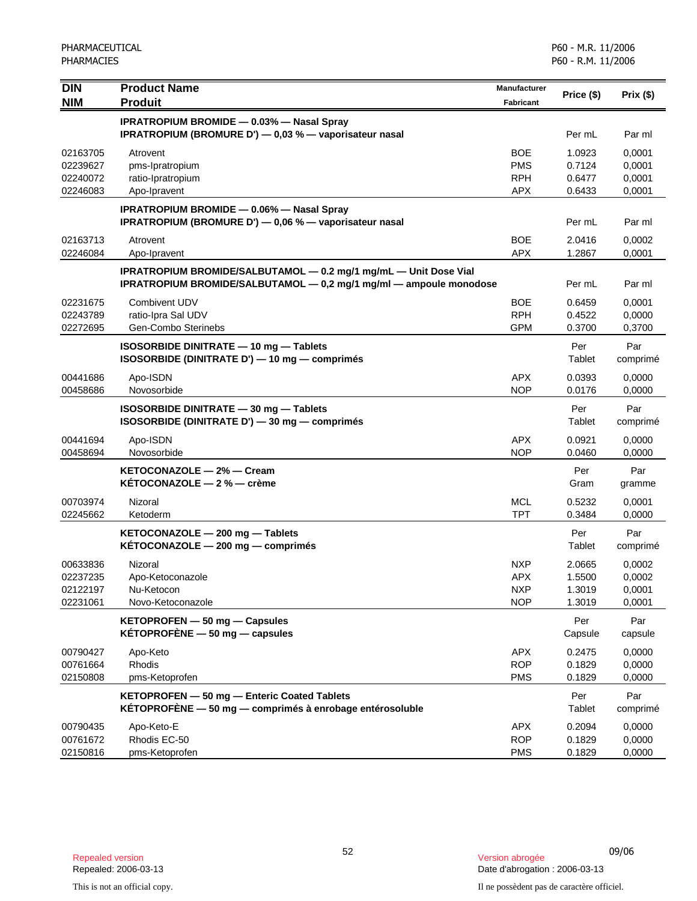| <b>DIN</b>                                   | <b>Product Name</b>                                                                                                                    | Manufacturer                                         | Price (\$)                           | Prix(\$)                             |
|----------------------------------------------|----------------------------------------------------------------------------------------------------------------------------------------|------------------------------------------------------|--------------------------------------|--------------------------------------|
| <b>NIM</b>                                   | <b>Produit</b>                                                                                                                         | Fabricant                                            |                                      |                                      |
|                                              | <b>IPRATROPIUM BROMIDE - 0.03% - Nasal Spray</b><br>IPRATROPIUM (BROMURE D') - 0,03 % - vaporisateur nasal                             |                                                      | Per mL                               | Par ml                               |
| 02163705<br>02239627<br>02240072<br>02246083 | Atrovent<br>pms-Ipratropium<br>ratio-Ipratropium<br>Apo-Ipravent                                                                       | <b>BOE</b><br><b>PMS</b><br><b>RPH</b><br><b>APX</b> | 1.0923<br>0.7124<br>0.6477<br>0.6433 | 0,0001<br>0,0001<br>0,0001<br>0,0001 |
|                                              | <b>IPRATROPIUM BROMIDE - 0.06% - Nasal Spray</b><br>IPRATROPIUM (BROMURE D') — 0,06 % — vaporisateur nasal                             |                                                      | Per mL                               | Par ml                               |
| 02163713<br>02246084                         | Atrovent<br>Apo-Ipravent                                                                                                               | <b>BOE</b><br><b>APX</b>                             | 2.0416<br>1.2867                     | 0,0002<br>0,0001                     |
|                                              | IPRATROPIUM BROMIDE/SALBUTAMOL - 0.2 mg/1 mg/mL - Unit Dose Vial<br>IPRATROPIUM BROMIDE/SALBUTAMOL - 0,2 mg/1 mg/ml - ampoule monodose |                                                      | Per mL                               | Par ml                               |
| 02231675<br>02243789<br>02272695             | Combivent UDV<br>ratio-Ipra Sal UDV<br>Gen-Combo Sterinebs                                                                             | <b>BOE</b><br><b>RPH</b><br><b>GPM</b>               | 0.6459<br>0.4522<br>0.3700           | 0.0001<br>0,0000<br>0,3700           |
|                                              | ISOSORBIDE DINITRATE - 10 mg - Tablets<br>ISOSORBIDE (DINITRATE D') - 10 mg - comprimés                                                |                                                      | Per<br>Tablet                        | Par<br>comprimé                      |
| 00441686<br>00458686                         | Apo-ISDN<br>Novosorbide                                                                                                                | <b>APX</b><br><b>NOP</b>                             | 0.0393<br>0.0176                     | 0,0000<br>0,0000                     |
|                                              | ISOSORBIDE DINITRATE - 30 mg - Tablets<br>ISOSORBIDE (DINITRATE D') - 30 mg - comprimés                                                |                                                      | Per<br>Tablet                        | Par<br>comprimé                      |
| 00441694<br>00458694                         | Apo-ISDN<br>Novosorbide                                                                                                                | <b>APX</b><br><b>NOP</b>                             | 0.0921<br>0.0460                     | 0,0000<br>0,0000                     |
|                                              | KETOCONAZOLE - 2% - Cream<br>KETOCONAZOLE $-2$ % $-$ crème                                                                             |                                                      | Per<br>Gram                          | Par<br>gramme                        |
| 00703974<br>02245662                         | Nizoral<br>Ketoderm                                                                                                                    | <b>MCL</b><br><b>TPT</b>                             | 0.5232<br>0.3484                     | 0,0001<br>0,0000                     |
|                                              | KETOCONAZOLE - 200 mg - Tablets<br>$KÉTOCONAZOLE - 200 mg - comprimés$                                                                 |                                                      | Per<br>Tablet                        | Par<br>comprimé                      |
| 00633836<br>02237235<br>02122197<br>02231061 | Nizoral<br>Apo-Ketoconazole<br>Nu-Ketocon<br>Novo-Ketoconazole                                                                         | <b>NXP</b><br><b>APX</b><br><b>NXP</b><br><b>NOP</b> | 2.0665<br>1.5500<br>1.3019<br>1.3019 | 0,0002<br>0,0002<br>0,0001<br>0,0001 |
|                                              | KETOPROFEN - 50 mg - Capsules<br>$KÉTOPROFÈNE - 50 mg - capsules$                                                                      |                                                      | Per<br>Capsule                       | Par<br>capsule                       |
| 00790427<br>00761664<br>02150808             | Apo-Keto<br>Rhodis<br>pms-Ketoprofen                                                                                                   | <b>APX</b><br><b>ROP</b><br><b>PMS</b>               | 0.2475<br>0.1829<br>0.1829           | 0,0000<br>0,0000<br>0,0000           |
|                                              | KETOPROFEN - 50 mg - Enteric Coated Tablets<br>KÉTOPROFÈNE - 50 mg - comprimés à enrobage entérosoluble                                |                                                      | Per<br><b>Tablet</b>                 | Par<br>comprimé                      |
| 00790435<br>00761672<br>02150816             | Apo-Keto-E<br>Rhodis EC-50<br>pms-Ketoprofen                                                                                           | <b>APX</b><br><b>ROP</b><br><b>PMS</b>               | 0.2094<br>0.1829<br>0.1829           | 0,0000<br>0,0000<br>0,0000           |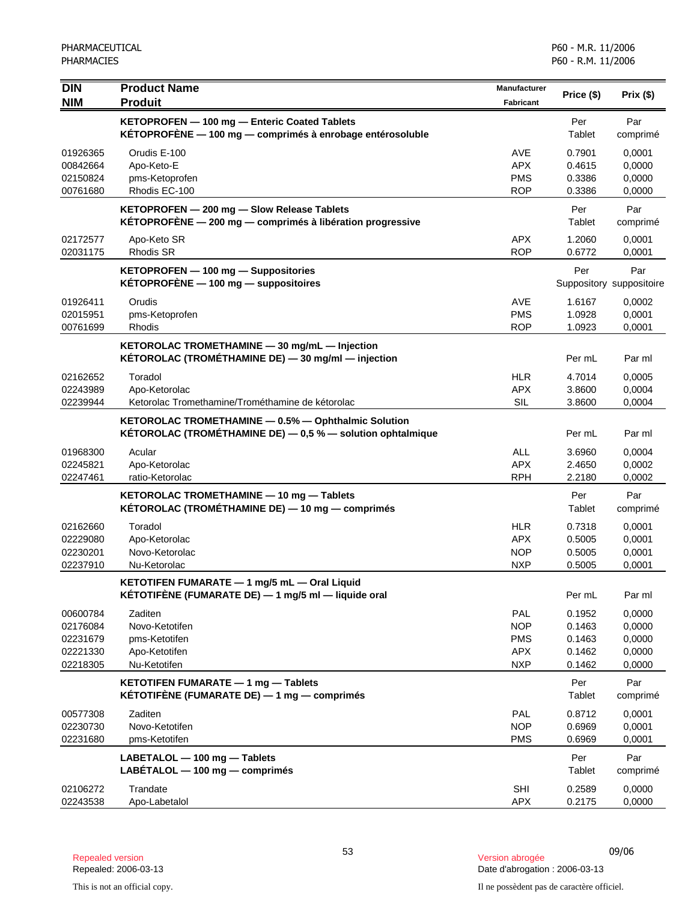| <b>DIN</b>           | <b>Product Name</b>                                                                                               | <b>Manufacturer</b>      | Price (\$)       | Prix(\$)                 |
|----------------------|-------------------------------------------------------------------------------------------------------------------|--------------------------|------------------|--------------------------|
| <b>NIM</b>           | <b>Produit</b>                                                                                                    | <b>Fabricant</b>         |                  |                          |
|                      | KETOPROFEN - 100 mg - Enteric Coated Tablets<br>KÉTOPROFÈNE - 100 mg - comprimés à enrobage entérosoluble         |                          | Per<br>Tablet    | Par<br>comprimé          |
| 01926365             | Orudis E-100                                                                                                      | AVE                      | 0.7901           | 0,0001                   |
| 00842664             | Apo-Keto-E                                                                                                        | <b>APX</b>               | 0.4615           | 0,0000                   |
| 02150824             | pms-Ketoprofen                                                                                                    | <b>PMS</b>               | 0.3386           | 0,0000                   |
| 00761680             | Rhodis EC-100                                                                                                     | <b>ROP</b>               | 0.3386           | 0,0000                   |
|                      | KETOPROFEN - 200 mg - Slow Release Tablets<br>KÉTOPROFÈNE $-$ 200 mg $-$ comprimés à libération progressive       |                          | Per<br>Tablet    | Par<br>comprimé          |
| 02172577<br>02031175 | Apo-Keto SR<br><b>Rhodis SR</b>                                                                                   | <b>APX</b><br><b>ROP</b> | 1.2060<br>0.6772 | 0,0001<br>0,0001         |
|                      | KETOPROFEN - 100 mg - Suppositories                                                                               |                          | Per              | Par                      |
|                      | KÉTOPROFÈNE $-$ 100 mg $-$ suppositoires                                                                          |                          |                  | Suppository suppositoire |
| 01926411             | Orudis                                                                                                            | AVE                      | 1.6167           | 0,0002                   |
| 02015951             | pms-Ketoprofen                                                                                                    | <b>PMS</b>               | 1.0928           | 0,0001                   |
| 00761699             | Rhodis                                                                                                            | <b>ROP</b>               | 1.0923           | 0,0001                   |
|                      | KETOROLAC TROMETHAMINE - 30 mg/mL - Injection<br>KÉTOROLAC (TROMÉTHAMINE DE) - 30 mg/ml - injection               |                          | Per mL           | Par ml                   |
| 02162652             | Toradol                                                                                                           | <b>HLR</b>               | 4.7014           | 0.0005                   |
| 02243989             | Apo-Ketorolac                                                                                                     | APX                      | 3.8600           | 0,0004                   |
| 02239944             | Ketorolac Tromethamine/Trométhamine de kétorolac                                                                  | SIL                      | 3.8600           | 0,0004                   |
|                      | KETOROLAC TROMETHAMINE - 0.5% - Ophthalmic Solution<br>KÉTOROLAC (TROMÉTHAMINE DE) - 0,5 % - solution ophtalmique |                          | Per mL           | Par ml                   |
| 01968300             | Acular                                                                                                            | <b>ALL</b>               | 3.6960           | 0,0004                   |
| 02245821             | Apo-Ketorolac                                                                                                     | APX                      | 2.4650           | 0,0002                   |
| 02247461             | ratio-Ketorolac                                                                                                   | <b>RPH</b>               | 2.2180           | 0,0002                   |
|                      | KETOROLAC TROMETHAMINE - 10 mg - Tablets                                                                          |                          | Per              | Par                      |
|                      | KÉTOROLAC (TROMÉTHAMINE DE) - 10 mg - comprimés                                                                   |                          | Tablet           | comprimé                 |
| 02162660             | Toradol                                                                                                           | <b>HLR</b>               | 0.7318           | 0,0001                   |
| 02229080             | Apo-Ketorolac                                                                                                     | <b>APX</b>               | 0.5005           | 0,0001                   |
| 02230201             | Novo-Ketorolac                                                                                                    | <b>NOP</b>               | 0.5005           | 0,0001                   |
| 02237910             | Nu-Ketorolac                                                                                                      | <b>NXP</b>               | 0.5005           | 0,0001                   |
|                      | KETOTIFEN FUMARATE - 1 mg/5 mL - Oral Liquid<br>KÉTOTIFÈNE (FUMARATE DE) — 1 mg/5 ml — liquide oral               |                          | Per mL           | Par ml                   |
| 00600784             | Zaditen                                                                                                           | <b>PAL</b>               | 0.1952           | 0,0000                   |
| 02176084             | Novo-Ketotifen                                                                                                    | <b>NOP</b>               | 0.1463           | 0,0000                   |
| 02231679             | pms-Ketotifen                                                                                                     | <b>PMS</b>               | 0.1463           | 0,0000                   |
| 02221330             | Apo-Ketotifen                                                                                                     | <b>APX</b>               | 0.1462           | 0,0000                   |
| 02218305             | Nu-Ketotifen                                                                                                      | <b>NXP</b>               | 0.1462           | 0,0000                   |
|                      | KETOTIFEN FUMARATE - 1 mg - Tablets<br>KÉTOTIFÈNE (FUMARATE DE) $-$ 1 mg $-$ comprimés                            |                          | Per<br>Tablet    | Par<br>comprimé          |
| 00577308             | Zaditen                                                                                                           | <b>PAL</b>               | 0.8712           | 0,0001                   |
| 02230730             | Novo-Ketotifen                                                                                                    | <b>NOP</b>               | 0.6969           | 0,0001                   |
| 02231680             | pms-Ketotifen                                                                                                     | <b>PMS</b>               | 0.6969           | 0,0001                   |
|                      | LABETALOL - 100 mg - Tablets<br>$LABÉTALOL - 100 mg - comprimés$                                                  |                          | Per<br>Tablet    | Par<br>comprimé          |
| 02106272<br>02243538 | Trandate<br>Apo-Labetalol                                                                                         | SHI<br>APX               | 0.2589<br>0.2175 | 0,0000<br>0,0000         |

<sup>53</sup> 09/06 Repealed version Version abrogée Date d'abrogation : 2006-03-13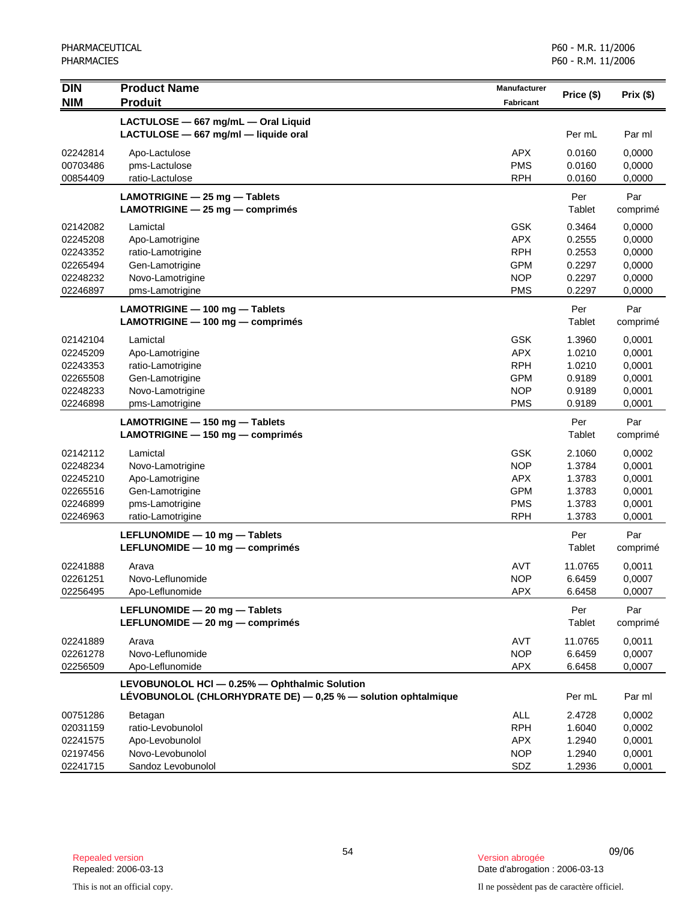| <b>DIN</b>                                                           | <b>Product Name</b>                                                                                            | <b>Manufacturer</b>                                                              | Price (\$)                                               | Prix(\$)                                                 |
|----------------------------------------------------------------------|----------------------------------------------------------------------------------------------------------------|----------------------------------------------------------------------------------|----------------------------------------------------------|----------------------------------------------------------|
| <b>NIM</b>                                                           | <b>Produit</b>                                                                                                 | <b>Fabricant</b>                                                                 |                                                          |                                                          |
|                                                                      | LACTULOSE - 667 mg/mL - Oral Liquid<br>LACTULOSE - 667 mg/ml - liquide oral                                    |                                                                                  | Per mL                                                   | Par ml                                                   |
| 02242814<br>00703486<br>00854409                                     | Apo-Lactulose<br>pms-Lactulose<br>ratio-Lactulose                                                              | <b>APX</b><br><b>PMS</b><br><b>RPH</b>                                           | 0.0160<br>0.0160<br>0.0160                               | 0,0000<br>0,0000<br>0,0000                               |
|                                                                      | LAMOTRIGINE - 25 mg - Tablets<br>LAMOTRIGINE $-$ 25 mg $-$ comprimes                                           |                                                                                  | Per<br>Tablet                                            | Par<br>comprimé                                          |
| 02142082<br>02245208<br>02243352<br>02265494<br>02248232<br>02246897 | Lamictal<br>Apo-Lamotrigine<br>ratio-Lamotrigine<br>Gen-Lamotrigine<br>Novo-Lamotrigine<br>pms-Lamotrigine     | <b>GSK</b><br><b>APX</b><br><b>RPH</b><br><b>GPM</b><br><b>NOP</b><br><b>PMS</b> | 0.3464<br>0.2555<br>0.2553<br>0.2297<br>0.2297<br>0.2297 | 0,0000<br>0,0000<br>0,0000<br>0,0000<br>0,0000<br>0,0000 |
|                                                                      | LAMOTRIGINE - 100 mg - Tablets<br>LAMOTRIGINE - 100 mg - comprimés                                             |                                                                                  | Per<br>Tablet                                            | Par<br>comprimé                                          |
| 02142104<br>02245209<br>02243353<br>02265508<br>02248233<br>02246898 | Lamictal<br>Apo-Lamotrigine<br>ratio-Lamotrigine<br>Gen-Lamotrigine<br>Novo-Lamotrigine<br>pms-Lamotrigine     | <b>GSK</b><br><b>APX</b><br><b>RPH</b><br><b>GPM</b><br><b>NOP</b><br><b>PMS</b> | 1.3960<br>1.0210<br>1.0210<br>0.9189<br>0.9189<br>0.9189 | 0,0001<br>0,0001<br>0,0001<br>0,0001<br>0,0001<br>0,0001 |
|                                                                      | LAMOTRIGINE - 150 mg - Tablets<br>LAMOTRIGINE - 150 mg - comprimés                                             |                                                                                  | Per<br>Tablet                                            | Par<br>comprimé                                          |
| 02142112<br>02248234<br>02245210<br>02265516<br>02246899<br>02246963 | Lamictal<br>Novo-Lamotrigine<br>Apo-Lamotrigine<br>Gen-Lamotrigine<br>pms-Lamotrigine<br>ratio-Lamotrigine     | <b>GSK</b><br><b>NOP</b><br><b>APX</b><br><b>GPM</b><br><b>PMS</b><br><b>RPH</b> | 2.1060<br>1.3784<br>1.3783<br>1.3783<br>1.3783<br>1.3783 | 0,0002<br>0,0001<br>0,0001<br>0,0001<br>0,0001<br>0,0001 |
|                                                                      | LEFLUNOMIDE - 10 mg - Tablets<br>LEFLUNOMIDE - 10 mg - comprimés                                               |                                                                                  | Per<br>Tablet                                            | Par<br>comprimé                                          |
| 02241888<br>02261251<br>02256495                                     | Arava<br>Novo-Leflunomide<br>Apo-Leflunomide                                                                   | <b>AVT</b><br><b>NOP</b><br>APX                                                  | 11.0765<br>6.6459<br>6.6458                              | 0,0011<br>0,0007<br>0,0007                               |
|                                                                      | LEFLUNOMIDE - 20 mg - Tablets<br>LEFLUNOMIDE - 20 mg - comprimés                                               |                                                                                  | Per<br>Tablet                                            | Par<br>comprimé                                          |
| 02241889<br>02261278<br>02256509                                     | Arava<br>Novo-Leflunomide<br>Apo-Leflunomide                                                                   | AVT<br><b>NOP</b><br><b>APX</b>                                                  | 11.0765<br>6.6459<br>6.6458                              | 0,0011<br>0,0007<br>0,0007                               |
|                                                                      | LEVOBUNOLOL HCI - 0.25% - Ophthalmic Solution<br>LÉVOBUNOLOL (CHLORHYDRATE DE) - 0,25 % - solution ophtalmique |                                                                                  | Per mL                                                   | Par ml                                                   |
| 00751286<br>02031159<br>02241575<br>02197456<br>02241715             | Betagan<br>ratio-Levobunolol<br>Apo-Levobunolol<br>Novo-Levobunolol<br>Sandoz Levobunolol                      | ALL<br><b>RPH</b><br>APX<br><b>NOP</b><br>SDZ                                    | 2.4728<br>1.6040<br>1.2940<br>1.2940<br>1.2936           | 0,0002<br>0,0002<br>0,0001<br>0,0001<br>0,0001           |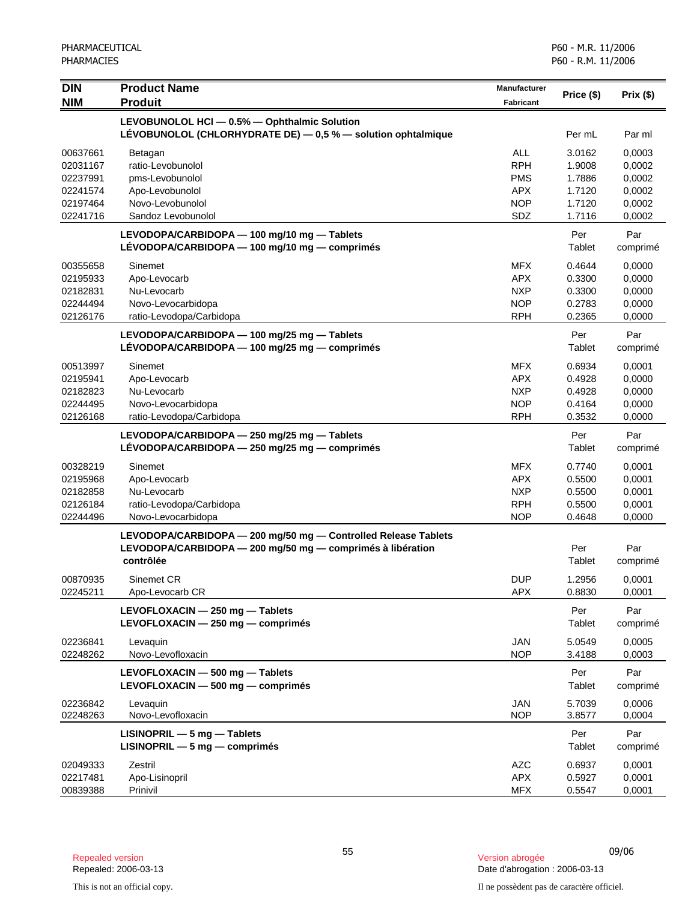| <b>DIN</b> | <b>Product Name</b>                                             | <b>Manufacturer</b> | Price (\$) | Prix(\$) |
|------------|-----------------------------------------------------------------|---------------------|------------|----------|
| <b>NIM</b> | <b>Produit</b>                                                  | <b>Fabricant</b>    |            |          |
|            | LEVOBUNOLOL HCI - 0.5% - Ophthalmic Solution                    |                     |            |          |
|            | LEVOBUNOLOL (CHLORHYDRATE DE) $-0.5$ % $-$ solution ophtalmique |                     | Per mL     | Par ml   |
| 00637661   | Betagan                                                         | ALL                 | 3.0162     | 0,0003   |
| 02031167   | ratio-Levobunolol                                               | <b>RPH</b>          | 1.9008     | 0,0002   |
| 02237991   | pms-Levobunolol                                                 | <b>PMS</b>          | 1.7886     | 0,0002   |
| 02241574   | Apo-Levobunolol                                                 | <b>APX</b>          | 1.7120     | 0,0002   |
| 02197464   | Novo-Levobunolol                                                | <b>NOP</b>          | 1.7120     | 0,0002   |
| 02241716   | Sandoz Levobunolol                                              | SDZ                 | 1.7116     | 0,0002   |
|            | LEVODOPA/CARBIDOPA - 100 mg/10 mg - Tablets                     |                     | Per        | Par      |
|            | LÉVODOPA/CARBIDOPA — 100 mg/10 mg — comprimés                   |                     | Tablet     | comprimé |
| 00355658   | Sinemet                                                         | <b>MFX</b>          | 0.4644     | 0,0000   |
| 02195933   | Apo-Levocarb                                                    | <b>APX</b>          | 0.3300     | 0,0000   |
| 02182831   | Nu-Levocarb                                                     | <b>NXP</b>          | 0.3300     | 0,0000   |
| 02244494   | Novo-Levocarbidopa                                              | <b>NOP</b>          | 0.2783     | 0,0000   |
| 02126176   | ratio-Levodopa/Carbidopa                                        | <b>RPH</b>          | 0.2365     | 0,0000   |
|            | LEVODOPA/CARBIDOPA - 100 mg/25 mg - Tablets                     |                     | Per        | Par      |
|            | LÉVODOPA/CARBIDOPA - 100 mg/25 mg - comprimés                   |                     | Tablet     | comprimé |
| 00513997   | Sinemet                                                         | <b>MFX</b>          | 0.6934     | 0,0001   |
| 02195941   | Apo-Levocarb                                                    | <b>APX</b>          | 0.4928     | 0,0000   |
| 02182823   | Nu-Levocarb                                                     | <b>NXP</b>          | 0.4928     | 0,0000   |
| 02244495   | Novo-Levocarbidopa                                              | <b>NOP</b>          | 0.4164     | 0,0000   |
| 02126168   | ratio-Levodopa/Carbidopa                                        | <b>RPH</b>          | 0.3532     | 0,0000   |
|            | LEVODOPA/CARBIDOPA - 250 mg/25 mg - Tablets                     |                     | Per        | Par      |
|            | LÉVODOPA/CARBIDOPA - 250 mg/25 mg - comprimés                   |                     | Tablet     | comprimé |
| 00328219   | Sinemet                                                         | <b>MFX</b>          | 0.7740     | 0,0001   |
| 02195968   | Apo-Levocarb                                                    | <b>APX</b>          | 0.5500     | 0,0001   |
| 02182858   | Nu-Levocarb                                                     | <b>NXP</b>          | 0.5500     | 0,0001   |
| 02126184   | ratio-Levodopa/Carbidopa                                        | <b>RPH</b>          | 0.5500     | 0,0001   |
| 02244496   | Novo-Levocarbidopa                                              | <b>NOP</b>          | 0.4648     | 0,0000   |
|            | LEVODOPA/CARBIDOPA - 200 mg/50 mg - Controlled Release Tablets  |                     |            |          |
|            | LEVODOPA/CARBIDOPA - 200 mg/50 mg - comprimés à libération      |                     | Per        | Par      |
|            | contrôlée                                                       |                     | Tablet     | comprimé |
| 00870935   | Sinemet CR                                                      | <b>DUP</b>          | 1.2956     | 0,0001   |
| 02245211   | Apo-Levocarb CR                                                 | <b>APX</b>          | 0.8830     | 0,0001   |
|            | LEVOFLOXACIN - 250 mg - Tablets                                 |                     | Per        | Par      |
|            | LEVOFLOXACIN - 250 mg - comprimés                               |                     | Tablet     | comprimé |
| 02236841   | Levaquin                                                        | <b>JAN</b>          | 5.0549     | 0,0005   |
| 02248262   | Novo-Levofloxacin                                               | <b>NOP</b>          | 3.4188     | 0,0003   |
|            | LEVOFLOXACIN - 500 mg - Tablets                                 |                     | Per        | Par      |
|            | LEVOFLOXACIN - 500 mg - comprimés                               |                     | Tablet     | comprimé |
| 02236842   | Levaquin                                                        | <b>JAN</b>          | 5.7039     | 0,0006   |
| 02248263   | Novo-Levofloxacin                                               | <b>NOP</b>          | 3.8577     | 0,0004   |
|            | $LISINOPRIL - 5 mg - Tables$                                    |                     | Per        | Par      |
|            | $LISINOPRIL - 5 mg - comprimés$                                 |                     | Tablet     | comprimé |
| 02049333   | Zestril                                                         | <b>AZC</b>          | 0.6937     | 0,0001   |
| 02217481   | Apo-Lisinopril                                                  | APX                 | 0.5927     | 0,0001   |
| 00839388   | Prinivil                                                        | <b>MFX</b>          | 0.5547     | 0,0001   |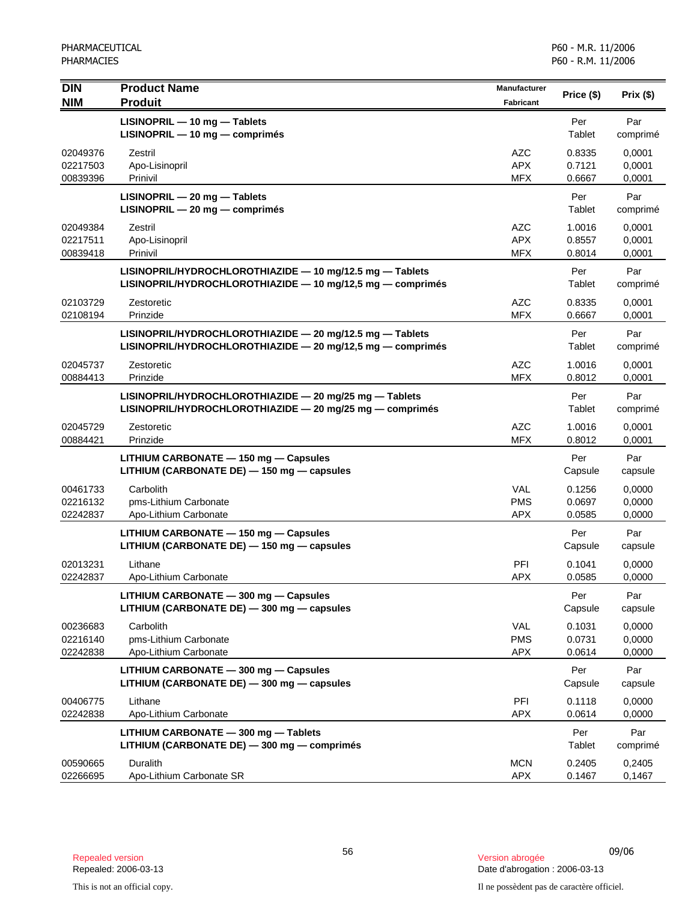| <b>DIN</b><br><b>NIM</b>         | <b>Product Name</b><br><b>Produit</b>                                                                                  | <b>Manufacturer</b><br>Fabricant       | Price (\$)                 | Prix (\$)                  |
|----------------------------------|------------------------------------------------------------------------------------------------------------------------|----------------------------------------|----------------------------|----------------------------|
|                                  | LISINOPRIL - 10 mg - Tablets<br>LISINOPRIL - 10 mg - comprimés                                                         |                                        | Per<br>Tablet              | Par<br>comprimé            |
| 02049376<br>02217503<br>00839396 | Zestril<br>Apo-Lisinopril<br>Prinivil                                                                                  | AZC<br><b>APX</b><br><b>MFX</b>        | 0.8335<br>0.7121<br>0.6667 | 0,0001<br>0,0001<br>0,0001 |
|                                  | LISINOPRIL - 20 mg - Tablets<br>LISINOPRIL - 20 mg - comprimés                                                         |                                        | Per<br>Tablet              | Par<br>comprimé            |
| 02049384<br>02217511<br>00839418 | Zestril<br>Apo-Lisinopril<br>Prinivil                                                                                  | <b>AZC</b><br><b>APX</b><br><b>MFX</b> | 1.0016<br>0.8557<br>0.8014 | 0,0001<br>0,0001<br>0,0001 |
|                                  | LISINOPRIL/HYDROCHLOROTHIAZIDE - 10 mg/12.5 mg - Tablets<br>LISINOPRIL/HYDROCHLOROTHIAZIDE - 10 mg/12,5 mg - comprimés |                                        | Per<br>Tablet              | Par<br>comprimé            |
| 02103729<br>02108194             | Zestoretic<br>Prinzide                                                                                                 | <b>AZC</b><br><b>MFX</b>               | 0.8335<br>0.6667           | 0,0001<br>0,0001           |
|                                  | LISINOPRIL/HYDROCHLOROTHIAZIDE - 20 mg/12.5 mg - Tablets<br>LISINOPRIL/HYDROCHLOROTHIAZIDE - 20 mg/12,5 mg - comprimés |                                        | Per<br>Tablet              | Par<br>comprimé            |
| 02045737<br>00884413             | Zestoretic<br>Prinzide                                                                                                 | <b>AZC</b><br><b>MFX</b>               | 1.0016<br>0.8012           | 0,0001<br>0,0001           |
|                                  | LISINOPRIL/HYDROCHLOROTHIAZIDE - 20 mg/25 mg - Tablets<br>LISINOPRIL/HYDROCHLOROTHIAZIDE - 20 mg/25 mg - comprimés     |                                        | Per<br>Tablet              | Par<br>comprimé            |
| 02045729<br>00884421             | Zestoretic<br>Prinzide                                                                                                 | <b>AZC</b><br><b>MFX</b>               | 1.0016<br>0.8012           | 0,0001<br>0,0001           |
|                                  | LITHIUM CARBONATE - 150 mg - Capsules<br>LITHIUM (CARBONATE DE) - 150 mg - capsules                                    |                                        | Per<br>Capsule             | Par<br>capsule             |
| 00461733<br>02216132<br>02242837 | Carbolith<br>pms-Lithium Carbonate<br>Apo-Lithium Carbonate                                                            | <b>VAL</b><br><b>PMS</b><br><b>APX</b> | 0.1256<br>0.0697<br>0.0585 | 0,0000<br>0,0000<br>0,0000 |
|                                  | LITHIUM CARBONATE - 150 mg - Capsules<br>LITHIUM (CARBONATE DE) - 150 mg - capsules                                    |                                        | Per<br>Capsule             | Par<br>capsule             |
| 02013231<br>02242837             | Lithane<br>Apo-Lithium Carbonate                                                                                       | PFI<br><b>APX</b>                      | 0.1041<br>0.0585           | 0,0000<br>0,0000           |
|                                  | LITHIUM CARBONATE - 300 mg - Capsules<br>LITHIUM (CARBONATE DE) - 300 mg - capsules                                    |                                        | Per<br>Capsule             | Par<br>capsule             |
| 00236683<br>02216140<br>02242838 | Carbolith<br>pms-Lithium Carbonate<br>Apo-Lithium Carbonate                                                            | VAL<br><b>PMS</b><br><b>APX</b>        | 0.1031<br>0.0731<br>0.0614 | 0,0000<br>0,0000<br>0,0000 |
|                                  | LITHIUM CARBONATE - 300 mg - Capsules<br>LITHIUM (CARBONATE DE) - 300 mg - capsules                                    |                                        | Per<br>Capsule             | Par<br>capsule             |
| 00406775<br>02242838             | Lithane<br>Apo-Lithium Carbonate                                                                                       | PFI<br><b>APX</b>                      | 0.1118<br>0.0614           | 0,0000<br>0,0000           |
|                                  | LITHIUM CARBONATE - 300 mg - Tablets<br>LITHIUM (CARBONATE DE) - 300 mg - comprimés                                    |                                        | Per<br>Tablet              | Par<br>comprimé            |
| 00590665<br>02266695             | <b>Duralith</b><br>Apo-Lithium Carbonate SR                                                                            | <b>MCN</b><br><b>APX</b>               | 0.2405<br>0.1467           | 0,2405<br>0,1467           |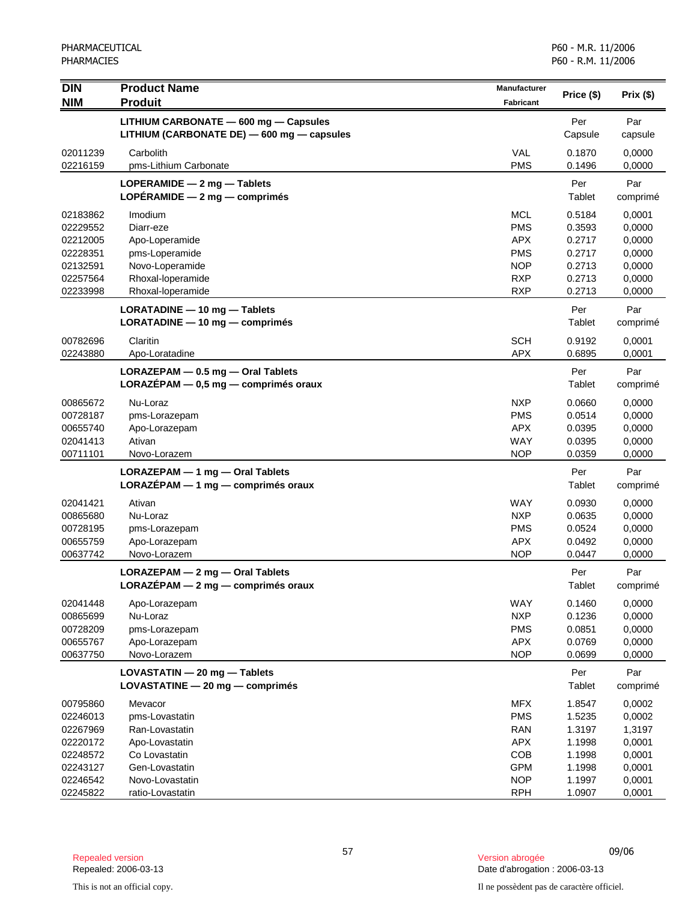| <b>DIN</b> | <b>Product Name</b>                        | Manufacturer |            |                  |
|------------|--------------------------------------------|--------------|------------|------------------|
| <b>NIM</b> | <b>Produit</b>                             | Fabricant    | Price (\$) | Prix (\$)        |
|            | LITHIUM CARBONATE - 600 mg - Capsules      |              | Per        | Par              |
|            | LITHIUM (CARBONATE DE) - 600 mg - capsules |              | Capsule    | capsule          |
|            |                                            |              |            |                  |
| 02011239   | Carbolith                                  | <b>VAL</b>   | 0.1870     | 0,0000           |
| 02216159   | pms-Lithium Carbonate                      | <b>PMS</b>   | 0.1496     | 0,0000           |
|            | LOPERAMIDE $-2$ mg $-$ Tablets             |              | Per        | Par              |
|            | LOPÉRAMIDE - 2 mg - comprimés              |              | Tablet     | comprimé         |
| 02183862   | Imodium                                    | <b>MCL</b>   | 0.5184     | 0,0001           |
| 02229552   | Diarr-eze                                  | <b>PMS</b>   | 0.3593     | 0,0000           |
| 02212005   | Apo-Loperamide                             | <b>APX</b>   | 0.2717     | 0,0000           |
| 02228351   | pms-Loperamide                             | <b>PMS</b>   | 0.2717     | 0,0000           |
| 02132591   | Novo-Loperamide                            | <b>NOP</b>   | 0.2713     | 0,0000           |
| 02257564   | Rhoxal-loperamide                          | <b>RXP</b>   | 0.2713     | 0,0000           |
| 02233998   | Rhoxal-loperamide                          | <b>RXP</b>   | 0.2713     | 0,0000           |
|            | LORATADINE - 10 mg - Tablets               |              | Per        | Par              |
|            | $LORATADINE - 10 mg - comprimés$           |              | Tablet     | comprimé         |
| 00782696   |                                            | <b>SCH</b>   | 0.9192     |                  |
| 02243880   | Claritin<br>Apo-Loratadine                 | <b>APX</b>   | 0.6895     | 0,0001<br>0,0001 |
|            |                                            |              |            |                  |
|            | LORAZEPAM - 0.5 mg - Oral Tablets          |              | Per        | Par              |
|            | $LORAZÉPAM - 0,5 mg - comprimés oraux$     |              | Tablet     | comprimé         |
| 00865672   | Nu-Loraz                                   | <b>NXP</b>   | 0.0660     | 0.0000           |
| 00728187   | pms-Lorazepam                              | <b>PMS</b>   | 0.0514     | 0,0000           |
| 00655740   | Apo-Lorazepam                              | <b>APX</b>   | 0.0395     | 0,0000           |
| 02041413   | Ativan                                     | <b>WAY</b>   | 0.0395     | 0,0000           |
| 00711101   | Novo-Lorazem                               | <b>NOP</b>   | 0.0359     | 0,0000           |
|            | LORAZEPAM - 1 mg - Oral Tablets            |              | Per        | Par              |
|            | $LORAZÉPAM - 1 mg - comprimés oraux$       |              | Tablet     | comprimé         |
| 02041421   | Ativan                                     | <b>WAY</b>   | 0.0930     | 0,0000           |
| 00865680   | Nu-Loraz                                   | <b>NXP</b>   | 0.0635     | 0,0000           |
| 00728195   | pms-Lorazepam                              | <b>PMS</b>   | 0.0524     | 0,0000           |
| 00655759   | Apo-Lorazepam                              | <b>APX</b>   | 0.0492     | 0,0000           |
| 00637742   | Novo-Lorazem                               | <b>NOP</b>   | 0.0447     | 0,0000           |
|            |                                            |              |            |                  |
|            | LORAZEPAM - 2 mg - Oral Tablets            |              | Per        | Par              |
|            | LORAZÉPAM - 2 mg - comprimés oraux         |              | Tablet     | comprimé         |
| 02041448   | Apo-Lorazepam                              | <b>WAY</b>   | 0.1460     | 0,0000           |
| 00865699   | Nu-Loraz                                   | <b>NXP</b>   | 0.1236     | 0,0000           |
| 00728209   | pms-Lorazepam                              | <b>PMS</b>   | 0.0851     | 0,0000           |
| 00655767   | Apo-Lorazepam                              | <b>APX</b>   | 0.0769     | 0,0000           |
| 00637750   | Novo-Lorazem                               | <b>NOP</b>   | 0.0699     | 0,0000           |
|            | LOVASTATIN - 20 mg - Tablets               |              | Per        | Par              |
|            | LOVASTATINE $-20$ mg $-$ comprimés         |              | Tablet     | comprimé         |
| 00795860   | Mevacor                                    | <b>MFX</b>   | 1.8547     | 0,0002           |
| 02246013   | pms-Lovastatin                             | <b>PMS</b>   | 1.5235     | 0,0002           |
| 02267969   | Ran-Lovastatin                             | <b>RAN</b>   | 1.3197     | 1,3197           |
| 02220172   | Apo-Lovastatin                             | <b>APX</b>   | 1.1998     | 0,0001           |
| 02248572   | Co Lovastatin                              | COB          | 1.1998     | 0,0001           |
| 02243127   | Gen-Lovastatin                             | <b>GPM</b>   | 1.1998     | 0,0001           |
| 02246542   | Novo-Lovastatin                            | <b>NOP</b>   | 1.1997     | 0,0001           |
| 02245822   | ratio-Lovastatin                           | <b>RPH</b>   | 1.0907     | 0,0001           |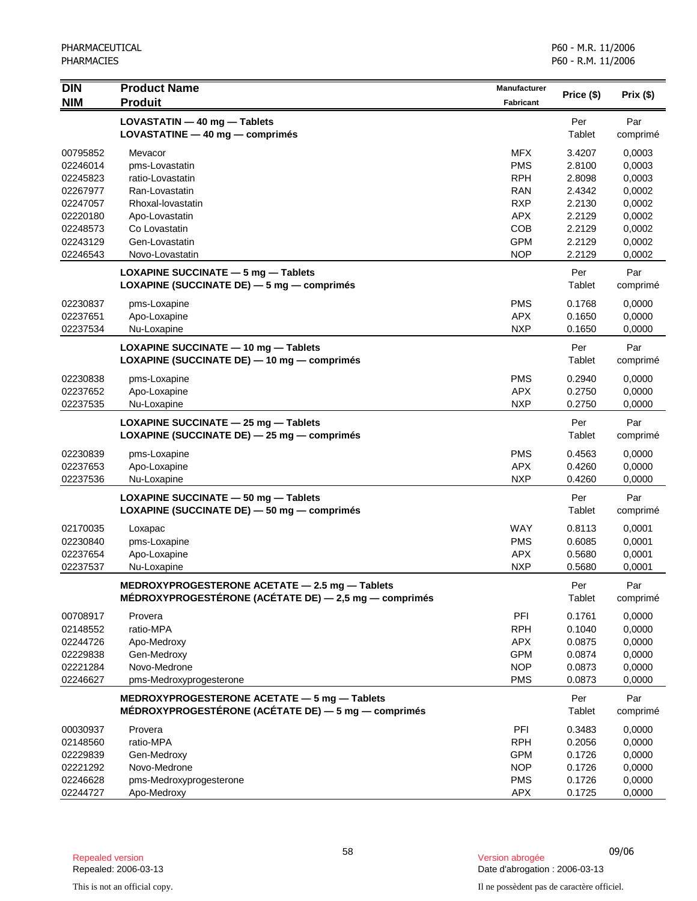| <b>DIN</b><br><b>NIM</b> | <b>Product Name</b><br><b>Produit</b>                                                                           | <b>Manufacturer</b><br><b>Fabricant</b> | Price (\$)       | Prix(\$)         |
|--------------------------|-----------------------------------------------------------------------------------------------------------------|-----------------------------------------|------------------|------------------|
|                          | LOVASTATIN - 40 mg - Tablets<br>LOVASTATINE - 40 mg - comprimés                                                 |                                         | Per<br>Tablet    | Par<br>comprimé  |
| 00795852                 | Mevacor                                                                                                         | <b>MFX</b>                              | 3.4207           | 0,0003           |
| 02246014                 | pms-Lovastatin                                                                                                  | <b>PMS</b>                              | 2.8100           | 0,0003           |
| 02245823                 | ratio-Lovastatin                                                                                                | <b>RPH</b>                              | 2.8098           | 0,0003           |
| 02267977                 | Ran-Lovastatin                                                                                                  | <b>RAN</b>                              | 2.4342           | 0,0002           |
| 02247057                 | Rhoxal-lovastatin                                                                                               | <b>RXP</b>                              | 2.2130           | 0,0002           |
| 02220180                 | Apo-Lovastatin                                                                                                  | <b>APX</b>                              | 2.2129           | 0,0002           |
| 02248573                 | Co Lovastatin                                                                                                   | <b>COB</b>                              | 2.2129           | 0,0002           |
| 02243129<br>02246543     | Gen-Lovastatin<br>Novo-Lovastatin                                                                               | <b>GPM</b><br><b>NOP</b>                | 2.2129<br>2.2129 | 0,0002<br>0,0002 |
|                          | LOXAPINE SUCCINATE - 5 mg - Tablets<br>LOXAPINE (SUCCINATE DE) - 5 mg - comprimés                               |                                         | Per<br>Tablet    | Par<br>comprimé  |
| 02230837                 | pms-Loxapine                                                                                                    | <b>PMS</b>                              | 0.1768           | 0,0000           |
| 02237651                 | Apo-Loxapine                                                                                                    | <b>APX</b>                              | 0.1650           | 0,0000           |
| 02237534                 | Nu-Loxapine                                                                                                     | <b>NXP</b>                              | 0.1650           | 0,0000           |
|                          | LOXAPINE SUCCINATE - 10 mg - Tablets<br>LOXAPINE (SUCCINATE DE) - 10 mg - comprimés                             |                                         | Per<br>Tablet    | Par<br>comprimé  |
| 02230838                 | pms-Loxapine                                                                                                    | <b>PMS</b>                              | 0.2940           | 0,0000           |
| 02237652                 | Apo-Loxapine                                                                                                    | <b>APX</b>                              | 0.2750           | 0,0000           |
| 02237535                 | Nu-Loxapine                                                                                                     | <b>NXP</b>                              | 0.2750           | 0,0000           |
|                          | LOXAPINE SUCCINATE - 25 mg - Tablets<br>LOXAPINE (SUCCINATE DE) - 25 mg - comprimés                             |                                         | Per<br>Tablet    | Par<br>comprimé  |
| 02230839                 | pms-Loxapine                                                                                                    | <b>PMS</b>                              | 0.4563           | 0,0000           |
| 02237653                 | Apo-Loxapine                                                                                                    | <b>APX</b>                              | 0.4260           | 0,0000           |
| 02237536                 | Nu-Loxapine                                                                                                     | <b>NXP</b>                              | 0.4260           | 0,0000           |
|                          | LOXAPINE SUCCINATE - 50 mg - Tablets<br>LOXAPINE (SUCCINATE DE) - 50 mg - comprimés                             |                                         | Per<br>Tablet    | Par<br>comprimé  |
| 02170035                 | Loxapac                                                                                                         | <b>WAY</b>                              | 0.8113           | 0,0001           |
| 02230840                 | pms-Loxapine                                                                                                    | <b>PMS</b>                              | 0.6085           | 0,0001           |
| 02237654                 | Apo-Loxapine                                                                                                    | <b>APX</b>                              | 0.5680           | 0,0001           |
| 02237537                 | Nu-Loxapine                                                                                                     | <b>NXP</b>                              | 0.5680           | 0,0001           |
|                          | MEDROXYPROGESTERONE ACETATE $-$ 2.5 mg $-$ Tablets<br>MÉDROXYPROGESTÉRONE (ACÉTATE DE) $-$ 2,5 mg $-$ comprimés |                                         | Per<br>Tablet    | Par<br>comprimé  |
| 00708917                 | Provera                                                                                                         | PFI                                     | 0.1761           | 0,0000           |
| 02148552                 | ratio-MPA                                                                                                       | <b>RPH</b>                              | 0.1040           | 0,0000           |
| 02244726                 | Apo-Medroxy                                                                                                     | <b>APX</b>                              | 0.0875           | 0,0000           |
| 02229838                 | Gen-Medroxy                                                                                                     | <b>GPM</b>                              | 0.0874           | 0,0000           |
| 02221284                 | Novo-Medrone                                                                                                    | <b>NOP</b>                              | 0.0873           | 0,0000           |
| 02246627                 | pms-Medroxyprogesterone                                                                                         | <b>PMS</b>                              | 0.0873           | 0,0000           |
|                          | MEDROXYPROGESTERONE ACETATE - 5 mg - Tablets<br>MÉDROXYPROGESTÉRONE (ACÉTATE DE) - 5 mg - comprimés             |                                         | Per<br>Tablet    | Par<br>comprimé  |
| 00030937                 | Provera                                                                                                         | PFI                                     | 0.3483           | 0,0000           |
| 02148560                 | ratio-MPA                                                                                                       | <b>RPH</b>                              | 0.2056           | 0,0000           |
| 02229839                 | Gen-Medroxy                                                                                                     | <b>GPM</b>                              | 0.1726           | 0,0000           |
| 02221292                 | Novo-Medrone                                                                                                    | <b>NOP</b>                              | 0.1726           | 0,0000           |
| 02246628                 | pms-Medroxyprogesterone                                                                                         | <b>PMS</b>                              | 0.1726           | 0,0000           |
| 02244727                 | Apo-Medroxy                                                                                                     | <b>APX</b>                              | 0.1725           | 0,0000           |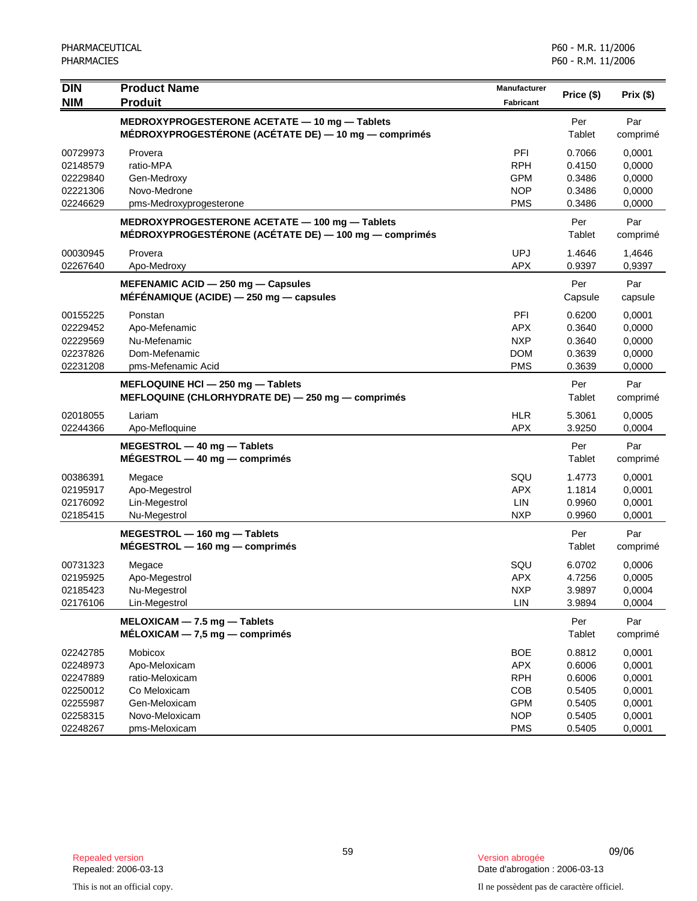| <b>DIN</b><br><b>NIM</b>                                             | <b>Product Name</b><br><b>Produit</b>                                                                   | <b>Manufacturer</b><br><b>Fabricant</b>                                   | Price (\$)                                               | Prix (\$)                                                |
|----------------------------------------------------------------------|---------------------------------------------------------------------------------------------------------|---------------------------------------------------------------------------|----------------------------------------------------------|----------------------------------------------------------|
|                                                                      | MEDROXYPROGESTERONE ACETATE - 10 mg - Tablets<br>MÉDROXYPROGESTÉRONE (ACÉTATE DE) — 10 mg — comprimés   |                                                                           | Per<br>Tablet                                            | Par<br>comprimé                                          |
| 00729973<br>02148579<br>02229840<br>02221306<br>02246629             | Provera<br>ratio-MPA<br>Gen-Medroxy<br>Novo-Medrone<br>pms-Medroxyprogesterone                          | PFI<br><b>RPH</b><br><b>GPM</b><br><b>NOP</b><br><b>PMS</b>               | 0.7066<br>0.4150<br>0.3486<br>0.3486<br>0.3486           | 0.0001<br>0,0000<br>0,0000<br>0,0000<br>0,0000           |
|                                                                      | MEDROXYPROGESTERONE ACETATE - 100 mg - Tablets<br>MÉDROXYPROGESTÉRONE (ACÉTATE DE) — 100 mg — comprimés |                                                                           | Per<br>Tablet                                            | Par<br>comprimé                                          |
| 00030945<br>02267640                                                 | Provera<br>Apo-Medroxy                                                                                  | <b>UPJ</b><br><b>APX</b>                                                  | 1.4646<br>0.9397                                         | 1,4646<br>0,9397                                         |
|                                                                      | MEFENAMIC ACID - 250 mg - Capsules<br>MÉFÉNAMIQUE (ACIDE) - 250 mg - capsules                           |                                                                           | Per<br>Capsule                                           | Par<br>capsule                                           |
| 00155225<br>02229452<br>02229569<br>02237826<br>02231208             | Ponstan<br>Apo-Mefenamic<br>Nu-Mefenamic<br>Dom-Mefenamic<br>pms-Mefenamic Acid                         | PFI<br><b>APX</b><br><b>NXP</b><br><b>DOM</b><br><b>PMS</b>               | 0.6200<br>0.3640<br>0.3640<br>0.3639<br>0.3639           | 0,0001<br>0,0000<br>0,0000<br>0,0000<br>0,0000           |
|                                                                      | MEFLOQUINE HCI - 250 mg - Tablets<br>MEFLOQUINE (CHLORHYDRATE DE) - 250 mg - comprimés                  |                                                                           | Per<br>Tablet                                            | Par<br>comprimé                                          |
| 02018055<br>02244366                                                 | Lariam<br>Apo-Mefloquine                                                                                | <b>HLR</b><br><b>APX</b>                                                  | 5.3061<br>3.9250                                         | 0,0005<br>0,0004                                         |
|                                                                      | MEGESTROL - 40 mg - Tablets<br>$MÉGESTROL - 40$ mg $-$ comprimés                                        |                                                                           | Per<br>Tablet                                            | Par<br>comprimé                                          |
| 00386391<br>02195917<br>02176092<br>02185415                         | Megace<br>Apo-Megestrol<br>Lin-Megestrol<br>Nu-Megestrol                                                | SQU<br><b>APX</b><br><b>LIN</b><br><b>NXP</b>                             | 1.4773<br>1.1814<br>0.9960<br>0.9960                     | 0,0001<br>0,0001<br>0,0001<br>0,0001                     |
|                                                                      | MEGESTROL - 160 mg - Tablets<br>$MÉGESTROL - 160 mg - comprimés$                                        |                                                                           | Per<br>Tablet                                            | Par<br>comprimé                                          |
| 00731323<br>02195925<br>02185423<br>02176106                         | Megace<br>Apo-Megestrol<br>Nu-Megestrol<br>Lin-Megestrol                                                | SQU<br><b>APX</b><br><b>NXP</b><br>LIN                                    | 6.0702<br>4.7256<br>3.9897<br>3.9894                     | 0,0006<br>0,0005<br>0,0004<br>0,0004                     |
|                                                                      | MELOXICAM - 7.5 mg - Tablets<br>$MÉLOXICAM - 7,5 mg - comprimés$                                        |                                                                           | Per<br>Tablet                                            | Par<br>comprimé                                          |
| 02242785<br>02248973<br>02247889<br>02250012<br>02255987<br>02258315 | Mobicox<br>Apo-Meloxicam<br>ratio-Meloxicam<br>Co Meloxicam<br>Gen-Meloxicam<br>Novo-Meloxicam          | <b>BOE</b><br><b>APX</b><br><b>RPH</b><br>COB<br><b>GPM</b><br><b>NOP</b> | 0.8812<br>0.6006<br>0.6006<br>0.5405<br>0.5405<br>0.5405 | 0,0001<br>0,0001<br>0,0001<br>0,0001<br>0,0001<br>0,0001 |
| 02248267                                                             | pms-Meloxicam                                                                                           | <b>PMS</b>                                                                | 0.5405                                                   | 0,0001                                                   |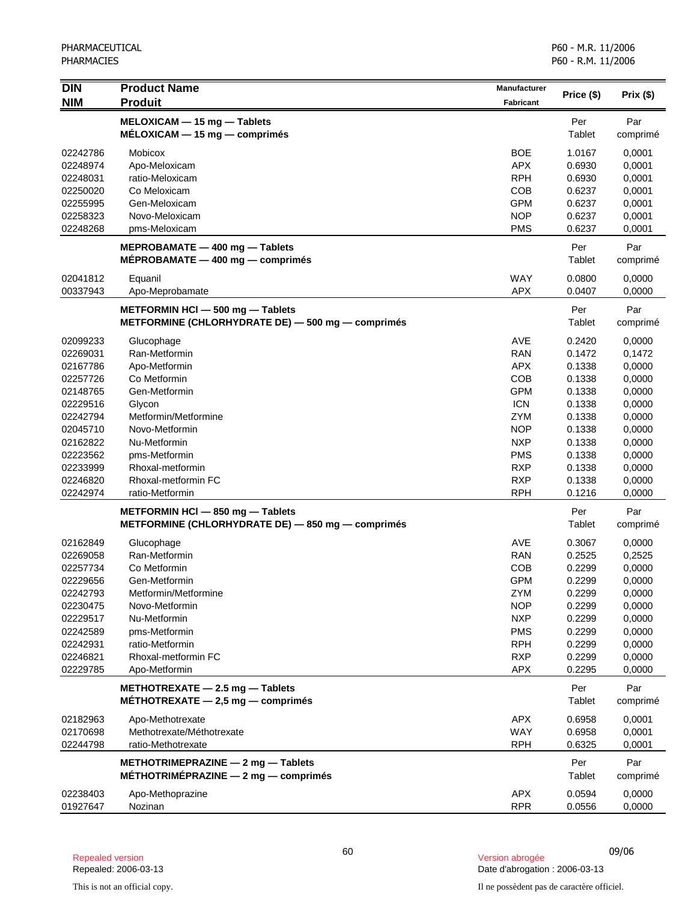| <b>DIN</b><br><b>NIM</b> | <b>Product Name</b><br><b>Produit</b>                                            | <b>Manufacturer</b><br><b>Fabricant</b> | Price (\$)       | Prix (\$)        |
|--------------------------|----------------------------------------------------------------------------------|-----------------------------------------|------------------|------------------|
|                          | MELOXICAM - 15 mg - Tablets                                                      |                                         | Per              | Par              |
|                          | $MÉLOXICAM - 15 mg - comprimés$                                                  |                                         | Tablet           | comprimé         |
| 02242786                 | Mobicox                                                                          | <b>BOE</b>                              | 1.0167           | 0,0001           |
| 02248974                 | Apo-Meloxicam                                                                    | <b>APX</b>                              | 0.6930           | 0,0001           |
| 02248031                 | ratio-Meloxicam                                                                  | <b>RPH</b>                              | 0.6930           | 0,0001           |
| 02250020                 | Co Meloxicam                                                                     | <b>COB</b>                              | 0.6237           | 0,0001           |
| 02255995                 | Gen-Meloxicam                                                                    | <b>GPM</b>                              | 0.6237           | 0,0001           |
| 02258323                 | Novo-Meloxicam                                                                   | <b>NOP</b>                              | 0.6237           | 0,0001           |
| 02248268                 | pms-Meloxicam                                                                    | <b>PMS</b>                              | 0.6237           | 0,0001           |
|                          | MEPROBAMATE - 400 mg - Tablets<br>$MEPROBAMATE - 400 mg - comprising$            |                                         | Per<br>Tablet    | Par<br>comprimé  |
| 02041812                 | Equanil                                                                          | <b>WAY</b>                              | 0.0800           | 0,0000           |
| 00337943                 | Apo-Meprobamate                                                                  | <b>APX</b>                              | 0.0407           | 0,0000           |
|                          | METFORMIN HCI - 500 mg - Tablets                                                 |                                         | Per              | Par              |
|                          | METFORMINE (CHLORHYDRATE DE) - 500 mg - comprimés                                |                                         | Tablet           | comprimé         |
| 02099233                 | Glucophage                                                                       | AVE                                     | 0.2420           | 0,0000           |
| 02269031                 | Ran-Metformin                                                                    | <b>RAN</b>                              | 0.1472           | 0,1472           |
| 02167786                 | Apo-Metformin                                                                    | <b>APX</b>                              | 0.1338           | 0,0000           |
| 02257726                 | Co Metformin                                                                     | <b>COB</b>                              | 0.1338           | 0,0000           |
| 02148765                 | Gen-Metformin                                                                    | <b>GPM</b>                              | 0.1338           | 0,0000           |
| 02229516                 | Glycon                                                                           | <b>ICN</b>                              | 0.1338           | 0,0000           |
| 02242794                 | Metformin/Metformine                                                             | <b>ZYM</b>                              | 0.1338           | 0,0000           |
| 02045710                 | Novo-Metformin                                                                   | <b>NOP</b>                              | 0.1338           | 0,0000           |
| 02162822                 | Nu-Metformin                                                                     | <b>NXP</b>                              | 0.1338           | 0,0000           |
| 02223562                 | pms-Metformin                                                                    | <b>PMS</b>                              | 0.1338           | 0,0000           |
| 02233999<br>02246820     | Rhoxal-metformin<br>Rhoxal-metformin FC                                          | <b>RXP</b><br><b>RXP</b>                | 0.1338<br>0.1338 | 0,0000           |
| 02242974                 | ratio-Metformin                                                                  | <b>RPH</b>                              | 0.1216           | 0,0000<br>0,0000 |
|                          |                                                                                  |                                         |                  |                  |
|                          | METFORMIN HCI - 850 mg - Tablets                                                 |                                         | Per              | Par              |
|                          | METFORMINE (CHLORHYDRATE DE) - 850 mg - comprimés                                |                                         | Tablet           | comprimé         |
| 02162849                 | Glucophage                                                                       | <b>AVE</b>                              | 0.3067           | 0,0000           |
| 02269058                 | Ran-Metformin                                                                    | <b>RAN</b>                              | 0.2525           | 0,2525           |
| 02257734                 | Co Metformin                                                                     | COB                                     | 0.2299           | 0,0000           |
| 02229656                 | Gen-Metformin                                                                    | <b>GPM</b>                              | 0.2299           | 0,0000           |
| 02242793                 | Metformin/Metformine                                                             | <b>ZYM</b>                              | 0.2299           | 0,0000           |
| 02230475                 | Novo-Metformin                                                                   | <b>NOP</b>                              | 0.2299           | 0,0000           |
| 02229517                 | Nu-Metformin                                                                     | <b>NXP</b>                              | 0.2299           | 0,0000           |
| 02242589                 | pms-Metformin                                                                    | <b>PMS</b>                              | 0.2299           | 0,0000           |
| 02242931                 | ratio-Metformin                                                                  | <b>RPH</b>                              | 0.2299           | 0,0000           |
| 02246821                 | Rhoxal-metformin FC                                                              | <b>RXP</b>                              | 0.2299           | 0,0000           |
| 02229785                 | Apo-Metformin                                                                    | <b>APX</b>                              | 0.2295           | 0,0000           |
|                          | METHOTREXATE $-$ 2.5 mg $-$ Tablets<br>MÉTHOTREXATE $-$ 2,5 mg $-$ comprimes     |                                         | Per<br>Tablet    | Par<br>comprimé  |
| 02182963                 | Apo-Methotrexate                                                                 | <b>APX</b>                              | 0.6958           | 0,0001           |
| 02170698                 | Methotrexate/Méthotrexate                                                        | <b>WAY</b>                              | 0.6958           | 0,0001           |
| 02244798                 | ratio-Methotrexate                                                               | <b>RPH</b>                              | 0.6325           | 0,0001           |
|                          | METHOTRIMEPRAZINE $-$ 2 mg $-$ Tablets<br>$MÉTHOTRIMÉPRAZINE - 2 mg - comprimés$ |                                         | Per<br>Tablet    | Par<br>comprimé  |
| 02238403<br>01927647     | Apo-Methoprazine<br>Nozinan                                                      | <b>APX</b><br><b>RPR</b>                | 0.0594<br>0.0556 | 0,0000<br>0,0000 |

<sup>60</sup> 09/06 Repealed version Version abrogée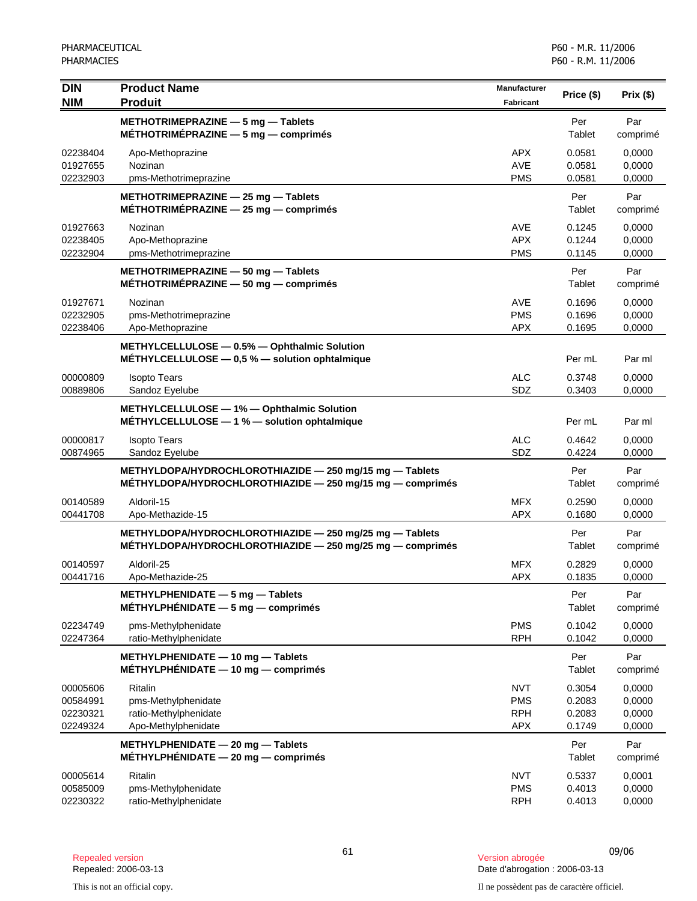| <b>DIN</b><br><b>NIM</b>                     | <b>Product Name</b><br><b>Produit</b>                                                                                  | <b>Manufacturer</b><br><b>Fabricant</b>              | Price (\$)                           | Prix(\$)                             |
|----------------------------------------------|------------------------------------------------------------------------------------------------------------------------|------------------------------------------------------|--------------------------------------|--------------------------------------|
|                                              | METHOTRIMEPRAZINE - 5 mg - Tablets<br>MÉTHOTRIMÉPRAZINE - 5 mg - comprimés                                             |                                                      | Per<br>Tablet                        | Par<br>comprimé                      |
| 02238404<br>01927655<br>02232903             | Apo-Methoprazine<br>Nozinan<br>pms-Methotrimeprazine                                                                   | <b>APX</b><br><b>AVE</b><br><b>PMS</b>               | 0.0581<br>0.0581<br>0.0581           | 0,0000<br>0,0000<br>0,0000           |
|                                              | METHOTRIMEPRAZINE - 25 mg - Tablets<br>MÉTHOTRIMÉPRAZINE - 25 mg - comprimés                                           |                                                      | Per<br>Tablet                        | Par<br>comprimé                      |
| 01927663<br>02238405<br>02232904             | Nozinan<br>Apo-Methoprazine<br>pms-Methotrimeprazine                                                                   | <b>AVE</b><br><b>APX</b><br><b>PMS</b>               | 0.1245<br>0.1244<br>0.1145           | 0,0000<br>0,0000<br>0,0000           |
|                                              | METHOTRIMEPRAZINE - 50 mg - Tablets<br>$METHOTRIMÉPRAZINE - 50 mg - comprimés$                                         |                                                      | Per<br>Tablet                        | Par<br>comprimé                      |
| 01927671<br>02232905<br>02238406             | Nozinan<br>pms-Methotrimeprazine<br>Apo-Methoprazine                                                                   | <b>AVE</b><br><b>PMS</b><br><b>APX</b>               | 0.1696<br>0.1696<br>0.1695           | 0,0000<br>0,0000<br>0,0000           |
|                                              | METHYLCELLULOSE - 0.5% - Ophthalmic Solution<br>$METHYLCELLULOSE - 0.5 % - solution opttalmique$                       |                                                      | Per mL                               | Par ml                               |
| 00000809<br>00889806                         | <b>Isopto Tears</b><br>Sandoz Eyelube                                                                                  | <b>ALC</b><br>SDZ                                    | 0.3748<br>0.3403                     | 0,0000<br>0,0000                     |
|                                              | METHYLCELLULOSE - 1% - Ophthalmic Solution<br>METHYLCELLULOSE - 1 % - solution ophtalmique                             |                                                      | Per mL                               | Par ml                               |
| 00000817<br>00874965                         | <b>Isopto Tears</b><br>Sandoz Eyelube                                                                                  | <b>ALC</b><br>SDZ                                    | 0.4642<br>0.4224                     | 0,0000<br>0,0000                     |
|                                              | METHYLDOPA/HYDROCHLOROTHIAZIDE - 250 mg/15 mg - Tablets<br>$METHYLDOPA/HYPROCHLOROTHIAZIDE - 250 mg/15 mg - comprimés$ |                                                      | Per<br>Tablet                        | Par<br>comprimé                      |
| 00140589<br>00441708                         | Aldoril-15<br>Apo-Methazide-15                                                                                         | <b>MFX</b><br><b>APX</b>                             | 0.2590<br>0.1680                     | 0,0000<br>0,0000                     |
|                                              | METHYLDOPA/HYDROCHLOROTHIAZIDE - 250 mg/25 mg - Tablets<br>$METHYLDOPA/HYPROCHLOROTHIAZIDE - 250 mg/25 mg - comprimés$ |                                                      | Per<br>Tablet                        | Par<br>comprimé                      |
| 00140597<br>00441716                         | Aldoril-25<br>Apo-Methazide-25                                                                                         | <b>MFX</b><br><b>APX</b>                             | 0.2829<br>0.1835                     | 0,0000<br>0,0000                     |
|                                              | METHYLPHENIDATE - 5 mg - Tablets<br>MÉTHYLPHÉNIDATE - 5 mg - comprimés                                                 |                                                      | Per<br>Tablet                        | Par<br>comprimé                      |
| 02234749<br>02247364                         | pms-Methylphenidate<br>ratio-Methylphenidate                                                                           | <b>PMS</b><br><b>RPH</b>                             | 0.1042<br>0.1042                     | 0,0000<br>0,0000                     |
|                                              | METHYLPHENIDATE - 10 mg - Tablets<br>$MÉTHYLPHÉNIDATE - 10 mg - comprimés$                                             |                                                      | Per<br>Tablet                        | Par<br>comprimé                      |
| 00005606<br>00584991<br>02230321<br>02249324 | Ritalin<br>pms-Methylphenidate<br>ratio-Methylphenidate<br>Apo-Methylphenidate                                         | <b>NVT</b><br><b>PMS</b><br><b>RPH</b><br><b>APX</b> | 0.3054<br>0.2083<br>0.2083<br>0.1749 | 0,0000<br>0,0000<br>0,0000<br>0,0000 |
|                                              | METHYLPHENIDATE - 20 mg - Tablets<br>$MÉTHYLPHÉNIDATE - 20 mg - comprimés$                                             |                                                      | Per<br>Tablet                        | Par<br>comprimé                      |
| 00005614<br>00585009<br>02230322             | Ritalin<br>pms-Methylphenidate<br>ratio-Methylphenidate                                                                | <b>NVT</b><br><b>PMS</b><br><b>RPH</b>               | 0.5337<br>0.4013<br>0.4013           | 0,0001<br>0,0000<br>0,0000           |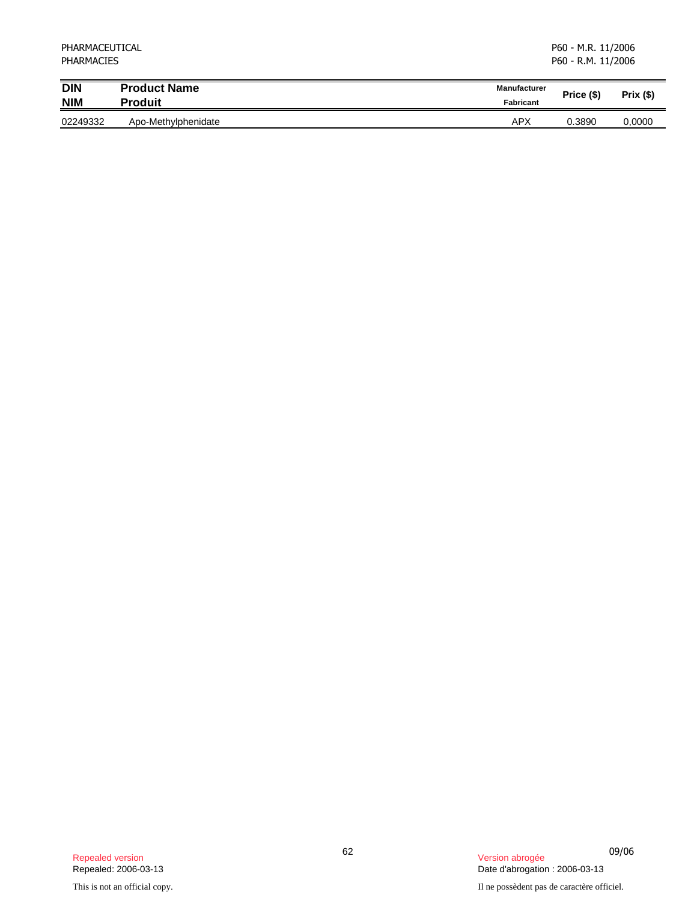| PHARMACEUTICAL<br><b>PHARMACIES</b> |                     |              | P60 - M.R. 11/2006<br>P60 - R.M. 11/2006 |          |
|-------------------------------------|---------------------|--------------|------------------------------------------|----------|
| $\overline{D}$ IN                   | <b>Product Name</b> | Manufacturer | Price (\$)                               | Prix(\$) |
| <b>NIM</b>                          | <b>Produit</b>      | Fabricant    |                                          |          |
| 02249332                            | Apo-Methylphenidate | APX          | 0.3890                                   | 0,0000   |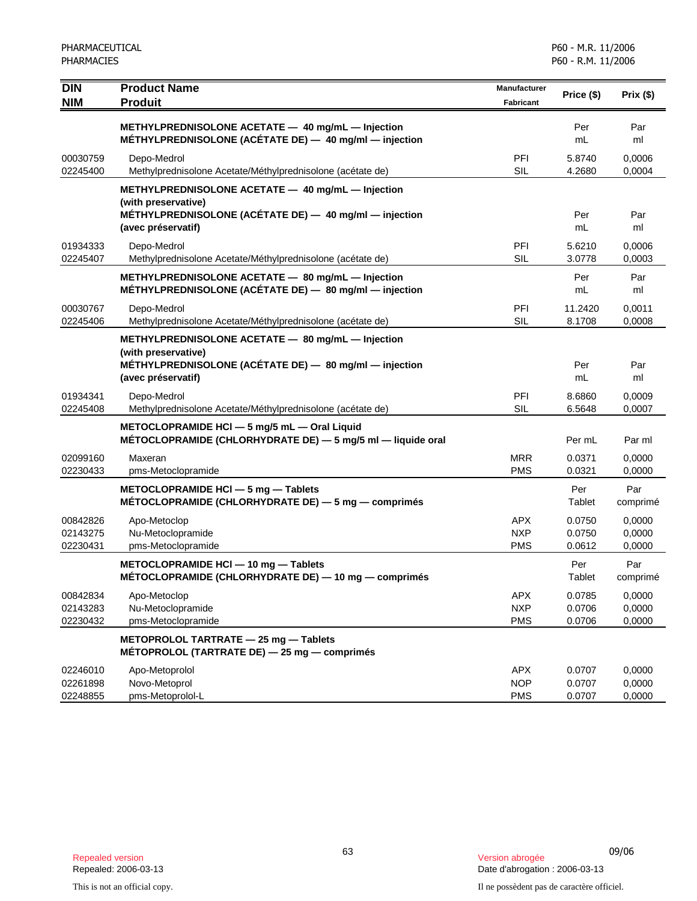| <b>DIN</b>                       | <b>Product Name</b><br><b>Produit</b>                                                                                                                    | <b>Manufacturer</b>                    | Price (\$)                 | Prix(\$)                   |
|----------------------------------|----------------------------------------------------------------------------------------------------------------------------------------------------------|----------------------------------------|----------------------------|----------------------------|
| <b>NIM</b>                       |                                                                                                                                                          | Fabricant                              |                            |                            |
|                                  | METHYLPREDNISOLONE ACETATE - 40 mg/mL - Injection<br>MÉTHYLPREDNISOLONE (ACÉTATE DE) - 40 mg/ml - injection                                              |                                        | Per<br>mL                  | Par<br>ml                  |
| 00030759<br>02245400             | Depo-Medrol<br>Methylprednisolone Acetate/Méthylprednisolone (acétate de)                                                                                | PFI<br><b>SIL</b>                      | 5.8740<br>4.2680           | 0,0006<br>0,0004           |
|                                  | METHYLPREDNISOLONE ACETATE - 40 mg/mL - Injection<br>(with preservative)<br>MÉTHYLPREDNISOLONE (ACÉTATE DE) - 40 mg/ml - injection<br>(avec préservatif) |                                        | Per<br>mL                  | Par<br>ml                  |
| 01934333<br>02245407             | Depo-Medrol<br>Methylprednisolone Acetate/Méthylprednisolone (acétate de)                                                                                | PFI<br><b>SIL</b>                      | 5.6210<br>3.0778           | 0,0006<br>0,0003           |
|                                  | METHYLPREDNISOLONE ACETATE - 80 mg/mL - Injection<br>MÉTHYLPREDNISOLONE (ACÉTATE DE) - 80 mg/ml - injection                                              |                                        | Per<br>mL                  | Par<br>ml                  |
| 00030767<br>02245406             | Depo-Medrol<br>Methylprednisolone Acetate/Méthylprednisolone (acétate de)                                                                                | PFI<br><b>SIL</b>                      | 11.2420<br>8.1708          | 0,0011<br>0,0008           |
|                                  | METHYLPREDNISOLONE ACETATE - 80 mg/mL - Injection<br>(with preservative)<br>MÉTHYLPREDNISOLONE (ACÉTATE DE) - 80 mg/ml - injection<br>(avec préservatif) |                                        | Per<br>mL                  | Par<br>ml                  |
| 01934341<br>02245408             | Depo-Medrol<br>Methylprednisolone Acetate/Méthylprednisolone (acétate de)                                                                                | PFI<br><b>SIL</b>                      | 8.6860<br>6.5648           | 0,0009<br>0,0007           |
|                                  | METOCLOPRAMIDE HCI - 5 mg/5 mL - Oral Liquid<br>MÉTOCLOPRAMIDE (CHLORHYDRATE DE) - 5 mg/5 ml - liquide oral                                              |                                        | Per mL                     | Par ml                     |
| 02099160<br>02230433             | Maxeran<br>pms-Metoclopramide                                                                                                                            | <b>MRR</b><br><b>PMS</b>               | 0.0371<br>0.0321           | 0,0000<br>0,0000           |
|                                  | METOCLOPRAMIDE HCI - 5 mg - Tablets<br>MÉTOCLOPRAMIDE (CHLORHYDRATE DE) - 5 mg - comprimés                                                               |                                        | Per<br>Tablet              | Par<br>comprimé            |
| 00842826<br>02143275<br>02230431 | Apo-Metoclop<br>Nu-Metoclopramide<br>pms-Metoclopramide                                                                                                  | <b>APX</b><br><b>NXP</b><br><b>PMS</b> | 0.0750<br>0.0750<br>0.0612 | 0,0000<br>0,0000<br>0,0000 |
|                                  | METOCLOPRAMIDE HCI - 10 mg - Tablets<br>MÉTOCLOPRAMIDE (CHLORHYDRATE DE) - 10 mg - comprimés                                                             |                                        | Per<br>Tablet              | Par<br>comprimé            |
| 00842834<br>02143283<br>02230432 | Apo-Metoclop<br>Nu-Metoclopramide<br>pms-Metoclopramide                                                                                                  | APX<br><b>NXP</b><br><b>PMS</b>        | 0.0785<br>0.0706<br>0.0706 | 0,0000<br>0,0000<br>0,0000 |
|                                  | METOPROLOL TARTRATE - 25 mg - Tablets<br>MÉTOPROLOL (TARTRATE DE) - 25 mg - comprimés                                                                    |                                        |                            |                            |
| 02246010<br>02261898<br>02248855 | Apo-Metoprolol<br>Novo-Metoprol<br>pms-Metoprolol-L                                                                                                      | <b>APX</b><br><b>NOP</b><br><b>PMS</b> | 0.0707<br>0.0707<br>0.0707 | 0,0000<br>0,0000<br>0,0000 |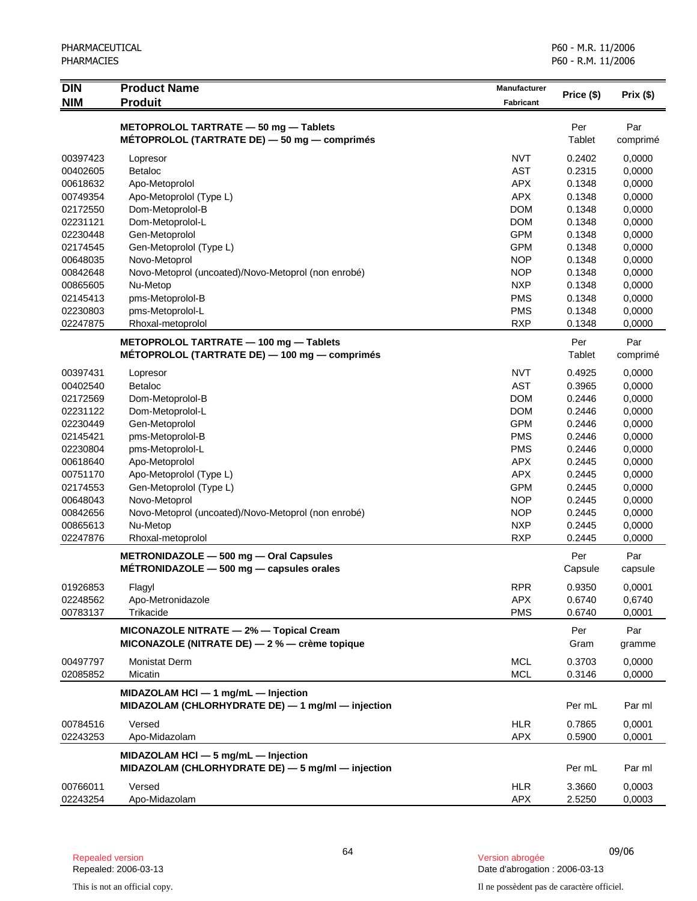| <b>DIN</b><br><b>NIM</b> | <b>Product Name</b><br><b>Produit</b>                                                        | Manufacturer<br><b>Fabricant</b> | Price (\$) | Prix (\$) |
|--------------------------|----------------------------------------------------------------------------------------------|----------------------------------|------------|-----------|
|                          |                                                                                              |                                  |            |           |
|                          | METOPROLOL TARTRATE - 50 mg - Tablets                                                        |                                  | Per        | Par       |
|                          | MÉTOPROLOL (TARTRATE DE) - 50 mg - comprimés                                                 |                                  | Tablet     | comprimé  |
| 00397423                 | Lopresor                                                                                     | <b>NVT</b>                       | 0.2402     | 0,0000    |
| 00402605                 | Betaloc                                                                                      | <b>AST</b>                       | 0.2315     | 0,0000    |
| 00618632                 | Apo-Metoprolol                                                                               | <b>APX</b>                       | 0.1348     | 0,0000    |
| 00749354                 | Apo-Metoprolol (Type L)                                                                      | <b>APX</b>                       | 0.1348     | 0,0000    |
| 02172550                 | Dom-Metoprolol-B                                                                             | <b>DOM</b>                       | 0.1348     | 0,0000    |
| 02231121                 | Dom-Metoprolol-L                                                                             | <b>DOM</b>                       | 0.1348     | 0,0000    |
| 02230448                 | Gen-Metoprolol                                                                               | <b>GPM</b>                       | 0.1348     | 0,0000    |
| 02174545                 | Gen-Metoprolol (Type L)                                                                      | <b>GPM</b>                       | 0.1348     | 0,0000    |
| 00648035                 | Novo-Metoprol                                                                                | <b>NOP</b>                       | 0.1348     | 0,0000    |
| 00842648                 | Novo-Metoprol (uncoated)/Novo-Metoprol (non enrobé)                                          | <b>NOP</b>                       | 0.1348     | 0,0000    |
| 00865605                 | Nu-Metop                                                                                     | <b>NXP</b>                       | 0.1348     | 0,0000    |
| 02145413                 | pms-Metoprolol-B                                                                             | <b>PMS</b>                       | 0.1348     | 0,0000    |
| 02230803                 | pms-Metoprolol-L                                                                             | <b>PMS</b>                       | 0.1348     | 0,0000    |
| 02247875                 | Rhoxal-metoprolol                                                                            | <b>RXP</b>                       | 0.1348     | 0,0000    |
|                          | METOPROLOL TARTRATE - 100 mg - Tablets                                                       |                                  | Per        | Par       |
|                          | MÉTOPROLOL (TARTRATE DE) — 100 mg — comprimés                                                |                                  | Tablet     | comprimé  |
| 00397431                 | Lopresor                                                                                     | <b>NVT</b>                       | 0.4925     | 0,0000    |
| 00402540                 | <b>Betaloc</b>                                                                               | <b>AST</b>                       | 0.3965     | 0,0000    |
| 02172569                 | Dom-Metoprolol-B                                                                             | <b>DOM</b>                       | 0.2446     | 0,0000    |
| 02231122                 | Dom-Metoprolol-L                                                                             | <b>DOM</b>                       | 0.2446     | 0,0000    |
| 02230449                 | Gen-Metoprolol                                                                               | <b>GPM</b>                       | 0.2446     | 0,0000    |
| 02145421                 | pms-Metoprolol-B                                                                             | <b>PMS</b>                       | 0.2446     | 0,0000    |
| 02230804                 | pms-Metoprolol-L                                                                             | <b>PMS</b>                       | 0.2446     | 0,0000    |
| 00618640                 | Apo-Metoprolol                                                                               | <b>APX</b>                       | 0.2445     | 0,0000    |
| 00751170                 | Apo-Metoprolol (Type L)                                                                      | <b>APX</b>                       | 0.2445     | 0,0000    |
| 02174553                 | Gen-Metoprolol (Type L)                                                                      | <b>GPM</b>                       | 0.2445     | 0,0000    |
| 00648043                 | Novo-Metoprol                                                                                | <b>NOP</b>                       | 0.2445     | 0,0000    |
| 00842656                 | Novo-Metoprol (uncoated)/Novo-Metoprol (non enrobé)                                          | <b>NOP</b>                       | 0.2445     | 0,0000    |
| 00865613                 | Nu-Metop                                                                                     | <b>NXP</b>                       | 0.2445     | 0,0000    |
| 02247876                 | Rhoxal-metoprolol                                                                            | <b>RXP</b>                       | 0.2445     | 0,0000    |
|                          | METRONIDAZOLE - 500 mg - Oral Capsules                                                       |                                  | Per        | Par       |
|                          | METRONIDAZOLE $-$ 500 mg $-$ capsules orales                                                 |                                  | Capsule    | capsule   |
| 01926853                 | Flagyl                                                                                       | <b>RPR</b>                       | 0.9350     | 0,0001    |
| 02248562                 | Apo-Metronidazole                                                                            | <b>APX</b>                       | 0.6740     | 0,6740    |
| 00783137                 | Trikacide                                                                                    | <b>PMS</b>                       | 0.6740     | 0,0001    |
|                          | MICONAZOLE NITRATE - 2% - Topical Cream                                                      |                                  | Per        | Par       |
|                          | MICONAZOLE (NITRATE DE) - 2 % - crème topique                                                |                                  | Gram       | gramme    |
| 00497797                 | <b>Monistat Derm</b>                                                                         | <b>MCL</b>                       | 0.3703     | 0.0000    |
| 02085852                 | Micatin                                                                                      | <b>MCL</b>                       | 0.3146     | 0,0000    |
|                          |                                                                                              |                                  |            |           |
|                          | MIDAZOLAM HCI $-$ 1 mg/mL $-$ Injection<br>MIDAZOLAM (CHLORHYDRATE DE) - 1 mg/ml - injection |                                  | Per mL     | Par ml    |
| 00784516                 | Versed                                                                                       | <b>HLR</b>                       | 0.7865     | 0,0001    |
| 02243253                 | Apo-Midazolam                                                                                | <b>APX</b>                       | 0.5900     | 0,0001    |
|                          | MIDAZOLAM HCI - 5 mg/mL - Injection                                                          |                                  |            |           |
|                          | MIDAZOLAM (CHLORHYDRATE DE) - 5 mg/ml - injection                                            |                                  | Per mL     | Par ml    |
| 00766011                 | Versed                                                                                       | <b>HLR</b>                       | 3.3660     | 0,0003    |
| 02243254                 | Apo-Midazolam                                                                                | <b>APX</b>                       | 2.5250     | 0,0003    |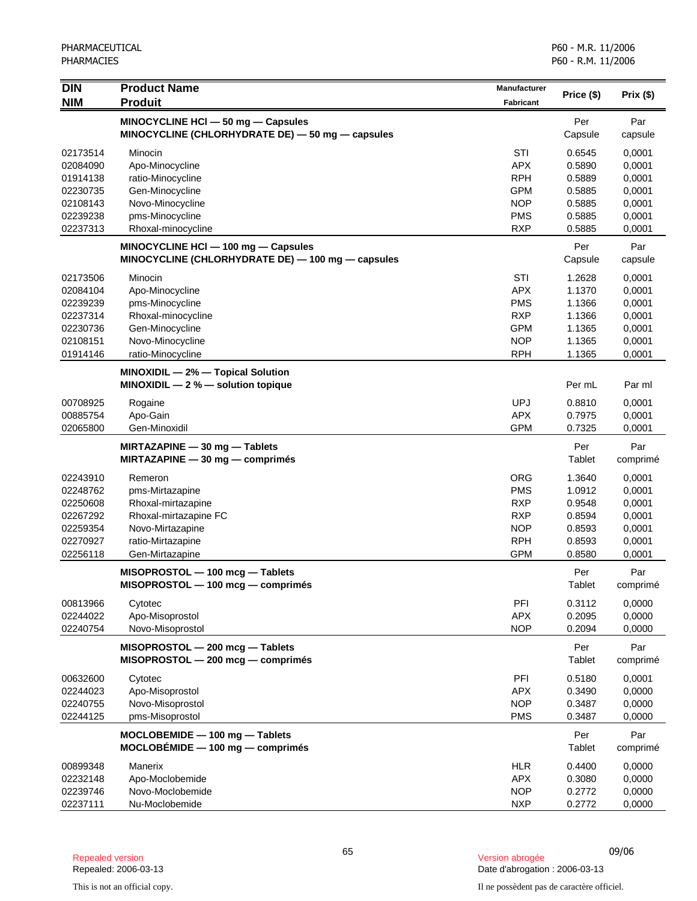| <b>DIN</b> | <b>Product Name</b>                                                                         | <b>Manufacturer</b> | Price (\$)     | Prix(\$)        |
|------------|---------------------------------------------------------------------------------------------|---------------------|----------------|-----------------|
| <b>NIM</b> | <b>Produit</b>                                                                              | <b>Fabricant</b>    |                |                 |
|            | MINOCYCLINE HCI-50 mg-Capsules                                                              |                     | Per            | Par             |
|            | MINOCYCLINE (CHLORHYDRATE DE) - 50 mg - capsules                                            |                     | Capsule        | capsule         |
| 02173514   | Minocin                                                                                     | STI                 | 0.6545         | 0,0001          |
| 02084090   | Apo-Minocycline                                                                             | <b>APX</b>          | 0.5890         | 0,0001          |
| 01914138   | ratio-Minocycline                                                                           | <b>RPH</b>          | 0.5889         | 0,0001          |
| 02230735   | Gen-Minocycline                                                                             | <b>GPM</b>          | 0.5885         | 0,0001          |
| 02108143   | Novo-Minocycline                                                                            | <b>NOP</b>          | 0.5885         | 0,0001          |
| 02239238   | pms-Minocycline                                                                             | <b>PMS</b>          | 0.5885         | 0,0001          |
| 02237313   | Rhoxal-minocycline                                                                          | <b>RXP</b>          | 0.5885         | 0,0001          |
|            | MINOCYCLINE HCI $-100$ mg $-$ Capsules<br>MINOCYCLINE (CHLORHYDRATE DE) - 100 mg - capsules |                     | Per<br>Capsule | Par<br>capsule  |
| 02173506   | Minocin                                                                                     | STI                 | 1.2628         | 0,0001          |
| 02084104   | Apo-Minocycline                                                                             | <b>APX</b>          | 1.1370         | 0,0001          |
| 02239239   | pms-Minocycline                                                                             | <b>PMS</b>          | 1.1366         | 0,0001          |
| 02237314   | Rhoxal-minocycline                                                                          | <b>RXP</b>          | 1.1366         | 0,0001          |
| 02230736   | Gen-Minocycline                                                                             | <b>GPM</b>          | 1.1365         | 0,0001          |
| 02108151   | Novo-Minocycline                                                                            | <b>NOP</b>          | 1.1365         | 0,0001          |
| 01914146   | ratio-Minocycline                                                                           | <b>RPH</b>          | 1.1365         | 0,0001          |
|            | MINOXIDIL - 2% - Topical Solution<br>MINOXIDIL $-2$ % $-$ solution topique                  |                     | Per mL         | Par ml          |
| 00708925   | Rogaine                                                                                     | <b>UPJ</b>          | 0.8810         | 0,0001          |
| 00885754   | Apo-Gain                                                                                    | <b>APX</b>          | 0.7975         | 0,0001          |
| 02065800   | Gen-Minoxidil                                                                               | <b>GPM</b>          | 0.7325         | 0,0001          |
|            | MIRTAZAPINE $-$ 30 mg $-$ Tablets<br>$MIRTAZAPINE - 30 mg - comprimés$                      |                     | Per<br>Tablet  | Par<br>comprimé |
| 02243910   | Remeron                                                                                     | <b>ORG</b>          | 1.3640         | 0,0001          |
| 02248762   | pms-Mirtazapine                                                                             | <b>PMS</b>          | 1.0912         | 0,0001          |
| 02250608   | Rhoxal-mirtazapine                                                                          | <b>RXP</b>          | 0.9548         | 0,0001          |
| 02267292   | Rhoxal-mirtazapine FC                                                                       | <b>RXP</b>          | 0.8594         | 0,0001          |
| 02259354   | Novo-Mirtazapine                                                                            | <b>NOP</b>          | 0.8593         | 0,0001          |
| 02270927   | ratio-Mirtazapine                                                                           | <b>RPH</b>          | 0.8593         | 0,0001          |
| 02256118   | Gen-Mirtazapine                                                                             | <b>GPM</b>          | 0.8580         | 0,0001          |
|            | MISOPROSTOL - 100 mcg - Tablets<br>MISOPROSTOL - 100 mcg - comprimés                        |                     | Per<br>Tablet  | Par<br>comprimé |
| 00813966   | Cytotec                                                                                     | PFI                 | 0.3112         | 0,0000          |
| 02244022   | Apo-Misoprostol                                                                             | <b>APX</b>          | 0.2095         | 0,0000          |
| 02240754   | Novo-Misoprostol                                                                            | <b>NOP</b>          | 0.2094         | 0,0000          |
|            | MISOPROSTOL - 200 mcg - Tablets<br>MISOPROSTOL - 200 mcg - comprimés                        |                     | Per<br>Tablet  | Par<br>comprimé |
| 00632600   | Cytotec                                                                                     | PFI                 | 0.5180         | 0,0001          |
| 02244023   | Apo-Misoprostol                                                                             | <b>APX</b>          | 0.3490         | 0,0000          |
| 02240755   | Novo-Misoprostol                                                                            | <b>NOP</b>          | 0.3487         | 0,0000          |
| 02244125   | pms-Misoprostol                                                                             | <b>PMS</b>          | 0.3487         | 0,0000          |
|            | MOCLOBEMIDE - 100 mg - Tablets<br>$MOCLOBÉMIDE - 100 mg - comprimés$                        |                     | Per<br>Tablet  | Par<br>comprimé |
| 00899348   | Manerix                                                                                     | <b>HLR</b>          | 0.4400         | 0,0000          |
| 02232148   | Apo-Moclobemide                                                                             | <b>APX</b>          | 0.3080         | 0,0000          |
| 02239746   | Novo-Moclobemide                                                                            | <b>NOP</b>          | 0.2772         | 0,0000          |
| 02237111   | Nu-Moclobemide                                                                              | <b>NXP</b>          | 0.2772         | 0,0000          |

<sup>65</sup> 09/06 Repealed version Version abrogée Date d'abrogation : 2006-03-13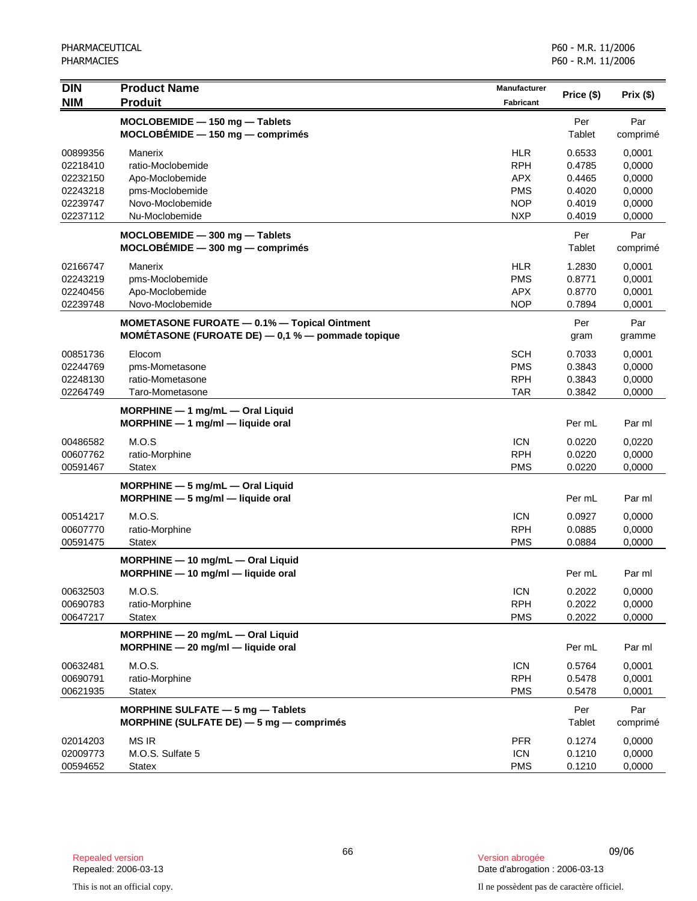| $\overline{D}$<br><b>NIM</b> | <b>Product Name</b><br><b>Produit</b>                                                                        | Manufacturer<br><b>Fabricant</b> | Price (\$)    | Prix (\$)       |
|------------------------------|--------------------------------------------------------------------------------------------------------------|----------------------------------|---------------|-----------------|
|                              | MOCLOBEMIDE - 150 mg - Tablets<br>$MOCLOBÉMIDE - 150 mg - comprimés$                                         |                                  | Per<br>Tablet | Par<br>comprimé |
| 00899356                     | Manerix                                                                                                      | <b>HLR</b>                       | 0.6533        | 0,0001          |
| 02218410                     | ratio-Moclobemide                                                                                            | <b>RPH</b>                       | 0.4785        | 0,0000          |
| 02232150                     | Apo-Moclobemide                                                                                              | <b>APX</b>                       | 0.4465        | 0,0000          |
| 02243218                     | pms-Moclobemide                                                                                              | <b>PMS</b>                       | 0.4020        | 0,0000          |
| 02239747                     | Novo-Moclobemide                                                                                             | <b>NOP</b>                       | 0.4019        | 0,0000          |
| 02237112                     | Nu-Moclobemide                                                                                               | <b>NXP</b>                       | 0.4019        | 0,0000          |
|                              | $MOCLOBEMIDE - 300 mg - Tables$<br>$MOCLOBÉMIDE - 300 mg - comprimés$                                        |                                  | Per<br>Tablet | Par<br>comprimé |
| 02166747                     | Manerix                                                                                                      | <b>HLR</b>                       | 1.2830        | 0,0001          |
| 02243219                     | pms-Moclobemide                                                                                              | <b>PMS</b>                       | 0.8771        | 0,0001          |
| 02240456                     | Apo-Moclobemide                                                                                              | <b>APX</b>                       | 0.8770        | 0,0001          |
| 02239748                     | Novo-Moclobemide                                                                                             | <b>NOP</b>                       | 0.7894        | 0,0001          |
|                              | <b>MOMETASONE FUROATE - 0.1% - Topical Ointment</b><br>MOMÉTASONE (FUROATE DE) $-$ 0,1 % $-$ pommade topique |                                  | Per<br>gram   | Par<br>gramme   |
| 00851736                     | Elocom                                                                                                       | <b>SCH</b>                       | 0.7033        | 0,0001          |
| 02244769                     | pms-Mometasone                                                                                               | <b>PMS</b>                       | 0.3843        | 0,0000          |
| 02248130                     | ratio-Mometasone                                                                                             | <b>RPH</b>                       | 0.3843        | 0,0000          |
| 02264749                     | Taro-Mometasone                                                                                              | <b>TAR</b>                       | 0.3842        | 0,0000          |
|                              | $MORPHINE - 1$ mg/mL $-$ Oral Liquid<br>MORPHINE - 1 mg/ml - liquide oral                                    |                                  | Per mL        | Par ml          |
| 00486582                     | M.O.S                                                                                                        | <b>ICN</b>                       | 0.0220        | 0,0220          |
| 00607762                     | ratio-Morphine                                                                                               | <b>RPH</b>                       | 0.0220        | 0,0000          |
| 00591467                     | <b>Statex</b>                                                                                                | <b>PMS</b>                       | 0.0220        | 0,0000          |
|                              | MORPHINE - 5 mg/mL - Oral Liquid<br>$MORPHINE - 5 mg/ml - liquide$ oral                                      |                                  | Per mL        | Par ml          |
| 00514217                     | M.O.S.                                                                                                       | <b>ICN</b>                       | 0.0927        | 0,0000          |
| 00607770                     | ratio-Morphine                                                                                               | <b>RPH</b>                       | 0.0885        | 0,0000          |
| 00591475                     | <b>Statex</b>                                                                                                | <b>PMS</b>                       | 0.0884        | 0,0000          |
|                              | $MORPHINE - 10$ mg/mL $-$ Oral Liquid<br>$MORPHINE - 10$ mg/ml - liquide oral                                |                                  | Per mL        | Par ml          |
| 00632503                     | M.O.S.                                                                                                       | <b>ICN</b>                       | 0.2022        | 0,0000          |
| 00690783                     | ratio-Morphine                                                                                               | <b>RPH</b>                       | 0.2022        | 0,0000          |
| 00647217                     | <b>Statex</b>                                                                                                | <b>PMS</b>                       | 0.2022        | 0,0000          |
|                              | MORPHINE - 20 mg/mL - Oral Liquid<br>MORPHINE - 20 mg/ml - liquide oral                                      |                                  | Per mL        | Par ml          |
| 00632481                     | M.O.S.                                                                                                       | <b>ICN</b>                       | 0.5764        | 0,0001          |
| 00690791                     | ratio-Morphine                                                                                               | <b>RPH</b>                       | 0.5478        | 0,0001          |
| 00621935                     | <b>Statex</b>                                                                                                | <b>PMS</b>                       | 0.5478        | 0,0001          |
|                              | MORPHINE SULFATE - 5 mg - Tablets<br>MORPHINE (SULFATE DE) $-5$ mg $-$ comprimes                             |                                  | Per<br>Tablet | Par<br>comprimé |
| 02014203                     | <b>MS IR</b>                                                                                                 | <b>PFR</b>                       | 0.1274        | 0,0000          |
| 02009773                     | M.O.S. Sulfate 5                                                                                             | <b>ICN</b>                       | 0.1210        | 0,0000          |
| 00594652                     | <b>Statex</b>                                                                                                | <b>PMS</b>                       | 0.1210        | 0,0000          |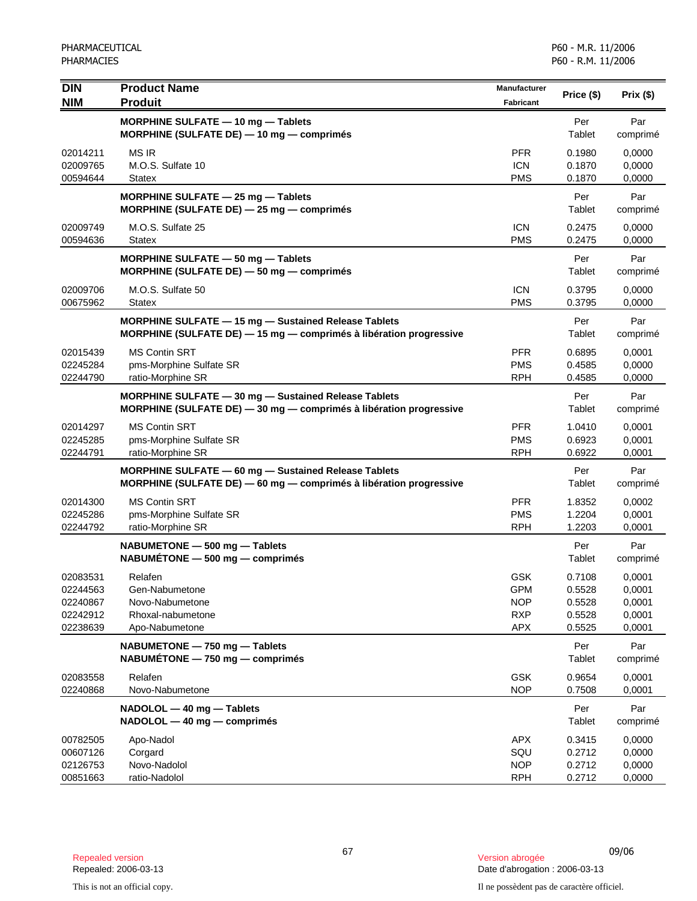| <b>DIN</b><br><b>NIM</b>                                 | <b>Product Name</b><br><b>Produit</b>                                                                                      | <b>Manufacturer</b><br><b>Fabricant</b>                            | Price (\$)                                     | Prix(\$)                                       |
|----------------------------------------------------------|----------------------------------------------------------------------------------------------------------------------------|--------------------------------------------------------------------|------------------------------------------------|------------------------------------------------|
|                                                          | MORPHINE SULFATE - 10 mg - Tablets<br>MORPHINE (SULFATE DE) - 10 mg - comprimés                                            |                                                                    | Per<br>Tablet                                  | Par<br>comprimé                                |
| 02014211<br>02009765<br>00594644                         | <b>MS IR</b><br>M.O.S. Sulfate 10<br><b>Statex</b>                                                                         | <b>PFR</b><br><b>ICN</b><br><b>PMS</b>                             | 0.1980<br>0.1870<br>0.1870                     | 0,0000<br>0,0000<br>0,0000                     |
|                                                          | MORPHINE SULFATE $-$ 25 mg $-$ Tablets<br>MORPHINE (SULFATE DE) - 25 mg - comprimés                                        |                                                                    | Per<br>Tablet                                  | Par<br>comprimé                                |
| 02009749<br>00594636                                     | M.O.S. Sulfate 25<br><b>Statex</b>                                                                                         | <b>ICN</b><br><b>PMS</b>                                           | 0.2475<br>0.2475                               | 0,0000<br>0,0000                               |
|                                                          | MORPHINE SULFATE - 50 mg - Tablets<br>MORPHINE (SULFATE DE) - 50 mg - comprimés                                            |                                                                    | Per<br>Tablet                                  | Par<br>comprimé                                |
| 02009706<br>00675962                                     | M.O.S. Sulfate 50<br><b>Statex</b>                                                                                         | <b>ICN</b><br><b>PMS</b>                                           | 0.3795<br>0.3795                               | 0,0000<br>0,0000                               |
|                                                          | MORPHINE SULFATE - 15 mg - Sustained Release Tablets<br>MORPHINE (SULFATE DE) - 15 mg - comprimés à libération progressive |                                                                    | Per<br>Tablet                                  | Par<br>comprimé                                |
| 02015439<br>02245284<br>02244790                         | <b>MS Contin SRT</b><br>pms-Morphine Sulfate SR<br>ratio-Morphine SR                                                       | <b>PFR</b><br><b>PMS</b><br><b>RPH</b>                             | 0.6895<br>0.4585<br>0.4585                     | 0,0001<br>0,0000<br>0,0000                     |
|                                                          | MORPHINE SULFATE - 30 mg - Sustained Release Tablets<br>MORPHINE (SULFATE DE) - 30 mg - comprimés à libération progressive |                                                                    | Per<br>Tablet                                  | Par<br>comprimé                                |
| 02014297<br>02245285<br>02244791                         | <b>MS Contin SRT</b><br>pms-Morphine Sulfate SR<br>ratio-Morphine SR                                                       | <b>PFR</b><br><b>PMS</b><br><b>RPH</b>                             | 1.0410<br>0.6923<br>0.6922                     | 0,0001<br>0,0001<br>0,0001                     |
|                                                          | MORPHINE SULFATE - 60 mg - Sustained Release Tablets<br>MORPHINE (SULFATE DE) - 60 mg - comprimés à libération progressive |                                                                    | Per<br>Tablet                                  | Par<br>comprimé                                |
| 02014300<br>02245286<br>02244792                         | <b>MS Contin SRT</b><br>pms-Morphine Sulfate SR<br>ratio-Morphine SR                                                       | <b>PFR</b><br><b>PMS</b><br><b>RPH</b>                             | 1.8352<br>1.2204<br>1.2203                     | 0,0002<br>0,0001<br>0,0001                     |
|                                                          | NABUMETONE - 500 mg - Tablets<br>$NABUMÉTONE - 500 mg - comprimés$                                                         |                                                                    | Per<br>Tablet                                  | Par<br>comprimé                                |
| 02083531<br>02244563<br>02240867<br>02242912<br>02238639 | Relafen<br>Gen-Nabumetone<br>Novo-Nabumetone<br>Rhoxal-nabumetone<br>Apo-Nabumetone                                        | <b>GSK</b><br><b>GPM</b><br><b>NOP</b><br><b>RXP</b><br><b>APX</b> | 0.7108<br>0.5528<br>0.5528<br>0.5528<br>0.5525 | 0,0001<br>0,0001<br>0,0001<br>0,0001<br>0,0001 |
|                                                          | NABUMETONE - 750 mg - Tablets<br>$NABUMÉTONE - 750 mg - comprimés$                                                         |                                                                    | Per<br>Tablet                                  | Par<br>comprimé                                |
| 02083558<br>02240868                                     | Relafen<br>Novo-Nabumetone                                                                                                 | <b>GSK</b><br><b>NOP</b>                                           | 0.9654<br>0.7508                               | 0,0001<br>0,0001                               |
|                                                          | NADOLOL - 40 mg - Tablets<br>NADOLOL - 40 mg - comprimés                                                                   |                                                                    | Per<br>Tablet                                  | Par<br>comprimé                                |
| 00782505<br>00607126<br>02126753<br>00851663             | Apo-Nadol<br>Corgard<br>Novo-Nadolol<br>ratio-Nadolol                                                                      | <b>APX</b><br>SQU<br><b>NOP</b><br><b>RPH</b>                      | 0.3415<br>0.2712<br>0.2712<br>0.2712           | 0,0000<br>0,0000<br>0,0000<br>0,0000           |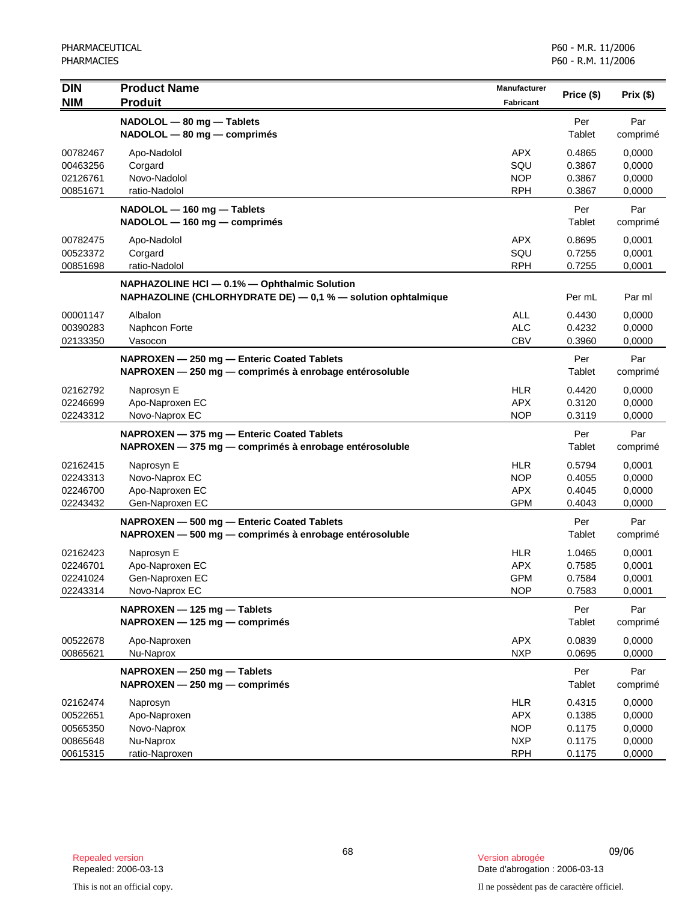| <b>DIN</b><br><b>NIM</b>                                 | <b>Product Name</b><br><b>Produit</b>                                                                        | Manufacturer<br><b>Fabricant</b>                                   | Price (\$)                                     | Prix (\$)                                      |
|----------------------------------------------------------|--------------------------------------------------------------------------------------------------------------|--------------------------------------------------------------------|------------------------------------------------|------------------------------------------------|
|                                                          | NADOLOL - 80 mg - Tablets<br>NADOLOL - 80 mg - comprimés                                                     |                                                                    | Per<br>Tablet                                  | Par<br>comprimé                                |
| 00782467<br>00463256<br>02126761<br>00851671             | Apo-Nadolol<br>Corgard<br>Novo-Nadolol<br>ratio-Nadolol                                                      | <b>APX</b><br>SQU<br><b>NOP</b><br><b>RPH</b>                      | 0.4865<br>0.3867<br>0.3867<br>0.3867           | 0,0000<br>0,0000<br>0,0000<br>0,0000           |
|                                                          | NADOLOL - 160 mg - Tablets<br>NADOLOL - 160 mg - comprimés                                                   |                                                                    | Per<br><b>Tablet</b>                           | Par<br>comprimé                                |
| 00782475<br>00523372<br>00851698                         | Apo-Nadolol<br>Corgard<br>ratio-Nadolol                                                                      | <b>APX</b><br>SQU<br><b>RPH</b>                                    | 0.8695<br>0.7255<br>0.7255                     | 0,0001<br>0,0001<br>0,0001                     |
|                                                          | NAPHAZOLINE HCI - 0.1% - Ophthalmic Solution<br>NAPHAZOLINE (CHLORHYDRATE DE) - 0,1 % - solution ophtalmique |                                                                    | Per mL                                         | Par ml                                         |
| 00001147<br>00390283<br>02133350                         | Albalon<br>Naphcon Forte<br>Vasocon                                                                          | <b>ALL</b><br><b>ALC</b><br><b>CBV</b>                             | 0.4430<br>0.4232<br>0.3960                     | 0,0000<br>0,0000<br>0,0000                     |
|                                                          | NAPROXEN - 250 mg - Enteric Coated Tablets<br>NAPROXEN - 250 mg - comprimés à enrobage entérosoluble         |                                                                    | Per<br>Tablet                                  | Par<br>comprimé                                |
| 02162792<br>02246699<br>02243312                         | Naprosyn E<br>Apo-Naproxen EC<br>Novo-Naprox EC                                                              | <b>HLR</b><br><b>APX</b><br><b>NOP</b>                             | 0.4420<br>0.3120<br>0.3119                     | 0,0000<br>0,0000<br>0,0000                     |
|                                                          | NAPROXEN - 375 mg - Enteric Coated Tablets<br>NAPROXEN - 375 mg - comprimés à enrobage entérosoluble         |                                                                    | Per<br>Tablet                                  | Par<br>comprimé                                |
| 02162415<br>02243313<br>02246700<br>02243432             | Naprosyn E<br>Novo-Naprox EC<br>Apo-Naproxen EC<br>Gen-Naproxen EC                                           | <b>HLR</b><br><b>NOP</b><br><b>APX</b><br><b>GPM</b>               | 0.5794<br>0.4055<br>0.4045<br>0.4043           | 0,0001<br>0,0000<br>0,0000<br>0,0000           |
|                                                          | NAPROXEN - 500 mg - Enteric Coated Tablets<br>NAPROXEN - 500 mg - comprimés à enrobage entérosoluble         |                                                                    | Per<br><b>Tablet</b>                           | Par<br>comprimé                                |
| 02162423<br>02246701<br>02241024<br>02243314             | Naprosyn E<br>Apo-Naproxen EC<br>Gen-Naproxen EC<br>Novo-Naprox EC                                           | <b>HLR</b><br><b>APX</b><br><b>GPM</b><br><b>NOP</b>               | 1.0465<br>0.7585<br>0.7584<br>0.7583           | 0,0001<br>0,0001<br>0,0001<br>0,0001           |
|                                                          | NAPROXEN - 125 mg - Tablets<br>NAPROXEN - 125 mg - comprimés                                                 |                                                                    | Per<br>Tablet                                  | Par<br>comprimé                                |
| 00522678<br>00865621                                     | Apo-Naproxen<br>Nu-Naprox                                                                                    | <b>APX</b><br><b>NXP</b>                                           | 0.0839<br>0.0695                               | 0,0000<br>0,0000                               |
|                                                          | NAPROXEN - 250 mg - Tablets<br>NAPROXEN - 250 mg - comprimés                                                 |                                                                    | Per<br>Tablet                                  | Par<br>comprimé                                |
| 02162474<br>00522651<br>00565350<br>00865648<br>00615315 | Naprosyn<br>Apo-Naproxen<br>Novo-Naprox<br>Nu-Naprox<br>ratio-Naproxen                                       | <b>HLR</b><br><b>APX</b><br><b>NOP</b><br><b>NXP</b><br><b>RPH</b> | 0.4315<br>0.1385<br>0.1175<br>0.1175<br>0.1175 | 0,0000<br>0,0000<br>0,0000<br>0,0000<br>0,0000 |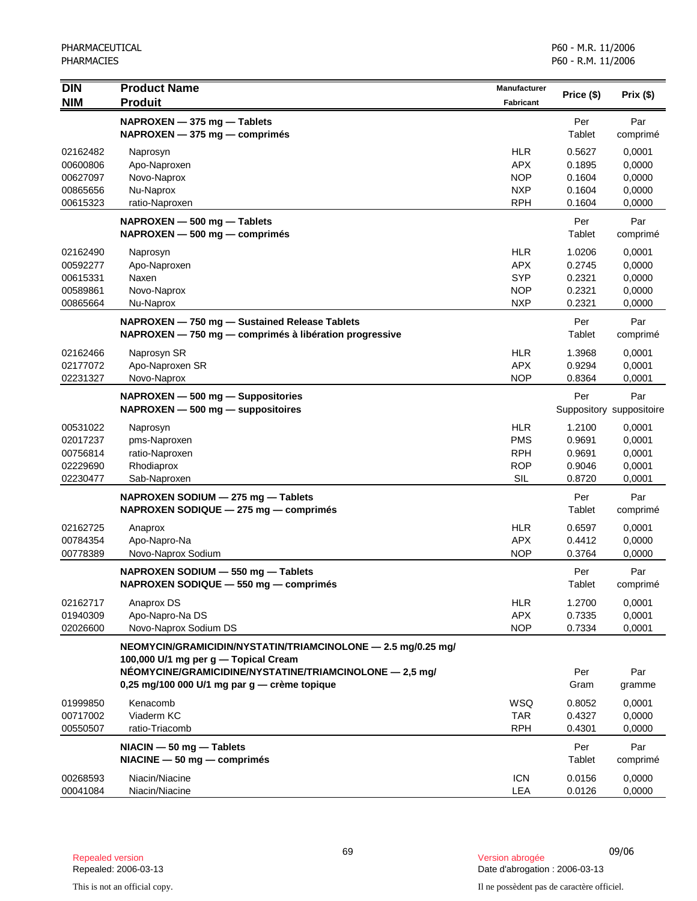| <b>DIN</b>           | <b>Product Name</b>                                          | Manufacturer             | Price (\$)       | Prix(\$)                 |
|----------------------|--------------------------------------------------------------|--------------------------|------------------|--------------------------|
| <b>NIM</b>           | <b>Produit</b>                                               | Fabricant                |                  |                          |
|                      | NAPROXEN - 375 mg - Tablets                                  |                          | Per              | Par                      |
|                      | NAPROXEN - 375 mg - comprimés                                |                          | Tablet           | comprimé                 |
| 02162482             | Naprosyn                                                     | <b>HLR</b>               | 0.5627           | 0,0001                   |
| 00600806             | Apo-Naproxen                                                 | <b>APX</b>               | 0.1895           | 0,0000                   |
| 00627097             | Novo-Naprox                                                  | <b>NOP</b>               | 0.1604           | 0,0000                   |
| 00865656             | Nu-Naprox                                                    | <b>NXP</b>               | 0.1604           | 0,0000                   |
| 00615323             | ratio-Naproxen                                               | <b>RPH</b>               | 0.1604           | 0,0000                   |
|                      | NAPROXEN - 500 mg - Tablets                                  |                          | Per              | Par                      |
|                      | NAPROXEN - 500 mg - comprimés                                |                          | Tablet           | comprimé                 |
| 02162490             | Naprosyn                                                     | <b>HLR</b>               | 1.0206           | 0,0001                   |
| 00592277             | Apo-Naproxen                                                 | <b>APX</b>               | 0.2745           | 0,0000                   |
| 00615331             | Naxen                                                        | <b>SYP</b>               | 0.2321           | 0,0000                   |
| 00589861<br>00865664 | Novo-Naprox<br>Nu-Naprox                                     | <b>NOP</b><br><b>NXP</b> | 0.2321<br>0.2321 | 0,0000<br>0,0000         |
|                      |                                                              |                          |                  |                          |
|                      | NAPROXEN - 750 mg - Sustained Release Tablets                |                          | Per              | Par                      |
|                      | NAPROXEN - 750 mg - comprimés à libération progressive       |                          | Tablet           | comprimé                 |
| 02162466             | Naprosyn SR                                                  | <b>HLR</b>               | 1.3968           | 0,0001                   |
| 02177072             | Apo-Naproxen SR                                              | <b>APX</b>               | 0.9294           | 0,0001                   |
| 02231327             | Novo-Naprox                                                  | <b>NOP</b>               | 0.8364           | 0,0001                   |
|                      | NAPROXEN - 500 mg - Suppositories                            |                          | Per              | Par                      |
|                      | $NAPROXEN - 500 mg - $ suppositoires                         |                          |                  | Suppository suppositoire |
| 00531022             | Naprosyn                                                     | <b>HLR</b>               | 1.2100           | 0,0001                   |
| 02017237             | pms-Naproxen                                                 | <b>PMS</b>               | 0.9691           | 0,0001                   |
| 00756814             | ratio-Naproxen                                               | <b>RPH</b>               | 0.9691           | 0,0001                   |
| 02229690             | Rhodiaprox                                                   | <b>ROP</b>               | 0.9046           | 0,0001                   |
| 02230477             | Sab-Naproxen                                                 | <b>SIL</b>               | 0.8720           | 0,0001                   |
|                      | NAPROXEN SODIUM - 275 mg - Tablets                           |                          | Per              | Par                      |
|                      | NAPROXEN SODIQUE - 275 mg - comprimés                        |                          | Tablet           | comprimé                 |
| 02162725             | Anaprox                                                      | <b>HLR</b>               | 0.6597           | 0,0001                   |
| 00784354             | Apo-Napro-Na                                                 | <b>APX</b>               | 0.4412           | 0,0000                   |
| 00778389             | Novo-Naprox Sodium                                           | <b>NOP</b>               | 0.3764           | 0,0000                   |
|                      | NAPROXEN SODIUM - 550 mg - Tablets                           |                          | Per              | Par                      |
|                      | NAPROXEN SODIQUE - 550 mg - comprimés                        |                          | Tablet           | comprimé                 |
| 02162717             | Anaprox DS                                                   | <b>HLR</b>               | 1.2700           | 0,0001                   |
| 01940309             | Apo-Napro-Na DS                                              | <b>APX</b>               | 0.7335           | 0,0001                   |
| 02026600             | Novo-Naprox Sodium DS                                        | <b>NOP</b>               | 0.7334           | 0,0001                   |
|                      | NEOMYCIN/GRAMICIDIN/NYSTATIN/TRIAMCINOLONE - 2.5 mg/0.25 mg/ |                          |                  |                          |
|                      | 100,000 U/1 mg per g - Topical Cream                         |                          |                  |                          |
|                      | NÉOMYCINE/GRAMICIDINE/NYSTATINE/TRIAMCINOLONE - 2,5 mg/      |                          | Per              | Par                      |
|                      | 0,25 mg/100 000 U/1 mg par $g$ - crème topique               |                          | Gram             | gramme                   |
| 01999850             | Kenacomb                                                     | WSQ                      | 0.8052           | 0,0001                   |
| 00717002             | Viaderm KC                                                   | <b>TAR</b>               | 0.4327           | 0,0000                   |
| 00550507             | ratio-Triacomb                                               | <b>RPH</b>               | 0.4301           | 0,0000                   |
|                      | $NACIN - 50 mg - Tables$                                     |                          | Per              | Par                      |
|                      | $NIACINE - 50 mg - comprimés$                                |                          | Tablet           | comprimé                 |
| 00268593             | Niacin/Niacine                                               | <b>ICN</b>               | 0.0156           | 0,0000                   |
| 00041084             | Niacin/Niacine                                               | LEA                      | 0.0126           | 0,0000                   |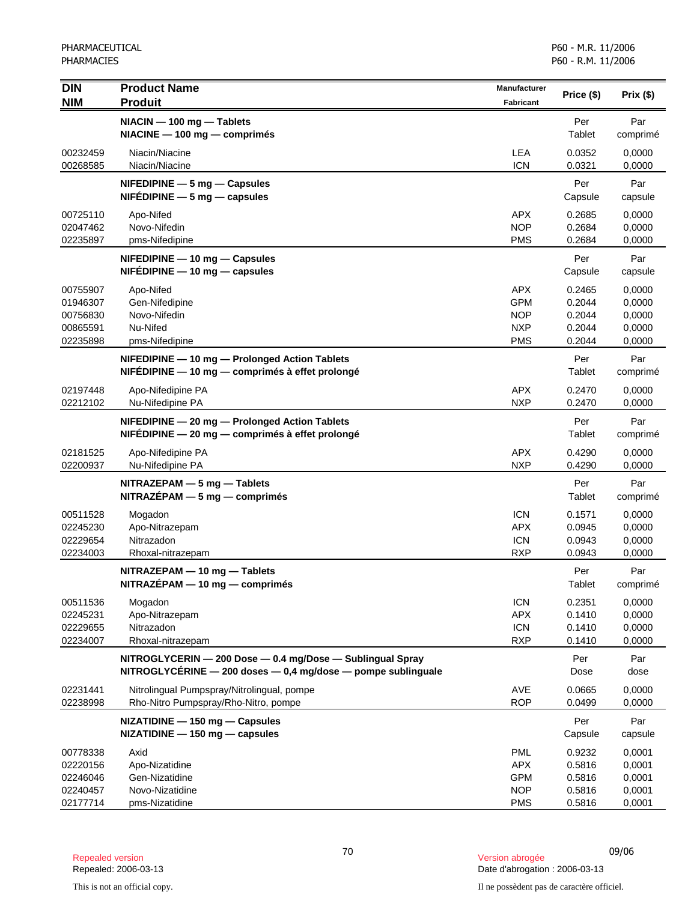| <b>DIN</b>                                               | <b>Product Name</b>                                                                                                             | <b>Manufacturer</b>                                                | Price (\$)                                     | Prix(\$)                                       |
|----------------------------------------------------------|---------------------------------------------------------------------------------------------------------------------------------|--------------------------------------------------------------------|------------------------------------------------|------------------------------------------------|
| <b>NIM</b>                                               | <b>Produit</b>                                                                                                                  | <b>Fabricant</b>                                                   |                                                |                                                |
|                                                          | NIACIN - 100 mg - Tablets<br>NIACINE - 100 mg - comprimés                                                                       |                                                                    | Per<br>Tablet                                  | Par<br>comprimé                                |
| 00232459<br>00268585                                     | Niacin/Niacine<br>Niacin/Niacine                                                                                                | <b>LEA</b><br><b>ICN</b>                                           | 0.0352<br>0.0321                               | 0,0000<br>0,0000                               |
|                                                          | $N$ FEDIPINE $-5$ mg $-$ Capsules<br>$N$ FEDIPINE $-5$ mg $-$ capsules                                                          |                                                                    | Per<br>Capsule                                 | Par<br>capsule                                 |
| 00725110<br>02047462<br>02235897                         | Apo-Nifed<br>Novo-Nifedin<br>pms-Nifedipine                                                                                     | <b>APX</b><br><b>NOP</b><br><b>PMS</b>                             | 0.2685<br>0.2684<br>0.2684                     | 0,0000<br>0,0000<br>0,0000                     |
|                                                          | $N$ FEDIPINE $-$ 10 mg $-$ Capsules<br>$N$ FEDIPINE $-$ 10 mg $-$ capsules                                                      |                                                                    | Per<br>Capsule                                 | Par<br>capsule                                 |
| 00755907<br>01946307<br>00756830<br>00865591<br>02235898 | Apo-Nifed<br>Gen-Nifedipine<br>Novo-Nifedin<br>Nu-Nifed<br>pms-Nifedipine                                                       | <b>APX</b><br><b>GPM</b><br><b>NOP</b><br><b>NXP</b><br><b>PMS</b> | 0.2465<br>0.2044<br>0.2044<br>0.2044<br>0.2044 | 0,0000<br>0,0000<br>0,0000<br>0,0000<br>0,0000 |
|                                                          | NIFEDIPINE - 10 mg - Prolonged Action Tablets<br>NIFÉDIPINE - 10 mg - comprimés à effet prolongé                                |                                                                    | Per<br>Tablet                                  | Par<br>comprimé                                |
| 02197448<br>02212102                                     | Apo-Nifedipine PA<br>Nu-Nifedipine PA                                                                                           | <b>APX</b><br><b>NXP</b>                                           | 0.2470<br>0.2470                               | 0,0000<br>0,0000                               |
|                                                          | NIFEDIPINE - 20 mg - Prolonged Action Tablets<br>NIFÉDIPINE - 20 mg - comprimés à effet prolongé                                |                                                                    | Per<br>Tablet                                  | Par<br>comprimé                                |
| 02181525<br>02200937                                     | Apo-Nifedipine PA<br>Nu-Nifedipine PA                                                                                           | <b>APX</b><br><b>NXP</b>                                           | 0.4290<br>0.4290                               | 0,0000<br>0,0000                               |
|                                                          | $NITRAZEPAM - 5 mg - Tables$<br>$NITRAZÉPAM - 5 mg - comprimés$                                                                 |                                                                    | Per<br>Tablet                                  | Par<br>comprimé                                |
| 00511528<br>02245230<br>02229654<br>02234003             | Mogadon<br>Apo-Nitrazepam<br>Nitrazadon<br>Rhoxal-nitrazepam                                                                    | <b>ICN</b><br><b>APX</b><br><b>ICN</b><br><b>RXP</b>               | 0.1571<br>0.0945<br>0.0943<br>0.0943           | 0,0000<br>0,0000<br>0,0000<br>0,0000           |
|                                                          | NITRAZEPAM - 10 mg - Tablets<br>$NITRAZÉPAM - 10 mg - comprimés$                                                                |                                                                    | Per<br>Tablet                                  | Par<br>comprimé                                |
| 00511536<br>02245231<br>02229655<br>02234007             | Mogadon<br>Apo-Nitrazepam<br>Nitrazadon<br>Rhoxal-nitrazepam                                                                    | <b>ICN</b><br><b>APX</b><br><b>ICN</b><br><b>RXP</b>               | 0.2351<br>0.1410<br>0.1410<br>0.1410           | 0,0000<br>0,0000<br>0,0000<br>0,0000           |
|                                                          | NITROGLYCERIN - 200 Dose - 0.4 mg/Dose - Sublingual Spray<br>NITROGLYCÉRINE $-$ 200 doses $-$ 0,4 mg/dose $-$ pompe sublinguale |                                                                    | Per<br>Dose                                    | Par<br>dose                                    |
| 02231441<br>02238998                                     | Nitrolingual Pumpspray/Nitrolingual, pompe<br>Rho-Nitro Pumpspray/Rho-Nitro, pompe                                              | AVE<br><b>ROP</b>                                                  | 0.0665<br>0.0499                               | 0,0000<br>0,0000                               |
|                                                          | NIZATIDINE - 150 mg - Capsules<br>$NIZATIDINE - 150 mg - capsules$                                                              |                                                                    | Per<br>Capsule                                 | Par<br>capsule                                 |
| 00778338<br>02220156<br>02246046<br>02240457             | Axid<br>Apo-Nizatidine<br>Gen-Nizatidine<br>Novo-Nizatidine                                                                     | <b>PML</b><br><b>APX</b><br><b>GPM</b><br><b>NOP</b>               | 0.9232<br>0.5816<br>0.5816<br>0.5816           | 0,0001<br>0,0001<br>0,0001<br>0,0001           |
| 02177714                                                 | pms-Nizatidine                                                                                                                  | <b>PMS</b>                                                         | 0.5816                                         | 0,0001                                         |

<sup>70</sup> 09/06 Repealed version Version abrogée Date d'abrogation : 2006-03-13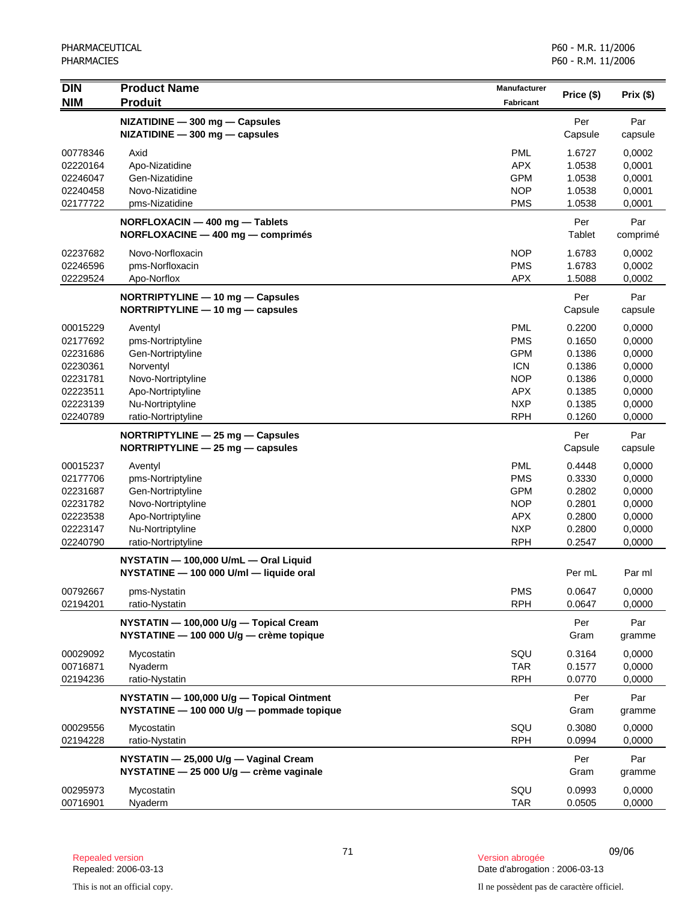| <b>DIN</b><br><b>NIM</b>         | <b>Product Name</b><br><b>Produit</b>                                                  | <b>Manufacturer</b><br><b>Fabricant</b> | Price (\$)                 | Prix(\$)                   |
|----------------------------------|----------------------------------------------------------------------------------------|-----------------------------------------|----------------------------|----------------------------|
|                                  | NIZATIDINE - 300 mg - Capsules<br>$NIZATIDINE - 300 mg - capsules$                     |                                         | Per<br>Capsule             | Par<br>capsule             |
| 00778346<br>02220164<br>02246047 | Axid<br>Apo-Nizatidine<br>Gen-Nizatidine                                               | <b>PML</b><br><b>APX</b><br><b>GPM</b>  | 1.6727<br>1.0538<br>1.0538 | 0,0002<br>0,0001<br>0,0001 |
| 02240458<br>02177722             | Novo-Nizatidine<br>pms-Nizatidine                                                      | <b>NOP</b><br><b>PMS</b>                | 1.0538<br>1.0538           | 0,0001<br>0,0001           |
|                                  | NORFLOXACIN - 400 mg - Tablets<br>NORFLOXACINE - 400 mg - comprimés                    |                                         | Per<br>Tablet              | Par<br>comprimé            |
| 02237682<br>02246596<br>02229524 | Novo-Norfloxacin<br>pms-Norfloxacin<br>Apo-Norflox                                     | <b>NOP</b><br><b>PMS</b><br><b>APX</b>  | 1.6783<br>1.6783<br>1.5088 | 0,0002<br>0,0002<br>0,0002 |
|                                  | NORTRIPTYLINE - 10 mg - Capsules<br>$NORTRIPTYLINE - 10 mg - capsules$                 |                                         | Per<br>Capsule             | Par<br>capsule             |
| 00015229<br>02177692             | Aventyl<br>pms-Nortriptyline                                                           | <b>PML</b><br><b>PMS</b>                | 0.2200<br>0.1650           | 0,0000<br>0,0000           |
| 02231686<br>02230361<br>02231781 | Gen-Nortriptyline<br>Norventyl<br>Novo-Nortriptyline                                   | <b>GPM</b><br><b>ICN</b><br><b>NOP</b>  | 0.1386<br>0.1386<br>0.1386 | 0,0000<br>0,0000<br>0,0000 |
| 02223511<br>02223139<br>02240789 | Apo-Nortriptyline<br>Nu-Nortriptyline<br>ratio-Nortriptyline                           | <b>APX</b><br><b>NXP</b><br><b>RPH</b>  | 0.1385<br>0.1385<br>0.1260 | 0,0000<br>0,0000<br>0,0000 |
|                                  | NORTRIPTYLINE $-$ 25 mg $-$ Capsules<br>NORTRIPTYLINE - 25 mg - capsules               |                                         | Per<br>Capsule             | Par<br>capsule             |
| 00015237                         | Aventyl                                                                                | <b>PML</b>                              | 0.4448                     | 0,0000                     |
| 02177706<br>02231687             | pms-Nortriptyline<br>Gen-Nortriptyline                                                 | <b>PMS</b><br><b>GPM</b>                | 0.3330<br>0.2802           | 0,0000<br>0,0000           |
| 02231782                         | Novo-Nortriptyline                                                                     | <b>NOP</b>                              | 0.2801                     | 0,0000                     |
| 02223538                         | Apo-Nortriptyline                                                                      | <b>APX</b>                              | 0.2800                     | 0,0000                     |
| 02223147                         | Nu-Nortriptyline                                                                       | <b>NXP</b>                              | 0.2800                     | 0,0000                     |
| 02240790                         | ratio-Nortriptyline                                                                    | <b>RPH</b>                              | 0.2547                     | 0,0000                     |
|                                  | NYSTATIN - 100,000 U/mL - Oral Liquid<br>NYSTATINE - 100 000 U/ml - liquide oral       |                                         | Per mL                     | Par ml                     |
| 00792667<br>02194201             | pms-Nystatin<br>ratio-Nystatin                                                         | <b>PMS</b><br><b>RPH</b>                | 0.0647<br>0.0647           | 0,0000<br>0,0000           |
|                                  | NYSTATIN - 100,000 U/g - Topical Cream<br>NYSTATINE - 100 000 U/g - crème topique      |                                         | Per<br>Gram                | Par<br>gramme              |
| 00029092<br>00716871<br>02194236 | Mycostatin<br>Nyaderm<br>ratio-Nystatin                                                | SQU<br><b>TAR</b><br><b>RPH</b>         | 0.3164<br>0.1577<br>0.0770 | 0,0000<br>0,0000<br>0,0000 |
|                                  | NYSTATIN - 100,000 U/g - Topical Ointment<br>NYSTATINE - 100 000 U/g - pommade topique |                                         | Per<br>Gram                | Par<br>gramme              |
| 00029556<br>02194228             | Mycostatin<br>ratio-Nystatin                                                           | SQU<br><b>RPH</b>                       | 0.3080<br>0.0994           | 0,0000<br>0,0000           |
|                                  | NYSTATIN - 25,000 U/g - Vaginal Cream<br>NYSTATINE - 25 000 U/g - crème vaginale       |                                         | Per<br>Gram                | Par<br>gramme              |
| 00295973<br>00716901             | Mycostatin<br>Nyaderm                                                                  | SQU<br>TAR                              | 0.0993<br>0.0505           | 0,0000<br>0,0000           |

<sup>71</sup> 09/06 Repealed version Version abrogée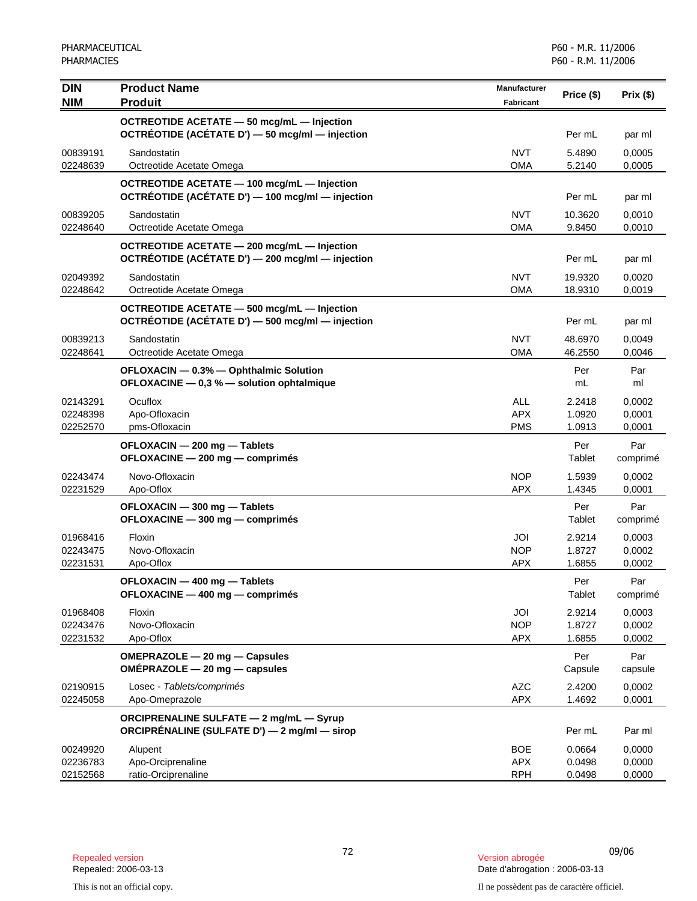| <b>DIN</b>           | <b>Product Name</b>                                                                 | <b>Manufacturer</b>      |                  |                  |
|----------------------|-------------------------------------------------------------------------------------|--------------------------|------------------|------------------|
| <b>NIM</b>           | <b>Produit</b>                                                                      | <b>Fabricant</b>         | Price (\$)       | Prix(\$)         |
|                      | OCTREOTIDE ACETATE - 50 mcg/mL - Injection                                          |                          |                  |                  |
|                      | OCTRÉOTIDE (ACÉTATE D') - 50 mcg/ml - injection                                     |                          | Per mL           | par ml           |
| 00839191             | Sandostatin                                                                         | <b>NVT</b>               | 5.4890           | 0,0005           |
| 02248639             | Octreotide Acetate Omega                                                            | <b>OMA</b>               | 5.2140           | 0,0005           |
|                      | OCTREOTIDE ACETATE - 100 mcg/mL - Injection                                         |                          |                  |                  |
|                      | OCTRÉOTIDE (ACÉTATE D') — 100 mcg/ml — injection                                    |                          | Per mL           | par ml           |
| 00839205             | Sandostatin                                                                         | <b>NVT</b>               | 10.3620          | 0,0010           |
| 02248640             | Octreotide Acetate Omega                                                            | <b>OMA</b>               | 9.8450           | 0,0010           |
|                      | OCTREOTIDE ACETATE - 200 mcg/mL - Injection                                         |                          |                  |                  |
|                      | OCTRÉOTIDE (ACÉTATE D') - 200 mcg/ml - injection                                    |                          | Per mL           | par ml           |
| 02049392             | Sandostatin                                                                         | <b>NVT</b>               | 19.9320          | 0,0020           |
| 02248642             | Octreotide Acetate Omega                                                            | <b>OMA</b>               | 18.9310          | 0,0019           |
|                      | OCTREOTIDE ACETATE - 500 mcg/mL - Injection                                         |                          |                  |                  |
|                      | OCTRÉOTIDE (ACÉTATE D') - 500 mcg/ml - injection                                    |                          | Per mL           | par ml           |
| 00839213             | Sandostatin                                                                         | <b>NVT</b><br><b>OMA</b> | 48.6970          | 0,0049           |
| 02248641             | Octreotide Acetate Omega                                                            |                          | 46.2550          | 0,0046           |
|                      | OFLOXACIN - 0.3% - Ophthalmic Solution<br>OFLOXACINE - 0,3 % - solution ophtalmique |                          | Per<br>mL        | Par<br>ml        |
|                      |                                                                                     |                          |                  |                  |
| 02143291<br>02248398 | Ocuflox<br>Apo-Ofloxacin                                                            | <b>ALL</b><br><b>APX</b> | 2.2418<br>1.0920 | 0,0002<br>0,0001 |
| 02252570             | pms-Ofloxacin                                                                       | <b>PMS</b>               | 1.0913           | 0,0001           |
|                      | OFLOXACIN - 200 mg - Tablets                                                        |                          | Per              | Par              |
|                      | OFLOXACINE - 200 mg - comprimés                                                     |                          | Tablet           | comprimé         |
| 02243474             | Novo-Ofloxacin                                                                      | <b>NOP</b>               | 1.5939           | 0,0002           |
| 02231529             | Apo-Oflox                                                                           | <b>APX</b>               | 1.4345           | 0,0001           |
|                      | OFLOXACIN - 300 mg - Tablets                                                        |                          | Per              | Par              |
|                      | OFLOXACINE - 300 mg - comprimés                                                     |                          | Tablet           | comprimé         |
| 01968416             | Floxin                                                                              | JOI                      | 2.9214           | 0,0003           |
| 02243475             | Novo-Ofloxacin                                                                      | <b>NOP</b>               | 1.8727           | 0,0002           |
| 02231531             | Apo-Oflox                                                                           | <b>APX</b>               | 1.6855           | 0,0002           |
|                      | OFLOXACIN - 400 mg - Tablets                                                        |                          | Per              | Par              |
|                      | OFLOXACINE - 400 mg - comprimés                                                     |                          | Tablet           | comprimé         |
| 01968408             | Floxin                                                                              | JOI                      | 2.9214           | 0,0003           |
| 02243476<br>02231532 | Novo-Ofloxacin<br>Apo-Oflox                                                         | <b>NOP</b><br><b>APX</b> | 1.8727<br>1.6855 | 0,0002<br>0,0002 |
|                      |                                                                                     |                          |                  |                  |
|                      | OMEPRAZOLE - 20 mg - Capsules<br>$OMÉPRAZOLE - 20 mg - capsules$                    |                          | Per<br>Capsule   | Par<br>capsule   |
|                      |                                                                                     | <b>AZC</b>               | 2.4200           |                  |
| 02190915<br>02245058 | Losec - Tablets/comprimés<br>Apo-Omeprazole                                         | <b>APX</b>               | 1.4692           | 0,0002<br>0,0001 |
|                      | <b>ORCIPRENALINE SULFATE - 2 mg/mL - Syrup</b>                                      |                          |                  |                  |
|                      | ORCIPRÉNALINE (SULFATE D') — 2 mg/ml — sirop                                        |                          | Per mL           | Par ml           |
| 00249920             | Alupent                                                                             | <b>BOE</b>               | 0.0664           | 0,0000           |
| 02236783             | Apo-Orciprenaline                                                                   | <b>APX</b>               | 0.0498           | 0,0000           |
| 02152568             | ratio-Orciprenaline                                                                 | <b>RPH</b>               | 0.0498           | 0,0000           |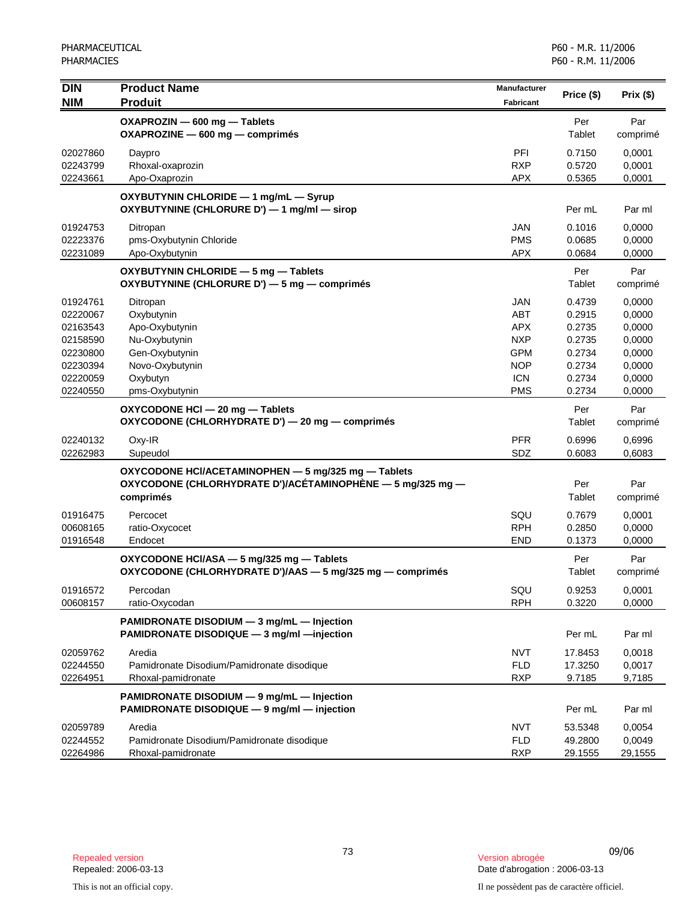| DIN                                                                              | <b>Product Name</b>                                                                                                            | <b>Manufacturer</b>                                                                     | Price (\$)                                                         | Prix(\$)                                                           |
|----------------------------------------------------------------------------------|--------------------------------------------------------------------------------------------------------------------------------|-----------------------------------------------------------------------------------------|--------------------------------------------------------------------|--------------------------------------------------------------------|
| <b>NIM</b>                                                                       | <b>Produit</b>                                                                                                                 | <b>Fabricant</b>                                                                        |                                                                    |                                                                    |
|                                                                                  | OXAPROZIN - 600 mg - Tablets<br>OXAPROZINE - 600 mg - comprimés                                                                |                                                                                         | Per<br>Tablet                                                      | Par<br>comprimé                                                    |
| 02027860<br>02243799<br>02243661                                                 | Daypro<br>Rhoxal-oxaprozin<br>Apo-Oxaprozin                                                                                    | PFI<br><b>RXP</b><br><b>APX</b>                                                         | 0.7150<br>0.5720<br>0.5365                                         | 0,0001<br>0,0001<br>0,0001                                         |
|                                                                                  |                                                                                                                                |                                                                                         |                                                                    |                                                                    |
|                                                                                  | OXYBUTYNIN CHLORIDE - 1 mg/mL - Syrup<br>OXYBUTYNINE (CHLORURE D') - 1 mg/ml - sirop                                           |                                                                                         | Per mL                                                             | Par ml                                                             |
| 01924753<br>02223376<br>02231089                                                 | Ditropan<br>pms-Oxybutynin Chloride<br>Apo-Oxybutynin                                                                          | <b>JAN</b><br><b>PMS</b><br><b>APX</b>                                                  | 0.1016<br>0.0685<br>0.0684                                         | 0.0000<br>0,0000<br>0,0000                                         |
|                                                                                  | OXYBUTYNIN CHLORIDE - 5 mg - Tablets<br>OXYBUTYNINE (CHLORURE D') - 5 mg - comprimés                                           |                                                                                         | Per<br>Tablet                                                      | Par<br>comprimé                                                    |
| 01924761<br>02220067<br>02163543<br>02158590<br>02230800<br>02230394<br>02220059 | Ditropan<br>Oxybutynin<br>Apo-Oxybutynin<br>Nu-Oxybutynin<br>Gen-Oxybutynin<br>Novo-Oxybutynin<br>Oxybutyn                     | <b>JAN</b><br>ABT<br><b>APX</b><br><b>NXP</b><br><b>GPM</b><br><b>NOP</b><br><b>ICN</b> | 0.4739<br>0.2915<br>0.2735<br>0.2735<br>0.2734<br>0.2734<br>0.2734 | 0,0000<br>0,0000<br>0,0000<br>0,0000<br>0,0000<br>0,0000<br>0,0000 |
| 02240550                                                                         | pms-Oxybutynin                                                                                                                 | <b>PMS</b>                                                                              | 0.2734                                                             | 0,0000                                                             |
|                                                                                  | OXYCODONE HCI - 20 mg - Tablets<br>OXYCODONE (CHLORHYDRATE D') - 20 mg - comprimés                                             |                                                                                         | Per<br>Tablet                                                      | Par<br>comprimé                                                    |
| 02240132<br>02262983                                                             | Oxy-IR<br>Supeudol                                                                                                             | <b>PFR</b><br>SDZ                                                                       | 0.6996<br>0.6083                                                   | 0,6996<br>0,6083                                                   |
|                                                                                  | OXYCODONE HCI/ACETAMINOPHEN - 5 mg/325 mg - Tablets<br>OXYCODONE (CHLORHYDRATE D')/ACÉTAMINOPHÈNE — 5 mg/325 mg —<br>comprimés |                                                                                         | Per<br>Tablet                                                      | Par<br>comprimé                                                    |
| 01916475<br>00608165<br>01916548                                                 | Percocet<br>ratio-Oxycocet<br>Endocet                                                                                          | SQU<br><b>RPH</b><br><b>END</b>                                                         | 0.7679<br>0.2850<br>0.1373                                         | 0,0001<br>0,0000<br>0,0000                                         |
|                                                                                  | OXYCODONE HCI/ASA - 5 mg/325 mg - Tablets<br>OXYCODONE (CHLORHYDRATE D')/AAS $-5$ mg/325 mg $-$ comprimés                      |                                                                                         | Per<br>Tablet                                                      | Par<br>comprimé                                                    |
| 01916572<br>00608157                                                             | Percodan<br>ratio-Oxycodan                                                                                                     | SQU<br><b>RPH</b>                                                                       | 0.9253<br>0.3220                                                   | 0,0001<br>0,0000                                                   |
|                                                                                  | PAMIDRONATE DISODIUM - 3 mg/mL - Injection<br>PAMIDRONATE DISODIQUE - 3 mg/ml - injection                                      |                                                                                         | Per mL                                                             | Par ml                                                             |
| 02059762<br>02244550<br>02264951                                                 | Aredia<br>Pamidronate Disodium/Pamidronate disodique<br>Rhoxal-pamidronate                                                     | <b>NVT</b><br><b>FLD</b><br><b>RXP</b>                                                  | 17.8453<br>17.3250<br>9.7185                                       | 0,0018<br>0,0017<br>9,7185                                         |
|                                                                                  | PAMIDRONATE DISODIUM - 9 mg/mL - Injection<br>PAMIDRONATE DISODIQUE - 9 mg/ml - injection                                      |                                                                                         | Per mL                                                             | Par ml                                                             |
| 02059789<br>02244552<br>02264986                                                 | Aredia<br>Pamidronate Disodium/Pamidronate disodique<br>Rhoxal-pamidronate                                                     | <b>NVT</b><br><b>FLD</b><br><b>RXP</b>                                                  | 53.5348<br>49.2800<br>29.1555                                      | 0,0054<br>0,0049<br>29,1555                                        |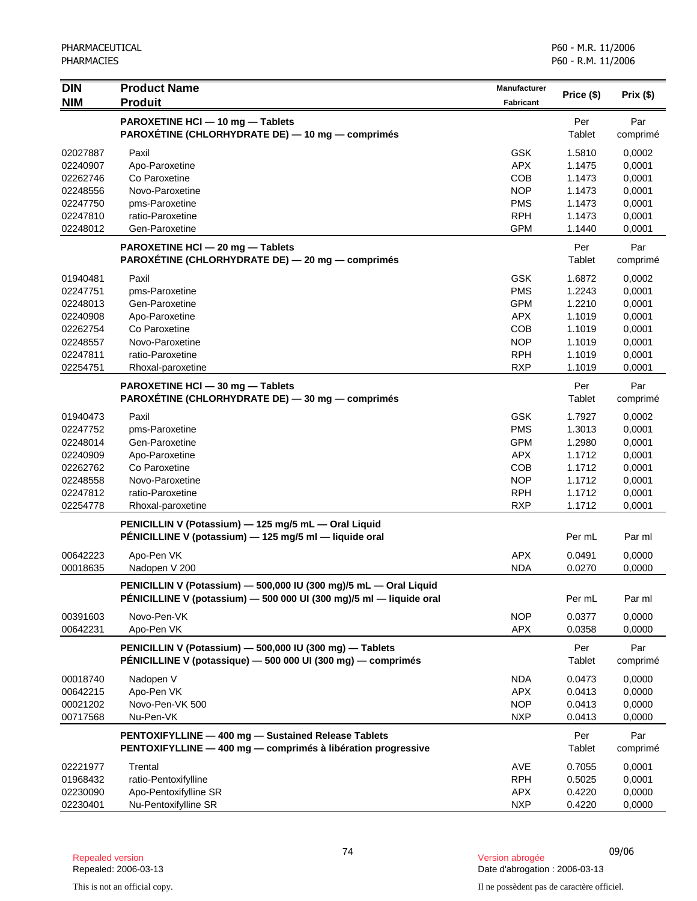| <b>DIN</b><br><b>NIM</b>                                                                     | <b>Product Name</b><br><b>Produit</b>                                                                                                    | <b>Manufacturer</b><br><b>Fabricant</b>                                                                      | Price (\$)                                                                   | Prix(\$)                                                                     |
|----------------------------------------------------------------------------------------------|------------------------------------------------------------------------------------------------------------------------------------------|--------------------------------------------------------------------------------------------------------------|------------------------------------------------------------------------------|------------------------------------------------------------------------------|
|                                                                                              | PAROXETINE HCI - 10 mg - Tablets<br>PAROXÉTINE (CHLORHYDRATE DE) - 10 mg - comprimés                                                     |                                                                                                              | Per<br>Tablet                                                                | Par<br>comprimé                                                              |
| 02027887<br>02240907<br>02262746<br>02248556<br>02247750<br>02247810<br>02248012             | Paxil<br>Apo-Paroxetine<br>Co Paroxetine<br>Novo-Paroxetine<br>pms-Paroxetine<br>ratio-Paroxetine<br>Gen-Paroxetine                      | <b>GSK</b><br><b>APX</b><br>COB<br><b>NOP</b><br><b>PMS</b><br><b>RPH</b><br><b>GPM</b>                      | 1.5810<br>1.1475<br>1.1473<br>1.1473<br>1.1473<br>1.1473<br>1.1440           | 0,0002<br>0,0001<br>0,0001<br>0,0001<br>0,0001<br>0,0001<br>0,0001           |
|                                                                                              | PAROXETINE HCI - 20 mg - Tablets<br>PAROXETINE (CHLORHYDRATE DE) - 20 mg - comprimés                                                     |                                                                                                              | Per<br>Tablet                                                                | Par<br>comprimé                                                              |
| 01940481<br>02247751<br>02248013<br>02240908<br>02262754<br>02248557<br>02247811<br>02254751 | Paxil<br>pms-Paroxetine<br>Gen-Paroxetine<br>Apo-Paroxetine<br>Co Paroxetine<br>Novo-Paroxetine<br>ratio-Paroxetine<br>Rhoxal-paroxetine | <b>GSK</b><br><b>PMS</b><br><b>GPM</b><br><b>APX</b><br><b>COB</b><br><b>NOP</b><br><b>RPH</b><br><b>RXP</b> | 1.6872<br>1.2243<br>1.2210<br>1.1019<br>1.1019<br>1.1019<br>1.1019<br>1.1019 | 0,0002<br>0,0001<br>0,0001<br>0,0001<br>0,0001<br>0,0001<br>0,0001<br>0,0001 |
|                                                                                              | PAROXETINE HCI - 30 mg - Tablets<br>PAROXÉTINE (CHLORHYDRATE DE) - 30 mg - comprimés                                                     |                                                                                                              | Per<br>Tablet                                                                | Par<br>comprimé                                                              |
| 01940473<br>02247752<br>02248014<br>02240909<br>02262762<br>02248558<br>02247812<br>02254778 | Paxil<br>pms-Paroxetine<br>Gen-Paroxetine<br>Apo-Paroxetine<br>Co Paroxetine<br>Novo-Paroxetine<br>ratio-Paroxetine<br>Rhoxal-paroxetine | <b>GSK</b><br><b>PMS</b><br><b>GPM</b><br><b>APX</b><br><b>COB</b><br><b>NOP</b><br><b>RPH</b><br><b>RXP</b> | 1.7927<br>1.3013<br>1.2980<br>1.1712<br>1.1712<br>1.1712<br>1.1712<br>1.1712 | 0,0002<br>0,0001<br>0,0001<br>0,0001<br>0,0001<br>0,0001<br>0,0001<br>0,0001 |
|                                                                                              | PENICILLIN V (Potassium) - 125 mg/5 mL - Oral Liquid<br>PÉNICILLINE V (potassium) — 125 mg/5 ml — liquide oral                           |                                                                                                              | Per mL                                                                       | Par ml                                                                       |
| 00642223<br>00018635                                                                         | Apo-Pen VK<br>Nadopen V 200                                                                                                              | <b>APX</b><br><b>NDA</b>                                                                                     | 0.0491<br>0.0270                                                             | 0,0000<br>0,0000                                                             |
|                                                                                              | PENICILLIN V (Potassium) - 500,000 IU (300 mg)/5 mL - Oral Liquid<br>PÉNICILLINE V (potassium) - 500 000 UI (300 mg)/5 ml - liquide oral |                                                                                                              | Per mL                                                                       | Par ml                                                                       |
| 00391603<br>00642231                                                                         | Novo-Pen-VK<br>Apo-Pen VK                                                                                                                | <b>NOP</b><br><b>APX</b>                                                                                     | 0.0377<br>0.0358                                                             | 0,0000<br>0,0000                                                             |
|                                                                                              | PENICILLIN V (Potassium) - 500,000 IU (300 mg) - Tablets<br>PÉNICILLINE V (potassique) - 500 000 UI (300 mg) - comprimés                 |                                                                                                              | Per<br>Tablet                                                                | Par<br>comprimé                                                              |
| 00018740<br>00642215<br>00021202<br>00717568                                                 | Nadopen V<br>Apo-Pen VK<br>Novo-Pen-VK 500<br>Nu-Pen-VK                                                                                  | <b>NDA</b><br><b>APX</b><br><b>NOP</b><br><b>NXP</b>                                                         | 0.0473<br>0.0413<br>0.0413<br>0.0413                                         | 0,0000<br>0,0000<br>0,0000<br>0,0000                                         |
|                                                                                              | PENTOXIFYLLINE - 400 mg - Sustained Release Tablets<br>PENTOXIFYLLINE - 400 mg - comprimés à libération progressive                      |                                                                                                              | Per<br>Tablet                                                                | Par<br>comprimé                                                              |
| 02221977<br>01968432<br>02230090<br>02230401                                                 | Trental<br>ratio-Pentoxifylline<br>Apo-Pentoxifylline SR<br>Nu-Pentoxifylline SR                                                         | AVE<br><b>RPH</b><br><b>APX</b><br><b>NXP</b>                                                                | 0.7055<br>0.5025<br>0.4220<br>0.4220                                         | 0,0001<br>0,0001<br>0,0000<br>0,0000                                         |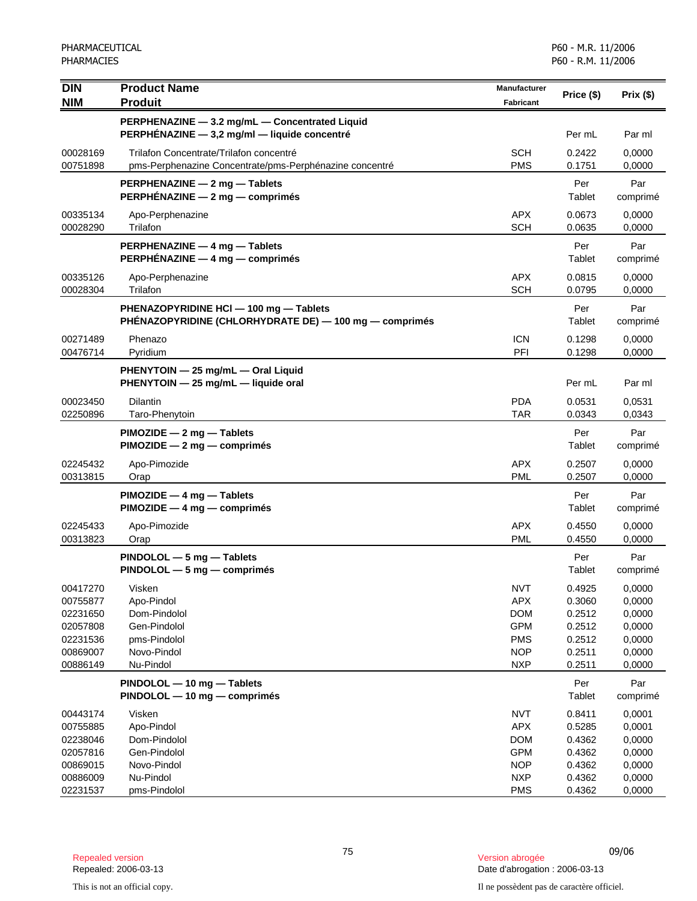| <b>DIN</b>           | <b>Product Name</b>                                              | <b>Manufacturer</b>      | Price (\$)       | Prix(\$)         |
|----------------------|------------------------------------------------------------------|--------------------------|------------------|------------------|
| <b>NIM</b>           | <b>Produit</b>                                                   | <b>Fabricant</b>         |                  |                  |
|                      | PERPHENAZINE - 3.2 mg/mL - Concentrated Liquid                   |                          |                  |                  |
|                      | PERPHÉNAZINE - 3,2 mg/ml - liquide concentré                     |                          | Per mL           | Par ml           |
| 00028169             | Trilafon Concentrate/Trilafon concentré                          | <b>SCH</b>               | 0.2422           | 0,0000           |
| 00751898             | pms-Perphenazine Concentrate/pms-Perphénazine concentré          | <b>PMS</b>               | 0.1751           | 0,0000           |
|                      | PERPHENAZINE - 2 mg - Tablets<br>PERPHÉNAZINE - 2 mg - comprimés |                          | Per              | Par              |
|                      |                                                                  |                          | Tablet           | comprimé         |
| 00335134<br>00028290 | Apo-Perphenazine<br>Trilafon                                     | <b>APX</b><br><b>SCH</b> | 0.0673<br>0.0635 | 0,0000<br>0,0000 |
|                      |                                                                  |                          |                  |                  |
|                      | PERPHENAZINE - 4 mg - Tablets<br>PERPHÉNAZINE - 4 mg - comprimés |                          | Per<br>Tablet    | Par<br>comprimé  |
| 00335126             | Apo-Perphenazine                                                 | <b>APX</b>               | 0.0815           | 0,0000           |
| 00028304             | Trilafon                                                         | <b>SCH</b>               | 0.0795           | 0,0000           |
|                      | PHENAZOPYRIDINE HCI - 100 mg - Tablets                           |                          | Per              | Par              |
|                      | PHENAZOPYRIDINE (CHLORHYDRATE DE) - 100 mg - comprimés           |                          | Tablet           | comprimé         |
| 00271489             | Phenazo                                                          | <b>ICN</b>               | 0.1298           | 0,0000           |
| 00476714             | Pyridium                                                         | PFI                      | 0.1298           | 0,0000           |
|                      | PHENYTOIN - 25 mg/mL - Oral Liquid                               |                          |                  |                  |
|                      | PHENYTOIN - 25 mg/mL - liquide oral                              |                          | Per mL           | Par ml           |
| 00023450             | <b>Dilantin</b>                                                  | <b>PDA</b>               | 0.0531           | 0,0531           |
| 02250896             | Taro-Phenytoin                                                   | <b>TAR</b>               | 0.0343           | 0,0343           |
|                      | $PIMOZIDE - 2 mg - Tables$<br>$PIMOZIDE - 2 mg - comprimés$      |                          | Per<br>Tablet    | Par              |
|                      |                                                                  |                          |                  | comprimé         |
| 02245432<br>00313815 | Apo-Pimozide<br>Orap                                             | <b>APX</b><br><b>PML</b> | 0.2507<br>0.2507 | 0,0000<br>0,0000 |
|                      | $PIMOZIDE - 4 mg - Tables$                                       |                          | Per              | Par              |
|                      | PIMOZIDE - 4 mg - comprimés                                      |                          | Tablet           | comprimé         |
| 02245433             | Apo-Pimozide                                                     | APX.                     | 0.4550           | 0.0000           |
| 00313823             | Orap                                                             | <b>PML</b>               | 0.4550           | 0,0000           |
|                      | $PINDOLOL - 5 mg - Tables$                                       |                          | Per              | Par              |
|                      | $PINDOLOL - 5 mg - comprimés$                                    |                          | Tablet           | comprimé         |
| 00417270             | Visken                                                           | <b>NVT</b>               | 0.4925           | 0,0000           |
| 00755877             | Apo-Pindol                                                       | <b>APX</b>               | 0.3060           | 0,0000           |
| 02231650             | Dom-Pindolol<br>Gen-Pindolol                                     | <b>DOM</b><br><b>GPM</b> | 0.2512           | 0,0000           |
| 02057808<br>02231536 | pms-Pindolol                                                     | <b>PMS</b>               | 0.2512<br>0.2512 | 0,0000<br>0,0000 |
| 00869007             | Novo-Pindol                                                      | <b>NOP</b>               | 0.2511           | 0,0000           |
| 00886149             | Nu-Pindol                                                        | <b>NXP</b>               | 0.2511           | 0,0000           |
|                      | PINDOLOL - 10 mg - Tablets                                       |                          | Per              | Par              |
|                      | PINDOLOL - 10 mg - comprimés                                     |                          | Tablet           | comprimé         |
| 00443174             | Visken                                                           | <b>NVT</b>               | 0.8411           | 0,0001           |
| 00755885             | Apo-Pindol                                                       | <b>APX</b>               | 0.5285           | 0,0001           |
| 02238046             | Dom-Pindolol                                                     | <b>DOM</b>               | 0.4362           | 0,0000           |
| 02057816             | Gen-Pindolol                                                     | <b>GPM</b>               | 0.4362           | 0,0000           |
| 00869015             | Novo-Pindol                                                      | <b>NOP</b>               | 0.4362           | 0,0000           |
| 00886009             | Nu-Pindol                                                        | <b>NXP</b>               | 0.4362           | 0,0000           |
| 02231537             | pms-Pindolol                                                     | <b>PMS</b>               | 0.4362           | 0,0000           |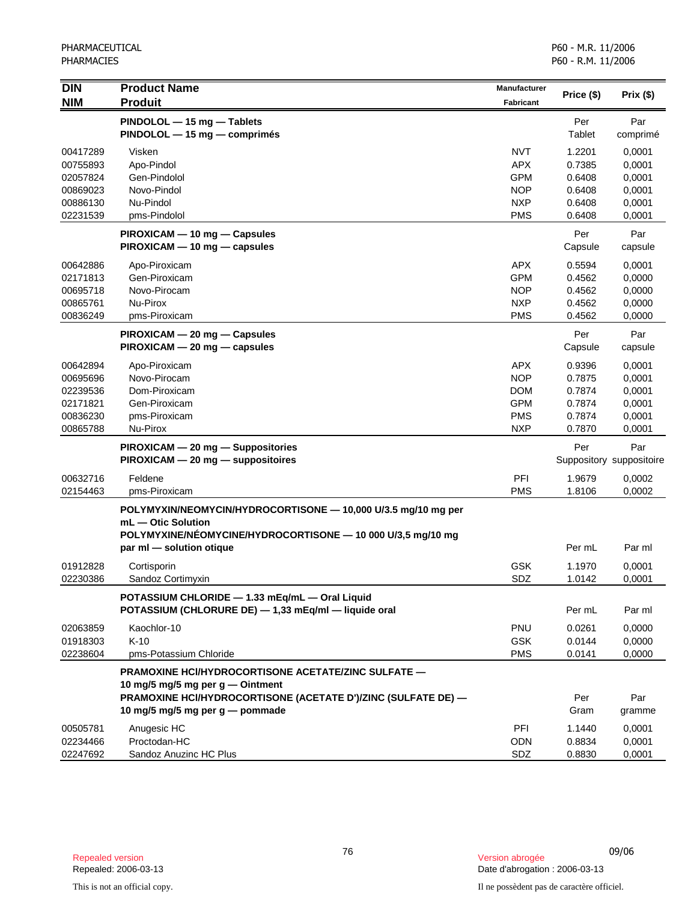| <b>DIN</b><br><b>NIM</b>         | <b>Product Name</b><br><b>Produit</b>                                                                                                              | <b>Manufacturer</b><br><b>Fabricant</b> | Price (\$)                 | Prix(\$)                        |
|----------------------------------|----------------------------------------------------------------------------------------------------------------------------------------------------|-----------------------------------------|----------------------------|---------------------------------|
|                                  | PINDOLOL - 15 mg - Tablets<br>PINDOLOL - 15 mg - comprimés                                                                                         |                                         | Per<br>Tablet              | Par<br>comprimé                 |
| 00417289<br>00755893<br>02057824 | Visken<br>Apo-Pindol<br>Gen-Pindolol                                                                                                               | <b>NVT</b><br><b>APX</b><br><b>GPM</b>  | 1.2201<br>0.7385<br>0.6408 | 0,0001<br>0,0001<br>0,0001      |
| 00869023                         | Novo-Pindol                                                                                                                                        | <b>NOP</b>                              | 0.6408                     | 0,0001                          |
| 00886130                         | Nu-Pindol                                                                                                                                          | <b>NXP</b>                              | 0.6408                     | 0,0001                          |
| 02231539                         | pms-Pindolol                                                                                                                                       | <b>PMS</b>                              | 0.6408                     | 0,0001                          |
|                                  | PIROXICAM - 10 mg - Capsules<br>PIROXICAM - 10 mg - capsules                                                                                       |                                         | Per<br>Capsule             | Par<br>capsule                  |
| 00642886                         | Apo-Piroxicam                                                                                                                                      | <b>APX</b>                              | 0.5594                     | 0,0001                          |
| 02171813                         | Gen-Piroxicam                                                                                                                                      | <b>GPM</b>                              | 0.4562                     | 0,0000                          |
| 00695718                         | Novo-Pirocam                                                                                                                                       | <b>NOP</b>                              | 0.4562                     | 0,0000                          |
| 00865761<br>00836249             | Nu-Pirox<br>pms-Piroxicam                                                                                                                          | <b>NXP</b><br><b>PMS</b>                | 0.4562<br>0.4562           | 0,0000<br>0,0000                |
|                                  |                                                                                                                                                    |                                         | Per                        | Par                             |
|                                  | PIROXICAM - 20 mg - Capsules<br>PIROXICAM - 20 mg - capsules                                                                                       |                                         | Capsule                    | capsule                         |
| 00642894                         | Apo-Piroxicam                                                                                                                                      | <b>APX</b>                              | 0.9396                     | 0,0001                          |
| 00695696                         | Novo-Pirocam                                                                                                                                       | <b>NOP</b>                              | 0.7875                     | 0,0001                          |
| 02239536                         | Dom-Piroxicam                                                                                                                                      | <b>DOM</b>                              | 0.7874                     | 0,0001                          |
| 02171821                         | Gen-Piroxicam                                                                                                                                      | <b>GPM</b>                              | 0.7874                     | 0,0001                          |
| 00836230                         | pms-Piroxicam                                                                                                                                      | <b>PMS</b>                              | 0.7874                     | 0,0001                          |
| 00865788                         | Nu-Pirox                                                                                                                                           | <b>NXP</b>                              | 0.7870                     | 0,0001                          |
|                                  | PIROXICAM - 20 mg - Suppositories<br>PIROXICAM - 20 mg - suppositoires                                                                             |                                         | Per                        | Par<br>Suppository suppositoire |
| 00632716                         | Feldene                                                                                                                                            | PFI                                     | 1.9679                     | 0,0002                          |
| 02154463                         | pms-Piroxicam                                                                                                                                      | <b>PMS</b>                              | 1.8106                     | 0,0002                          |
|                                  | POLYMYXIN/NEOMYCIN/HYDROCORTISONE - 10,000 U/3.5 mg/10 mg per<br>mL - Otic Solution<br>POLYMYXINE/NÉOMYCINE/HYDROCORTISONE - 10 000 U/3,5 mg/10 mg |                                         |                            |                                 |
|                                  | par ml - solution otique                                                                                                                           |                                         | Per mL                     | Par ml                          |
| 01912828<br>02230386             | Cortisporin<br>Sandoz Cortimyxin                                                                                                                   | <b>GSK</b><br>SDZ                       | 1.1970<br>1.0142           | 0,0001<br>0,0001                |
|                                  | POTASSIUM CHLORIDE - 1.33 mEq/mL - Oral Liquid<br>POTASSIUM (CHLORURE DE) - 1,33 mEq/ml - liquide oral                                             |                                         | Per mL                     | Par ml                          |
| 02063859                         | Kaochlor-10                                                                                                                                        | <b>PNU</b>                              | 0.0261                     | 0,0000                          |
| 01918303                         | $K-10$                                                                                                                                             | <b>GSK</b>                              | 0.0144                     | 0,0000                          |
| 02238604                         | pms-Potassium Chloride                                                                                                                             | <b>PMS</b>                              | 0.0141                     | 0,0000                          |
|                                  | <b>PRAMOXINE HCI/HYDROCORTISONE ACETATE/ZINC SULFATE —</b><br>10 mg/5 mg/5 mg per $q$ — Ointment                                                   |                                         |                            |                                 |
|                                  | PRAMOXINE HCI/HYDROCORTISONE (ACETATE D')/ZINC (SULFATE DE) -<br>10 mg/5 mg/5 mg per g — pommade                                                   |                                         | Per<br>Gram                | Par<br>gramme                   |
| 00505781                         | Anugesic HC                                                                                                                                        | PFI                                     | 1.1440                     | 0,0001                          |
| 02234466                         | Proctodan-HC                                                                                                                                       | <b>ODN</b>                              | 0.8834                     | 0,0001                          |
| 02247692                         | Sandoz Anuzinc HC Plus                                                                                                                             | SDZ                                     | 0.8830                     | 0,0001                          |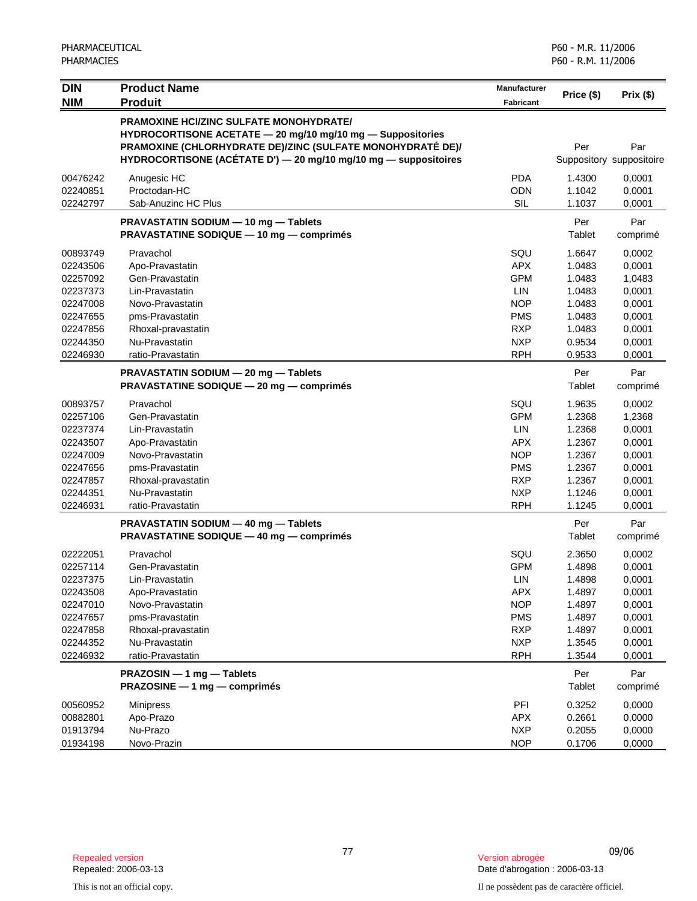| <b>DIN</b><br><b>NIM</b>                                                                                 | <b>Product Name</b><br><b>Produit</b>                                                                                                                                                                                                         | <b>Manufacturer</b><br><b>Fabricant</b>                                                                             | Price (\$)                                                                             | Prix(\$)                                                                               |
|----------------------------------------------------------------------------------------------------------|-----------------------------------------------------------------------------------------------------------------------------------------------------------------------------------------------------------------------------------------------|---------------------------------------------------------------------------------------------------------------------|----------------------------------------------------------------------------------------|----------------------------------------------------------------------------------------|
|                                                                                                          | <b>PRAMOXINE HCI/ZINC SULFATE MONOHYDRATE/</b><br>HYDROCORTISONE ACETATE - 20 mg/10 mg/10 mg - Suppositories<br>PRAMOXINE (CHLORHYDRATE DE)/ZINC (SULFATE MONOHYDRATÉ DE)/<br>HYDROCORTISONE (ACÉTATE D') - 20 mg/10 mg/10 mg - suppositoires |                                                                                                                     | Per                                                                                    | Par<br>Suppository suppositoire                                                        |
| 00476242<br>02240851<br>02242797                                                                         | Anugesic HC<br>Proctodan-HC<br>Sab-Anuzinc HC Plus                                                                                                                                                                                            | <b>PDA</b><br><b>ODN</b><br><b>SIL</b>                                                                              | 1.4300<br>1.1042<br>1.1037                                                             | 0,0001<br>0,0001<br>0,0001                                                             |
|                                                                                                          | PRAVASTATIN SODIUM - 10 mg - Tablets<br><b>PRAVASTATINE SODIQUE - 10 mg - comprimés</b>                                                                                                                                                       |                                                                                                                     | Per<br>Tablet                                                                          | Par<br>comprimé                                                                        |
| 00893749<br>02243506<br>02257092<br>02237373<br>02247008<br>02247655<br>02247856<br>02244350<br>02246930 | Pravachol<br>Apo-Pravastatin<br>Gen-Pravastatin<br>Lin-Pravastatin<br>Novo-Pravastatin<br>pms-Pravastatin<br>Rhoxal-pravastatin<br>Nu-Pravastatin<br>ratio-Pravastatin                                                                        | SQU<br><b>APX</b><br><b>GPM</b><br>LIN<br><b>NOP</b><br>PMS<br><b>RXP</b><br><b>NXP</b><br><b>RPH</b>               | 1.6647<br>1.0483<br>1.0483<br>1.0483<br>1.0483<br>1.0483<br>1.0483<br>0.9534<br>0.9533 | 0,0002<br>0,0001<br>1,0483<br>0,0001<br>0,0001<br>0,0001<br>0,0001<br>0,0001<br>0,0001 |
|                                                                                                          | PRAVASTATIN SODIUM - 20 mg - Tablets<br><b>PRAVASTATINE SODIQUE - 20 mg - comprimés</b>                                                                                                                                                       |                                                                                                                     | Per<br>Tablet                                                                          | Par<br>comprimé                                                                        |
| 00893757<br>02257106<br>02237374<br>02243507<br>02247009<br>02247656<br>02247857<br>02244351<br>02246931 | Pravachol<br>Gen-Pravastatin<br>Lin-Pravastatin<br>Apo-Pravastatin<br>Novo-Pravastatin<br>pms-Pravastatin<br>Rhoxal-pravastatin<br>Nu-Pravastatin<br>ratio-Pravastatin                                                                        | SQU<br><b>GPM</b><br><b>LIN</b><br><b>APX</b><br><b>NOP</b><br><b>PMS</b><br><b>RXP</b><br><b>NXP</b><br><b>RPH</b> | 1.9635<br>1.2368<br>1.2368<br>1.2367<br>1.2367<br>1.2367<br>1.2367<br>1.1246<br>1.1245 | 0,0002<br>1,2368<br>0,0001<br>0,0001<br>0,0001<br>0,0001<br>0,0001<br>0,0001<br>0,0001 |
|                                                                                                          | PRAVASTATIN SODIUM - 40 mg - Tablets<br>PRAVASTATINE SODIQUE - 40 mg - comprimés                                                                                                                                                              |                                                                                                                     | Per<br>Tablet                                                                          | Par<br>comprimé                                                                        |
| 02222051<br>02257114<br>02237375<br>02243508<br>02247010<br>02247657<br>02247858<br>02244352<br>02246932 | Pravachol<br>Gen-Pravastatin<br>Lin-Pravastatin<br>Apo-Pravastatin<br>Novo-Pravastatin<br>pms-Pravastatin<br>Rhoxal-pravastatin<br>Nu-Pravastatin<br>ratio-Pravastatin                                                                        | SQU<br><b>GPM</b><br>LIN<br><b>APX</b><br><b>NOP</b><br><b>PMS</b><br><b>RXP</b><br><b>NXP</b><br><b>RPH</b>        | 2.3650<br>1.4898<br>1.4898<br>1.4897<br>1.4897<br>1.4897<br>1.4897<br>1.3545<br>1.3544 | 0,0002<br>0,0001<br>0,0001<br>0,0001<br>0,0001<br>0,0001<br>0,0001<br>0,0001<br>0,0001 |
|                                                                                                          | PRAZOSIN - 1 mg - Tablets<br>PRAZOSINE - 1 mg - comprimés                                                                                                                                                                                     |                                                                                                                     | Per<br>Tablet                                                                          | Par<br>comprimé                                                                        |
| 00560952<br>00882801<br>01913794<br>01934198                                                             | Minipress<br>Apo-Prazo<br>Nu-Prazo<br>Novo-Prazin                                                                                                                                                                                             | PFI<br><b>APX</b><br><b>NXP</b><br><b>NOP</b>                                                                       | 0.3252<br>0.2661<br>0.2055<br>0.1706                                                   | 0,0000<br>0,0000<br>0,0000<br>0,0000                                                   |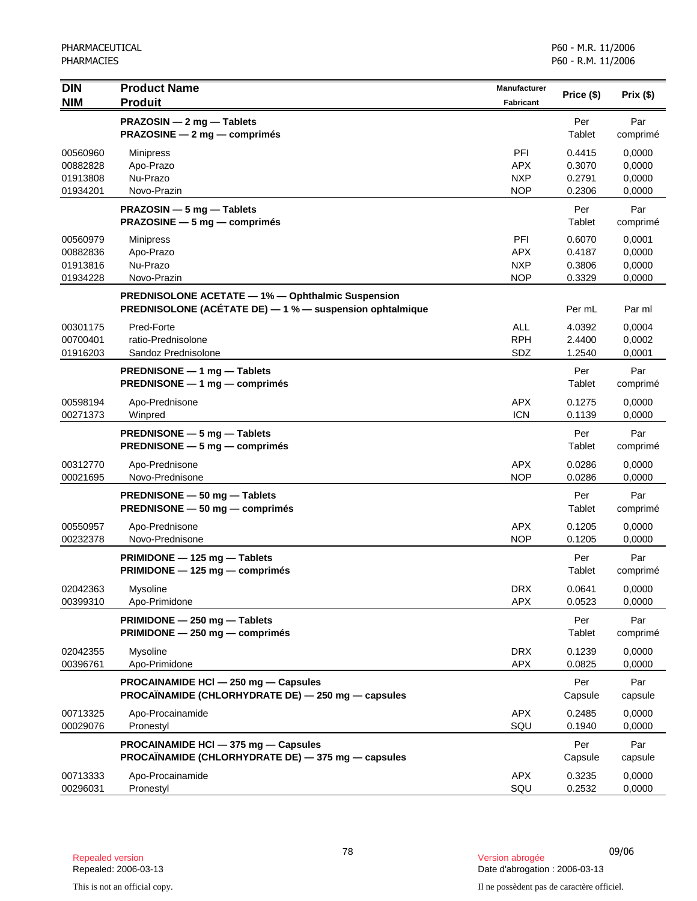| $\overline{D}$<br><b>NIM</b>                 | <b>Product Name</b><br><b>Produit</b>                                                                         | Manufacturer<br><b>Fabricant</b>              | Price (\$)                           | Prix (\$)                            |
|----------------------------------------------|---------------------------------------------------------------------------------------------------------------|-----------------------------------------------|--------------------------------------|--------------------------------------|
|                                              | PRAZOSIN - 2 mg - Tablets<br><b>PRAZOSINE</b> $- 2$ mg $-$ comprimes                                          |                                               | Per<br>Tablet                        | Par<br>comprimé                      |
| 00560960<br>00882828<br>01913808<br>01934201 | <b>Minipress</b><br>Apo-Prazo<br>Nu-Prazo<br>Novo-Prazin                                                      | PFI<br><b>APX</b><br><b>NXP</b><br><b>NOP</b> | 0.4415<br>0.3070<br>0.2791<br>0.2306 | 0,0000<br>0,0000<br>0,0000<br>0,0000 |
|                                              | PRAZOSIN - 5 mg - Tablets<br><b>PRAZOSINE</b> $-5$ mg $-$ comprimes                                           |                                               | Per<br>Tablet                        | Par<br>comprimé                      |
| 00560979<br>00882836<br>01913816<br>01934228 | <b>Minipress</b><br>Apo-Prazo<br>Nu-Prazo<br>Novo-Prazin                                                      | PFI<br><b>APX</b><br><b>NXP</b><br><b>NOP</b> | 0.6070<br>0.4187<br>0.3806<br>0.3329 | 0,0001<br>0,0000<br>0,0000<br>0,0000 |
|                                              | PREDNISOLONE ACETATE - 1% - Ophthalmic Suspension<br>PREDNISOLONE (ACÉTATE DE) - 1 % - suspension ophtalmique |                                               | Per mL                               | Par ml                               |
| 00301175<br>00700401<br>01916203             | Pred-Forte<br>ratio-Prednisolone<br>Sandoz Prednisolone                                                       | <b>ALL</b><br><b>RPH</b><br>SDZ               | 4.0392<br>2.4400<br>1.2540           | 0,0004<br>0,0002<br>0,0001           |
|                                              | PREDNISONE - 1 mg - Tablets<br>PREDNISONE - 1 mg - comprimés                                                  |                                               | Per<br>Tablet                        | Par<br>comprimé                      |
| 00598194<br>00271373                         | Apo-Prednisone<br>Winpred                                                                                     | <b>APX</b><br><b>ICN</b>                      | 0.1275<br>0.1139                     | 0,0000<br>0,0000                     |
|                                              | PREDNISONE - 5 mg - Tablets<br><b>PREDNISONE</b> $-5$ mg $-$ comprimes                                        |                                               | Per<br>Tablet                        | Par<br>comprimé                      |
| 00312770<br>00021695                         | Apo-Prednisone<br>Novo-Prednisone                                                                             | <b>APX</b><br><b>NOP</b>                      | 0.0286<br>0.0286                     | 0,0000<br>0,0000                     |
|                                              | PREDNISONE - 50 mg - Tablets<br>PREDNISONE - 50 mg - comprimés                                                |                                               | Per<br>Tablet                        | Par<br>comprimé                      |
| 00550957<br>00232378                         | Apo-Prednisone<br>Novo-Prednisone                                                                             | <b>APX</b><br><b>NOP</b>                      | 0.1205<br>0.1205                     | 0,0000<br>0,0000                     |
|                                              | PRIMIDONE - 125 mg - Tablets<br>PRIMIDONE - 125 mg - comprimés                                                |                                               | Per<br>Tablet                        | Par<br>comprimé                      |
| 02042363<br>00399310                         | Mysoline<br>Apo-Primidone                                                                                     | <b>DRX</b><br><b>APX</b>                      | 0.0641<br>0.0523                     | 0,0000<br>0,0000                     |
|                                              | PRIMIDONE - 250 mg - Tablets<br>PRIMIDONE - 250 mg - comprimés                                                |                                               | Per<br>Tablet                        | Par<br>comprimé                      |
| 02042355<br>00396761                         | Mysoline<br>Apo-Primidone                                                                                     | <b>DRX</b><br><b>APX</b>                      | 0.1239<br>0.0825                     | 0,0000<br>0,0000                     |
|                                              | PROCAINAMIDE HCI - 250 mg - Capsules<br>PROCAÏNAMIDE (CHLORHYDRATE DE) — 250 mg — capsules                    |                                               | Per<br>Capsule                       | Par<br>capsule                       |
| 00713325<br>00029076                         | Apo-Procainamide<br>Pronestyl                                                                                 | <b>APX</b><br>SQU                             | 0.2485<br>0.1940                     | 0,0000<br>0,0000                     |
|                                              | PROCAINAMIDE HCI - 375 mg - Capsules<br>PROCAÏNAMIDE (CHLORHYDRATE DE) - 375 mg - capsules                    |                                               | Per<br>Capsule                       | Par<br>capsule                       |
| 00713333<br>00296031                         | Apo-Procainamide<br>Pronestyl                                                                                 | <b>APX</b><br>SQU                             | 0.3235<br>0.2532                     | 0,0000<br>0,0000                     |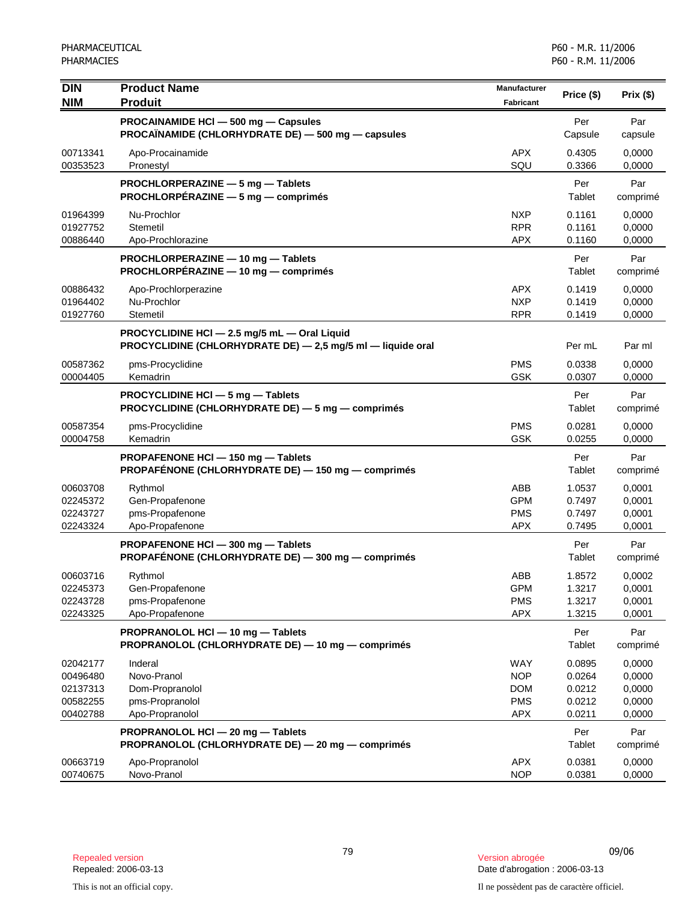| <b>DIN</b>           | <b>Product Name</b>                                                                                         | <b>Manufacturer</b>      | Price (\$)       | Prix(\$)         |
|----------------------|-------------------------------------------------------------------------------------------------------------|--------------------------|------------------|------------------|
| <b>NIM</b>           | <b>Produit</b>                                                                                              | <b>Fabricant</b>         |                  |                  |
|                      | PROCAINAMIDE HCI - 500 mg - Capsules                                                                        |                          | Per              | Par              |
|                      | PROCAÏNAMIDE (CHLORHYDRATE DE) — 500 mg — capsules                                                          |                          | Capsule          | capsule          |
| 00713341             | Apo-Procainamide                                                                                            | <b>APX</b>               | 0.4305           | 0,0000           |
| 00353523             | Pronestyl                                                                                                   | SQU                      | 0.3366           | 0,0000           |
|                      | PROCHLORPERAZINE - 5 mg - Tablets<br>PROCHLORPÉRAZINE - 5 mg - comprimés                                    |                          | Per<br>Tablet    | Par              |
|                      |                                                                                                             |                          |                  | comprimé         |
| 01964399<br>01927752 | Nu-Prochlor<br>Stemetil                                                                                     | <b>NXP</b><br><b>RPR</b> | 0.1161<br>0.1161 | 0,0000<br>0,0000 |
| 00886440             | Apo-Prochlorazine                                                                                           | <b>APX</b>               | 0.1160           | 0,0000           |
|                      | PROCHLORPERAZINE - 10 mg - Tablets                                                                          |                          | Per              | Par              |
|                      | PROCHLORPÉRAZINE - 10 mg - comprimés                                                                        |                          | Tablet           | comprimé         |
| 00886432             | Apo-Prochlorperazine                                                                                        | <b>APX</b>               | 0.1419           | 0,0000           |
| 01964402             | Nu-Prochlor                                                                                                 | <b>NXP</b>               | 0.1419           | 0,0000           |
| 01927760             | Stemetil                                                                                                    | <b>RPR</b>               | 0.1419           | 0,0000           |
|                      | PROCYCLIDINE HCI - 2.5 mg/5 mL - Oral Liquid<br>PROCYCLIDINE (CHLORHYDRATE DE) - 2,5 mg/5 ml - liquide oral |                          | Per mL           | Par ml           |
| 00587362             |                                                                                                             | <b>PMS</b>               | 0.0338           | 0,0000           |
| 00004405             | pms-Procyclidine<br>Kemadrin                                                                                | GSK                      | 0.0307           | 0,0000           |
|                      | PROCYCLIDINE HCI - 5 mg - Tablets                                                                           |                          | Per              | Par              |
|                      | PROCYCLIDINE (CHLORHYDRATE DE) - 5 mg - comprimés                                                           |                          | Tablet           | comprimé         |
| 00587354             | pms-Procyclidine                                                                                            | <b>PMS</b>               | 0.0281           | 0,0000           |
| 00004758             | Kemadrin                                                                                                    | <b>GSK</b>               | 0.0255           | 0,0000           |
|                      | PROPAFENONE HCI-150 mg-Tablets                                                                              |                          | Per              | Par              |
|                      | PROPAFÉNONE (CHLORHYDRATE DE) - 150 mg - comprimés                                                          |                          | Tablet           | comprimé         |
| 00603708<br>02245372 | Rythmol<br>Gen-Propafenone                                                                                  | ABB<br><b>GPM</b>        | 1.0537<br>0.7497 | 0,0001<br>0,0001 |
| 02243727             | pms-Propafenone                                                                                             | <b>PMS</b>               | 0.7497           | 0,0001           |
| 02243324             | Apo-Propafenone                                                                                             | <b>APX</b>               | 0.7495           | 0,0001           |
|                      | PROPAFENONE HCI - 300 mg - Tablets                                                                          |                          | Per              | Par              |
|                      | PROPAFÉNONE (CHLORHYDRATE DE) - 300 mg - comprimés                                                          |                          | Tablet           | comprimé         |
| 00603716             | Rythmol                                                                                                     | <b>ABB</b>               | 1.8572           | 0,0002           |
| 02245373             | Gen-Propafenone                                                                                             | <b>GPM</b>               | 1.3217           | 0,0001           |
| 02243728             | pms-Propafenone                                                                                             | PMS                      | 1.3217           | 0,0001           |
| 02243325             | Apo-Propafenone                                                                                             | <b>APX</b>               | 1.3215           | 0,0001           |
|                      | PROPRANOLOL HCI - 10 mg - Tablets                                                                           |                          | Per              | Par              |
|                      | PROPRANOLOL (CHLORHYDRATE DE) - 10 mg - comprimés                                                           |                          | Tablet           | comprimé         |
| 02042177             | Inderal                                                                                                     | <b>WAY</b>               | 0.0895           | 0,0000           |
| 00496480             | Novo-Pranol                                                                                                 | <b>NOP</b>               | 0.0264           | 0,0000           |
| 02137313             | Dom-Propranolol                                                                                             | <b>DOM</b>               | 0.0212           | 0,0000           |
| 00582255             | pms-Propranolol<br>Apo-Propranolol                                                                          | <b>PMS</b><br><b>APX</b> | 0.0212<br>0.0211 | 0,0000<br>0,0000 |
| 00402788             |                                                                                                             |                          |                  |                  |
|                      | PROPRANOLOL HCI - 20 mg - Tablets<br>PROPRANOLOL (CHLORHYDRATE DE) - 20 mg - comprimés                      |                          | Per<br>Tablet    | Par<br>comprimé  |
| 00663719             | Apo-Propranolol                                                                                             | <b>APX</b>               | 0.0381           | 0,0000           |
| 00740675             | Novo-Pranol                                                                                                 | <b>NOP</b>               | 0.0381           | 0,0000           |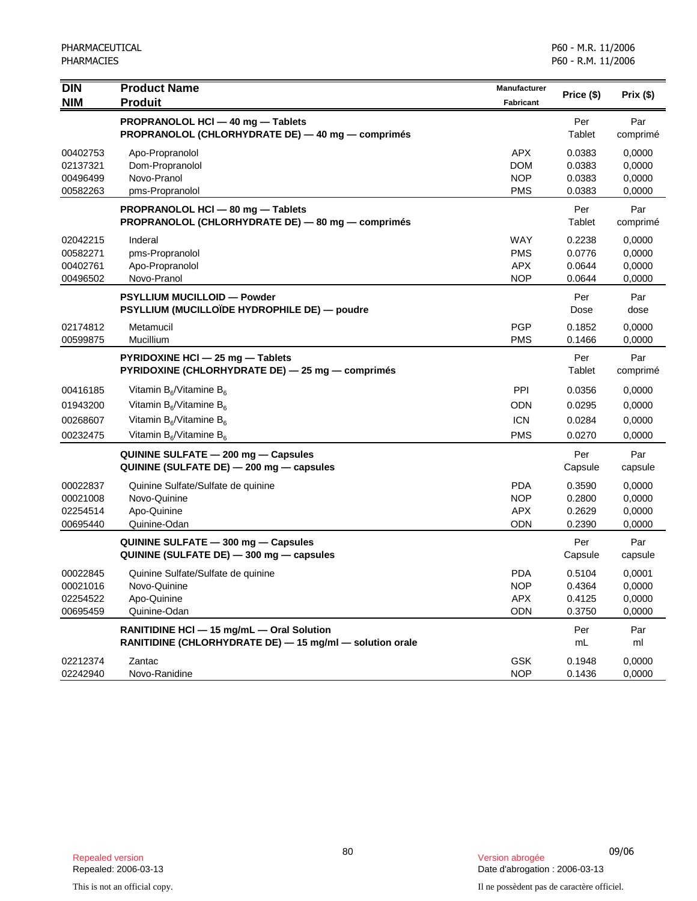| $\overline{D}$<br><b>NIM</b>                 | <b>Product Name</b><br><b>Produit</b>                                                                                            | Manufacturer<br><b>Fabricant</b>                     | Price (\$)                           | Prix (\$)                            |
|----------------------------------------------|----------------------------------------------------------------------------------------------------------------------------------|------------------------------------------------------|--------------------------------------|--------------------------------------|
|                                              | PROPRANOLOL HCI - 40 mg - Tablets<br>PROPRANOLOL (CHLORHYDRATE DE) - 40 mg - comprimés                                           |                                                      | Per<br>Tablet                        | Par<br>comprimé                      |
| 00402753<br>02137321<br>00496499<br>00582263 | Apo-Propranolol<br>Dom-Propranolol<br>Novo-Pranol<br>pms-Propranolol                                                             | <b>APX</b><br><b>DOM</b><br><b>NOP</b><br><b>PMS</b> | 0.0383<br>0.0383<br>0.0383<br>0.0383 | 0,0000<br>0,0000<br>0,0000<br>0,0000 |
|                                              | PROPRANOLOL HCI - 80 mg - Tablets<br>PROPRANOLOL (CHLORHYDRATE DE) - 80 mg - comprimés                                           |                                                      | Per<br>Tablet                        | Par<br>comprimé                      |
| 02042215<br>00582271<br>00402761<br>00496502 | Inderal<br>pms-Propranolol<br>Apo-Propranolol<br>Novo-Pranol                                                                     | WAY<br><b>PMS</b><br><b>APX</b><br><b>NOP</b>        | 0.2238<br>0.0776<br>0.0644<br>0.0644 | 0,0000<br>0,0000<br>0,0000<br>0,0000 |
|                                              | <b>PSYLLIUM MUCILLOID - Powder</b><br>PSYLLIUM (MUCILLOÏDE HYDROPHILE DE) — poudre                                               |                                                      | Per<br>Dose                          | Par<br>dose                          |
| 02174812<br>00599875                         | Metamucil<br>Mucillium                                                                                                           | <b>PGP</b><br><b>PMS</b>                             | 0.1852<br>0.1466                     | 0.0000<br>0,0000                     |
|                                              | PYRIDOXINE HCI - 25 mg - Tablets<br>PYRIDOXINE (CHLORHYDRATE DE) - 25 mg - comprimés                                             |                                                      | Per<br>Tablet                        | Par<br>comprimé                      |
| 00416185<br>01943200<br>00268607<br>00232475 | Vitamin $B_6$ /Vitamine $B_6$<br>Vitamin $B_6$ /Vitamine $B_6$<br>Vitamin $B_6$ /Vitamine $B_6$<br>Vitamin $B_6$ /Vitamine $B_6$ | PPI<br><b>ODN</b><br><b>ICN</b><br><b>PMS</b>        | 0.0356<br>0.0295<br>0.0284<br>0.0270 | 0,0000<br>0,0000<br>0,0000<br>0,0000 |
|                                              | QUININE SULFATE - 200 mg - Capsules<br>QUININE (SULFATE DE) - 200 mg - capsules                                                  |                                                      | Per<br>Capsule                       | Par<br>capsule                       |
| 00022837<br>00021008<br>02254514<br>00695440 | Quinine Sulfate/Sulfate de quinine<br>Novo-Quinine<br>Apo-Quinine<br>Quinine-Odan                                                | <b>PDA</b><br><b>NOP</b><br><b>APX</b><br><b>ODN</b> | 0.3590<br>0.2800<br>0.2629<br>0.2390 | 0,0000<br>0,0000<br>0,0000<br>0,0000 |
|                                              | QUININE SULFATE - 300 mg - Capsules<br>QUININE (SULFATE DE) - 300 mg - capsules                                                  |                                                      | Per<br>Capsule                       | Par<br>capsule                       |
| 00022845<br>00021016<br>02254522<br>00695459 | Quinine Sulfate/Sulfate de quinine<br>Novo-Quinine<br>Apo-Quinine<br>Quinine-Odan                                                | <b>PDA</b><br><b>NOP</b><br><b>APX</b><br><b>ODN</b> | 0.5104<br>0.4364<br>0.4125<br>0.3750 | 0,0001<br>0,0000<br>0,0000<br>0,0000 |
|                                              | RANITIDINE HCI - 15 mg/mL - Oral Solution<br>RANITIDINE (CHLORHYDRATE DE) - 15 mg/ml - solution orale                            |                                                      | Per<br>mL                            | Par<br>ml                            |
| 02212374<br>02242940                         | Zantac<br>Novo-Ranidine                                                                                                          | <b>GSK</b><br><b>NOP</b>                             | 0.1948<br>0.1436                     | 0,0000<br>0,0000                     |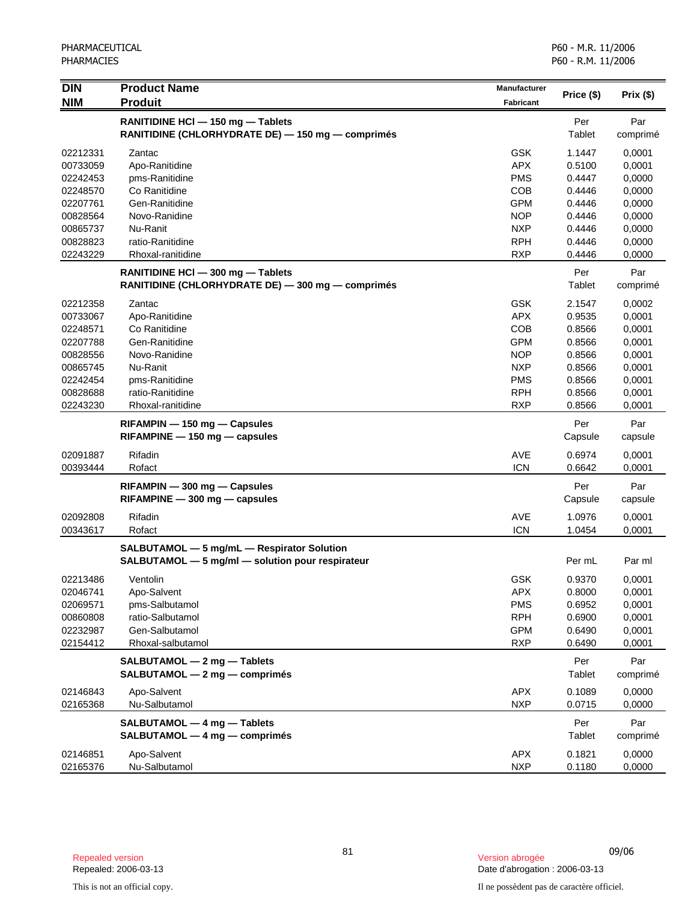| <b>DIN</b> | <b>Product Name</b>                                                 | <b>Manufacturer</b> |            |          |
|------------|---------------------------------------------------------------------|---------------------|------------|----------|
| <b>NIM</b> | <b>Produit</b>                                                      | <b>Fabricant</b>    | Price (\$) | Prix(\$) |
|            | RANITIDINE HCI - 150 mg - Tablets                                   |                     | Per        | Par      |
|            | RANITIDINE (CHLORHYDRATE DE) - 150 mg - comprimés                   |                     | Tablet     | comprimé |
| 02212331   | Zantac                                                              | <b>GSK</b>          | 1.1447     | 0,0001   |
| 00733059   | Apo-Ranitidine                                                      | <b>APX</b>          | 0.5100     | 0,0001   |
| 02242453   | pms-Ranitidine                                                      | <b>PMS</b>          | 0.4447     | 0,0000   |
| 02248570   | Co Ranitidine                                                       | <b>COB</b>          | 0.4446     | 0,0000   |
| 02207761   | Gen-Ranitidine                                                      | <b>GPM</b>          | 0.4446     | 0,0000   |
| 00828564   | Novo-Ranidine                                                       | <b>NOP</b>          | 0.4446     | 0,0000   |
| 00865737   | Nu-Ranit                                                            | <b>NXP</b>          | 0.4446     | 0,0000   |
| 00828823   | ratio-Ranitidine                                                    | <b>RPH</b>          | 0.4446     | 0,0000   |
| 02243229   | Rhoxal-ranitidine                                                   | <b>RXP</b>          | 0.4446     | 0,0000   |
|            | RANITIDINE HCI - 300 mg - Tablets                                   |                     | Per        | Par      |
|            | RANITIDINE (CHLORHYDRATE DE) - 300 mg - comprimés                   |                     | Tablet     | comprimé |
| 02212358   | Zantac                                                              | <b>GSK</b>          | 2.1547     | 0,0002   |
| 00733067   | Apo-Ranitidine                                                      | <b>APX</b>          | 0.9535     | 0,0001   |
| 02248571   | Co Ranitidine                                                       | <b>COB</b>          | 0.8566     | 0,0001   |
| 02207788   | Gen-Ranitidine                                                      | <b>GPM</b>          | 0.8566     | 0,0001   |
| 00828556   | Novo-Ranidine                                                       | <b>NOP</b>          | 0.8566     | 0,0001   |
| 00865745   | Nu-Ranit                                                            | <b>NXP</b>          | 0.8566     | 0,0001   |
| 02242454   | pms-Ranitidine                                                      | <b>PMS</b>          | 0.8566     | 0,0001   |
| 00828688   | ratio-Ranitidine                                                    | <b>RPH</b>          | 0.8566     | 0,0001   |
| 02243230   | Rhoxal-ranitidine                                                   | <b>RXP</b>          | 0.8566     | 0,0001   |
|            |                                                                     |                     | Per        | Par      |
|            | $RIFAMPIN - 150 mg - Capsules$<br>$RIFAMPINE - 150$ mg $-$ capsules |                     | Capsule    | capsule  |
| 02091887   | Rifadin                                                             | AVE                 | 0.6974     | 0,0001   |
| 00393444   | Rofact                                                              | <b>ICN</b>          | 0.6642     | 0,0001   |
|            | RIFAMPIN - 300 mg - Capsules                                        |                     | Per        | Par      |
|            | $RIFAMPINE - 300 mg - capsules$                                     |                     | Capsule    | capsule  |
| 02092808   | Rifadin                                                             | <b>AVE</b>          | 1.0976     | 0,0001   |
| 00343617   | Rofact                                                              | <b>ICN</b>          | 1.0454     | 0,0001   |
|            | SALBUTAMOL - 5 mg/mL - Respirator Solution                          |                     |            |          |
|            | SALBUTAMOL - 5 mg/ml - solution pour respirateur                    |                     | Per mL     | Par ml   |
| 02213486   | Ventolin                                                            | <b>GSK</b>          | 0.9370     | 0,0001   |
| 02046741   | Apo-Salvent                                                         | APX                 | 0.8000     | 0,0001   |
| 02069571   | pms-Salbutamol                                                      | <b>PMS</b>          | 0.6952     | 0,0001   |
| 00860808   | ratio-Salbutamol                                                    | <b>RPH</b>          | 0.6900     | 0,0001   |
| 02232987   | Gen-Salbutamol                                                      | <b>GPM</b>          | 0.6490     | 0,0001   |
| 02154412   | Rhoxal-salbutamol                                                   | <b>RXP</b>          | 0.6490     | 0,0001   |
|            | SALBUTAMOL - 2 mg - Tablets                                         |                     | Per        | Par      |
|            | SALBUTAMOL - 2 mg - comprimés                                       |                     | Tablet     | comprimé |
| 02146843   | Apo-Salvent                                                         | <b>APX</b>          | 0.1089     | 0.0000   |
| 02165368   | Nu-Salbutamol                                                       | <b>NXP</b>          | 0.0715     | 0,0000   |
|            | SALBUTAMOL - 4 mg - Tablets                                         |                     | Per        | Par      |
|            | SALBUTAMOL - 4 mg - comprimés                                       |                     | Tablet     | comprimé |
| 02146851   | Apo-Salvent                                                         | <b>APX</b>          | 0.1821     | 0,0000   |
| 02165376   | Nu-Salbutamol                                                       | <b>NXP</b>          | 0.1180     | 0,0000   |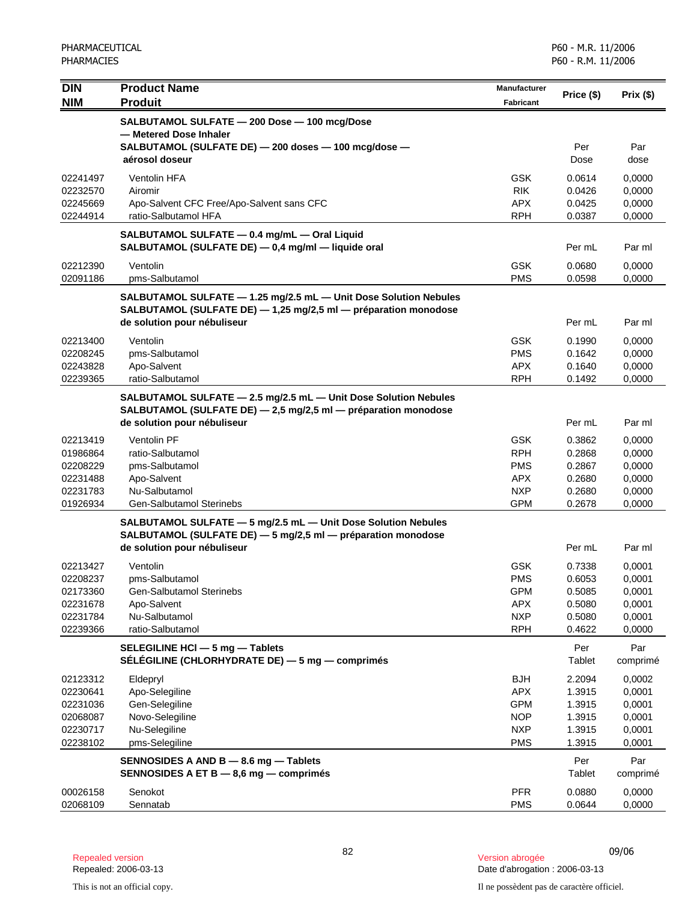| <b>DIN</b>           | <b>Product Name</b>                                                                                                                 | <b>Manufacturer</b>      | Price (\$)       | Prix(\$)         |
|----------------------|-------------------------------------------------------------------------------------------------------------------------------------|--------------------------|------------------|------------------|
| <b>NIM</b>           | <b>Produit</b>                                                                                                                      | <b>Fabricant</b>         |                  |                  |
|                      | SALBUTAMOL SULFATE - 200 Dose - 100 mcg/Dose<br>- Metered Dose Inhaler                                                              |                          |                  |                  |
|                      | SALBUTAMOL (SULFATE DE) - 200 doses - 100 mcg/dose -<br>aérosol doseur                                                              |                          | Per<br>Dose      | Par<br>dose      |
| 02241497             | <b>Ventolin HFA</b>                                                                                                                 | <b>GSK</b>               | 0.0614           | 0,0000           |
| 02232570             | Airomir                                                                                                                             | <b>RIK</b>               | 0.0426           | 0,0000           |
| 02245669             | Apo-Salvent CFC Free/Apo-Salvent sans CFC                                                                                           | <b>APX</b>               | 0.0425           | 0,0000           |
| 02244914             | ratio-Salbutamol HFA                                                                                                                | <b>RPH</b>               | 0.0387           | 0,0000           |
|                      | SALBUTAMOL SULFATE - 0.4 mg/mL - Oral Liquid<br>SALBUTAMOL (SULFATE DE) - 0,4 mg/ml - liquide oral                                  |                          | Per mL           | Par ml           |
| 02212390             | Ventolin                                                                                                                            | <b>GSK</b>               | 0.0680           | 0,0000           |
| 02091186             | pms-Salbutamol                                                                                                                      | <b>PMS</b>               | 0.0598           | 0,0000           |
|                      | SALBUTAMOL SULFATE - 1.25 mg/2.5 mL - Unit Dose Solution Nebules<br>SALBUTAMOL (SULFATE DE) - 1,25 mg/2,5 ml - préparation monodose |                          |                  |                  |
|                      | de solution pour nébuliseur                                                                                                         |                          | Per mL           | Par ml           |
| 02213400             | Ventolin                                                                                                                            | <b>GSK</b>               | 0.1990           | 0,0000           |
| 02208245             | pms-Salbutamol                                                                                                                      | <b>PMS</b>               | 0.1642           | 0,0000           |
| 02243828             | Apo-Salvent                                                                                                                         | APX.                     | 0.1640           | 0,0000           |
| 02239365             | ratio-Salbutamol                                                                                                                    | <b>RPH</b>               | 0.1492           | 0,0000           |
|                      | SALBUTAMOL SULFATE - 2.5 mg/2.5 mL - Unit Dose Solution Nebules<br>SALBUTAMOL (SULFATE DE) - 2,5 mg/2,5 ml - préparation monodose   |                          |                  |                  |
|                      | de solution pour nébuliseur                                                                                                         |                          | Per mL           | Par ml           |
| 02213419             | <b>Ventolin PF</b>                                                                                                                  | <b>GSK</b>               | 0.3862           | 0,0000           |
| 01986864             | ratio-Salbutamol                                                                                                                    | <b>RPH</b>               | 0.2868           | 0,0000           |
| 02208229             | pms-Salbutamol                                                                                                                      | <b>PMS</b><br><b>APX</b> | 0.2867<br>0.2680 | 0,0000           |
| 02231488<br>02231783 | Apo-Salvent<br>Nu-Salbutamol                                                                                                        | <b>NXP</b>               | 0.2680           | 0,0000<br>0,0000 |
| 01926934             | Gen-Salbutamol Sterinebs                                                                                                            | <b>GPM</b>               | 0.2678           | 0,0000           |
|                      | SALBUTAMOL SULFATE - 5 mg/2.5 mL - Unit Dose Solution Nebules                                                                       |                          |                  |                  |
|                      | SALBUTAMOL (SULFATE DE) - 5 mg/2,5 ml - préparation monodose                                                                        |                          |                  |                  |
|                      | de solution pour nébuliseur                                                                                                         |                          | Per mL           | Par ml           |
| 02213427             | Ventolin                                                                                                                            | <b>GSK</b>               | 0.7338           | 0,0001           |
| 02208237             | pms-Salbutamol                                                                                                                      | <b>PMS</b>               | 0.6053           | 0,0001           |
| 02173360<br>02231678 | Gen-Salbutamol Sterinebs<br>Apo-Salvent                                                                                             | <b>GPM</b><br><b>APX</b> | 0.5085<br>0.5080 | 0,0001<br>0,0001 |
| 02231784             | Nu-Salbutamol                                                                                                                       | <b>NXP</b>               | 0.5080           | 0,0001           |
| 02239366             | ratio-Salbutamol                                                                                                                    | <b>RPH</b>               | 0.4622           | 0,0000           |
|                      | SELEGILINE HCI - 5 mg - Tablets                                                                                                     |                          | Per              | Par              |
|                      | SÉLÉGILINE (CHLORHYDRATE DE) - 5 mg - comprimés                                                                                     |                          | Tablet           | comprimé         |
| 02123312             | Eldepryl                                                                                                                            | <b>BJH</b>               | 2.2094           | 0,0002           |
| 02230641             | Apo-Selegiline                                                                                                                      | <b>APX</b>               | 1.3915           | 0,0001           |
| 02231036<br>02068087 | Gen-Selegiline<br>Novo-Selegiline                                                                                                   | <b>GPM</b><br><b>NOP</b> | 1.3915<br>1.3915 | 0,0001<br>0,0001 |
| 02230717             | Nu-Selegiline                                                                                                                       | <b>NXP</b>               | 1.3915           | 0,0001           |
| 02238102             | pms-Selegiline                                                                                                                      | <b>PMS</b>               | 1.3915           | 0,0001           |
|                      | SENNOSIDES A AND B - 8.6 mg - Tablets                                                                                               |                          | Per              | Par              |
|                      | SENNOSIDES A ET B - 8,6 mg - comprimés                                                                                              |                          | Tablet           | comprimé         |
| 00026158             | Senokot                                                                                                                             | <b>PFR</b>               | 0.0880           | 0,0000           |
| 02068109             | Sennatab                                                                                                                            | <b>PMS</b>               | 0.0644           | 0,0000           |

Date d'abrogation : 2006-03-13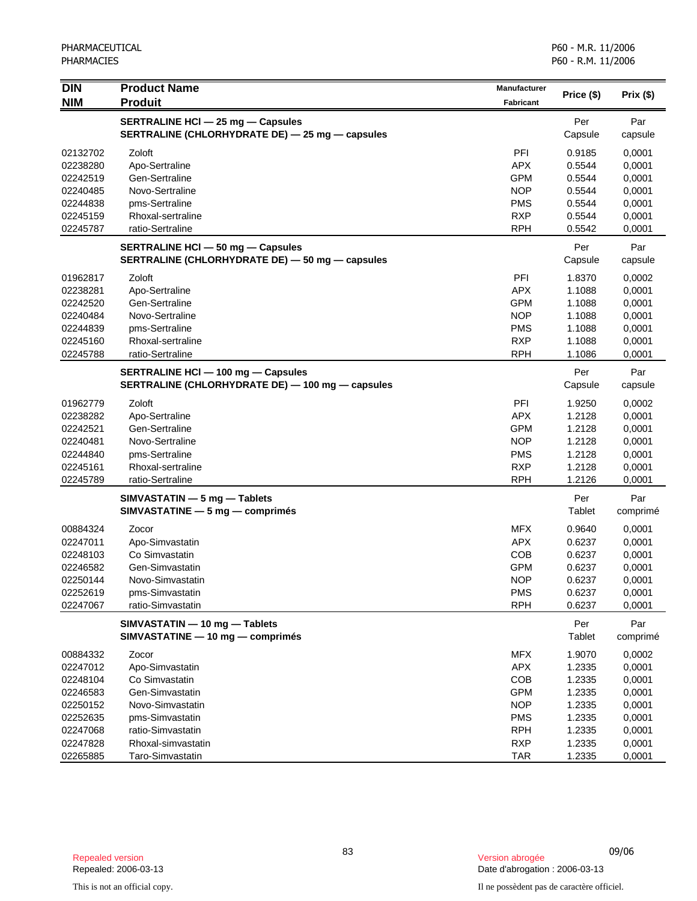| <b>DIN</b><br><b>NIM</b> | <b>Product Name</b><br><b>Produit</b>                                                         | <b>Manufacturer</b><br>Fabricant | Price (\$)       | $Prix($ \$)      |
|--------------------------|-----------------------------------------------------------------------------------------------|----------------------------------|------------------|------------------|
|                          | <b>SERTRALINE HCI - 25 mg - Capsules</b><br>SERTRALINE (CHLORHYDRATE DE) - 25 mg - capsules   |                                  | Per<br>Capsule   | Par<br>capsule   |
|                          |                                                                                               |                                  |                  |                  |
| 02132702                 | Zoloft                                                                                        | PFI                              | 0.9185           | 0,0001           |
| 02238280                 | Apo-Sertraline                                                                                | <b>APX</b>                       | 0.5544           | 0,0001           |
| 02242519                 | Gen-Sertraline                                                                                | <b>GPM</b>                       | 0.5544           | 0,0001           |
| 02240485                 | Novo-Sertraline                                                                               | <b>NOP</b>                       | 0.5544<br>0.5544 | 0,0001           |
| 02244838<br>02245159     | pms-Sertraline<br>Rhoxal-sertraline                                                           | <b>PMS</b><br><b>RXP</b>         | 0.5544           | 0,0001<br>0,0001 |
| 02245787                 | ratio-Sertraline                                                                              | <b>RPH</b>                       | 0.5542           | 0,0001           |
|                          | <b>SERTRALINE HCI - 50 mg - Capsules</b>                                                      |                                  | Per              | Par              |
|                          | SERTRALINE (CHLORHYDRATE DE) - 50 mg - capsules                                               |                                  | Capsule          | capsule          |
| 01962817                 | Zoloft                                                                                        | PFI                              | 1.8370           | 0,0002           |
| 02238281                 | Apo-Sertraline                                                                                | <b>APX</b>                       | 1.1088           | 0,0001           |
| 02242520                 | Gen-Sertraline                                                                                | <b>GPM</b>                       | 1.1088           | 0,0001           |
| 02240484                 | Novo-Sertraline                                                                               | <b>NOP</b>                       | 1.1088           | 0,0001           |
| 02244839                 | pms-Sertraline                                                                                | <b>PMS</b>                       | 1.1088           | 0,0001           |
| 02245160<br>02245788     | Rhoxal-sertraline<br>ratio-Sertraline                                                         | <b>RXP</b><br><b>RPH</b>         | 1.1088<br>1.1086 | 0,0001<br>0,0001 |
|                          |                                                                                               |                                  |                  |                  |
|                          | <b>SERTRALINE HCI - 100 mg - Capsules</b><br>SERTRALINE (CHLORHYDRATE DE) - 100 mg - capsules |                                  | Per<br>Capsule   | Par<br>capsule   |
| 01962779                 | Zoloft                                                                                        | PFI                              | 1.9250           | 0,0002           |
| 02238282                 | Apo-Sertraline                                                                                | <b>APX</b>                       | 1.2128           | 0,0001           |
| 02242521                 | Gen-Sertraline                                                                                | <b>GPM</b>                       | 1.2128           | 0,0001           |
| 02240481                 | Novo-Sertraline                                                                               | <b>NOP</b>                       | 1.2128           | 0,0001           |
| 02244840                 | pms-Sertraline                                                                                | <b>PMS</b>                       | 1.2128           | 0,0001           |
| 02245161                 | Rhoxal-sertraline                                                                             | <b>RXP</b>                       | 1.2128           | 0,0001           |
| 02245789                 | ratio-Sertraline                                                                              | <b>RPH</b>                       | 1.2126           | 0,0001           |
|                          | SIMVASTATIN - 5 mg - Tablets                                                                  |                                  | Per              | Par              |
|                          | SIMVASTATINE - 5 mg - comprimés                                                               |                                  | Tablet           | comprimé         |
| 00884324                 | Zocor                                                                                         | <b>MFX</b>                       | 0.9640           | 0,0001           |
| 02247011                 | Apo-Simvastatin                                                                               | <b>APX</b>                       | 0.6237           | 0,0001           |
| 02248103                 | Co Simvastatin                                                                                | COB                              | 0.6237           | 0,0001           |
| 02246582                 | Gen-Simvastatin                                                                               | <b>GPM</b>                       | 0.6237           | 0,0001           |
| 02250144                 | Novo-Simvastatin                                                                              | <b>NOP</b>                       | 0.6237           | 0,0001           |
| 02252619<br>02247067     | pms-Simvastatin<br>ratio-Simvastatin                                                          | <b>PMS</b><br><b>RPH</b>         | 0.6237<br>0.6237 | 0,0001<br>0,0001 |
|                          | SIMVASTATIN - 10 mg - Tablets                                                                 |                                  | Per              | Par              |
|                          | SIMVASTATINE - 10 mg - comprimés                                                              |                                  | Tablet           | comprimé         |
| 00884332                 | Zocor                                                                                         | <b>MFX</b>                       | 1.9070           | 0,0002           |
| 02247012                 | Apo-Simvastatin                                                                               | <b>APX</b>                       | 1.2335           | 0,0001           |
| 02248104                 | Co Simvastatin                                                                                | COB                              | 1.2335           | 0,0001           |
| 02246583                 | Gen-Simvastatin                                                                               | <b>GPM</b>                       | 1.2335           | 0,0001           |
| 02250152                 | Novo-Simvastatin                                                                              | <b>NOP</b>                       | 1.2335           | 0,0001           |
| 02252635                 | pms-Simvastatin                                                                               | <b>PMS</b>                       | 1.2335           | 0,0001           |
| 02247068                 | ratio-Simvastatin                                                                             | <b>RPH</b>                       | 1.2335           | 0,0001           |
| 02247828                 | Rhoxal-simvastatin                                                                            | <b>RXP</b>                       | 1.2335           | 0,0001           |
| 02265885                 | Taro-Simvastatin                                                                              | <b>TAR</b>                       | 1.2335           | 0,0001           |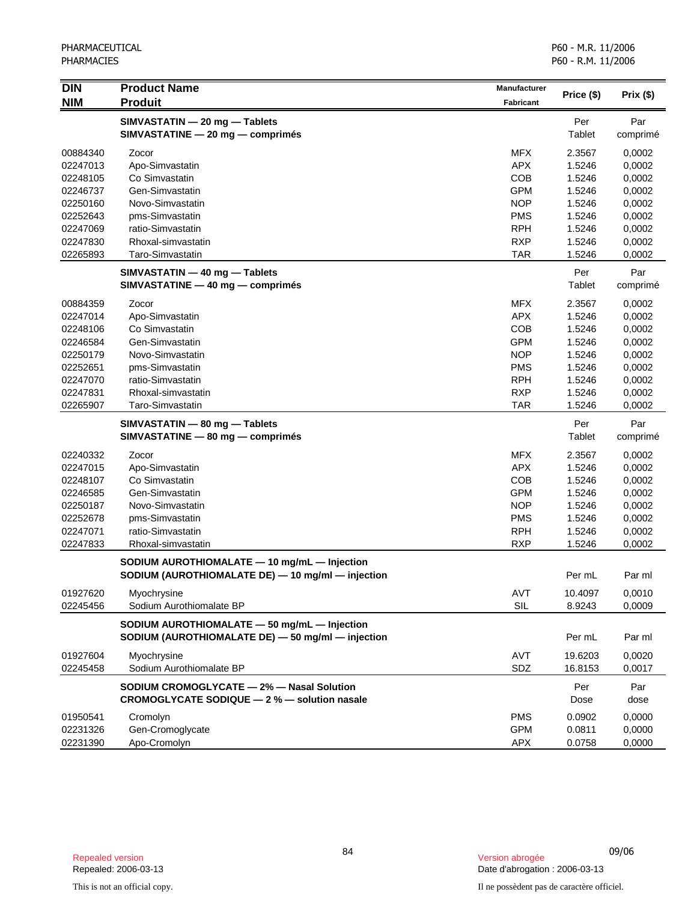| <b>DIN</b> | <b>Product Name</b><br><b>Produit</b>             | <b>Manufacturer</b> |            | Prix(\$) |
|------------|---------------------------------------------------|---------------------|------------|----------|
| <b>NIM</b> |                                                   | <b>Fabricant</b>    | Price (\$) |          |
|            | SIMVASTATIN - 20 mg - Tablets                     |                     | Per        | Par      |
|            | SIMVASTATINE - 20 mg - comprimés                  |                     | Tablet     | comprimé |
| 00884340   | Zocor                                             | <b>MFX</b>          | 2.3567     | 0,0002   |
| 02247013   | Apo-Simvastatin                                   | <b>APX</b>          | 1.5246     | 0,0002   |
| 02248105   | Co Simvastatin                                    | <b>COB</b>          | 1.5246     | 0,0002   |
| 02246737   | Gen-Simvastatin                                   | <b>GPM</b>          | 1.5246     | 0,0002   |
| 02250160   | Novo-Simvastatin                                  | <b>NOP</b>          | 1.5246     | 0,0002   |
| 02252643   | pms-Simvastatin                                   | <b>PMS</b>          | 1.5246     | 0,0002   |
| 02247069   | ratio-Simvastatin                                 | <b>RPH</b>          | 1.5246     | 0,0002   |
| 02247830   | Rhoxal-simvastatin                                | <b>RXP</b>          | 1.5246     | 0,0002   |
| 02265893   | Taro-Simvastatin                                  | TAR                 | 1.5246     | 0,0002   |
|            | SIMVASTATIN - 40 mg - Tablets                     |                     | Per        | Par      |
|            | SIMVASTATINE - 40 mg - comprimés                  |                     | Tablet     | comprimé |
| 00884359   | Zocor                                             | <b>MFX</b>          | 2.3567     | 0,0002   |
| 02247014   | Apo-Simvastatin                                   | <b>APX</b>          | 1.5246     | 0,0002   |
| 02248106   | Co Simvastatin                                    | COB                 | 1.5246     | 0,0002   |
| 02246584   | Gen-Simvastatin                                   | <b>GPM</b>          | 1.5246     | 0,0002   |
| 02250179   | Novo-Simvastatin                                  | <b>NOP</b>          | 1.5246     | 0,0002   |
| 02252651   | pms-Simvastatin                                   | <b>PMS</b>          | 1.5246     | 0,0002   |
| 02247070   | ratio-Simvastatin                                 | <b>RPH</b>          | 1.5246     | 0,0002   |
| 02247831   | Rhoxal-simvastatin                                | <b>RXP</b>          | 1.5246     | 0,0002   |
| 02265907   | Taro-Simvastatin                                  | <b>TAR</b>          | 1.5246     | 0,0002   |
|            | SIMVASTATIN - 80 mg - Tablets                     |                     | Per        | Par      |
|            | SIMVASTATINE - 80 mg - comprimés                  |                     | Tablet     | comprimé |
| 02240332   | Zocor                                             | <b>MFX</b>          | 2.3567     | 0,0002   |
| 02247015   | Apo-Simvastatin                                   | <b>APX</b>          | 1.5246     | 0,0002   |
| 02248107   | Co Simvastatin                                    | COB                 | 1.5246     | 0,0002   |
| 02246585   | Gen-Simvastatin                                   | <b>GPM</b>          | 1.5246     | 0,0002   |
| 02250187   | Novo-Simvastatin                                  | <b>NOP</b>          | 1.5246     | 0,0002   |
| 02252678   | pms-Simvastatin                                   | <b>PMS</b>          | 1.5246     | 0,0002   |
| 02247071   | ratio-Simvastatin                                 | <b>RPH</b>          | 1.5246     | 0,0002   |
| 02247833   | Rhoxal-simvastatin                                | <b>RXP</b>          | 1.5246     | 0,0002   |
|            | SODIUM AUROTHIOMALATE - 10 mg/mL - Injection      |                     |            |          |
|            | SODIUM (AUROTHIOMALATE DE) - 10 mg/ml - injection |                     | Per mL     | Par ml   |
| 01927620   | Myochrysine                                       | AVT                 | 10.4097    | 0,0010   |
| 02245456   | Sodium Aurothiomalate BP                          | SIL                 | 8.9243     | 0,0009   |
|            | SODIUM AUROTHIOMALATE - 50 mg/mL - Injection      |                     |            |          |
|            | SODIUM (AUROTHIOMALATE DE) - 50 mg/ml - injection |                     | Per mL     | Par ml   |
| 01927604   | Myochrysine                                       | AVT                 | 19.6203    | 0.0020   |
| 02245458   | Sodium Aurothiomalate BP                          | SDZ                 | 16.8153    | 0,0017   |
|            | SODIUM CROMOGLYCATE - 2% - Nasal Solution         |                     | Per        | Par      |
|            | CROMOGLYCATE SODIQUE - 2 % - solution nasale      |                     | Dose       | dose     |
| 01950541   | Cromolyn                                          | <b>PMS</b>          | 0.0902     | 0,0000   |
| 02231326   | Gen-Cromoglycate                                  | <b>GPM</b>          | 0.0811     | 0,0000   |
| 02231390   | Apo-Cromolyn                                      | APX                 | 0.0758     | 0,0000   |

<sup>84</sup> 09/06 Repealed version Version abrogée Date d'abrogation : 2006-03-13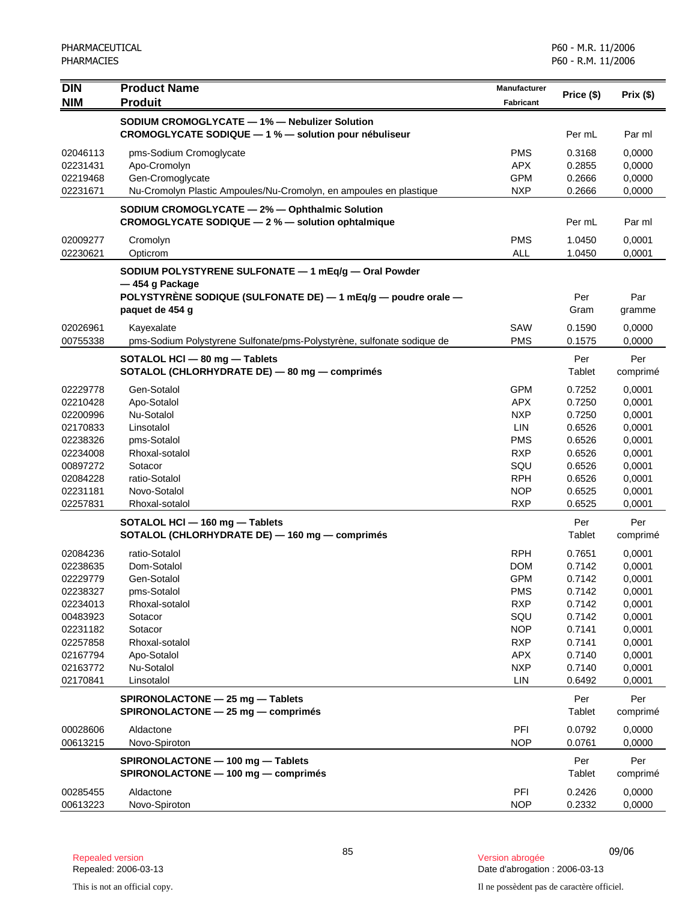| <b>DIN</b><br><b>NIM</b> | <b>Product Name</b><br><b>Produit</b>                                                               | Manufacturer<br><b>Fabricant</b> | Price (\$)       | Prix(\$)         |
|--------------------------|-----------------------------------------------------------------------------------------------------|----------------------------------|------------------|------------------|
|                          | SODIUM CROMOGLYCATE - 1% - Nebulizer Solution                                                       |                                  |                  |                  |
|                          | CROMOGLYCATE SODIQUE - 1 % - solution pour nébuliseur                                               |                                  | Per mL           | Par ml           |
| 02046113                 | pms-Sodium Cromoglycate                                                                             | <b>PMS</b>                       | 0.3168           | 0,0000           |
| 02231431                 | Apo-Cromolyn                                                                                        | <b>APX</b>                       | 0.2855           | 0,0000           |
| 02219468                 | Gen-Cromoglycate                                                                                    | <b>GPM</b>                       | 0.2666           | 0,0000           |
| 02231671                 | Nu-Cromolyn Plastic Ampoules/Nu-Cromolyn, en ampoules en plastique                                  | <b>NXP</b>                       | 0.2666           | 0,0000           |
|                          | SODIUM CROMOGLYCATE - 2% - Ophthalmic Solution<br>CROMOGLYCATE SODIQUE - 2 % - solution ophtalmique |                                  | Per mL           | Par ml           |
| 02009277                 | Cromolyn                                                                                            | <b>PMS</b>                       | 1.0450           | 0,0001           |
| 02230621                 | Opticrom                                                                                            | <b>ALL</b>                       | 1.0450           | 0,0001           |
|                          | SODIUM POLYSTYRENE SULFONATE - 1 mEq/g - Oral Powder<br>-454 g Package                              |                                  |                  |                  |
|                          | POLYSTYRENE SODIQUE (SULFONATE DE) - 1 mEq/g - poudre orale -<br>paquet de 454 g                    |                                  | Per<br>Gram      | Par<br>gramme    |
| 02026961                 | Kayexalate                                                                                          | <b>SAW</b>                       | 0.1590           | 0,0000           |
| 00755338                 | pms-Sodium Polystyrene Sulfonate/pms-Polystyrène, sulfonate sodique de                              | <b>PMS</b>                       | 0.1575           | 0,0000           |
|                          | SOTALOL HCI - 80 mg - Tablets                                                                       |                                  | Per              | Per              |
|                          | SOTALOL (CHLORHYDRATE DE) - 80 mg - comprimés                                                       |                                  | Tablet           | comprimé         |
| 02229778                 | Gen-Sotalol                                                                                         | <b>GPM</b>                       | 0.7252           | 0,0001           |
| 02210428                 | Apo-Sotalol                                                                                         | <b>APX</b>                       | 0.7250           | 0,0001           |
| 02200996<br>02170833     | Nu-Sotalol<br>Linsotalol                                                                            | <b>NXP</b><br>LIN                | 0.7250<br>0.6526 | 0,0001           |
| 02238326                 | pms-Sotalol                                                                                         | <b>PMS</b>                       | 0.6526           | 0,0001<br>0,0001 |
| 02234008                 | Rhoxal-sotalol                                                                                      | <b>RXP</b>                       | 0.6526           | 0,0001           |
| 00897272                 | Sotacor                                                                                             | SQU                              | 0.6526           | 0,0001           |
| 02084228                 | ratio-Sotalol                                                                                       | <b>RPH</b>                       | 0.6526           | 0,0001           |
| 02231181                 | Novo-Sotalol                                                                                        | <b>NOP</b>                       | 0.6525           | 0,0001           |
| 02257831                 | Rhoxal-sotalol                                                                                      | <b>RXP</b>                       | 0.6525           | 0,0001           |
|                          | SOTALOL HCI - 160 mg - Tablets<br>SOTALOL (CHLORHYDRATE DE) - 160 mg - comprimés                    |                                  | Per<br>Tablet    | Per<br>comprimé  |
| 02084236                 | ratio-Sotalol                                                                                       | <b>RPH</b>                       | 0.7651           | 0,0001           |
| 02238635                 | Dom-Sotalol                                                                                         | <b>DOM</b>                       | 0.7142           | 0,0001           |
| 02229779                 | Gen-Sotalol                                                                                         | <b>GPM</b>                       | 0.7142           | 0,0001           |
| 02238327                 | pms-Sotalol                                                                                         | <b>PMS</b>                       | 0.7142           | 0,0001           |
| 02234013                 | Rhoxal-sotalol                                                                                      | <b>RXP</b>                       | 0.7142           | 0,0001           |
| 00483923                 | Sotacor                                                                                             | SQU                              | 0.7142           | 0,0001           |
| 02231182                 | Sotacor                                                                                             | <b>NOP</b>                       | 0.7141           | 0,0001           |
| 02257858                 | Rhoxal-sotalol                                                                                      | <b>RXP</b>                       | 0.7141           | 0,0001           |
| 02167794                 | Apo-Sotalol                                                                                         | <b>APX</b>                       | 0.7140           | 0,0001           |
| 02163772                 | Nu-Sotalol                                                                                          | <b>NXP</b>                       | 0.7140           | 0,0001           |
| 02170841                 | Linsotalol                                                                                          | LIN                              | 0.6492           | 0,0001           |
|                          | SPIRONOLACTONE - 25 mg - Tablets<br>SPIRONOLACTONE - 25 mg - comprimés                              |                                  | Per<br>Tablet    | Per<br>comprimé  |
| 00028606                 | Aldactone                                                                                           | PFI                              | 0.0792           | 0,0000           |
| 00613215                 | Novo-Spiroton                                                                                       | <b>NOP</b>                       | 0.0761           | 0,0000           |
|                          | SPIRONOLACTONE - 100 mg - Tablets<br>SPIRONOLACTONE - 100 mg - comprimés                            |                                  | Per<br>Tablet    | Per<br>comprimé  |
| 00285455<br>00613223     | Aldactone<br>Novo-Spiroton                                                                          | PFI<br><b>NOP</b>                | 0.2426<br>0.2332 | 0,0000<br>0,0000 |

Date d'abrogation : 2006-03-13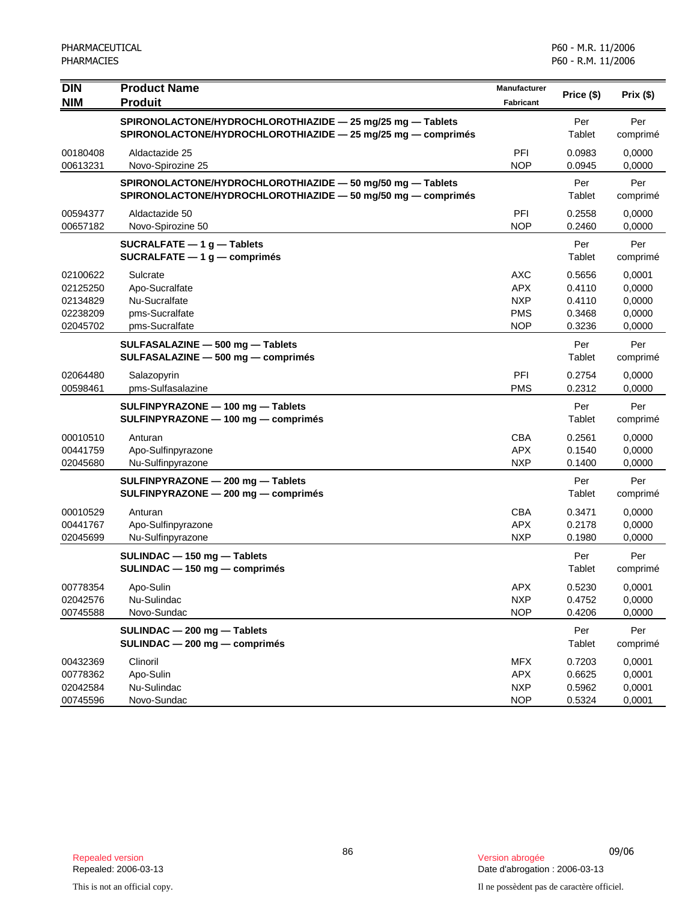| <b>DIN</b><br><b>NIM</b>                                 | <b>Product Name</b><br><b>Produit</b>                                                                                      | Manufacturer<br>Fabricant                                    | Price (\$)                                     | Prix(\$)                                       |
|----------------------------------------------------------|----------------------------------------------------------------------------------------------------------------------------|--------------------------------------------------------------|------------------------------------------------|------------------------------------------------|
|                                                          | SPIRONOLACTONE/HYDROCHLOROTHIAZIDE - 25 mg/25 mg - Tablets<br>SPIRONOLACTONE/HYDROCHLOROTHIAZIDE - 25 mg/25 mg - comprimés |                                                              | Per<br>Tablet                                  | Per<br>comprimé                                |
| 00180408<br>00613231                                     | Aldactazide 25<br>Novo-Spirozine 25                                                                                        | PFI<br><b>NOP</b>                                            | 0.0983<br>0.0945                               | 0,0000<br>0,0000                               |
|                                                          | SPIRONOLACTONE/HYDROCHLOROTHIAZIDE - 50 mg/50 mg - Tablets<br>SPIRONOLACTONE/HYDROCHLOROTHIAZIDE - 50 mg/50 mg - comprimés |                                                              | Per<br>Tablet                                  | Per<br>comprimé                                |
| 00594377<br>00657182                                     | Aldactazide 50<br>Novo-Spirozine 50                                                                                        | PFI<br><b>NOP</b>                                            | 0.2558<br>0.2460                               | 0,0000<br>0,0000                               |
|                                                          | $SUCRALFATE - 1 g - Tables$<br>$SUCRALFATE - 1 g - comprimés$                                                              |                                                              | Per<br>Tablet                                  | Per<br>comprimé                                |
| 02100622<br>02125250<br>02134829<br>02238209<br>02045702 | Sulcrate<br>Apo-Sucralfate<br>Nu-Sucralfate<br>pms-Sucralfate<br>pms-Sucralfate                                            | <b>AXC</b><br>APX.<br><b>NXP</b><br><b>PMS</b><br><b>NOP</b> | 0.5656<br>0.4110<br>0.4110<br>0.3468<br>0.3236 | 0,0001<br>0,0000<br>0,0000<br>0,0000<br>0,0000 |
|                                                          | SULFASALAZINE - 500 mg - Tablets<br>SULFASALAZINE - 500 mg - comprimés                                                     |                                                              | Per<br>Tablet                                  | Per<br>comprimé                                |
| 02064480<br>00598461                                     | Salazopyrin<br>pms-Sulfasalazine                                                                                           | PFI<br><b>PMS</b>                                            | 0.2754<br>0.2312                               | 0,0000<br>0,0000                               |
|                                                          | SULFINPYRAZONE - 100 mg - Tablets<br>SULFINPYRAZONE - 100 mg - comprimés                                                   |                                                              | Per<br>Tablet                                  | Per<br>comprimé                                |
| 00010510<br>00441759<br>02045680                         | Anturan<br>Apo-Sulfinpyrazone<br>Nu-Sulfinpyrazone                                                                         | <b>CBA</b><br><b>APX</b><br><b>NXP</b>                       | 0.2561<br>0.1540<br>0.1400                     | 0,0000<br>0,0000<br>0,0000                     |
|                                                          | SULFINPYRAZONE - 200 mg - Tablets<br>SULFINPYRAZONE - 200 mg - comprimés                                                   |                                                              | Per<br>Tablet                                  | Per<br>comprimé                                |
| 00010529<br>00441767<br>02045699                         | Anturan<br>Apo-Sulfinpyrazone<br>Nu-Sulfinpyrazone                                                                         | CBA<br><b>APX</b><br><b>NXP</b>                              | 0.3471<br>0.2178<br>0.1980                     | 0,0000<br>0,0000<br>0,0000                     |
|                                                          | SULINDAC - 150 mg - Tablets<br>SULINDAC - 150 mg - comprimés                                                               |                                                              | Per<br>Tablet                                  | Per<br>comprimé                                |
| 00778354<br>02042576<br>00745588                         | Apo-Sulin<br>Nu-Sulindac<br>Novo-Sundac                                                                                    | APX<br><b>NXP</b><br><b>NOP</b>                              | 0.5230<br>0.4752<br>0.4206                     | 0,0001<br>0,0000<br>0,0000                     |
|                                                          | SULINDAC - 200 mg - Tablets<br>SULINDAC - 200 mg - comprimés                                                               |                                                              | Per<br>Tablet                                  | Per<br>comprimé                                |
| 00432369<br>00778362<br>02042584<br>00745596             | Clinoril<br>Apo-Sulin<br>Nu-Sulindac<br>Novo-Sundac                                                                        | <b>MFX</b><br><b>APX</b><br><b>NXP</b><br><b>NOP</b>         | 0.7203<br>0.6625<br>0.5962<br>0.5324           | 0,0001<br>0,0001<br>0,0001<br>0,0001           |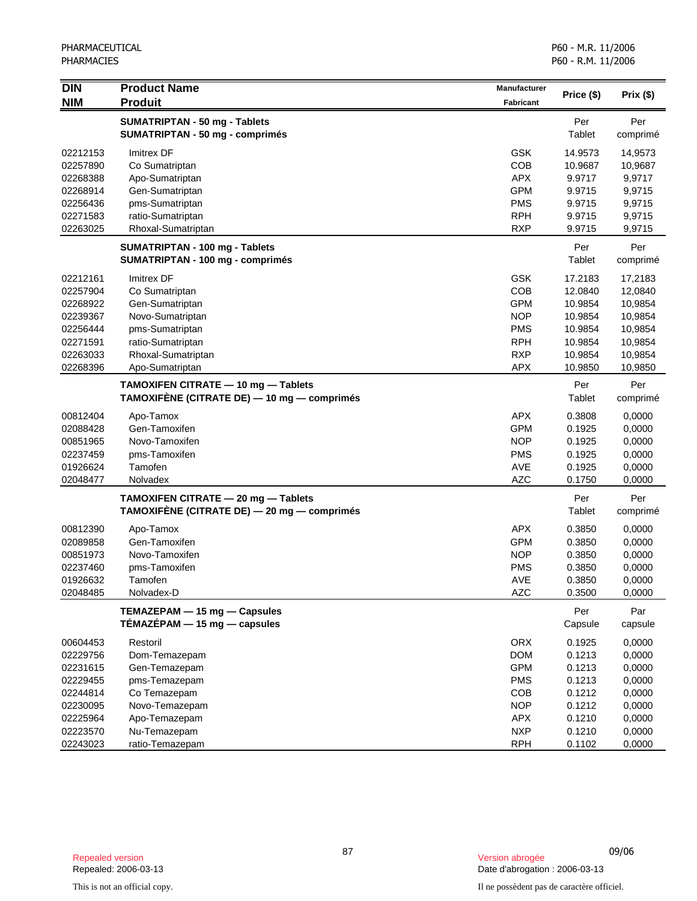| <b>DIN</b>           | <b>Product Name</b>                         | <b>Manufacturer</b>      |                  |                  |
|----------------------|---------------------------------------------|--------------------------|------------------|------------------|
| <b>NIM</b>           | <b>Produit</b>                              | <b>Fabricant</b>         | Price (\$)       | Prix (\$)        |
|                      | SUMATRIPTAN - 50 mg - Tablets               |                          | Per              | Per              |
|                      | <b>SUMATRIPTAN - 50 mg - comprimés</b>      |                          | Tablet           | comprimé         |
| 02212153             | <b>Imitrex DF</b>                           | <b>GSK</b>               | 14.9573          | 14,9573          |
| 02257890             | Co Sumatriptan                              | COB                      | 10.9687          | 10,9687          |
| 02268388             | Apo-Sumatriptan                             | <b>APX</b>               | 9.9717           | 9,9717           |
| 02268914             | Gen-Sumatriptan                             | <b>GPM</b>               | 9.9715           | 9,9715           |
| 02256436             | pms-Sumatriptan                             | <b>PMS</b>               | 9.9715           | 9,9715           |
| 02271583             | ratio-Sumatriptan                           | <b>RPH</b>               | 9.9715           | 9,9715           |
| 02263025             | Rhoxal-Sumatriptan                          | <b>RXP</b>               | 9.9715           | 9,9715           |
|                      | SUMATRIPTAN - 100 mg - Tablets              |                          | Per              | Per              |
|                      | SUMATRIPTAN - 100 mg - comprimés            |                          | Tablet           | comprimé         |
| 02212161             | Imitrex DF                                  | <b>GSK</b>               | 17.2183          | 17,2183          |
| 02257904             | Co Sumatriptan                              | COB                      | 12.0840          | 12,0840          |
| 02268922             | Gen-Sumatriptan                             | <b>GPM</b>               | 10.9854          | 10,9854          |
| 02239367             | Novo-Sumatriptan                            | <b>NOP</b>               | 10.9854          | 10,9854          |
| 02256444             | pms-Sumatriptan                             | <b>PMS</b>               | 10.9854          | 10,9854          |
| 02271591             | ratio-Sumatriptan                           | <b>RPH</b>               | 10.9854          | 10,9854          |
| 02263033             | Rhoxal-Sumatriptan                          | <b>RXP</b>               | 10.9854          | 10,9854          |
| 02268396             | Apo-Sumatriptan                             | <b>APX</b>               | 10.9850          | 10,9850          |
|                      | TAMOXIFEN CITRATE - 10 mg - Tablets         |                          | Per              | Per              |
|                      | TAMOXIFÈNE (CITRATE DE) - 10 mg - comprimés |                          | Tablet           | comprimé         |
| 00812404             | Apo-Tamox                                   | <b>APX</b>               | 0.3808           | 0,0000           |
| 02088428             | Gen-Tamoxifen                               | <b>GPM</b>               | 0.1925           | 0,0000           |
| 00851965             | Novo-Tamoxifen                              | <b>NOP</b>               | 0.1925           | 0,0000           |
| 02237459             | pms-Tamoxifen                               | <b>PMS</b>               | 0.1925           | 0,0000           |
| 01926624             | Tamofen                                     | AVE                      | 0.1925           | 0,0000           |
| 02048477             | Nolvadex                                    | <b>AZC</b>               | 0.1750           | 0,0000           |
|                      | TAMOXIFEN CITRATE - 20 mg - Tablets         |                          | Per              | Per              |
|                      | TAMOXIFÈNE (CITRATE DE) — 20 mg — comprimés |                          | Tablet           | comprimé         |
| 00812390             | Apo-Tamox                                   | <b>APX</b>               | 0.3850           | 0,0000           |
| 02089858             | Gen-Tamoxifen                               | <b>GPM</b>               | 0.3850           | 0,0000           |
| 00851973             | Novo-Tamoxifen                              | <b>NOP</b>               | 0.3850           | 0,0000           |
| 02237460             | pms-Tamoxifen                               | <b>PMS</b>               | 0.3850           | 0,0000           |
| 01926632             | Tamofen                                     | <b>AVE</b>               | 0.3850           | 0,0000           |
| 02048485             | Nolvadex-D                                  | <b>AZC</b>               | 0.3500           | 0,0000           |
|                      | TEMAZEPAM - 15 mg - Capsules                |                          | Per              | Par              |
|                      | TÉMAZÉPAM - 15 mg - capsules                |                          | Capsule          | capsule          |
| 00604453             | Restoril                                    | <b>ORX</b>               | 0.1925           | 0,0000           |
| 02229756             | Dom-Temazepam                               | <b>DOM</b>               | 0.1213           | 0,0000           |
| 02231615             | Gen-Temazepam                               | <b>GPM</b>               | 0.1213           | 0,0000           |
| 02229455             | pms-Temazepam                               | <b>PMS</b>               | 0.1213           | 0,0000           |
| 02244814             | Co Temazepam                                | COB                      | 0.1212           | 0,0000           |
| 02230095             | Novo-Temazepam                              | <b>NOP</b>               | 0.1212           | 0,0000           |
| 02225964<br>02223570 | Apo-Temazepam                               | <b>APX</b><br><b>NXP</b> | 0.1210<br>0.1210 | 0,0000           |
| 02243023             | Nu-Temazepam<br>ratio-Temazepam             | <b>RPH</b>               | 0.1102           | 0,0000<br>0,0000 |
|                      |                                             |                          |                  |                  |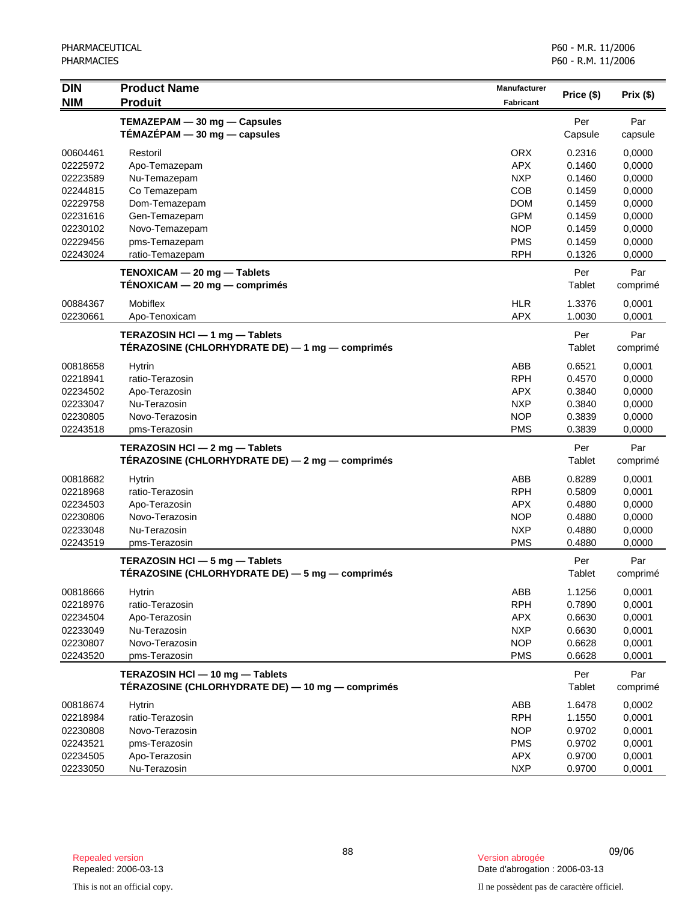| <b>NIM</b><br><b>Produit</b><br><b>Fabricant</b><br>TEMAZEPAM - 30 mg - Capsules<br>Per<br>Par<br>TÉMAZÉPAM $-$ 30 mg $-$ capsules<br>Capsule<br>capsule<br><b>ORX</b><br>0.2316<br>00604461<br>Restoril<br>0,0000<br>02225972<br><b>APX</b><br>0.1460<br>0,0000<br>Apo-Temazepam<br><b>NXP</b><br>02223589<br>Nu-Temazepam<br>0.1460<br>0,0000<br>COB<br>02244815<br>Co Temazepam<br>0.1459<br>0,0000<br><b>DOM</b><br>02229758<br>Dom-Temazepam<br>0.1459<br>0,0000<br><b>GPM</b><br>02231616<br>Gen-Temazepam<br>0.1459<br>0,0000<br><b>NOP</b><br>Novo-Temazepam<br>0,0000<br>02230102<br>0.1459<br>02229456<br>pms-Temazepam<br><b>PMS</b><br>0,0000<br>0.1459<br>ratio-Temazepam<br><b>RPH</b><br>02243024<br>0.1326<br>0,0000<br>TENOXICAM - 20 mg - Tablets<br>Per<br>Par<br>$TENOXICAM - 20 mg - comprimés$<br>Tablet<br>comprimé<br><b>HLR</b><br>00884367<br>Mobiflex<br>1.3376<br>0,0001<br>02230661<br><b>APX</b><br>1.0030<br>0,0001<br>Apo-Tenoxicam<br>Per<br>Par<br>TERAZOSIN HCI - 1 mg - Tablets<br>TÉRAZOSINE (CHLORHYDRATE DE) — 1 mg — comprimés<br>Tablet<br>comprimé<br>ABB<br>00818658<br>Hytrin<br>0.6521<br>0,0001<br><b>RPH</b><br>02218941<br>ratio-Terazosin<br>0.4570<br>0,0000<br>Apo-Terazosin<br><b>APX</b><br>0.3840<br>0,0000<br>02234502<br>02233047<br>Nu-Terazosin<br><b>NXP</b><br>0.3840<br>0,0000<br>02230805<br>Novo-Terazosin<br><b>NOP</b><br>0.3839<br>0,0000<br>02243518<br>pms-Terazosin<br><b>PMS</b><br>0.3839<br>0,0000<br>TERAZOSIN HCl - 2 mg - Tablets<br>Per<br>Par<br>TÉRAZOSINE (CHLORHYDRATE DE) — 2 mg — comprimés<br>Tablet<br>comprimé<br>ABB<br>00818682<br><b>Hytrin</b><br>0.8289<br>0,0001<br><b>RPH</b><br>ratio-Terazosin<br>0.5809<br>0,0001<br>02218968<br>02234503<br>Apo-Terazosin<br><b>APX</b><br>0,0000<br>0.4880<br>02230806<br>Novo-Terazosin<br><b>NOP</b><br>0.4880<br>0,0000<br>Nu-Terazosin<br><b>NXP</b><br>02233048<br>0.4880<br>0,0000<br>02243519<br><b>PMS</b><br>0.4880<br>0,0000<br>pms-Terazosin<br>Per<br>TERAZOSIN HCI - 5 mg - Tablets<br>Par<br>TÉRAZOSINE (CHLORHYDRATE DE) — 5 mg — comprimés<br>Tablet<br>comprimé<br>ABB<br>1.1256<br>0,0001<br>00818666<br>Hytrin<br><b>RPH</b><br>0,0001<br>02218976<br>ratio-Terazosin<br>0.7890<br>0,0001<br>02234504<br>Apo-Terazosin<br><b>APX</b><br>0.6630<br><b>NXP</b><br>02233049<br>Nu-Terazosin<br>0.6630<br>0,0001<br>Novo-Terazosin<br>02230807<br><b>NOP</b><br>0.6628<br>0,0001<br><b>PMS</b><br>pms-Terazosin<br>02243520<br>0.6628<br>0,0001<br>TERAZOSIN HCI - 10 mg - Tablets<br>Per<br>Par<br>TÉRAZOSINE (CHLORHYDRATE DE) — 10 mg — comprimés<br>Tablet<br>comprimé<br>ABB<br>1.6478<br>0,0002<br>00818674<br><b>Hytrin</b><br>ratio-Terazosin<br><b>RPH</b><br>0,0001<br>02218984<br>1.1550<br>Novo-Terazosin<br><b>NOP</b><br>0,0001<br>02230808<br>0.9702<br>02243521<br>pms-Terazosin<br><b>PMS</b><br>0,0001<br>0.9702<br>02234505<br>Apo-Terazosin<br><b>APX</b><br>0.9700<br>0,0001<br>Nu-Terazosin<br><b>NXP</b><br>0.9700<br>0,0001<br>02233050 | <b>DIN</b> | <b>Product Name</b> | Manufacturer | Price (\$) | Prix(\$) |
|-----------------------------------------------------------------------------------------------------------------------------------------------------------------------------------------------------------------------------------------------------------------------------------------------------------------------------------------------------------------------------------------------------------------------------------------------------------------------------------------------------------------------------------------------------------------------------------------------------------------------------------------------------------------------------------------------------------------------------------------------------------------------------------------------------------------------------------------------------------------------------------------------------------------------------------------------------------------------------------------------------------------------------------------------------------------------------------------------------------------------------------------------------------------------------------------------------------------------------------------------------------------------------------------------------------------------------------------------------------------------------------------------------------------------------------------------------------------------------------------------------------------------------------------------------------------------------------------------------------------------------------------------------------------------------------------------------------------------------------------------------------------------------------------------------------------------------------------------------------------------------------------------------------------------------------------------------------------------------------------------------------------------------------------------------------------------------------------------------------------------------------------------------------------------------------------------------------------------------------------------------------------------------------------------------------------------------------------------------------------------------------------------------------------------------------------------------------------------------------------------------------------------------------------------------------------------------------------------------------------------------------------------------------------------------------------------------------------------------------------------------------------------------------------------------------------------------------------------------------------------------------------------------------------------------------------------------------------------------------------------------------------|------------|---------------------|--------------|------------|----------|
|                                                                                                                                                                                                                                                                                                                                                                                                                                                                                                                                                                                                                                                                                                                                                                                                                                                                                                                                                                                                                                                                                                                                                                                                                                                                                                                                                                                                                                                                                                                                                                                                                                                                                                                                                                                                                                                                                                                                                                                                                                                                                                                                                                                                                                                                                                                                                                                                                                                                                                                                                                                                                                                                                                                                                                                                                                                                                                                                                                                                                 |            |                     |              |            |          |
|                                                                                                                                                                                                                                                                                                                                                                                                                                                                                                                                                                                                                                                                                                                                                                                                                                                                                                                                                                                                                                                                                                                                                                                                                                                                                                                                                                                                                                                                                                                                                                                                                                                                                                                                                                                                                                                                                                                                                                                                                                                                                                                                                                                                                                                                                                                                                                                                                                                                                                                                                                                                                                                                                                                                                                                                                                                                                                                                                                                                                 |            |                     |              |            |          |
|                                                                                                                                                                                                                                                                                                                                                                                                                                                                                                                                                                                                                                                                                                                                                                                                                                                                                                                                                                                                                                                                                                                                                                                                                                                                                                                                                                                                                                                                                                                                                                                                                                                                                                                                                                                                                                                                                                                                                                                                                                                                                                                                                                                                                                                                                                                                                                                                                                                                                                                                                                                                                                                                                                                                                                                                                                                                                                                                                                                                                 |            |                     |              |            |          |
|                                                                                                                                                                                                                                                                                                                                                                                                                                                                                                                                                                                                                                                                                                                                                                                                                                                                                                                                                                                                                                                                                                                                                                                                                                                                                                                                                                                                                                                                                                                                                                                                                                                                                                                                                                                                                                                                                                                                                                                                                                                                                                                                                                                                                                                                                                                                                                                                                                                                                                                                                                                                                                                                                                                                                                                                                                                                                                                                                                                                                 |            |                     |              |            |          |
|                                                                                                                                                                                                                                                                                                                                                                                                                                                                                                                                                                                                                                                                                                                                                                                                                                                                                                                                                                                                                                                                                                                                                                                                                                                                                                                                                                                                                                                                                                                                                                                                                                                                                                                                                                                                                                                                                                                                                                                                                                                                                                                                                                                                                                                                                                                                                                                                                                                                                                                                                                                                                                                                                                                                                                                                                                                                                                                                                                                                                 |            |                     |              |            |          |
|                                                                                                                                                                                                                                                                                                                                                                                                                                                                                                                                                                                                                                                                                                                                                                                                                                                                                                                                                                                                                                                                                                                                                                                                                                                                                                                                                                                                                                                                                                                                                                                                                                                                                                                                                                                                                                                                                                                                                                                                                                                                                                                                                                                                                                                                                                                                                                                                                                                                                                                                                                                                                                                                                                                                                                                                                                                                                                                                                                                                                 |            |                     |              |            |          |
|                                                                                                                                                                                                                                                                                                                                                                                                                                                                                                                                                                                                                                                                                                                                                                                                                                                                                                                                                                                                                                                                                                                                                                                                                                                                                                                                                                                                                                                                                                                                                                                                                                                                                                                                                                                                                                                                                                                                                                                                                                                                                                                                                                                                                                                                                                                                                                                                                                                                                                                                                                                                                                                                                                                                                                                                                                                                                                                                                                                                                 |            |                     |              |            |          |
|                                                                                                                                                                                                                                                                                                                                                                                                                                                                                                                                                                                                                                                                                                                                                                                                                                                                                                                                                                                                                                                                                                                                                                                                                                                                                                                                                                                                                                                                                                                                                                                                                                                                                                                                                                                                                                                                                                                                                                                                                                                                                                                                                                                                                                                                                                                                                                                                                                                                                                                                                                                                                                                                                                                                                                                                                                                                                                                                                                                                                 |            |                     |              |            |          |
|                                                                                                                                                                                                                                                                                                                                                                                                                                                                                                                                                                                                                                                                                                                                                                                                                                                                                                                                                                                                                                                                                                                                                                                                                                                                                                                                                                                                                                                                                                                                                                                                                                                                                                                                                                                                                                                                                                                                                                                                                                                                                                                                                                                                                                                                                                                                                                                                                                                                                                                                                                                                                                                                                                                                                                                                                                                                                                                                                                                                                 |            |                     |              |            |          |
|                                                                                                                                                                                                                                                                                                                                                                                                                                                                                                                                                                                                                                                                                                                                                                                                                                                                                                                                                                                                                                                                                                                                                                                                                                                                                                                                                                                                                                                                                                                                                                                                                                                                                                                                                                                                                                                                                                                                                                                                                                                                                                                                                                                                                                                                                                                                                                                                                                                                                                                                                                                                                                                                                                                                                                                                                                                                                                                                                                                                                 |            |                     |              |            |          |
|                                                                                                                                                                                                                                                                                                                                                                                                                                                                                                                                                                                                                                                                                                                                                                                                                                                                                                                                                                                                                                                                                                                                                                                                                                                                                                                                                                                                                                                                                                                                                                                                                                                                                                                                                                                                                                                                                                                                                                                                                                                                                                                                                                                                                                                                                                                                                                                                                                                                                                                                                                                                                                                                                                                                                                                                                                                                                                                                                                                                                 |            |                     |              |            |          |
|                                                                                                                                                                                                                                                                                                                                                                                                                                                                                                                                                                                                                                                                                                                                                                                                                                                                                                                                                                                                                                                                                                                                                                                                                                                                                                                                                                                                                                                                                                                                                                                                                                                                                                                                                                                                                                                                                                                                                                                                                                                                                                                                                                                                                                                                                                                                                                                                                                                                                                                                                                                                                                                                                                                                                                                                                                                                                                                                                                                                                 |            |                     |              |            |          |
|                                                                                                                                                                                                                                                                                                                                                                                                                                                                                                                                                                                                                                                                                                                                                                                                                                                                                                                                                                                                                                                                                                                                                                                                                                                                                                                                                                                                                                                                                                                                                                                                                                                                                                                                                                                                                                                                                                                                                                                                                                                                                                                                                                                                                                                                                                                                                                                                                                                                                                                                                                                                                                                                                                                                                                                                                                                                                                                                                                                                                 |            |                     |              |            |          |
|                                                                                                                                                                                                                                                                                                                                                                                                                                                                                                                                                                                                                                                                                                                                                                                                                                                                                                                                                                                                                                                                                                                                                                                                                                                                                                                                                                                                                                                                                                                                                                                                                                                                                                                                                                                                                                                                                                                                                                                                                                                                                                                                                                                                                                                                                                                                                                                                                                                                                                                                                                                                                                                                                                                                                                                                                                                                                                                                                                                                                 |            |                     |              |            |          |
|                                                                                                                                                                                                                                                                                                                                                                                                                                                                                                                                                                                                                                                                                                                                                                                                                                                                                                                                                                                                                                                                                                                                                                                                                                                                                                                                                                                                                                                                                                                                                                                                                                                                                                                                                                                                                                                                                                                                                                                                                                                                                                                                                                                                                                                                                                                                                                                                                                                                                                                                                                                                                                                                                                                                                                                                                                                                                                                                                                                                                 |            |                     |              |            |          |
|                                                                                                                                                                                                                                                                                                                                                                                                                                                                                                                                                                                                                                                                                                                                                                                                                                                                                                                                                                                                                                                                                                                                                                                                                                                                                                                                                                                                                                                                                                                                                                                                                                                                                                                                                                                                                                                                                                                                                                                                                                                                                                                                                                                                                                                                                                                                                                                                                                                                                                                                                                                                                                                                                                                                                                                                                                                                                                                                                                                                                 |            |                     |              |            |          |
|                                                                                                                                                                                                                                                                                                                                                                                                                                                                                                                                                                                                                                                                                                                                                                                                                                                                                                                                                                                                                                                                                                                                                                                                                                                                                                                                                                                                                                                                                                                                                                                                                                                                                                                                                                                                                                                                                                                                                                                                                                                                                                                                                                                                                                                                                                                                                                                                                                                                                                                                                                                                                                                                                                                                                                                                                                                                                                                                                                                                                 |            |                     |              |            |          |
|                                                                                                                                                                                                                                                                                                                                                                                                                                                                                                                                                                                                                                                                                                                                                                                                                                                                                                                                                                                                                                                                                                                                                                                                                                                                                                                                                                                                                                                                                                                                                                                                                                                                                                                                                                                                                                                                                                                                                                                                                                                                                                                                                                                                                                                                                                                                                                                                                                                                                                                                                                                                                                                                                                                                                                                                                                                                                                                                                                                                                 |            |                     |              |            |          |
|                                                                                                                                                                                                                                                                                                                                                                                                                                                                                                                                                                                                                                                                                                                                                                                                                                                                                                                                                                                                                                                                                                                                                                                                                                                                                                                                                                                                                                                                                                                                                                                                                                                                                                                                                                                                                                                                                                                                                                                                                                                                                                                                                                                                                                                                                                                                                                                                                                                                                                                                                                                                                                                                                                                                                                                                                                                                                                                                                                                                                 |            |                     |              |            |          |
|                                                                                                                                                                                                                                                                                                                                                                                                                                                                                                                                                                                                                                                                                                                                                                                                                                                                                                                                                                                                                                                                                                                                                                                                                                                                                                                                                                                                                                                                                                                                                                                                                                                                                                                                                                                                                                                                                                                                                                                                                                                                                                                                                                                                                                                                                                                                                                                                                                                                                                                                                                                                                                                                                                                                                                                                                                                                                                                                                                                                                 |            |                     |              |            |          |
|                                                                                                                                                                                                                                                                                                                                                                                                                                                                                                                                                                                                                                                                                                                                                                                                                                                                                                                                                                                                                                                                                                                                                                                                                                                                                                                                                                                                                                                                                                                                                                                                                                                                                                                                                                                                                                                                                                                                                                                                                                                                                                                                                                                                                                                                                                                                                                                                                                                                                                                                                                                                                                                                                                                                                                                                                                                                                                                                                                                                                 |            |                     |              |            |          |
|                                                                                                                                                                                                                                                                                                                                                                                                                                                                                                                                                                                                                                                                                                                                                                                                                                                                                                                                                                                                                                                                                                                                                                                                                                                                                                                                                                                                                                                                                                                                                                                                                                                                                                                                                                                                                                                                                                                                                                                                                                                                                                                                                                                                                                                                                                                                                                                                                                                                                                                                                                                                                                                                                                                                                                                                                                                                                                                                                                                                                 |            |                     |              |            |          |
|                                                                                                                                                                                                                                                                                                                                                                                                                                                                                                                                                                                                                                                                                                                                                                                                                                                                                                                                                                                                                                                                                                                                                                                                                                                                                                                                                                                                                                                                                                                                                                                                                                                                                                                                                                                                                                                                                                                                                                                                                                                                                                                                                                                                                                                                                                                                                                                                                                                                                                                                                                                                                                                                                                                                                                                                                                                                                                                                                                                                                 |            |                     |              |            |          |
|                                                                                                                                                                                                                                                                                                                                                                                                                                                                                                                                                                                                                                                                                                                                                                                                                                                                                                                                                                                                                                                                                                                                                                                                                                                                                                                                                                                                                                                                                                                                                                                                                                                                                                                                                                                                                                                                                                                                                                                                                                                                                                                                                                                                                                                                                                                                                                                                                                                                                                                                                                                                                                                                                                                                                                                                                                                                                                                                                                                                                 |            |                     |              |            |          |
|                                                                                                                                                                                                                                                                                                                                                                                                                                                                                                                                                                                                                                                                                                                                                                                                                                                                                                                                                                                                                                                                                                                                                                                                                                                                                                                                                                                                                                                                                                                                                                                                                                                                                                                                                                                                                                                                                                                                                                                                                                                                                                                                                                                                                                                                                                                                                                                                                                                                                                                                                                                                                                                                                                                                                                                                                                                                                                                                                                                                                 |            |                     |              |            |          |
|                                                                                                                                                                                                                                                                                                                                                                                                                                                                                                                                                                                                                                                                                                                                                                                                                                                                                                                                                                                                                                                                                                                                                                                                                                                                                                                                                                                                                                                                                                                                                                                                                                                                                                                                                                                                                                                                                                                                                                                                                                                                                                                                                                                                                                                                                                                                                                                                                                                                                                                                                                                                                                                                                                                                                                                                                                                                                                                                                                                                                 |            |                     |              |            |          |
|                                                                                                                                                                                                                                                                                                                                                                                                                                                                                                                                                                                                                                                                                                                                                                                                                                                                                                                                                                                                                                                                                                                                                                                                                                                                                                                                                                                                                                                                                                                                                                                                                                                                                                                                                                                                                                                                                                                                                                                                                                                                                                                                                                                                                                                                                                                                                                                                                                                                                                                                                                                                                                                                                                                                                                                                                                                                                                                                                                                                                 |            |                     |              |            |          |
|                                                                                                                                                                                                                                                                                                                                                                                                                                                                                                                                                                                                                                                                                                                                                                                                                                                                                                                                                                                                                                                                                                                                                                                                                                                                                                                                                                                                                                                                                                                                                                                                                                                                                                                                                                                                                                                                                                                                                                                                                                                                                                                                                                                                                                                                                                                                                                                                                                                                                                                                                                                                                                                                                                                                                                                                                                                                                                                                                                                                                 |            |                     |              |            |          |
|                                                                                                                                                                                                                                                                                                                                                                                                                                                                                                                                                                                                                                                                                                                                                                                                                                                                                                                                                                                                                                                                                                                                                                                                                                                                                                                                                                                                                                                                                                                                                                                                                                                                                                                                                                                                                                                                                                                                                                                                                                                                                                                                                                                                                                                                                                                                                                                                                                                                                                                                                                                                                                                                                                                                                                                                                                                                                                                                                                                                                 |            |                     |              |            |          |
|                                                                                                                                                                                                                                                                                                                                                                                                                                                                                                                                                                                                                                                                                                                                                                                                                                                                                                                                                                                                                                                                                                                                                                                                                                                                                                                                                                                                                                                                                                                                                                                                                                                                                                                                                                                                                                                                                                                                                                                                                                                                                                                                                                                                                                                                                                                                                                                                                                                                                                                                                                                                                                                                                                                                                                                                                                                                                                                                                                                                                 |            |                     |              |            |          |
|                                                                                                                                                                                                                                                                                                                                                                                                                                                                                                                                                                                                                                                                                                                                                                                                                                                                                                                                                                                                                                                                                                                                                                                                                                                                                                                                                                                                                                                                                                                                                                                                                                                                                                                                                                                                                                                                                                                                                                                                                                                                                                                                                                                                                                                                                                                                                                                                                                                                                                                                                                                                                                                                                                                                                                                                                                                                                                                                                                                                                 |            |                     |              |            |          |
|                                                                                                                                                                                                                                                                                                                                                                                                                                                                                                                                                                                                                                                                                                                                                                                                                                                                                                                                                                                                                                                                                                                                                                                                                                                                                                                                                                                                                                                                                                                                                                                                                                                                                                                                                                                                                                                                                                                                                                                                                                                                                                                                                                                                                                                                                                                                                                                                                                                                                                                                                                                                                                                                                                                                                                                                                                                                                                                                                                                                                 |            |                     |              |            |          |
|                                                                                                                                                                                                                                                                                                                                                                                                                                                                                                                                                                                                                                                                                                                                                                                                                                                                                                                                                                                                                                                                                                                                                                                                                                                                                                                                                                                                                                                                                                                                                                                                                                                                                                                                                                                                                                                                                                                                                                                                                                                                                                                                                                                                                                                                                                                                                                                                                                                                                                                                                                                                                                                                                                                                                                                                                                                                                                                                                                                                                 |            |                     |              |            |          |
|                                                                                                                                                                                                                                                                                                                                                                                                                                                                                                                                                                                                                                                                                                                                                                                                                                                                                                                                                                                                                                                                                                                                                                                                                                                                                                                                                                                                                                                                                                                                                                                                                                                                                                                                                                                                                                                                                                                                                                                                                                                                                                                                                                                                                                                                                                                                                                                                                                                                                                                                                                                                                                                                                                                                                                                                                                                                                                                                                                                                                 |            |                     |              |            |          |
|                                                                                                                                                                                                                                                                                                                                                                                                                                                                                                                                                                                                                                                                                                                                                                                                                                                                                                                                                                                                                                                                                                                                                                                                                                                                                                                                                                                                                                                                                                                                                                                                                                                                                                                                                                                                                                                                                                                                                                                                                                                                                                                                                                                                                                                                                                                                                                                                                                                                                                                                                                                                                                                                                                                                                                                                                                                                                                                                                                                                                 |            |                     |              |            |          |
|                                                                                                                                                                                                                                                                                                                                                                                                                                                                                                                                                                                                                                                                                                                                                                                                                                                                                                                                                                                                                                                                                                                                                                                                                                                                                                                                                                                                                                                                                                                                                                                                                                                                                                                                                                                                                                                                                                                                                                                                                                                                                                                                                                                                                                                                                                                                                                                                                                                                                                                                                                                                                                                                                                                                                                                                                                                                                                                                                                                                                 |            |                     |              |            |          |
|                                                                                                                                                                                                                                                                                                                                                                                                                                                                                                                                                                                                                                                                                                                                                                                                                                                                                                                                                                                                                                                                                                                                                                                                                                                                                                                                                                                                                                                                                                                                                                                                                                                                                                                                                                                                                                                                                                                                                                                                                                                                                                                                                                                                                                                                                                                                                                                                                                                                                                                                                                                                                                                                                                                                                                                                                                                                                                                                                                                                                 |            |                     |              |            |          |
|                                                                                                                                                                                                                                                                                                                                                                                                                                                                                                                                                                                                                                                                                                                                                                                                                                                                                                                                                                                                                                                                                                                                                                                                                                                                                                                                                                                                                                                                                                                                                                                                                                                                                                                                                                                                                                                                                                                                                                                                                                                                                                                                                                                                                                                                                                                                                                                                                                                                                                                                                                                                                                                                                                                                                                                                                                                                                                                                                                                                                 |            |                     |              |            |          |
|                                                                                                                                                                                                                                                                                                                                                                                                                                                                                                                                                                                                                                                                                                                                                                                                                                                                                                                                                                                                                                                                                                                                                                                                                                                                                                                                                                                                                                                                                                                                                                                                                                                                                                                                                                                                                                                                                                                                                                                                                                                                                                                                                                                                                                                                                                                                                                                                                                                                                                                                                                                                                                                                                                                                                                                                                                                                                                                                                                                                                 |            |                     |              |            |          |
|                                                                                                                                                                                                                                                                                                                                                                                                                                                                                                                                                                                                                                                                                                                                                                                                                                                                                                                                                                                                                                                                                                                                                                                                                                                                                                                                                                                                                                                                                                                                                                                                                                                                                                                                                                                                                                                                                                                                                                                                                                                                                                                                                                                                                                                                                                                                                                                                                                                                                                                                                                                                                                                                                                                                                                                                                                                                                                                                                                                                                 |            |                     |              |            |          |
|                                                                                                                                                                                                                                                                                                                                                                                                                                                                                                                                                                                                                                                                                                                                                                                                                                                                                                                                                                                                                                                                                                                                                                                                                                                                                                                                                                                                                                                                                                                                                                                                                                                                                                                                                                                                                                                                                                                                                                                                                                                                                                                                                                                                                                                                                                                                                                                                                                                                                                                                                                                                                                                                                                                                                                                                                                                                                                                                                                                                                 |            |                     |              |            |          |
|                                                                                                                                                                                                                                                                                                                                                                                                                                                                                                                                                                                                                                                                                                                                                                                                                                                                                                                                                                                                                                                                                                                                                                                                                                                                                                                                                                                                                                                                                                                                                                                                                                                                                                                                                                                                                                                                                                                                                                                                                                                                                                                                                                                                                                                                                                                                                                                                                                                                                                                                                                                                                                                                                                                                                                                                                                                                                                                                                                                                                 |            |                     |              |            |          |
|                                                                                                                                                                                                                                                                                                                                                                                                                                                                                                                                                                                                                                                                                                                                                                                                                                                                                                                                                                                                                                                                                                                                                                                                                                                                                                                                                                                                                                                                                                                                                                                                                                                                                                                                                                                                                                                                                                                                                                                                                                                                                                                                                                                                                                                                                                                                                                                                                                                                                                                                                                                                                                                                                                                                                                                                                                                                                                                                                                                                                 |            |                     |              |            |          |
|                                                                                                                                                                                                                                                                                                                                                                                                                                                                                                                                                                                                                                                                                                                                                                                                                                                                                                                                                                                                                                                                                                                                                                                                                                                                                                                                                                                                                                                                                                                                                                                                                                                                                                                                                                                                                                                                                                                                                                                                                                                                                                                                                                                                                                                                                                                                                                                                                                                                                                                                                                                                                                                                                                                                                                                                                                                                                                                                                                                                                 |            |                     |              |            |          |
|                                                                                                                                                                                                                                                                                                                                                                                                                                                                                                                                                                                                                                                                                                                                                                                                                                                                                                                                                                                                                                                                                                                                                                                                                                                                                                                                                                                                                                                                                                                                                                                                                                                                                                                                                                                                                                                                                                                                                                                                                                                                                                                                                                                                                                                                                                                                                                                                                                                                                                                                                                                                                                                                                                                                                                                                                                                                                                                                                                                                                 |            |                     |              |            |          |
|                                                                                                                                                                                                                                                                                                                                                                                                                                                                                                                                                                                                                                                                                                                                                                                                                                                                                                                                                                                                                                                                                                                                                                                                                                                                                                                                                                                                                                                                                                                                                                                                                                                                                                                                                                                                                                                                                                                                                                                                                                                                                                                                                                                                                                                                                                                                                                                                                                                                                                                                                                                                                                                                                                                                                                                                                                                                                                                                                                                                                 |            |                     |              |            |          |
|                                                                                                                                                                                                                                                                                                                                                                                                                                                                                                                                                                                                                                                                                                                                                                                                                                                                                                                                                                                                                                                                                                                                                                                                                                                                                                                                                                                                                                                                                                                                                                                                                                                                                                                                                                                                                                                                                                                                                                                                                                                                                                                                                                                                                                                                                                                                                                                                                                                                                                                                                                                                                                                                                                                                                                                                                                                                                                                                                                                                                 |            |                     |              |            |          |
|                                                                                                                                                                                                                                                                                                                                                                                                                                                                                                                                                                                                                                                                                                                                                                                                                                                                                                                                                                                                                                                                                                                                                                                                                                                                                                                                                                                                                                                                                                                                                                                                                                                                                                                                                                                                                                                                                                                                                                                                                                                                                                                                                                                                                                                                                                                                                                                                                                                                                                                                                                                                                                                                                                                                                                                                                                                                                                                                                                                                                 |            |                     |              |            |          |
|                                                                                                                                                                                                                                                                                                                                                                                                                                                                                                                                                                                                                                                                                                                                                                                                                                                                                                                                                                                                                                                                                                                                                                                                                                                                                                                                                                                                                                                                                                                                                                                                                                                                                                                                                                                                                                                                                                                                                                                                                                                                                                                                                                                                                                                                                                                                                                                                                                                                                                                                                                                                                                                                                                                                                                                                                                                                                                                                                                                                                 |            |                     |              |            |          |
|                                                                                                                                                                                                                                                                                                                                                                                                                                                                                                                                                                                                                                                                                                                                                                                                                                                                                                                                                                                                                                                                                                                                                                                                                                                                                                                                                                                                                                                                                                                                                                                                                                                                                                                                                                                                                                                                                                                                                                                                                                                                                                                                                                                                                                                                                                                                                                                                                                                                                                                                                                                                                                                                                                                                                                                                                                                                                                                                                                                                                 |            |                     |              |            |          |
|                                                                                                                                                                                                                                                                                                                                                                                                                                                                                                                                                                                                                                                                                                                                                                                                                                                                                                                                                                                                                                                                                                                                                                                                                                                                                                                                                                                                                                                                                                                                                                                                                                                                                                                                                                                                                                                                                                                                                                                                                                                                                                                                                                                                                                                                                                                                                                                                                                                                                                                                                                                                                                                                                                                                                                                                                                                                                                                                                                                                                 |            |                     |              |            |          |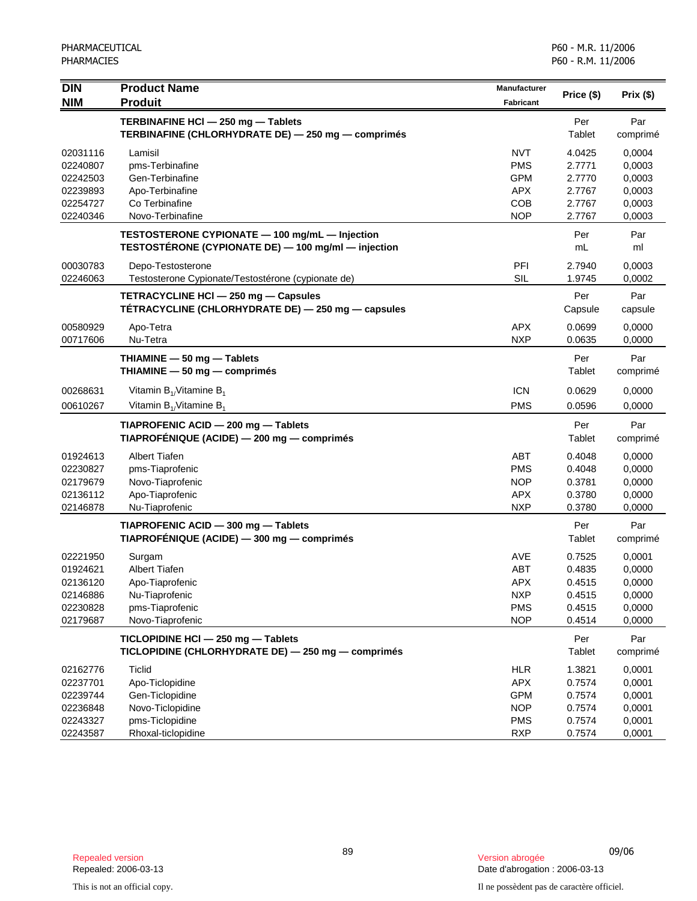| <b>DIN</b> | <b>Product Name</b>                                 | Manufacturer |            |          |
|------------|-----------------------------------------------------|--------------|------------|----------|
| <b>NIM</b> | <b>Produit</b>                                      | Fabricant    | Price (\$) | Prix(\$) |
|            | TERBINAFINE HCI - 250 mg - Tablets                  |              | Per        | Par      |
|            | TERBINAFINE (CHLORHYDRATE DE) - 250 mg - comprimés  |              | Tablet     | comprimé |
| 02031116   | Lamisil                                             | <b>NVT</b>   | 4.0425     | 0,0004   |
| 02240807   | pms-Terbinafine                                     | <b>PMS</b>   | 2.7771     | 0,0003   |
| 02242503   | Gen-Terbinafine                                     | <b>GPM</b>   | 2.7770     | 0,0003   |
| 02239893   | Apo-Terbinafine                                     | <b>APX</b>   | 2.7767     | 0,0003   |
| 02254727   | Co Terbinafine                                      | <b>COB</b>   | 2.7767     | 0,0003   |
| 02240346   | Novo-Terbinafine                                    | <b>NOP</b>   | 2.7767     | 0,0003   |
|            | TESTOSTERONE CYPIONATE - 100 mg/mL - Injection      |              | Per        | Par      |
|            | TESTOSTÉRONE (CYPIONATE DE) - 100 mg/ml - injection |              | mL         | ml       |
| 00030783   | Depo-Testosterone                                   | PFI          | 2.7940     | 0,0003   |
| 02246063   | Testosterone Cypionate/Testostérone (cypionate de)  | <b>SIL</b>   | 1.9745     | 0,0002   |
|            | TETRACYCLINE HCI - 250 mg - Capsules                |              | Per        | Par      |
|            | TETRACYCLINE (CHLORHYDRATE DE) - 250 mg - capsules  |              | Capsule    | capsule  |
| 00580929   | Apo-Tetra                                           | <b>APX</b>   | 0.0699     | 0,0000   |
| 00717606   | Nu-Tetra                                            | <b>NXP</b>   | 0.0635     | 0,0000   |
|            | THIAMINE - 50 mg - Tablets                          |              | Per        | Par      |
|            | THIAMINE - 50 mg - comprimés                        |              | Tablet     | comprimé |
| 00268631   | Vitamin $B_1$ Vitamine $B_1$                        | <b>ICN</b>   | 0.0629     | 0,0000   |
| 00610267   | Vitamin $B_{1}/V$ itamine $B_{1}$                   | <b>PMS</b>   | 0.0596     | 0,0000   |
|            | TIAPROFENIC ACID - 200 mg - Tablets                 |              | Per        | Par      |
|            | TIAPROFÉNIQUE (ACIDE) — 200 mg — comprimés          |              | Tablet     | comprimé |
| 01924613   | <b>Albert Tiafen</b>                                | ABT          | 0.4048     | 0,0000   |
| 02230827   | pms-Tiaprofenic                                     | <b>PMS</b>   | 0.4048     | 0,0000   |
| 02179679   | Novo-Tiaprofenic                                    | <b>NOP</b>   | 0.3781     | 0,0000   |
| 02136112   | Apo-Tiaprofenic                                     | <b>APX</b>   | 0.3780     | 0,0000   |
| 02146878   | Nu-Tiaprofenic                                      | <b>NXP</b>   | 0.3780     | 0,0000   |
|            | TIAPROFENIC ACID - 300 mg - Tablets                 |              | Per        | Par      |
|            | TIAPROFÉNIQUE (ACIDE) — 300 mg — comprimés          |              | Tablet     | comprimé |
| 02221950   | Surgam                                              | <b>AVE</b>   | 0.7525     | 0,0001   |
| 01924621   | <b>Albert Tiafen</b>                                | <b>ABT</b>   | 0.4835     | 0,0000   |
| 02136120   | Apo-Tiaprofenic                                     | <b>APX</b>   | 0.4515     | 0,0000   |
| 02146886   | Nu-Tiaprofenic                                      | <b>NXP</b>   | 0.4515     | 0,0000   |
| 02230828   | pms-Tiaprofenic                                     | <b>PMS</b>   | 0.4515     | 0,0000   |
| 02179687   | Novo-Tiaprofenic                                    | <b>NOP</b>   | 0.4514     | 0,0000   |
|            | TICLOPIDINE HCI - 250 mg - Tablets                  |              | Per        | Par      |
|            | TICLOPIDINE (CHLORHYDRATE DE) - 250 mg - comprimés  |              | Tablet     | comprimé |
| 02162776   | <b>Ticlid</b>                                       | <b>HLR</b>   | 1.3821     | 0,0001   |
| 02237701   | Apo-Ticlopidine                                     | <b>APX</b>   | 0.7574     | 0,0001   |
| 02239744   | Gen-Ticlopidine                                     | <b>GPM</b>   | 0.7574     | 0,0001   |
| 02236848   | Novo-Ticlopidine                                    | <b>NOP</b>   | 0.7574     | 0,0001   |
| 02243327   | pms-Ticlopidine                                     | <b>PMS</b>   | 0.7574     | 0,0001   |
| 02243587   | Rhoxal-ticlopidine                                  | <b>RXP</b>   | 0.7574     | 0,0001   |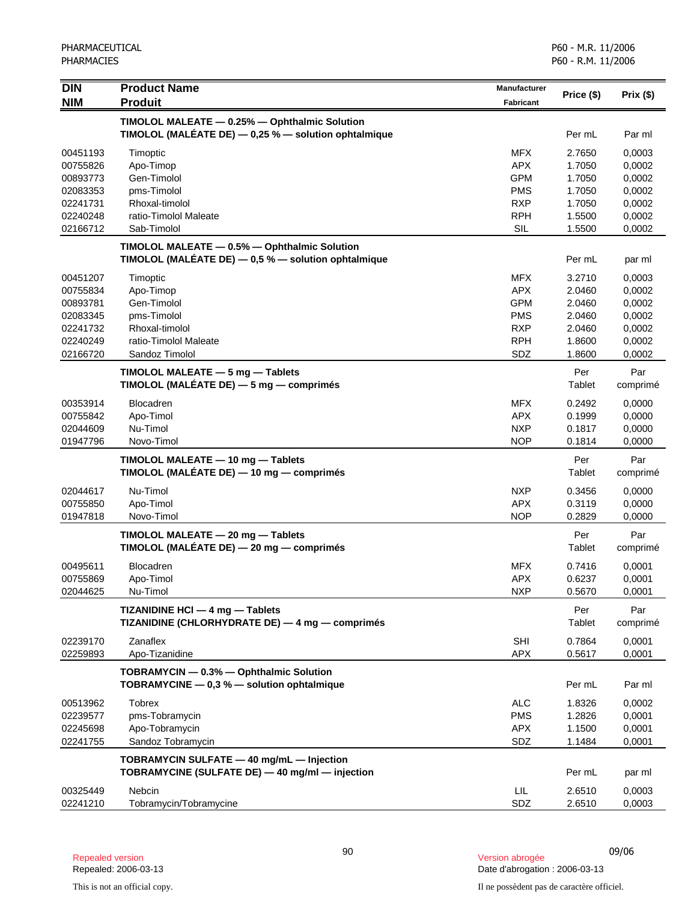| <b>DIN</b>           | <b>Product Name</b>                                                                                    | <b>Manufacturer</b> | Price (\$)    | Prix(\$)         |
|----------------------|--------------------------------------------------------------------------------------------------------|---------------------|---------------|------------------|
| <b>NIM</b>           | <b>Produit</b>                                                                                         | <b>Fabricant</b>    |               |                  |
|                      | TIMOLOL MALEATE - 0.25% - Ophthalmic Solution                                                          |                     |               |                  |
|                      | TIMOLOL (MALÉATE DE) - 0,25 % - solution ophtalmique                                                   |                     | Per mL        | Par ml           |
| 00451193             | Timoptic                                                                                               | <b>MFX</b>          | 2.7650        | 0,0003           |
| 00755826             | Apo-Timop                                                                                              | <b>APX</b>          | 1.7050        | 0,0002           |
| 00893773             | Gen-Timolol                                                                                            | <b>GPM</b>          | 1.7050        | 0,0002           |
| 02083353             | pms-Timolol                                                                                            | <b>PMS</b>          | 1.7050        | 0,0002           |
| 02241731             | Rhoxal-timolol                                                                                         | <b>RXP</b>          | 1.7050        | 0,0002           |
| 02240248             | ratio-Timolol Maleate                                                                                  | <b>RPH</b>          | 1.5500        | 0,0002           |
| 02166712             | Sab-Timolol                                                                                            | SIL                 | 1.5500        | 0,0002           |
|                      | TIMOLOL MALEATE - 0.5% - Ophthalmic Solution<br>TIMOLOL (MALÉATE DE) $-0.5$ % $-$ solution ophtalmique |                     | Per mL        | par ml           |
| 00451207             | Timoptic                                                                                               | <b>MFX</b>          | 3.2710        | 0,0003           |
| 00755834             | Apo-Timop                                                                                              | <b>APX</b>          | 2.0460        | 0,0002           |
| 00893781             | Gen-Timolol                                                                                            | <b>GPM</b>          | 2.0460        | 0,0002           |
| 02083345             | pms-Timolol                                                                                            | <b>PMS</b>          | 2.0460        | 0,0002           |
| 02241732             | Rhoxal-timolol                                                                                         | <b>RXP</b>          | 2.0460        | 0,0002           |
| 02240249             | ratio-Timolol Maleate                                                                                  | <b>RPH</b>          | 1.8600        | 0,0002           |
| 02166720             | Sandoz Timolol                                                                                         | SDZ                 | 1.8600        | 0,0002           |
|                      | TIMOLOL MALEATE - 5 mg - Tablets                                                                       |                     | Per           | Par              |
|                      | TIMOLOL (MALÉATE DE) - 5 mg - comprimés                                                                |                     | Tablet        | comprimé         |
| 00353914             | <b>Blocadren</b>                                                                                       | <b>MFX</b>          | 0.2492        | 0,0000           |
| 00755842             | Apo-Timol                                                                                              | <b>APX</b>          | 0.1999        | 0,0000           |
| 02044609             | Nu-Timol                                                                                               | <b>NXP</b>          | 0.1817        | 0,0000           |
| 01947796             | Novo-Timol                                                                                             | <b>NOP</b>          | 0.1814        | 0,0000           |
|                      | TIMOLOL MALEATE - 10 mg - Tablets<br>TIMOLOL (MALÉATE DE) — 10 mg — comprimés                          |                     | Per<br>Tablet | Par<br>comprimé  |
| 02044617             | Nu-Timol                                                                                               | <b>NXP</b>          | 0.3456        | 0,0000           |
| 00755850             | Apo-Timol                                                                                              | <b>APX</b>          | 0.3119        | 0,0000           |
| 01947818             | Novo-Timol                                                                                             | <b>NOP</b>          | 0.2829        | 0,0000           |
|                      | TIMOLOL MALEATE - 20 mg - Tablets                                                                      |                     | Per           | Par              |
|                      | TIMOLOL (MALÉATE DE) $-$ 20 mg $-$ comprimés                                                           |                     | Tablet        | comprimé         |
| 00495611             | <b>Blocadren</b>                                                                                       | <b>MFX</b>          | 0.7416        | 0,0001           |
| 00755869             | Apo-Timol                                                                                              | <b>APX</b>          | 0.6237        | 0,0001           |
| 02044625             | Nu-Timol                                                                                               | <b>NXP</b>          | 0.5670        | 0,0001           |
|                      | TIZANIDINE HCI - 4 mg - Tablets                                                                        |                     | Per           | Par              |
|                      | TIZANIDINE (CHLORHYDRATE DE) - 4 mg - comprimés                                                        |                     | Tablet        | comprimé         |
| 02239170             | Zanaflex                                                                                               | SHI                 | 0.7864        | 0,0001           |
| 02259893             | Apo-Tizanidine                                                                                         | <b>APX</b>          | 0.5617        | 0,0001           |
|                      | TOBRAMYCIN - 0.3% - Ophthalmic Solution<br>TOBRAMYCINE - 0,3 % - solution ophtalmique                  |                     | Per mL        | Par ml           |
|                      |                                                                                                        | <b>ALC</b>          | 1.8326        |                  |
| 00513962<br>02239577 | Tobrex<br>pms-Tobramycin                                                                               | <b>PMS</b>          | 1.2826        | 0,0002<br>0,0001 |
| 02245698             | Apo-Tobramycin                                                                                         | <b>APX</b>          | 1.1500        | 0,0001           |
| 02241755             | Sandoz Tobramycin                                                                                      | SDZ                 | 1.1484        | 0,0001           |
|                      |                                                                                                        |                     |               |                  |
|                      | TOBRAMYCIN SULFATE - 40 mg/mL - Injection<br>TOBRAMYCINE (SULFATE DE) - 40 mg/ml - injection           |                     | Per mL        | par ml           |
|                      |                                                                                                        |                     |               |                  |
| 00325449             | Nebcin                                                                                                 | LIL.                | 2.6510        | 0,0003           |
| 02241210             | Tobramycin/Tobramycine                                                                                 | SDZ                 | 2.6510        | 0,0003           |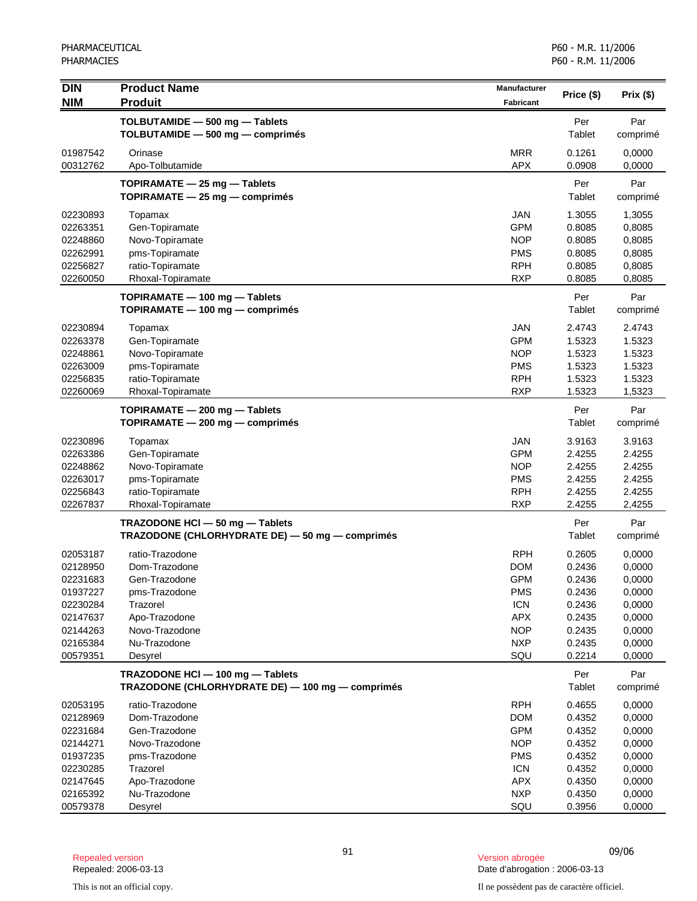| <b>DIN</b>           | <b>Product Name</b>                                                                  | <b>Manufacturer</b> | Price (\$)       | Prix(\$)         |
|----------------------|--------------------------------------------------------------------------------------|---------------------|------------------|------------------|
| <b>NIM</b>           | <b>Produit</b>                                                                       | <b>Fabricant</b>    |                  |                  |
|                      | TOLBUTAMIDE - 500 mg - Tablets                                                       |                     | Per              | Par              |
|                      | TOLBUTAMIDE - 500 mg - comprimés                                                     |                     | Tablet           | comprimé         |
| 01987542             | Orinase                                                                              | <b>MRR</b>          | 0.1261           | 0,0000           |
| 00312762             | Apo-Tolbutamide                                                                      | <b>APX</b>          | 0.0908           | 0,0000           |
|                      | TOPIRAMATE - 25 mg - Tablets                                                         |                     | Per              | Par              |
|                      | TOPIRAMATE - 25 mg - comprimés                                                       |                     | Tablet           | comprimé         |
| 02230893             | Topamax                                                                              | <b>JAN</b>          | 1.3055           | 1,3055           |
| 02263351             | Gen-Topiramate                                                                       | <b>GPM</b>          | 0.8085           | 0,8085           |
| 02248860             | Novo-Topiramate                                                                      | <b>NOP</b>          | 0.8085           | 0,8085           |
| 02262991             | pms-Topiramate                                                                       | <b>PMS</b>          | 0.8085           | 0,8085           |
| 02256827             | ratio-Topiramate                                                                     | <b>RPH</b>          | 0.8085           | 0,8085           |
| 02260050             | Rhoxal-Topiramate                                                                    | <b>RXP</b>          | 0.8085           | 0,8085           |
|                      | TOPIRAMATE - 100 mg - Tablets                                                        |                     | Per              | Par              |
|                      | TOPIRAMATE - 100 mg - comprimés                                                      |                     | Tablet           | comprimé         |
| 02230894             | Topamax                                                                              | <b>JAN</b>          | 2.4743           | 2.4743           |
| 02263378             | Gen-Topiramate                                                                       | <b>GPM</b>          | 1.5323           | 1.5323           |
| 02248861             | Novo-Topiramate                                                                      | <b>NOP</b>          | 1.5323           | 1.5323           |
| 02263009             | pms-Topiramate                                                                       | <b>PMS</b>          | 1.5323           | 1.5323           |
| 02256835             | ratio-Topiramate                                                                     | <b>RPH</b>          | 1.5323           | 1.5323           |
| 02260069             | Rhoxal-Topiramate                                                                    | <b>RXP</b>          | 1.5323           | 1,5323           |
|                      | TOPIRAMATE - 200 mg - Tablets                                                        |                     | Per              | Par              |
|                      | TOPIRAMATE - 200 mg - comprimés                                                      |                     | Tablet           | comprimé         |
| 02230896             | Topamax                                                                              | <b>JAN</b>          | 3.9163           | 3.9163           |
| 02263386             | Gen-Topiramate                                                                       | <b>GPM</b>          | 2.4255           | 2.4255           |
| 02248862             | Novo-Topiramate                                                                      | <b>NOP</b>          | 2.4255           | 2.4255           |
| 02263017             | pms-Topiramate                                                                       | <b>PMS</b>          | 2.4255           | 2.4255           |
| 02256843             | ratio-Topiramate                                                                     | <b>RPH</b>          | 2.4255           | 2.4255           |
| 02267837             | Rhoxal-Topiramate                                                                    | <b>RXP</b>          | 2.4255           | 2,4255           |
|                      | TRAZODONE HCI - 50 mg - Tablets                                                      |                     | Per              | Par              |
|                      | TRAZODONE (CHLORHYDRATE DE) - 50 mg - comprimés                                      |                     | Tablet           | comprimé         |
| 02053187             | ratio-Trazodone                                                                      | <b>RPH</b>          | 0.2605           | 0,0000           |
| 02128950             | Dom-Trazodone                                                                        | <b>DOM</b>          | 0.2436           | 0,0000           |
| 02231683             | Gen-Trazodone                                                                        | <b>GPM</b>          | 0.2436           | 0,0000           |
| 01937227             | pms-Trazodone                                                                        | <b>PMS</b>          | 0.2436           | 0,0000           |
| 02230284             | Trazorel                                                                             | <b>ICN</b>          | 0.2436           | 0,0000           |
| 02147637             | Apo-Trazodone                                                                        | <b>APX</b>          | 0.2435           | 0,0000           |
| 02144263             | Novo-Trazodone                                                                       | <b>NOP</b>          | 0.2435           | 0,0000           |
| 02165384<br>00579351 | Nu-Trazodone<br>Desyrel                                                              | <b>NXP</b><br>SQU   | 0.2435<br>0.2214 | 0,0000<br>0,0000 |
|                      |                                                                                      |                     |                  |                  |
|                      | TRAZODONE HCI - 100 mg - Tablets<br>TRAZODONE (CHLORHYDRATE DE) - 100 mg - comprimés |                     | Per<br>Tablet    | Par<br>comprimé  |
| 02053195             | ratio-Trazodone                                                                      | <b>RPH</b>          | 0.4655           | 0,0000           |
| 02128969             | Dom-Trazodone                                                                        | <b>DOM</b>          | 0.4352           | 0,0000           |
| 02231684             | Gen-Trazodone                                                                        | <b>GPM</b>          | 0.4352           | 0,0000           |
| 02144271             | Novo-Trazodone                                                                       | <b>NOP</b>          | 0.4352           | 0,0000           |
| 01937235             | pms-Trazodone                                                                        | <b>PMS</b>          | 0.4352           | 0,0000           |
| 02230285             | Trazorel                                                                             | <b>ICN</b>          | 0.4352           | 0,0000           |
| 02147645             | Apo-Trazodone                                                                        | <b>APX</b>          | 0.4350           | 0,0000           |
| 02165392             | Nu-Trazodone                                                                         | <b>NXP</b>          | 0.4350           | 0,0000           |
| 00579378             | Desyrel                                                                              | SQU                 | 0.3956           | 0,0000           |

<sup>91</sup> 09/06 Repealed version Version abrogée Date d'abrogation : 2006-03-13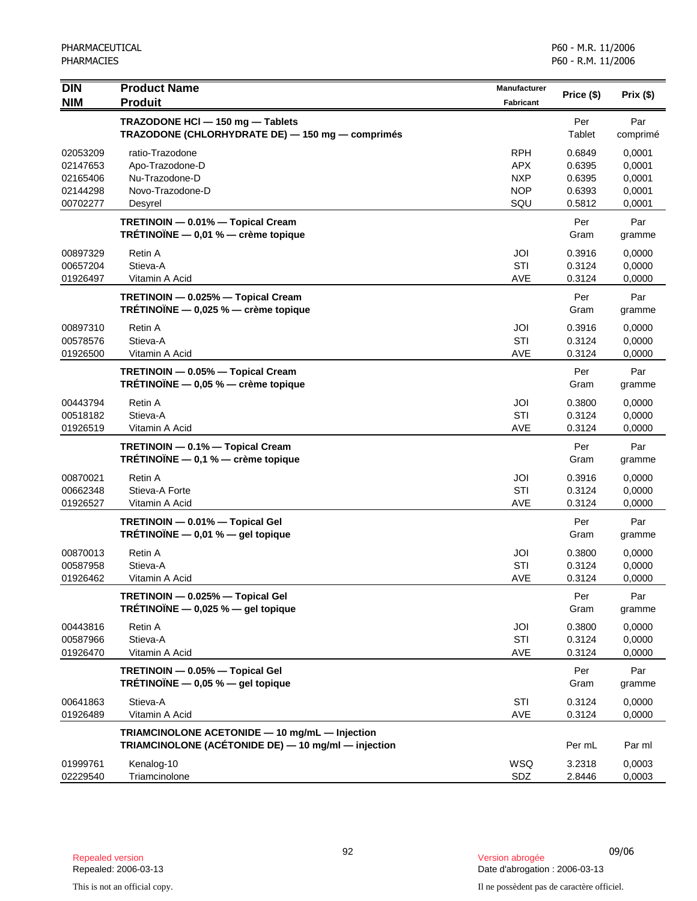| <b>DIN</b><br><b>NIM</b>                                 | <b>Product Name</b><br><b>Produit</b>                                                                 | <b>Manufacturer</b><br><b>Fabricant</b>                     | Price (\$)                                     | Prix(\$)                                       |
|----------------------------------------------------------|-------------------------------------------------------------------------------------------------------|-------------------------------------------------------------|------------------------------------------------|------------------------------------------------|
|                                                          | TRAZODONE HCI - 150 mg - Tablets<br>TRAZODONE (CHLORHYDRATE DE) - 150 mg - comprimés                  |                                                             | Per<br>Tablet                                  | Par<br>comprimé                                |
| 02053209<br>02147653<br>02165406<br>02144298<br>00702277 | ratio-Trazodone<br>Apo-Trazodone-D<br>Nu-Trazodone-D<br>Novo-Trazodone-D<br>Desyrel                   | <b>RPH</b><br><b>APX</b><br><b>NXP</b><br><b>NOP</b><br>SQU | 0.6849<br>0.6395<br>0.6395<br>0.6393<br>0.5812 | 0,0001<br>0,0001<br>0,0001<br>0,0001<br>0,0001 |
|                                                          | TRETINOIN - 0.01% - Topical Cream<br>TRÉTINOÏNE $-$ 0,01 % $-$ crème topique                          |                                                             | Per<br>Gram                                    | Par<br>gramme                                  |
| 00897329<br>00657204<br>01926497                         | Retin A<br>Stieva-A<br>Vitamin A Acid                                                                 | JOI<br>STI<br>AVE                                           | 0.3916<br>0.3124<br>0.3124                     | 0,0000<br>0,0000<br>0,0000                     |
|                                                          | TRETINOIN - 0.025% - Topical Cream<br>TRÉTINOÏNE - 0,025 % - crème topique                            |                                                             | Per<br>Gram                                    | Par<br>gramme                                  |
| 00897310<br>00578576<br>01926500                         | Retin A<br>Stieva-A<br>Vitamin A Acid                                                                 | JOI<br>STI<br>AVE                                           | 0.3916<br>0.3124<br>0.3124                     | 0,0000<br>0,0000<br>0,0000                     |
|                                                          | TRETINOIN - 0.05% - Topical Cream<br>TRÉTINOÏNE $-$ 0,05 % $-$ crème topique                          |                                                             | Per<br>Gram                                    | Par<br>gramme                                  |
| 00443794<br>00518182<br>01926519                         | Retin A<br>Stieva-A<br>Vitamin A Acid                                                                 | JOI<br>STI<br>AVE                                           | 0.3800<br>0.3124<br>0.3124                     | 0,0000<br>0,0000<br>0,0000                     |
|                                                          | TRETINOIN - 0.1% - Topical Cream<br>TRÉTINOÏNE - 0,1 % - crème topique                                |                                                             | Per<br>Gram                                    | Par<br>gramme                                  |
| 00870021<br>00662348<br>01926527                         | Retin A<br>Stieva-A Forte<br>Vitamin A Acid                                                           | JOI<br>STI<br><b>AVE</b>                                    | 0.3916<br>0.3124<br>0.3124                     | 0,0000<br>0,0000<br>0,0000                     |
|                                                          | TRETINOIN - 0.01% - Topical Gel<br>TRÉTINOÏNE $-$ 0,01 % $-$ gel topique                              |                                                             | Per<br>Gram                                    | Par<br>gramme                                  |
| 00870013<br>00587958<br>01926462                         | Retin A<br>Stieva-A<br>Vitamin A Acid                                                                 | JOI<br>STI<br><b>AVE</b>                                    | 0.3800<br>0.3124<br>0.3124                     | 0,0000<br>0,0000<br>0,0000                     |
|                                                          | TRETINOIN - 0.025% - Topical Gel<br>TRÉTINOÏNE $-$ 0,025 % $-$ gel topique                            |                                                             | Per<br>Gram                                    | Par<br>gramme                                  |
| 00443816<br>00587966<br>01926470                         | Retin A<br>Stieva-A<br>Vitamin A Acid                                                                 | JOI<br>STI<br>AVE                                           | 0.3800<br>0.3124<br>0.3124                     | 0,0000<br>0,0000<br>0,0000                     |
|                                                          | TRETINOIN - 0.05% - Topical Gel<br>TRÉTINOÏNE - 0,05 % - gel topique                                  |                                                             | Per<br>Gram                                    | Par<br>gramme                                  |
| 00641863<br>01926489                                     | Stieva-A<br>Vitamin A Acid                                                                            | STI<br>AVE                                                  | 0.3124<br>0.3124                               | 0,0000<br>0,0000                               |
|                                                          | TRIAMCINOLONE ACETONIDE - 10 mg/mL - Injection<br>TRIAMCINOLONE (ACÉTONIDE DE) - 10 mg/ml - injection |                                                             | Per mL                                         | Par ml                                         |
| 01999761<br>02229540                                     | Kenalog-10<br>Triamcinolone                                                                           | WSQ<br>SDZ                                                  | 3.2318<br>2.8446                               | 0,0003<br>0,0003                               |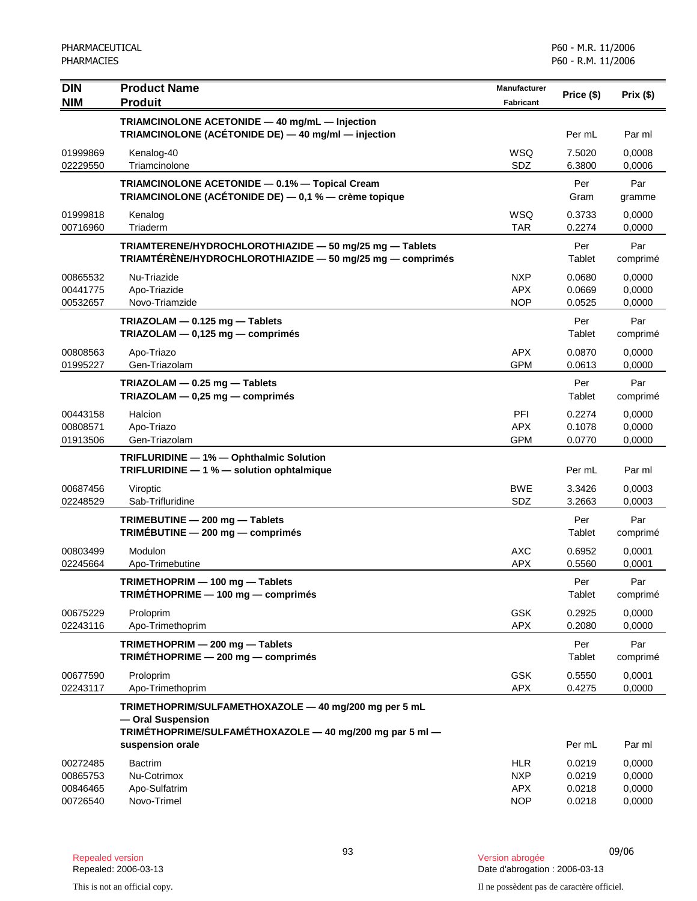| <b>DIN</b><br><b>NIM</b>                     | <b>Product Name</b><br><b>Produit</b>                                                                                                  | Manufacturer<br><b>Fabricant</b>                     | Price (\$)                           | Prix(\$)                             |
|----------------------------------------------|----------------------------------------------------------------------------------------------------------------------------------------|------------------------------------------------------|--------------------------------------|--------------------------------------|
|                                              | TRIAMCINOLONE ACETONIDE - 40 mg/mL - Injection<br>TRIAMCINOLONE (ACÉTONIDE DE) - 40 mg/ml - injection                                  |                                                      | Per mL                               | Par ml                               |
| 01999869<br>02229550                         | Kenalog-40<br>Triamcinolone                                                                                                            | <b>WSQ</b><br>SDZ                                    | 7.5020<br>6.3800                     | 0,0008<br>0,0006                     |
|                                              | TRIAMCINOLONE ACETONIDE - 0.1% - Topical Cream<br><b>TRIAMCINOLONE (ACÉTONIDE DE)</b> $-$ 0,1 % $-$ crème topique                      |                                                      | Per<br>Gram                          | Par<br>gramme                        |
| 01999818<br>00716960                         | Kenalog<br>Triaderm                                                                                                                    | <b>WSQ</b><br><b>TAR</b>                             | 0.3733<br>0.2274                     | 0,0000<br>0,0000                     |
|                                              | TRIAMTERENE/HYDROCHLOROTHIAZIDE - 50 mg/25 mg - Tablets<br>TRIAMTÉRÈNE/HYDROCHLOROTHIAZIDE - 50 mg/25 mg - comprimés                   |                                                      | Per<br>Tablet                        | Par<br>comprimé                      |
| 00865532<br>00441775<br>00532657             | Nu-Triazide<br>Apo-Triazide<br>Novo-Triamzide                                                                                          | <b>NXP</b><br><b>APX</b><br><b>NOP</b>               | 0.0680<br>0.0669<br>0.0525           | 0,0000<br>0,0000<br>0.0000           |
|                                              | TRIAZOLAM $-$ 0.125 mg $-$ Tablets<br>TRIAZOLAM - 0,125 mg - comprimés                                                                 |                                                      | Per<br>Tablet                        | Par<br>comprimé                      |
| 00808563<br>01995227                         | Apo-Triazo<br>Gen-Triazolam                                                                                                            | <b>APX</b><br><b>GPM</b>                             | 0.0870<br>0.0613                     | 0,0000<br>0,0000                     |
|                                              | TRIAZOLAM - 0.25 mg - Tablets<br>TRIAZOLAM $-$ 0,25 mg $-$ comprimés                                                                   |                                                      | Per<br>Tablet                        | Par<br>comprimé                      |
| 00443158<br>00808571<br>01913506             | Halcion<br>Apo-Triazo<br>Gen-Triazolam                                                                                                 | PFI<br><b>APX</b><br><b>GPM</b>                      | 0.2274<br>0.1078<br>0.0770           | 0,0000<br>0,0000<br>0,0000           |
|                                              | TRIFLURIDINE - 1% - Ophthalmic Solution<br>TRIFLURIDINE - 1 % - solution ophtalmique                                                   |                                                      | Per mL                               | Par ml                               |
| 00687456<br>02248529                         | Viroptic<br>Sab-Trifluridine                                                                                                           | <b>BWE</b><br>SDZ                                    | 3.3426<br>3.2663                     | 0,0003<br>0,0003                     |
|                                              | TRIMEBUTINE - 200 mg - Tablets<br>TRIMEBUTINE - 200 mg - comprimés                                                                     |                                                      | Per<br>Tablet                        | Par<br>comprimé                      |
| 00803499<br>02245664                         | Modulon<br>Apo-Trimebutine                                                                                                             | <b>AXC</b><br><b>APX</b>                             | 0.6952<br>0.5560                     | 0,0001<br>0,0001                     |
|                                              | TRIMETHOPRIM - 100 mg - Tablets<br>TRIMETHOPRIME - 100 mg - comprimés                                                                  |                                                      | Per<br>Tablet                        | Par<br>comprimé                      |
| 00675229<br>02243116                         | Proloprim<br>Apo-Trimethoprim                                                                                                          | <b>GSK</b><br><b>APX</b>                             | 0.2925<br>0.2080                     | 0,0000<br>0,0000                     |
|                                              | TRIMETHOPRIM - 200 mg - Tablets<br>TRIMÉTHOPRIME $-$ 200 mg $-$ comprimés                                                              |                                                      | Per<br>Tablet                        | Par<br>comprimé                      |
| 00677590<br>02243117                         | Proloprim<br>Apo-Trimethoprim                                                                                                          | <b>GSK</b><br><b>APX</b>                             | 0.5550<br>0.4275                     | 0,0001<br>0,0000                     |
|                                              | TRIMETHOPRIM/SULFAMETHOXAZOLE - 40 mg/200 mg per 5 mL<br>- Oral Suspension<br>TRIMÉTHOPRIME/SULFAMÉTHOXAZOLE - 40 mg/200 mg par 5 ml - |                                                      |                                      |                                      |
|                                              | suspension orale                                                                                                                       |                                                      | Per mL                               | Par ml                               |
| 00272485<br>00865753<br>00846465<br>00726540 | <b>Bactrim</b><br>Nu-Cotrimox<br>Apo-Sulfatrim<br>Novo-Trimel                                                                          | <b>HLR</b><br><b>NXP</b><br><b>APX</b><br><b>NOP</b> | 0.0219<br>0.0219<br>0.0218<br>0.0218 | 0,0000<br>0,0000<br>0,0000<br>0,0000 |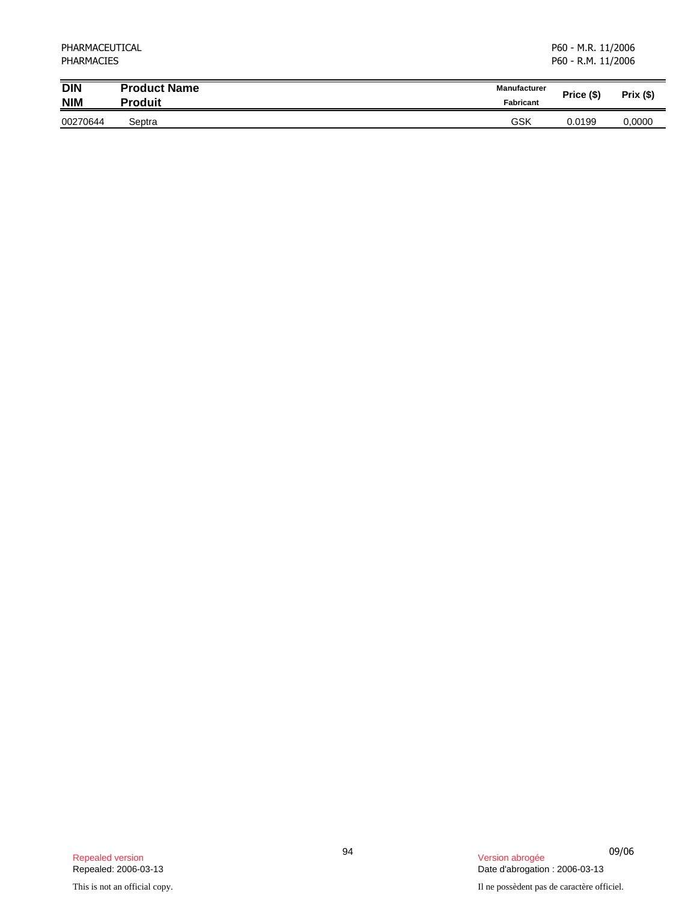| PHARMACEUTICAL<br><b>PHARMACIES</b> |                     |                     | P60 - M.R. 11/2006<br>P60 - R.M. 11/2006 |             |  |
|-------------------------------------|---------------------|---------------------|------------------------------------------|-------------|--|
| <b>DIN</b>                          | <b>Product Name</b> | <b>Manufacturer</b> | Price (\$)                               | $Prix($ \$) |  |
| <b>NIM</b>                          | <b>Produit</b>      | Fabricant           |                                          |             |  |
| 00270644                            | Septra              | GSK                 | 0.0199                                   | 0.0000      |  |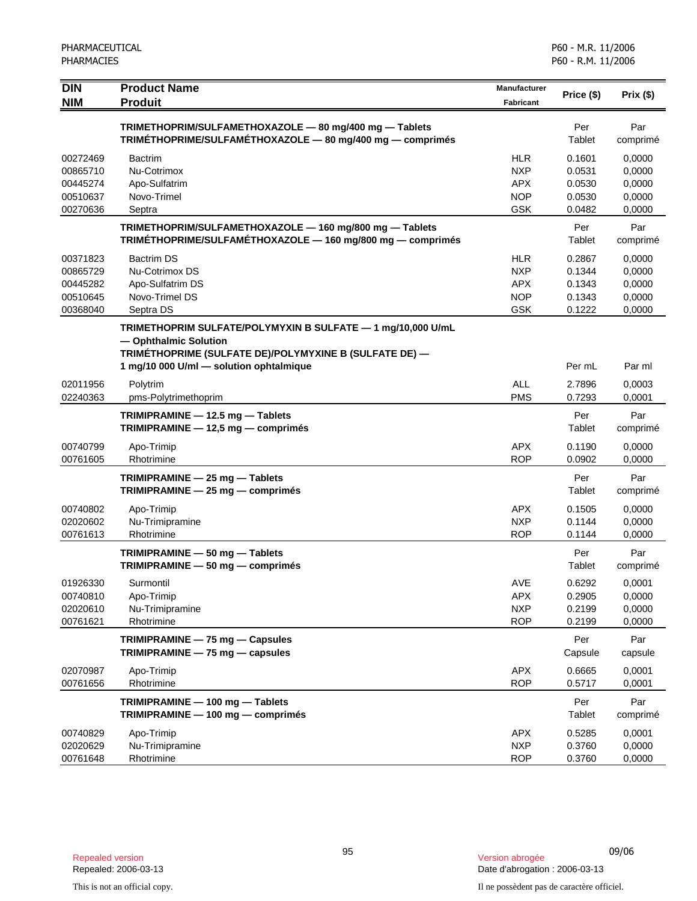| <b>DIN</b>           | <b>Product Name</b><br><b>Produit</b>                                           | <b>Manufacturer</b>      | Price (\$)       | Prix(\$)         |
|----------------------|---------------------------------------------------------------------------------|--------------------------|------------------|------------------|
| <b>NIM</b>           |                                                                                 | <b>Fabricant</b>         |                  |                  |
|                      | TRIMETHOPRIM/SULFAMETHOXAZOLE - 80 mg/400 mg - Tablets                          |                          | Per              | Par              |
|                      | TRIMÉTHOPRIME/SULFAMÉTHOXAZOLE - 80 mg/400 mg - comprimés                       |                          | Tablet           | comprimé         |
| 00272469             | <b>Bactrim</b>                                                                  | <b>HLR</b>               | 0.1601           | 0,0000           |
| 00865710             | Nu-Cotrimox                                                                     | <b>NXP</b>               | 0.0531           | 0,0000           |
| 00445274<br>00510637 | Apo-Sulfatrim<br>Novo-Trimel                                                    | <b>APX</b><br><b>NOP</b> | 0.0530<br>0.0530 | 0,0000<br>0,0000 |
| 00270636             | Septra                                                                          | <b>GSK</b>               | 0.0482           | 0,0000           |
|                      | TRIMETHOPRIM/SULFAMETHOXAZOLE - 160 mg/800 mg - Tablets                         |                          | Per              | Par              |
|                      | TRIMÉTHOPRIME/SULFAMÉTHOXAZOLE - 160 mg/800 mg - comprimés                      |                          | Tablet           | comprimé         |
| 00371823             | <b>Bactrim DS</b>                                                               | <b>HLR</b>               | 0.2867           | 0,0000           |
| 00865729             | Nu-Cotrimox DS                                                                  | <b>NXP</b>               | 0.1344           | 0,0000           |
| 00445282             | Apo-Sulfatrim DS                                                                | <b>APX</b>               | 0.1343           | 0,0000           |
| 00510645             | Novo-Trimel DS                                                                  | <b>NOP</b>               | 0.1343           | 0,0000           |
| 00368040             | Septra DS                                                                       | <b>GSK</b>               | 0.1222           | 0,0000           |
|                      | TRIMETHOPRIM SULFATE/POLYMYXIN B SULFATE - 1 mg/10,000 U/mL                     |                          |                  |                  |
|                      | - Ophthalmic Solution<br>TRIMÉTHOPRIME (SULFATE DE)/POLYMYXINE B (SULFATE DE) - |                          |                  |                  |
|                      | 1 mg/10 000 U/ml - solution ophtalmique                                         |                          | Per mL           | Par ml           |
| 02011956             | Polytrim                                                                        | <b>ALL</b>               | 2.7896           | 0,0003           |
| 02240363             | pms-Polytrimethoprim                                                            | <b>PMS</b>               | 0.7293           | 0,0001           |
|                      | TRIMIPRAMINE - 12.5 mg - Tablets                                                |                          | Per              | Par              |
|                      | TRIMIPRAMINE - 12,5 mg - comprimés                                              |                          | Tablet           | comprimé         |
| 00740799             | Apo-Trimip                                                                      | <b>APX</b>               | 0.1190           | 0,0000           |
| 00761605             | Rhotrimine                                                                      | <b>ROP</b>               | 0.0902           | 0,0000           |
|                      | TRIMIPRAMINE - 25 mg - Tablets                                                  |                          | Per              | Par              |
|                      | TRIMIPRAMINE - 25 mg - comprimés                                                |                          | Tablet           | comprimé         |
| 00740802             | Apo-Trimip                                                                      | <b>APX</b>               | 0.1505           | 0,0000           |
| 02020602             | Nu-Trimipramine                                                                 | <b>NXP</b>               | 0.1144           | 0,0000           |
| 00761613             | Rhotrimine                                                                      | <b>ROP</b>               | 0.1144           | 0,0000           |
|                      | TRIMIPRAMINE - 50 mg - Tablets<br>TRIMIPRAMINE - 50 mg - comprimés              |                          | Per<br>Tablet    | Par<br>comprimé  |
|                      |                                                                                 |                          |                  |                  |
| 01926330<br>00740810 | Surmontil<br>Apo-Trimip                                                         | AVE<br><b>APX</b>        | 0.6292<br>0.2905 | 0,0001<br>0,0000 |
| 02020610             | Nu-Trimipramine                                                                 | <b>NXP</b>               | 0.2199           | 0,0000           |
| 00761621             | Rhotrimine                                                                      | <b>ROP</b>               | 0.2199           | 0,0000           |
|                      | TRIMIPRAMINE - 75 mg - Capsules                                                 |                          | Per              | Par              |
|                      | TRIMIPRAMINE - 75 mg - capsules                                                 |                          | Capsule          | capsule          |
| 02070987             | Apo-Trimip                                                                      | <b>APX</b>               | 0.6665           | 0,0001           |
| 00761656             | Rhotrimine                                                                      | <b>ROP</b>               | 0.5717           | 0,0001           |
|                      | TRIMIPRAMINE - 100 mg - Tablets                                                 |                          | Per              | Par              |
|                      | TRIMIPRAMINE - 100 mg - comprimés                                               |                          | Tablet           | comprimé         |
| 00740829             | Apo-Trimip                                                                      | <b>APX</b>               | 0.5285           | 0,0001           |
| 02020629             | Nu-Trimipramine                                                                 | <b>NXP</b>               | 0.3760           | 0,0000           |
| 00761648             | Rhotrimine                                                                      | <b>ROP</b>               | 0.3760           | 0,0000           |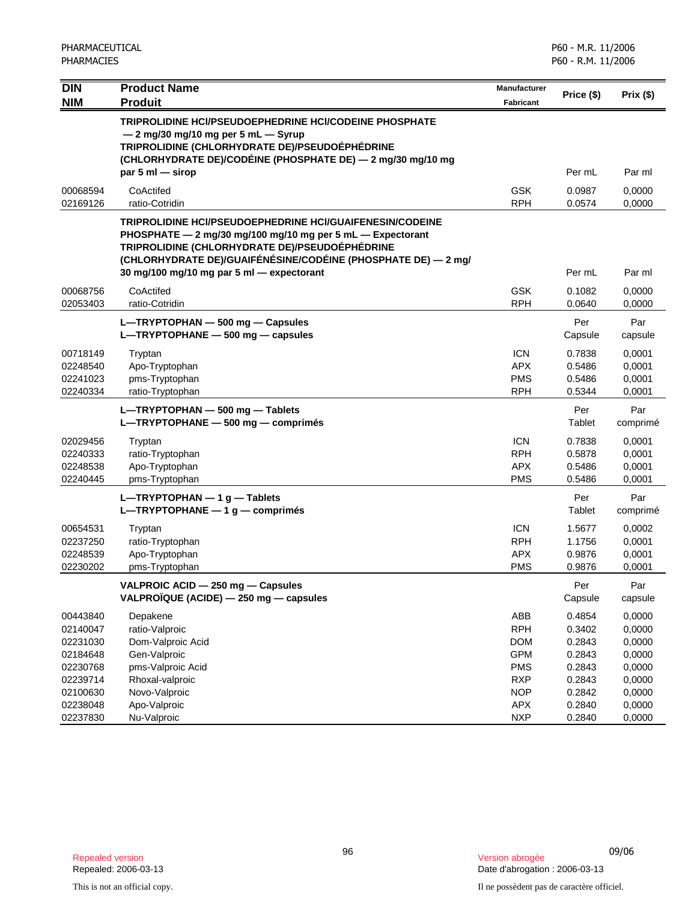| DIN<br><b>NIM</b>                                                    | <b>Product Name</b><br><b>Produit</b>                                                                                                                                                                                                                                                         | Manufacturer<br>Fabricant                                                 | Price (\$)                                               | Prix(\$)                                                 |
|----------------------------------------------------------------------|-----------------------------------------------------------------------------------------------------------------------------------------------------------------------------------------------------------------------------------------------------------------------------------------------|---------------------------------------------------------------------------|----------------------------------------------------------|----------------------------------------------------------|
|                                                                      | TRIPROLIDINE HCI/PSEUDOEPHEDRINE HCI/CODEINE PHOSPHATE<br>$-2$ mg/30 mg/10 mg per 5 mL $-$ Syrup<br>TRIPROLIDINE (CHLORHYDRATE DE)/PSEUDOÉPHÉDRINE<br>(CHLORHYDRATE DE)/CODÉINE (PHOSPHATE DE) - 2 mg/30 mg/10 mg<br>par $5 \text{ ml}$ - sirop                                               |                                                                           | Per mL                                                   | Par ml                                                   |
| 00068594<br>02169126                                                 | CoActifed<br>ratio-Cotridin                                                                                                                                                                                                                                                                   | <b>GSK</b><br><b>RPH</b>                                                  | 0.0987<br>0.0574                                         | 0,0000<br>0,0000                                         |
|                                                                      | <b>TRIPROLIDINE HCI/PSEUDOEPHEDRINE HCI/GUAIFENESIN/CODEINE</b><br>PHOSPHATE - 2 mg/30 mg/100 mg/10 mg per 5 mL - Expectorant<br>TRIPROLIDINE (CHLORHYDRATE DE)/PSEUDOÉPHÉDRINE<br>(CHLORHYDRATE DE)/GUAIFÉNÉSINE/CODÉINE (PHOSPHATE DE) - 2 mg/<br>30 mg/100 mg/10 mg par 5 ml - expectorant |                                                                           | Per mL                                                   | Par ml                                                   |
| 00068756                                                             | CoActifed                                                                                                                                                                                                                                                                                     | <b>GSK</b>                                                                | 0.1082                                                   | 0,0000                                                   |
| 02053403                                                             | ratio-Cotridin<br>L-TRYPTOPHAN - 500 mg - Capsules<br>$L$ -TRYPTOPHANE - 500 mg - capsules                                                                                                                                                                                                    | <b>RPH</b>                                                                | 0.0640<br>Per<br>Capsule                                 | 0,0000<br>Par<br>capsule                                 |
| 00718149<br>02248540<br>02241023<br>02240334                         | Tryptan<br>Apo-Tryptophan<br>pms-Tryptophan<br>ratio-Tryptophan                                                                                                                                                                                                                               | <b>ICN</b><br><b>APX</b><br><b>PMS</b><br><b>RPH</b>                      | 0.7838<br>0.5486<br>0.5486<br>0.5344                     | 0,0001<br>0,0001<br>0,0001<br>0,0001                     |
|                                                                      | L-TRYPTOPHAN - 500 mg - Tablets<br>L-TRYPTOPHANE - 500 mg - comprimés                                                                                                                                                                                                                         |                                                                           | Per<br>Tablet                                            | Par<br>comprimé                                          |
| 02029456<br>02240333<br>02248538<br>02240445                         | Tryptan<br>ratio-Tryptophan<br>Apo-Tryptophan<br>pms-Tryptophan                                                                                                                                                                                                                               | <b>ICN</b><br><b>RPH</b><br><b>APX</b><br><b>PMS</b>                      | 0.7838<br>0.5878<br>0.5486<br>0.5486                     | 0,0001<br>0,0001<br>0,0001<br>0,0001                     |
|                                                                      | $L$ -TRYPTOPHAN - 1 g - Tablets<br>L-TRYPTOPHANE $-1$ g $-$ comprimés                                                                                                                                                                                                                         |                                                                           | Per<br>Tablet                                            | Par<br>comprimé                                          |
| 00654531<br>02237250<br>02248539<br>02230202                         | Tryptan<br>ratio-Tryptophan<br>Apo-Tryptophan<br>pms-Tryptophan                                                                                                                                                                                                                               | <b>ICN</b><br><b>RPH</b><br><b>APX</b><br><b>PMS</b>                      | 1.5677<br>1.1756<br>0.9876<br>0.9876                     | 0,0002<br>0,0001<br>0,0001<br>0,0001                     |
|                                                                      | VALPROIC ACID - 250 mg - Capsules<br>VALPROÏQUE (ACIDE) - 250 mg - capsules                                                                                                                                                                                                                   |                                                                           | Per<br>Capsule                                           | Par<br>capsule                                           |
| 00443840<br>02140047<br>02231030<br>02184648<br>02230768<br>02239714 | Depakene<br>ratio-Valproic<br>Dom-Valproic Acid<br>Gen-Valproic<br>pms-Valproic Acid<br>Rhoxal-valproic                                                                                                                                                                                       | ABB<br><b>RPH</b><br><b>DOM</b><br><b>GPM</b><br><b>PMS</b><br><b>RXP</b> | 0.4854<br>0.3402<br>0.2843<br>0.2843<br>0.2843<br>0.2843 | 0,0000<br>0,0000<br>0,0000<br>0,0000<br>0,0000<br>0,0000 |
| 02100630<br>02238048<br>02237830                                     | Novo-Valproic<br>Apo-Valproic<br>Nu-Valproic                                                                                                                                                                                                                                                  | <b>NOP</b><br><b>APX</b><br><b>NXP</b>                                    | 0.2842<br>0.2840<br>0.2840                               | 0,0000<br>0,0000<br>0,0000                               |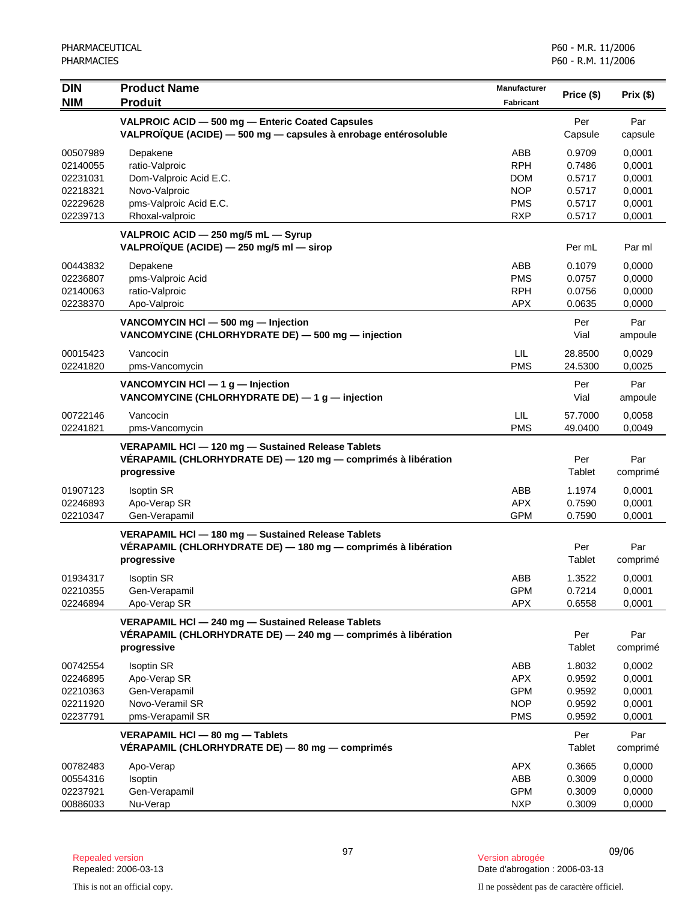| <b>DIN</b><br><b>NIM</b>                                             | <b>Product Name</b><br><b>Produit</b>                                                                                              | <b>Manufacturer</b><br><b>Fabricant</b>                            | Price (\$)                                               | Prix (\$)                                                |
|----------------------------------------------------------------------|------------------------------------------------------------------------------------------------------------------------------------|--------------------------------------------------------------------|----------------------------------------------------------|----------------------------------------------------------|
|                                                                      | VALPROIC ACID - 500 mg - Enteric Coated Capsules<br>VALPROÏQUE (ACIDE) - 500 mg - capsules à enrobage entérosoluble                |                                                                    | Per<br>Capsule                                           | Par<br>capsule                                           |
| 00507989<br>02140055<br>02231031<br>02218321<br>02229628<br>02239713 | Depakene<br>ratio-Valproic<br>Dom-Valproic Acid E.C.<br>Novo-Valproic<br>pms-Valproic Acid E.C.<br>Rhoxal-valproic                 | ABB<br><b>RPH</b><br>DOM<br><b>NOP</b><br><b>PMS</b><br><b>RXP</b> | 0.9709<br>0.7486<br>0.5717<br>0.5717<br>0.5717<br>0.5717 | 0.0001<br>0,0001<br>0,0001<br>0,0001<br>0,0001<br>0,0001 |
|                                                                      | VALPROIC ACID - 250 mg/5 mL - Syrup<br>VALPROÏQUE (ACIDE) — 250 mg/5 ml — sirop                                                    |                                                                    | Per mL                                                   | Par ml                                                   |
| 00443832<br>02236807<br>02140063<br>02238370                         | Depakene<br>pms-Valproic Acid<br>ratio-Valproic<br>Apo-Valproic                                                                    | ABB<br><b>PMS</b><br><b>RPH</b><br><b>APX</b>                      | 0.1079<br>0.0757<br>0.0756<br>0.0635                     | 0,0000<br>0,0000<br>0,0000<br>0,0000                     |
|                                                                      | VANCOMYCIN HCI - 500 mg - Injection<br>VANCOMYCINE (CHLORHYDRATE DE) - 500 mg - injection                                          |                                                                    | Per<br>Vial                                              | Par<br>ampoule                                           |
| 00015423<br>02241820                                                 | Vancocin<br>pms-Vancomycin                                                                                                         | <b>LIL</b><br><b>PMS</b>                                           | 28.8500<br>24.5300                                       | 0,0029<br>0,0025                                         |
|                                                                      | VANCOMYCIN HCI $-$ 1 g $-$ Injection<br>VANCOMYCINE (CHLORHYDRATE DE) $-$ 1 g $-$ injection                                        |                                                                    | Per<br>Vial                                              | Par<br>ampoule                                           |
| 00722146<br>02241821                                                 | Vancocin<br>pms-Vancomycin                                                                                                         | LIL<br><b>PMS</b>                                                  | 57.7000<br>49.0400                                       | 0,0058<br>0,0049                                         |
|                                                                      | VERAPAMIL HCI - 120 mg - Sustained Release Tablets<br>VERAPAMIL (CHLORHYDRATE DE) - 120 mg - comprimés à libération<br>progressive |                                                                    | Per<br>Tablet                                            | Par<br>comprimé                                          |
| 01907123<br>02246893<br>02210347                                     | <b>Isoptin SR</b><br>Apo-Verap SR<br>Gen-Verapamil                                                                                 | ABB<br><b>APX</b><br><b>GPM</b>                                    | 1.1974<br>0.7590<br>0.7590                               | 0,0001<br>0,0001<br>0,0001                               |
|                                                                      | VERAPAMIL HCI - 180 mg - Sustained Release Tablets<br>VÉRAPAMIL (CHLORHYDRATE DE) - 180 mg - comprimés à libération<br>progressive |                                                                    | Per<br>Tablet                                            | Par<br>comprimé                                          |
| 01934317<br>02210355<br>02246894                                     | <b>Isoptin SR</b><br>Gen-Verapamil<br>Apo-Verap SR                                                                                 | ABB<br><b>GPM</b><br><b>APX</b>                                    | 1.3522<br>0.7214<br>0.6558                               | 0.0001<br>0,0001<br>0,0001                               |
|                                                                      | VERAPAMIL HCl - 240 mg - Sustained Release Tablets<br>VERAPAMIL (CHLORHYDRATE DE) - 240 mg - comprimés à libération<br>progressive |                                                                    | Per<br>Tablet                                            | Par<br>comprimé                                          |
| 00742554<br>02246895<br>02210363<br>02211920<br>02237791             | <b>Isoptin SR</b><br>Apo-Verap SR<br>Gen-Verapamil<br>Novo-Veramil SR<br>pms-Verapamil SR                                          | ABB<br><b>APX</b><br><b>GPM</b><br><b>NOP</b><br><b>PMS</b>        | 1.8032<br>0.9592<br>0.9592<br>0.9592<br>0.9592           | 0,0002<br>0,0001<br>0,0001<br>0,0001<br>0,0001           |
|                                                                      | VERAPAMIL HCI - 80 mg - Tablets<br>VÉRAPAMIL (CHLORHYDRATE DE) - 80 mg - comprimés                                                 |                                                                    | Per<br>Tablet                                            | Par<br>comprimé                                          |
| 00782483<br>00554316<br>02237921<br>00886033                         | Apo-Verap<br>Isoptin<br>Gen-Verapamil<br>Nu-Verap                                                                                  | APX<br>ABB<br><b>GPM</b><br><b>NXP</b>                             | 0.3665<br>0.3009<br>0.3009<br>0.3009                     | 0,0000<br>0,0000<br>0,0000<br>0,0000                     |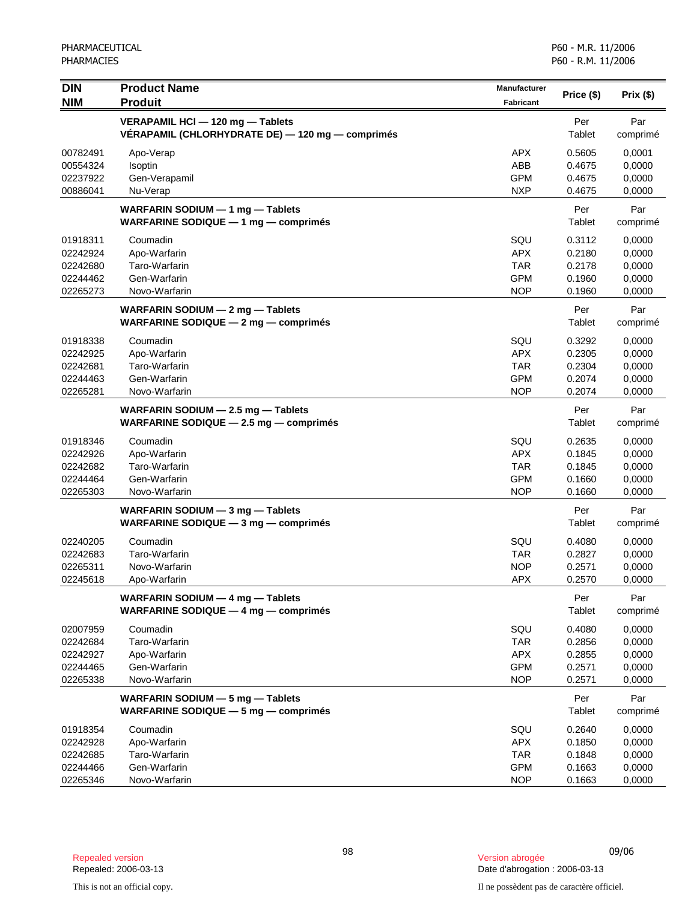| <b>DIN</b><br><b>NIM</b>         | <b>Product Name</b><br><b>Produit</b>                                                | <b>Manufacturer</b><br><b>Fabricant</b> | Price (\$)                 | Prix(\$)                   |
|----------------------------------|--------------------------------------------------------------------------------------|-----------------------------------------|----------------------------|----------------------------|
|                                  | VERAPAMIL HCI - 120 mg - Tablets<br>VÉRAPAMIL (CHLORHYDRATE DE) — 120 mg — comprimés |                                         | Per<br>Tablet              | Par<br>comprimé            |
| 00782491<br>00554324<br>02237922 | Apo-Verap<br>Isoptin<br>Gen-Verapamil                                                | <b>APX</b><br>ABB<br><b>GPM</b>         | 0.5605<br>0.4675<br>0.4675 | 0,0001<br>0,0000<br>0,0000 |
| 00886041                         | Nu-Verap                                                                             | <b>NXP</b>                              | 0.4675                     | 0,0000                     |
|                                  | WARFARIN SODIUM $-$ 1 mg $-$ Tablets<br>WARFARINE SODIQUE - 1 mg - comprimés         |                                         | Per<br>Tablet              | Par<br>comprimé            |
| 01918311                         | Coumadin                                                                             | SQU                                     | 0.3112                     | 0,0000                     |
| 02242924                         | Apo-Warfarin                                                                         | <b>APX</b>                              | 0.2180                     | 0,0000                     |
| 02242680                         | Taro-Warfarin                                                                        | <b>TAR</b>                              | 0.2178                     | 0,0000                     |
| 02244462<br>02265273             | Gen-Warfarin<br>Novo-Warfarin                                                        | <b>GPM</b><br><b>NOP</b>                | 0.1960<br>0.1960           | 0,0000<br>0,0000           |
|                                  | WARFARIN SODIUM - 2 mg - Tablets                                                     |                                         | Per                        | Par                        |
|                                  | WARFARINE SODIQUE $-$ 2 mg $-$ comprimes                                             |                                         | Tablet                     | comprimé                   |
| 01918338                         | Coumadin                                                                             | SQU                                     | 0.3292                     | 0,0000                     |
| 02242925                         | Apo-Warfarin                                                                         | <b>APX</b>                              | 0.2305                     | 0,0000                     |
| 02242681                         | Taro-Warfarin                                                                        | <b>TAR</b>                              | 0.2304                     | 0,0000                     |
| 02244463                         | Gen-Warfarin                                                                         | <b>GPM</b>                              | 0.2074                     | 0,0000                     |
| 02265281                         | Novo-Warfarin                                                                        | <b>NOP</b>                              | 0.2074                     | 0,0000                     |
|                                  | WARFARIN SODIUM - 2.5 mg - Tablets<br>WARFARINE SODIQUE $-$ 2.5 mg $-$ comprimes     |                                         | Per<br>Tablet              | Par<br>comprimé            |
| 01918346                         | Coumadin                                                                             | SQU                                     | 0.2635                     | 0,0000                     |
| 02242926                         | Apo-Warfarin                                                                         | <b>APX</b>                              | 0.1845                     | 0,0000                     |
| 02242682                         | Taro-Warfarin                                                                        | <b>TAR</b>                              | 0.1845                     | 0,0000                     |
| 02244464                         | Gen-Warfarin                                                                         | <b>GPM</b>                              | 0.1660                     | 0,0000                     |
| 02265303                         | Novo-Warfarin                                                                        | <b>NOP</b>                              | 0.1660                     | 0,0000                     |
|                                  | WARFARIN SODIUM $-$ 3 mg $-$ Tablets<br>WARFARINE SODIQUE $-$ 3 mg $-$ comprimes     |                                         | Per<br>Tablet              | Par<br>comprimé            |
| 02240205                         | Coumadin                                                                             | SQU                                     | 0.4080                     | 0,0000                     |
| 02242683                         | Taro-Warfarin                                                                        | <b>TAR</b>                              | 0.2827                     | 0,0000                     |
| 02265311                         | Novo-Warfarin                                                                        | <b>NOP</b>                              | 0.2571                     | 0,0000                     |
| 02245618                         | Apo-Warfarin                                                                         | <b>APX</b>                              | 0.2570                     | 0,0000                     |
|                                  | WARFARIN SODIUM - 4 mg - Tablets<br>WARFARINE SODIQUE $-$ 4 mg $-$ comprimes         |                                         | Per<br>Tablet              | Par<br>comprimé            |
| 02007959                         | Coumadin                                                                             | SQU                                     | 0.4080                     | 0,0000                     |
| 02242684                         | Taro-Warfarin                                                                        | <b>TAR</b>                              | 0.2856                     | 0,0000                     |
| 02242927                         | Apo-Warfarin                                                                         | <b>APX</b>                              | 0.2855                     | 0,0000                     |
| 02244465                         | Gen-Warfarin                                                                         | <b>GPM</b>                              | 0.2571                     | 0,0000                     |
| 02265338                         | Novo-Warfarin                                                                        | <b>NOP</b>                              | 0.2571                     | 0,0000                     |
|                                  | WARFARIN SODIUM - 5 mg - Tablets<br>WARFARINE SODIQUE $-5$ mg $-$ comprimes          |                                         | Per<br>Tablet              | Par<br>comprimé            |
| 01918354                         | Coumadin                                                                             | SQU                                     | 0.2640                     | 0,0000                     |
| 02242928                         | Apo-Warfarin                                                                         | <b>APX</b>                              | 0.1850                     | 0,0000                     |
| 02242685                         | Taro-Warfarin                                                                        | <b>TAR</b>                              | 0.1848                     | 0,0000                     |
| 02244466                         | Gen-Warfarin                                                                         | <b>GPM</b>                              | 0.1663                     | 0,0000                     |
| 02265346                         | Novo-Warfarin                                                                        | <b>NOP</b>                              | 0.1663                     | 0,0000                     |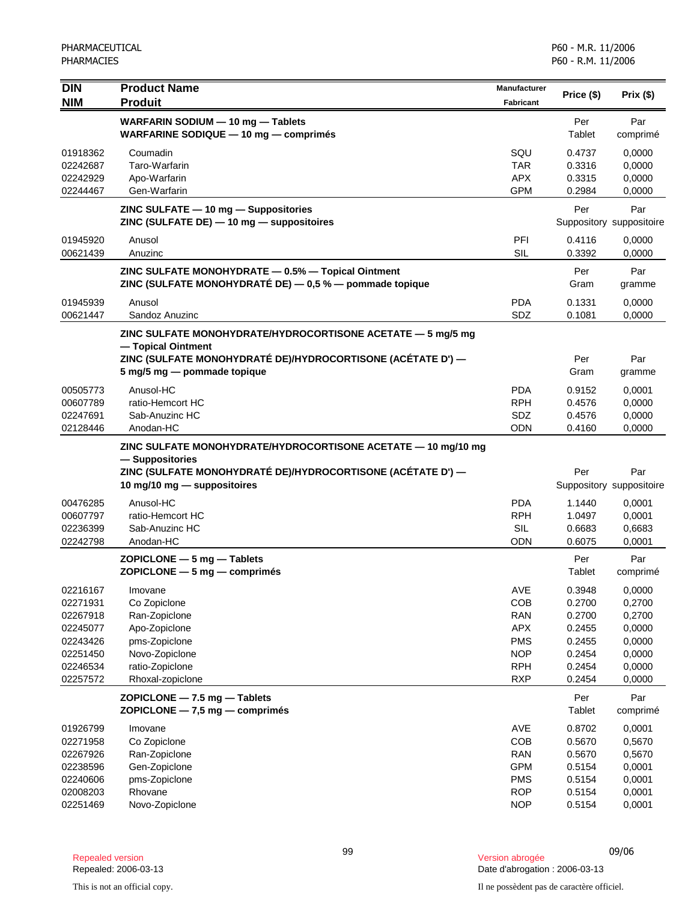| <b>DIN</b>           | <b>Product Name</b>                                                                                                                              | Manufacturer             |                  |                                 |
|----------------------|--------------------------------------------------------------------------------------------------------------------------------------------------|--------------------------|------------------|---------------------------------|
| <b>NIM</b>           | <b>Produit</b>                                                                                                                                   | <b>Fabricant</b>         | Price (\$)       | Prix(\$)                        |
|                      | WARFARIN SODIUM - 10 mg - Tablets<br>WARFARINE SODIQUE - 10 mg - comprimés                                                                       |                          | Per<br>Tablet    | Par<br>comprimé                 |
| 01918362             | Coumadin                                                                                                                                         | SQU                      | 0.4737           | 0,0000                          |
| 02242687             | Taro-Warfarin                                                                                                                                    | <b>TAR</b>               | 0.3316           | 0,0000                          |
| 02242929<br>02244467 | Apo-Warfarin<br>Gen-Warfarin                                                                                                                     | <b>APX</b><br><b>GPM</b> | 0.3315<br>0.2984 | 0,0000<br>0,0000                |
|                      |                                                                                                                                                  |                          |                  |                                 |
|                      | $ZINC$ SULFATE $-10$ mg $-$ Suppositories<br>ZINC (SULFATE DE) - 10 mg - suppositoires                                                           |                          | Per              | Par<br>Suppository suppositoire |
| 01945920<br>00621439 | Anusol<br>Anuzinc                                                                                                                                | PFI<br><b>SIL</b>        | 0.4116<br>0.3392 | 0,0000<br>0,0000                |
|                      | ZINC SULFATE MONOHYDRATE - 0.5% - Topical Ointment<br>ZINC (SULFATE MONOHYDRATÉ DE) $-$ 0,5 % $-$ pommade topique                                |                          | Per<br>Gram      | Par<br>gramme                   |
| 01945939             | Anusol                                                                                                                                           | <b>PDA</b>               | 0.1331           | 0,0000                          |
| 00621447             | Sandoz Anuzinc                                                                                                                                   | SDZ                      | 0.1081           | 0,0000                          |
|                      | ZINC SULFATE MONOHYDRATE/HYDROCORTISONE ACETATE - 5 mg/5 mg<br>- Topical Ointment<br>ZINC (SULFATE MONOHYDRATÉ DE)/HYDROCORTISONE (ACÉTATE D') - |                          | Per              | Par                             |
|                      | 5 mg/5 mg - pommade topique                                                                                                                      |                          | Gram             | gramme                          |
| 00505773             | Anusol-HC                                                                                                                                        | <b>PDA</b>               | 0.9152           | 0,0001                          |
| 00607789             | ratio-Hemcort HC                                                                                                                                 | <b>RPH</b>               | 0.4576           | 0,0000                          |
| 02247691             | Sab-Anuzinc HC                                                                                                                                   | SDZ                      | 0.4576           | 0,0000                          |
| 02128446             | Anodan-HC                                                                                                                                        | <b>ODN</b>               | 0.4160           | 0,0000                          |
|                      | ZINC SULFATE MONOHYDRATE/HYDROCORTISONE ACETATE - 10 mg/10 mg<br>- Suppositories                                                                 |                          |                  |                                 |
|                      | ZINC (SULFATE MONOHYDRATÉ DE)/HYDROCORTISONE (ACÉTATE D') —                                                                                      |                          | Per              | Par                             |
|                      | 10 mg/10 mg - suppositoires                                                                                                                      |                          |                  | Suppository suppositoire        |
| 00476285             | Anusol-HC                                                                                                                                        | <b>PDA</b>               | 1.1440           | 0,0001                          |
| 00607797             | ratio-Hemcort HC                                                                                                                                 | <b>RPH</b>               | 1.0497           | 0,0001                          |
| 02236399<br>02242798 | Sab-Anuzinc HC<br>Anodan-HC                                                                                                                      | <b>SIL</b><br><b>ODN</b> | 0.6683<br>0.6075 | 0,6683<br>0,0001                |
|                      | $ZOPICLONE - 5 mg - Tables$                                                                                                                      |                          | Per              | Par                             |
|                      | ZOPICLONE - 5 mg - comprimés                                                                                                                     |                          | Tablet           | comprimé                        |
| 02216167             | Imovane                                                                                                                                          | AVE                      | 0.3948           | 0,0000                          |
| 02271931             | Co Zopiclone                                                                                                                                     | COB                      | 0.2700           | 0,2700                          |
| 02267918             | Ran-Zopiclone                                                                                                                                    | <b>RAN</b>               | 0.2700           | 0,2700                          |
| 02245077<br>02243426 | Apo-Zopiclone<br>pms-Zopiclone                                                                                                                   | <b>APX</b><br><b>PMS</b> | 0.2455<br>0.2455 | 0,0000<br>0,0000                |
| 02251450             | Novo-Zopiclone                                                                                                                                   | <b>NOP</b>               | 0.2454           | 0,0000                          |
| 02246534             | ratio-Zopiclone                                                                                                                                  | <b>RPH</b>               | 0.2454           | 0,0000                          |
| 02257572             | Rhoxal-zopiclone                                                                                                                                 | <b>RXP</b>               | 0.2454           | 0,0000                          |
|                      | ZOPICLONE - 7.5 mg - Tablets<br>$ZOPICLONE - 7,5 mg - comprimés$                                                                                 |                          | Per<br>Tablet    | Par<br>comprimé                 |
| 01926799             | Imovane                                                                                                                                          | AVE                      | 0.8702           | 0,0001                          |
| 02271958             | Co Zopiclone                                                                                                                                     | COB                      | 0.5670           | 0,5670                          |
| 02267926             | Ran-Zopiclone                                                                                                                                    | <b>RAN</b>               | 0.5670           | 0,5670                          |
| 02238596             | Gen-Zopiclone                                                                                                                                    | <b>GPM</b>               | 0.5154           | 0,0001                          |
| 02240606             | pms-Zopiclone                                                                                                                                    | <b>PMS</b>               | 0.5154           | 0,0001                          |
| 02008203             | Rhovane                                                                                                                                          | <b>ROP</b>               | 0.5154           | 0,0001                          |
| 02251469             | Novo-Zopiclone                                                                                                                                   | <b>NOP</b>               | 0.5154           | 0,0001                          |